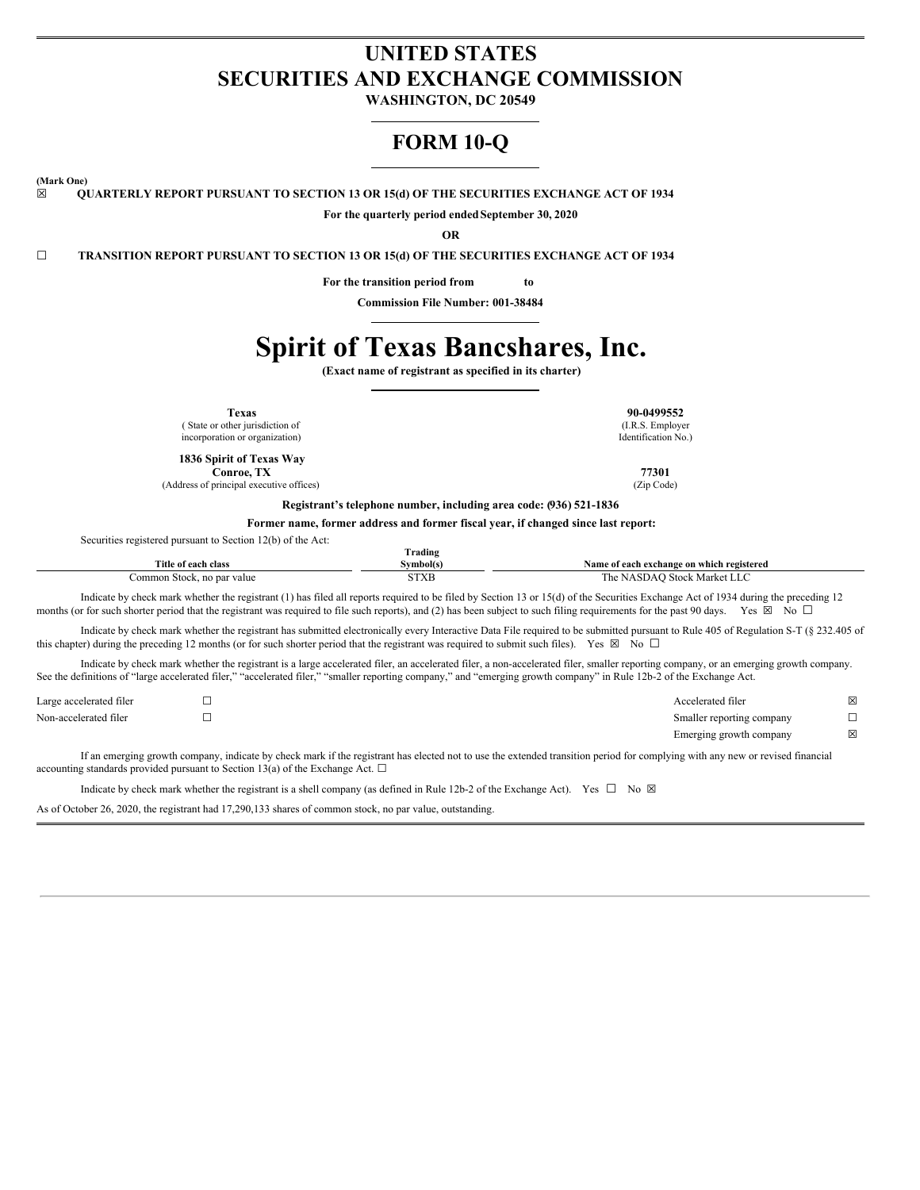## **UNITED STATES SECURITIES AND EXCHANGE COMMISSION**

**WASHINGTON, DC 20549**

# **FORM 10-Q**

**(Mark One)**

**☒ QUARTERLY REPORT PURSUANT TO SECTION 13 OR 15(d) OF THE SECURITIES EXCHANGE ACT OF 1934**

**For the quarterly period endedSeptember 30, 2020**

**OR**

**☐ TRANSITION REPORT PURSUANT TO SECTION 13 OR 15(d) OF THE SECURITIES EXCHANGE ACT OF 1934**

**For the transition period from to**

**Commission File Number: 001-38484**

# **Spirit of Texas Bancshares, Inc.**

**(Exact name of registrant as specified in its charter)**

**Texas 90-0499552**

( State or other jurisdiction of incorporation or organization)

**1836 Spirit of Texas Way**

**Conroe, TX** 77301<br>
principal executive offices) (Zip Code) (Address of principal executive offices)

(I.R.S. Employer Identification No.)

**Registrant's telephone number, including area code: (936) 521-1836**

**Former name, former address and former fiscal year, if changed since last report:**

Securities registered pursuant to Section 12(b) of the Act:

|                         | $\sigma$ occurring registered parsumm to securem ray by the rice.                                                                                             |                      |                                                                                                                                                                                                                                                                                                                                                                                       |   |
|-------------------------|---------------------------------------------------------------------------------------------------------------------------------------------------------------|----------------------|---------------------------------------------------------------------------------------------------------------------------------------------------------------------------------------------------------------------------------------------------------------------------------------------------------------------------------------------------------------------------------------|---|
|                         | Title of each class                                                                                                                                           | Trading<br>Symbol(s) | Name of each exchange on which registered                                                                                                                                                                                                                                                                                                                                             |   |
|                         | Common Stock, no par value                                                                                                                                    | <b>STXB</b>          | The NASDAQ Stock Market LLC                                                                                                                                                                                                                                                                                                                                                           |   |
|                         |                                                                                                                                                               |                      | Indicate by check mark whether the registrant (1) has filed all reports required to be filed by Section 13 or 15(d) of the Securities Exchange Act of 1934 during the preceding 12<br>months (or for such shorter period that the registrant was required to file such reports), and (2) has been subject to such filing requirements for the past 90 days. Yes $\boxtimes$ No $\Box$ |   |
|                         | this chapter) during the preceding 12 months (or for such shorter period that the registrant was required to submit such files). Yes $\boxtimes$ No $\square$ |                      | Indicate by check mark whether the registrant has submitted electronically every Interactive Data File required to be submitted pursuant to Rule 405 of Regulation S-T (§ 232.405 of                                                                                                                                                                                                  |   |
|                         |                                                                                                                                                               |                      | Indicate by check mark whether the registrant is a large accelerated filer, an accelerated filer, a non-accelerated filer, smaller reporting company, or an emerging growth company.<br>See the definitions of "large accelerated filer," "accelerated filer," "smaller reporting company," and "emerging growth company" in Rule 12b-2 of the Exchange Act.                          |   |
| Large accelerated filer |                                                                                                                                                               |                      | Accelerated filer                                                                                                                                                                                                                                                                                                                                                                     | ⊠ |
| Non-accelerated filer   |                                                                                                                                                               |                      | Smaller reporting company                                                                                                                                                                                                                                                                                                                                                             |   |
|                         |                                                                                                                                                               |                      | Emerging growth company                                                                                                                                                                                                                                                                                                                                                               | × |
|                         | accounting standards provided pursuant to Section 13(a) of the Exchange Act. $\Box$                                                                           |                      | If an emerging growth company, indicate by check mark if the registrant has elected not to use the extended transition period for complying with any new or revised financial                                                                                                                                                                                                         |   |

Indicate by check mark whether the registrant is a shell company (as defined in Rule 12b-2 of the Exchange Act). Yes  $\Box$  No  $\boxtimes$ 

As of October 26, 2020, the registrant had 17,290,133 shares of common stock, no par value, outstanding.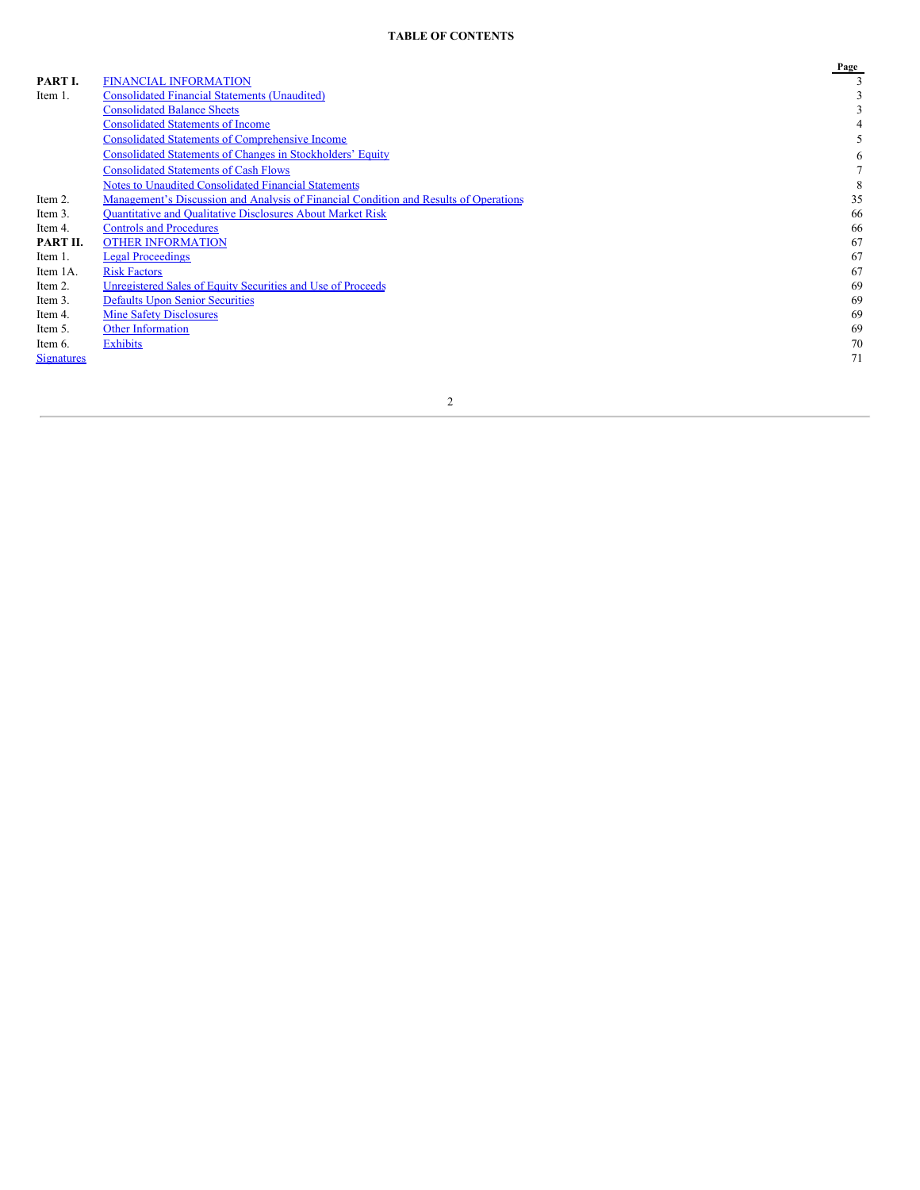### **TABLE OF CONTENTS**

|                   |                                                                                       | Page |
|-------------------|---------------------------------------------------------------------------------------|------|
| PART I.           | <b>FINANCIAL INFORMATION</b>                                                          |      |
| Item 1.           | <b>Consolidated Financial Statements (Unaudited)</b>                                  |      |
|                   | <b>Consolidated Balance Sheets</b>                                                    | 3    |
|                   | <b>Consolidated Statements of Income</b>                                              |      |
|                   | <b>Consolidated Statements of Comprehensive Income</b>                                |      |
|                   | <b>Consolidated Statements of Changes in Stockholders' Equity</b>                     | 6    |
|                   | <b>Consolidated Statements of Cash Flows</b>                                          |      |
|                   | <b>Notes to Unaudited Consolidated Financial Statements</b>                           | 8    |
| Item 2.           | Management's Discussion and Analysis of Financial Condition and Results of Operations | 35   |
| Item 3.           | <b>Ouantitative and Oualitative Disclosures About Market Risk</b>                     | -66  |
| Item 4.           | <b>Controls and Procedures</b>                                                        | 66   |
| PART II.          | <b>OTHER INFORMATION</b>                                                              | 67   |
| Item 1.           | <b>Legal Proceedings</b>                                                              | 67   |
| Item 1A.          | <b>Risk Factors</b>                                                                   | 67   |
| Item 2.           | Unregistered Sales of Equity Securities and Use of Proceeds                           | 69   |
| Item 3.           | <b>Defaults Upon Senior Securities</b>                                                | 69   |
| Item 4.           | <b>Mine Safety Disclosures</b>                                                        | 69   |
| Item 5.           | <b>Other Information</b>                                                              | 69   |
| Item 6.           | <b>Exhibits</b>                                                                       | 70   |
| <b>Signatures</b> |                                                                                       | 71   |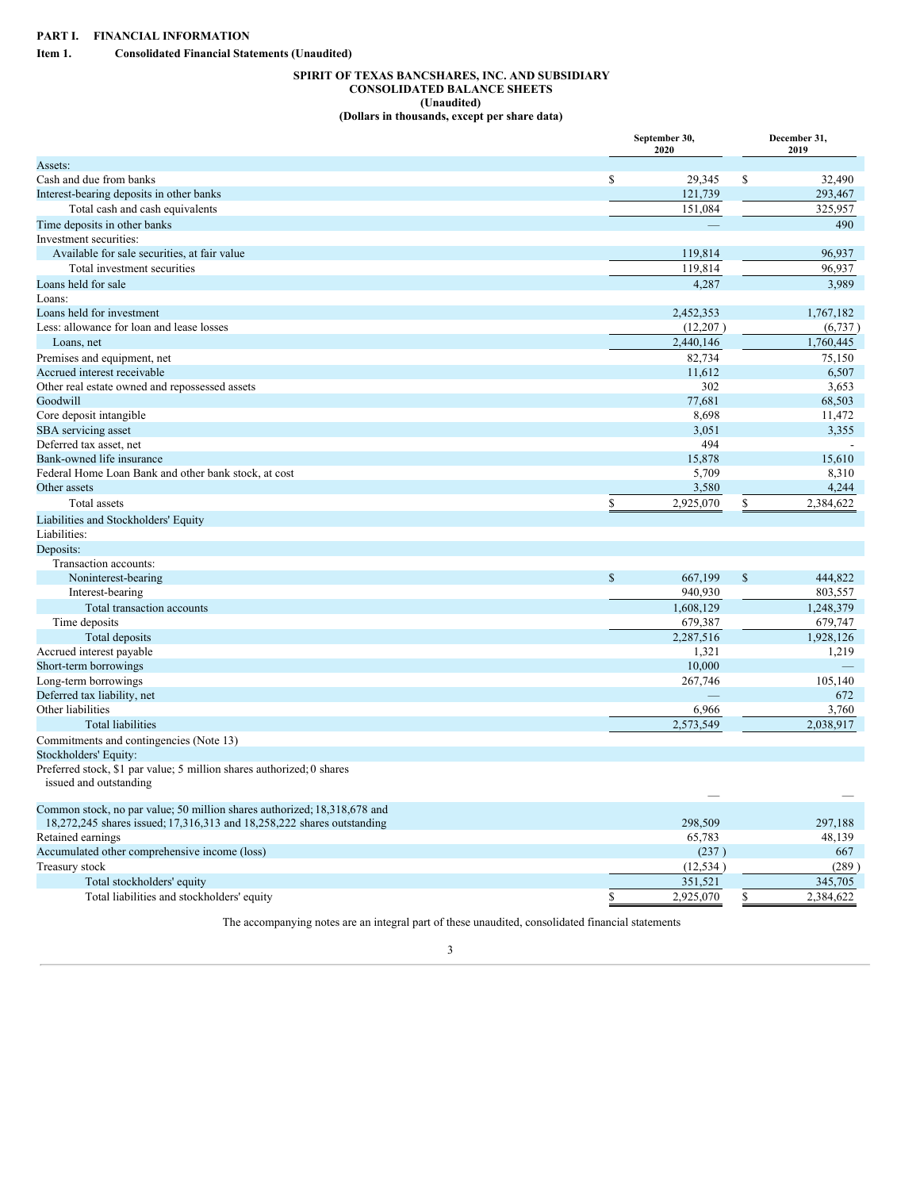<span id="page-2-2"></span><span id="page-2-1"></span><span id="page-2-0"></span>**Item 1. Consolidated Financial Statements (Unaudited)**

### **SPIRIT OF TEXAS BANCSHARES, INC. AND SUBSIDIARY CONSOLIDATED BALANCE SHEETS (Unaudited) (Dollars in thousands, except per share data)**

|                                                                                                                                                    | September 30,<br>2020 |             | December 31,<br>2019 |
|----------------------------------------------------------------------------------------------------------------------------------------------------|-----------------------|-------------|----------------------|
| Assets:                                                                                                                                            |                       |             |                      |
| Cash and due from banks                                                                                                                            | \$<br>29,345          | \$          | 32,490               |
| Interest-bearing deposits in other banks                                                                                                           | 121,739               |             | 293,467              |
| Total cash and cash equivalents                                                                                                                    | 151,084               |             | 325,957              |
| Time deposits in other banks                                                                                                                       |                       |             | 490                  |
| Investment securities:                                                                                                                             |                       |             |                      |
| Available for sale securities, at fair value                                                                                                       | 119,814               |             | 96,937               |
| Total investment securities                                                                                                                        | 119,814               |             | 96,937               |
| Loans held for sale                                                                                                                                | 4,287                 |             | 3,989                |
| Loans:                                                                                                                                             |                       |             |                      |
| Loans held for investment                                                                                                                          | 2,452,353             |             | 1,767,182            |
| Less: allowance for loan and lease losses                                                                                                          | (12, 207)             |             | (6, 737)             |
| Loans, net                                                                                                                                         | 2,440,146             |             | 1,760,445            |
| Premises and equipment, net                                                                                                                        | 82,734                |             | 75,150               |
| Accrued interest receivable                                                                                                                        | 11,612                |             | 6,507                |
| Other real estate owned and repossessed assets                                                                                                     | 302                   |             | 3,653                |
| Goodwill                                                                                                                                           | 77,681                |             | 68,503               |
| Core deposit intangible                                                                                                                            | 8,698                 |             | 11,472               |
| SBA servicing asset                                                                                                                                | 3,051                 |             | 3,355                |
| Deferred tax asset, net                                                                                                                            | 494                   |             |                      |
| Bank-owned life insurance                                                                                                                          | 15,878                |             | 15,610               |
| Federal Home Loan Bank and other bank stock, at cost                                                                                               | 5,709                 |             | 8,310                |
| Other assets                                                                                                                                       | 3,580                 |             | 4,244                |
| Total assets                                                                                                                                       | \$<br>2,925,070       | \$          | 2,384,622            |
| Liabilities and Stockholders' Equity                                                                                                               |                       |             |                      |
| Liabilities:                                                                                                                                       |                       |             |                      |
| Deposits:                                                                                                                                          |                       |             |                      |
| Transaction accounts:                                                                                                                              |                       |             |                      |
| Noninterest-bearing                                                                                                                                | \$<br>667,199         | \$          | 444,822              |
| Interest-bearing                                                                                                                                   | 940,930               |             | 803,557              |
| Total transaction accounts                                                                                                                         | 1,608,129             |             | 1,248,379            |
| Time deposits                                                                                                                                      | 679,387               |             | 679,747              |
| Total deposits                                                                                                                                     | 2,287,516             |             | 1,928,126            |
| Accrued interest payable                                                                                                                           | 1,321                 |             | 1,219                |
| Short-term borrowings                                                                                                                              | 10,000                |             |                      |
| Long-term borrowings                                                                                                                               | 267,746               |             | 105,140              |
| Deferred tax liability, net                                                                                                                        |                       |             | 672                  |
| Other liabilities                                                                                                                                  | 6,966                 |             | 3,760                |
| <b>Total liabilities</b>                                                                                                                           | 2,573,549             |             | 2,038,917            |
| Commitments and contingencies (Note 13)                                                                                                            |                       |             |                      |
| Stockholders' Equity:                                                                                                                              |                       |             |                      |
| Preferred stock, \$1 par value; 5 million shares authorized; 0 shares<br>issued and outstanding                                                    |                       |             |                      |
| Common stock, no par value; 50 million shares authorized; 18,318,678 and<br>18,272,245 shares issued; 17,316,313 and 18,258,222 shares outstanding | 298,509               |             | 297,188              |
| Retained earnings                                                                                                                                  | 65,783                |             | 48,139               |
| Accumulated other comprehensive income (loss)                                                                                                      | (237)                 |             | 667                  |
| Treasury stock                                                                                                                                     | (12, 534)             |             | (289)                |
| Total stockholders' equity                                                                                                                         | 351,521               |             | 345,705              |
| Total liabilities and stockholders' equity                                                                                                         | \$<br>2,925,070       | $\mathbf S$ | 2,384,622            |

The accompanying notes are an integral part of these unaudited, consolidated financial statements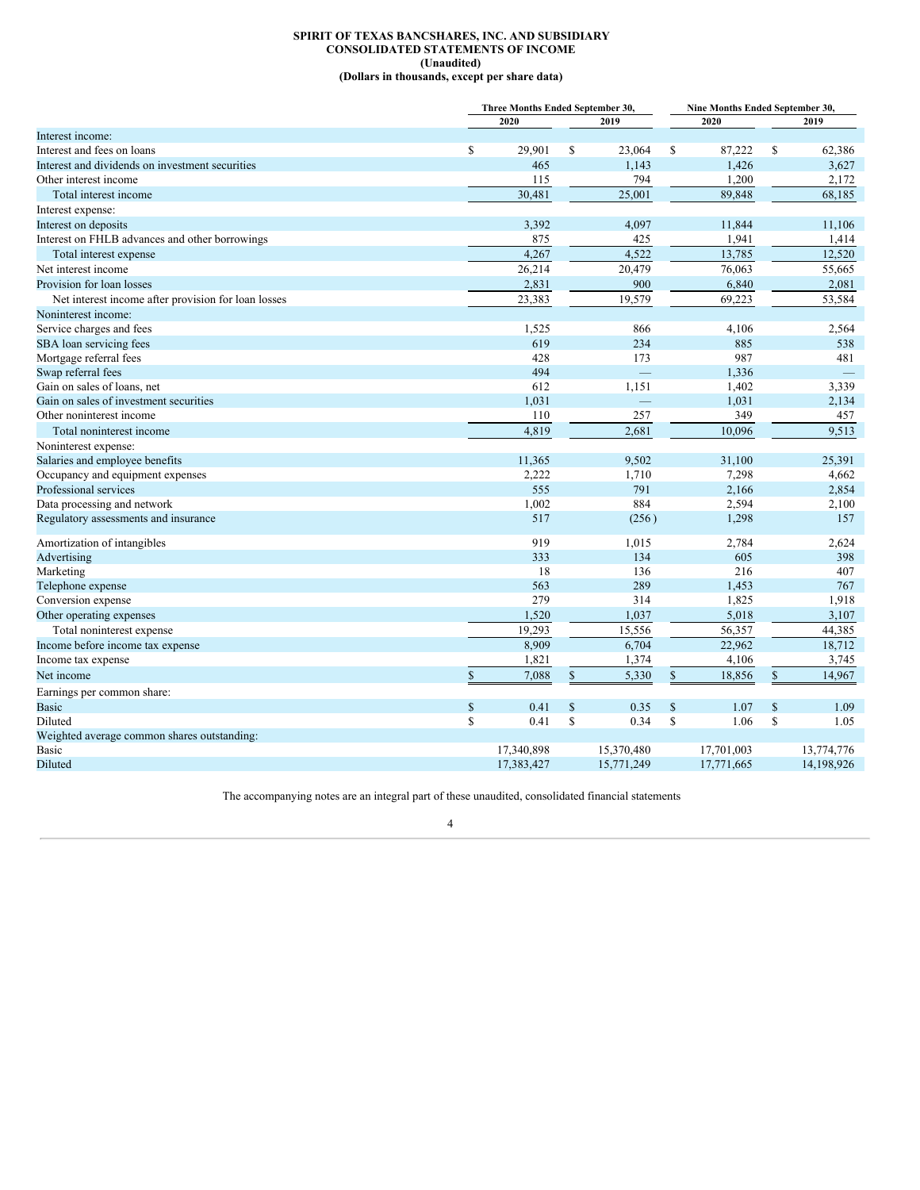### **SPIRIT OF TEXAS BANCSHARES, INC. AND SUBSIDIARY CONSOLIDATED STATEMENTS OF INCOME (Unaudited) (Dollars in thousands, except per share data)**

<span id="page-3-0"></span>

|                                                     |              | Three Months Ended September 30, |              |            |              | Nine Months Ended September 30, |              |            |
|-----------------------------------------------------|--------------|----------------------------------|--------------|------------|--------------|---------------------------------|--------------|------------|
|                                                     |              | 2020                             |              | 2019       |              | 2020                            |              | 2019       |
| Interest income:                                    |              |                                  |              |            |              |                                 |              |            |
| Interest and fees on loans                          | \$           | 29,901                           | $\mathbb{S}$ | 23,064     | $\mathbb{S}$ | 87,222                          | \$           | 62,386     |
| Interest and dividends on investment securities     |              | 465                              |              | 1.143      |              | 1,426                           |              | 3,627      |
| Other interest income                               |              | 115                              |              | 794        |              | 1,200                           |              | 2,172      |
| Total interest income                               |              | 30.481                           |              | 25,001     |              | 89,848                          |              | 68,185     |
| Interest expense:                                   |              |                                  |              |            |              |                                 |              |            |
| Interest on deposits                                |              | 3,392                            |              | 4,097      |              | 11,844                          |              | 11,106     |
| Interest on FHLB advances and other borrowings      |              | 875                              |              | 425        |              | 1,941                           |              | 1,414      |
| Total interest expense                              |              | 4,267                            |              | 4,522      |              | 13,785                          |              | 12,520     |
| Net interest income                                 |              | 26,214                           |              | 20,479     |              | 76,063                          |              | 55,665     |
| Provision for loan losses                           |              | 2,831                            |              | 900        |              | 6,840                           |              | 2,081      |
| Net interest income after provision for loan losses |              | 23,383                           |              | 19,579     |              | 69,223                          |              | 53,584     |
| Noninterest income:                                 |              |                                  |              |            |              |                                 |              |            |
| Service charges and fees                            |              | 1,525                            |              | 866        |              | 4,106                           |              | 2,564      |
| SBA loan servicing fees                             |              | 619                              |              | 234        |              | 885                             |              | 538        |
| Mortgage referral fees                              |              | 428                              |              | 173        |              | 987                             |              | 481        |
| Swap referral fees                                  |              | 494                              |              |            |              | 1,336                           |              |            |
| Gain on sales of loans, net                         |              | 612                              |              | 1,151      |              | 1,402                           |              | 3,339      |
| Gain on sales of investment securities              |              | 1,031                            |              |            |              | 1,031                           |              | 2,134      |
| Other noninterest income                            |              | 110                              |              | 257        |              | 349                             |              | 457        |
| Total noninterest income                            |              | 4,819                            |              | 2,681      |              | 10,096                          |              | 9,513      |
| Noninterest expense:                                |              |                                  |              |            |              |                                 |              |            |
| Salaries and employee benefits                      |              | 11,365                           |              | 9,502      |              | 31,100                          |              | 25,391     |
| Occupancy and equipment expenses                    |              | 2,222                            |              | 1,710      |              | 7,298                           |              | 4,662      |
| Professional services                               |              | 555                              |              | 791        |              | 2,166                           |              | 2,854      |
| Data processing and network                         |              | 1,002                            |              | 884        |              | 2,594                           |              | 2,100      |
| Regulatory assessments and insurance                |              | 517                              |              | (256)      |              | 1,298                           |              | 157        |
| Amortization of intangibles                         |              | 919                              |              | 1,015      |              | 2,784                           |              | 2,624      |
| Advertising                                         |              | 333                              |              | 134        |              | 605                             |              | 398        |
| Marketing                                           |              | 18                               |              | 136        |              | 216                             |              | 407        |
| Telephone expense                                   |              | 563                              |              | 289        |              | 1,453                           |              | 767        |
| Conversion expense                                  |              | 279                              |              | 314        |              | 1,825                           |              | 1,918      |
| Other operating expenses                            |              | 1,520                            |              | 1,037      |              | 5,018                           |              | 3,107      |
| Total noninterest expense                           |              | 19,293                           |              | 15,556     |              | 56,357                          |              | 44,385     |
| Income before income tax expense                    |              | 8,909                            |              | 6,704      |              | 22,962                          |              | 18,712     |
| Income tax expense                                  |              | 1,821                            |              | 1,374      |              | 4,106                           |              | 3,745      |
| Net income                                          | $\mathbb{S}$ | 7,088                            | $\$$         | 5,330      | \$           | 18,856                          | $\mathbb{S}$ | 14,967     |
| Earnings per common share:                          |              |                                  |              |            |              |                                 |              |            |
| <b>Basic</b>                                        | \$           | 0.41                             | \$           | 0.35       | $\$$         | 1.07                            | \$           | 1.09       |
| Diluted                                             | \$           | 0.41                             | \$           | 0.34       | \$           | 1.06                            | \$           | 1.05       |
| Weighted average common shares outstanding:         |              |                                  |              |            |              |                                 |              |            |
| Basic                                               |              | 17,340,898                       |              | 15,370,480 |              | 17,701,003                      |              | 13,774,776 |
| Diluted                                             |              | 17,383,427                       |              | 15,771,249 |              | 17,771,665                      |              | 14,198,926 |
|                                                     |              |                                  |              |            |              |                                 |              |            |

The accompanying notes are an integral part of these unaudited, consolidated financial statements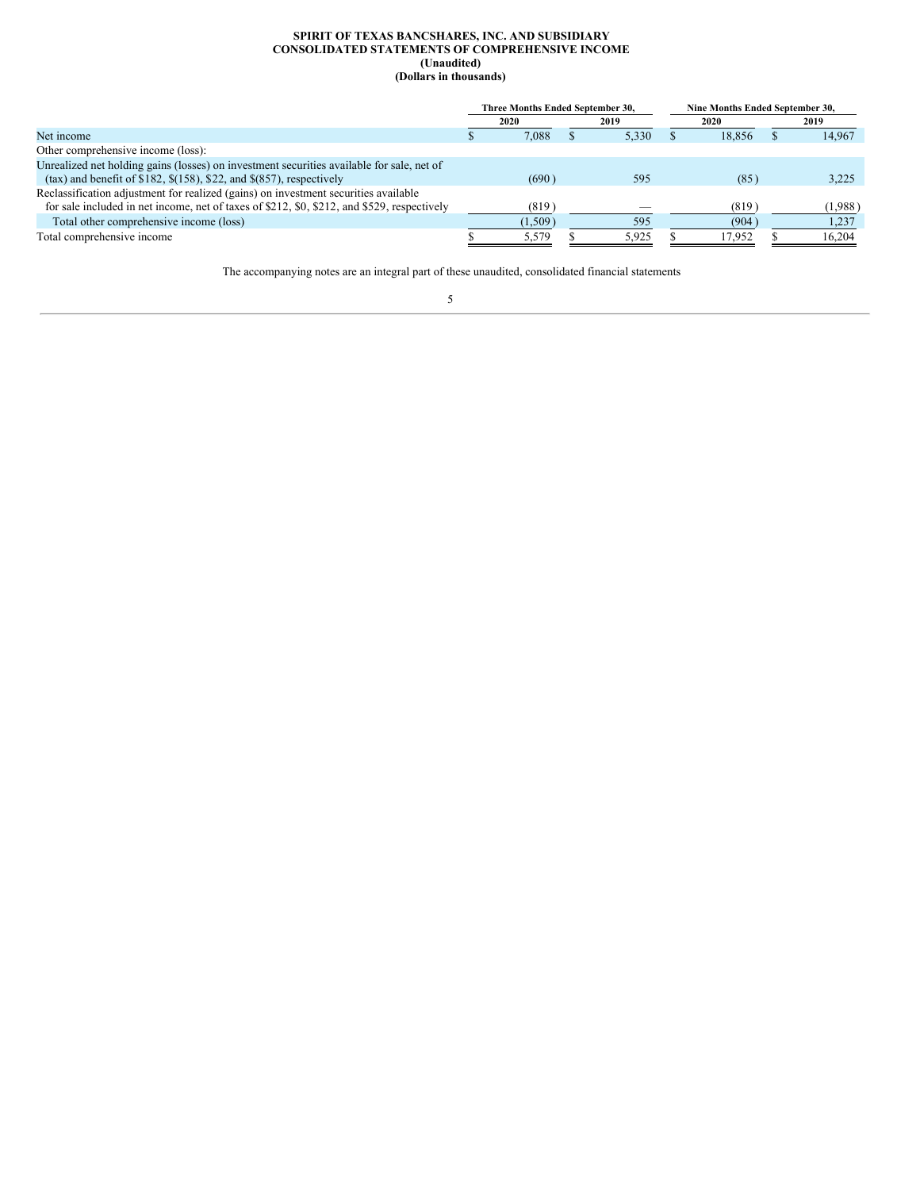### **SPIRIT OF TEXAS BANCSHARES, INC. AND SUBSIDIARY CONSOLIDATED STATEMENTS OF COMPREHENSIVE INCOME (Unaudited) (Dollars in thousands)**

<span id="page-4-0"></span>

|                                                                                             | Three Months Ended September 30, |         |     |       |      | Nine Months Ended September 30, |  |         |  |
|---------------------------------------------------------------------------------------------|----------------------------------|---------|-----|-------|------|---------------------------------|--|---------|--|
|                                                                                             | 2020                             |         |     | 2019  |      | 2020                            |  | 2019    |  |
| Net income                                                                                  |                                  | 7.088   |     | 5.330 |      | 18.856                          |  | 14,967  |  |
| Other comprehensive income (loss):                                                          |                                  |         |     |       |      |                                 |  |         |  |
| Unrealized net holding gains (losses) on investment securities available for sale, net of   |                                  |         |     |       |      |                                 |  |         |  |
| (tax) and benefit of $$182, $(158), $22,$ and $$(857),$ respectively                        |                                  | (690)   | 595 |       | (85) |                                 |  | 3,225   |  |
| Reclassification adjustment for realized (gains) on investment securities available         |                                  |         |     |       |      |                                 |  |         |  |
| for sale included in net income, net of taxes of \$212, \$0, \$212, and \$529, respectively |                                  | (819)   |     |       |      | (819)                           |  | (1.988) |  |
| Total other comprehensive income (loss)                                                     |                                  | (1,509) |     | 595   |      | (904)                           |  | 1,237   |  |
| Total comprehensive income                                                                  |                                  | 5.579   |     | 5.925 |      | 17.952                          |  | 16.204  |  |

The accompanying notes are an integral part of these unaudited, consolidated financial statements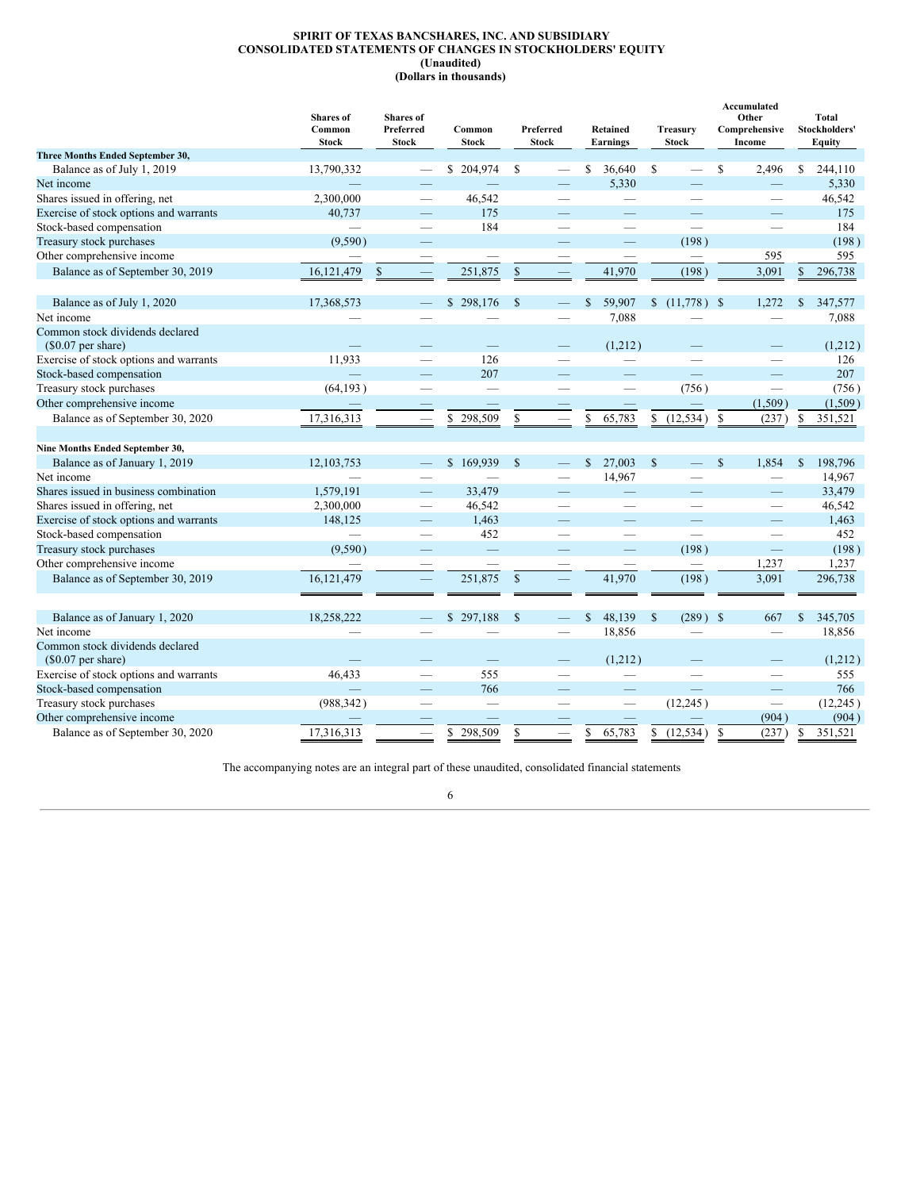### **SPIRIT OF TEXAS BANCSHARES, INC. AND SUBSIDIARY CONSOLIDATED STATEMENTS OF CHANGES IN STOCKHOLDERS' EQUITY (Unaudited) (Dollars in thousands)**

<span id="page-5-0"></span>

|                                                         | <b>Shares</b> of<br>Common<br><b>Stock</b> | <b>Shares</b> of<br>Preferred<br><b>Stock</b> | Common<br><b>Stock</b>   |               | Preferred<br><b>Stock</b> | <b>Retained</b><br>Earnings |                          | <b>Treasury</b> |                          | Accumulated<br>Other<br>Comprehensive<br>Income |                          |               | Total<br>Stockholders'<br>Equity |  |  |  |  |  |  |  |  |
|---------------------------------------------------------|--------------------------------------------|-----------------------------------------------|--------------------------|---------------|---------------------------|-----------------------------|--------------------------|-----------------|--------------------------|-------------------------------------------------|--------------------------|---------------|----------------------------------|--|--|--|--|--|--|--|--|
| Three Months Ended September 30,                        |                                            |                                               |                          |               |                           |                             |                          |                 |                          |                                                 |                          |               |                                  |  |  |  |  |  |  |  |  |
| Balance as of July 1, 2019                              | 13,790,332                                 |                                               | \$204,974                | \$            |                           | \$                          | 36,640                   | $\mathbb{S}$    |                          | \$                                              | 2,496                    | \$            | 244,110                          |  |  |  |  |  |  |  |  |
| Net income                                              |                                            |                                               |                          |               |                           |                             | 5,330                    |                 |                          |                                                 |                          |               | 5,330                            |  |  |  |  |  |  |  |  |
| Shares issued in offering, net                          | 2,300,000                                  |                                               | 46,542                   |               |                           |                             |                          |                 |                          |                                                 |                          |               | 46,542                           |  |  |  |  |  |  |  |  |
| Exercise of stock options and warrants                  | 40,737                                     |                                               | 175                      |               |                           |                             |                          |                 |                          |                                                 |                          |               | 175                              |  |  |  |  |  |  |  |  |
| Stock-based compensation                                |                                            | $\overline{\phantom{a}}$                      | 184                      |               |                           |                             | -                        |                 |                          |                                                 | -                        |               | 184                              |  |  |  |  |  |  |  |  |
| Treasury stock purchases                                | (9,590)                                    | $\equiv$                                      |                          |               |                           |                             |                          |                 | (198)                    |                                                 |                          |               | (198)                            |  |  |  |  |  |  |  |  |
| Other comprehensive income                              |                                            |                                               |                          |               |                           |                             |                          |                 | $\overline{\phantom{m}}$ |                                                 | 595                      |               | 595                              |  |  |  |  |  |  |  |  |
| Balance as of September 30, 2019                        | 16,121,479                                 | \$                                            | 251,875                  | $\mathbb{S}$  |                           |                             | 41,970                   |                 | (198)                    |                                                 | 3,091                    | \$            | 296,738                          |  |  |  |  |  |  |  |  |
| Balance as of July 1, 2020                              | 17,368,573                                 |                                               | $\mathbb{S}$<br>298,176  | <sup>\$</sup> |                           | <b>S</b>                    | 59,907                   |                 |                          |                                                 | 1,272                    | \$            | 347,577                          |  |  |  |  |  |  |  |  |
| Net income                                              |                                            |                                               |                          |               |                           |                             | 7,088                    |                 |                          |                                                 |                          |               | 7,088                            |  |  |  |  |  |  |  |  |
| Common stock dividends declared<br>$(\$0.07$ per share) |                                            |                                               |                          |               |                           |                             | (1,212)                  |                 |                          |                                                 |                          |               | (1,212)                          |  |  |  |  |  |  |  |  |
| Exercise of stock options and warrants                  | 11,933                                     |                                               | 126                      |               |                           |                             | $\overline{\phantom{0}}$ |                 |                          |                                                 |                          |               | 126                              |  |  |  |  |  |  |  |  |
| Stock-based compensation                                |                                            | $\equiv$                                      | 207                      |               |                           |                             |                          |                 |                          |                                                 |                          |               | 207                              |  |  |  |  |  |  |  |  |
| Treasury stock purchases                                | (64, 193)                                  | $\overline{\phantom{0}}$                      |                          |               |                           |                             | L.                       |                 | (756)                    |                                                 | $\overline{\phantom{0}}$ |               | (756)                            |  |  |  |  |  |  |  |  |
| Other comprehensive income                              |                                            |                                               |                          |               |                           |                             |                          |                 |                          |                                                 | (1,509)                  |               | (1,509)                          |  |  |  |  |  |  |  |  |
| Balance as of September 30, 2020                        | 17,316,313                                 |                                               | \$<br>298,509            | \$            |                           | S                           | 65,783                   |                 | (12, 534)                | S                                               | (237)                    | <sup>\$</sup> | 351,521                          |  |  |  |  |  |  |  |  |
| Nine Months Ended September 30,                         |                                            |                                               |                          |               |                           |                             |                          |                 |                          |                                                 |                          |               |                                  |  |  |  |  |  |  |  |  |
| Balance as of January 1, 2019                           | 12, 103, 753                               |                                               | 169,939<br>$\mathbb{S}$  | <sup>\$</sup> |                           | S                           | 27,003                   | $\mathbf S$     |                          | $\mathbf S$                                     | 1,854                    | \$            | 198,796                          |  |  |  |  |  |  |  |  |
| Net income                                              |                                            |                                               |                          |               |                           |                             | 14,967                   |                 |                          |                                                 |                          |               | 14,967                           |  |  |  |  |  |  |  |  |
| Shares issued in business combination                   | 1,579,191                                  |                                               | 33,479                   |               |                           |                             |                          |                 |                          |                                                 |                          |               | 33,479                           |  |  |  |  |  |  |  |  |
| Shares issued in offering, net                          | 2,300,000                                  |                                               | 46,542                   |               |                           |                             |                          |                 |                          |                                                 |                          |               | 46,542                           |  |  |  |  |  |  |  |  |
| Exercise of stock options and warrants                  | 148,125                                    |                                               | 1,463                    |               |                           |                             |                          |                 |                          |                                                 |                          |               | 1,463                            |  |  |  |  |  |  |  |  |
| Stock-based compensation                                |                                            | $\overline{\phantom{0}}$                      | 452                      |               |                           |                             |                          |                 | $\overline{\phantom{0}}$ |                                                 |                          |               | 452                              |  |  |  |  |  |  |  |  |
| Treasury stock purchases                                | (9,590)                                    | $\equiv$                                      | $\overline{\phantom{0}}$ |               |                           |                             | $\overline{\phantom{a}}$ |                 | (198)                    |                                                 | $\overline{\phantom{0}}$ |               | (198)                            |  |  |  |  |  |  |  |  |
| Other comprehensive income                              |                                            |                                               |                          |               |                           |                             |                          |                 | -                        |                                                 | 1,237                    |               | 1,237                            |  |  |  |  |  |  |  |  |
| Balance as of September 30, 2019                        | 16,121,479                                 |                                               | 251,875                  | $\mathbb{S}$  |                           |                             | 41,970                   |                 | (198)                    |                                                 | 3,091                    |               | 296,738                          |  |  |  |  |  |  |  |  |
| Balance as of January 1, 2020                           | 18,258,222                                 |                                               | $\mathbb{S}$<br>297,188  | \$            |                           | S                           | 48,139                   | $\mathbf S$     | $(289)$ \$               |                                                 | 667                      | \$            | 345,705                          |  |  |  |  |  |  |  |  |
| Net income                                              |                                            |                                               |                          |               |                           |                             | 18,856                   |                 |                          |                                                 |                          |               | 18,856                           |  |  |  |  |  |  |  |  |
| Common stock dividends declared<br>$(\$0.07$ per share) |                                            |                                               |                          |               |                           |                             | (1,212)                  |                 |                          |                                                 |                          |               | (1,212)                          |  |  |  |  |  |  |  |  |
| Exercise of stock options and warrants                  | 46,433                                     |                                               | 555                      |               |                           |                             | L.                       |                 |                          |                                                 |                          |               | 555                              |  |  |  |  |  |  |  |  |
| Stock-based compensation                                |                                            |                                               | 766                      |               |                           |                             |                          |                 |                          |                                                 |                          |               | 766                              |  |  |  |  |  |  |  |  |
| Treasury stock purchases                                | (988, 342)                                 | $\overline{\phantom{0}}$                      |                          |               |                           |                             | $\overline{\phantom{0}}$ |                 | (12, 245)                |                                                 |                          |               | (12, 245)                        |  |  |  |  |  |  |  |  |
| Other comprehensive income                              |                                            |                                               |                          |               |                           |                             |                          |                 |                          |                                                 | (904)                    |               | (904)                            |  |  |  |  |  |  |  |  |
| Balance as of September 30, 2020                        | 17,316,313                                 | $\overline{\phantom{0}}$                      | 298,509<br>\$            | \$            |                           | S                           | 65,783                   | S               | (12, 534)                | S                                               | (237)                    | \$            | 351,521                          |  |  |  |  |  |  |  |  |

The accompanying notes are an integral part of these unaudited, consolidated financial statements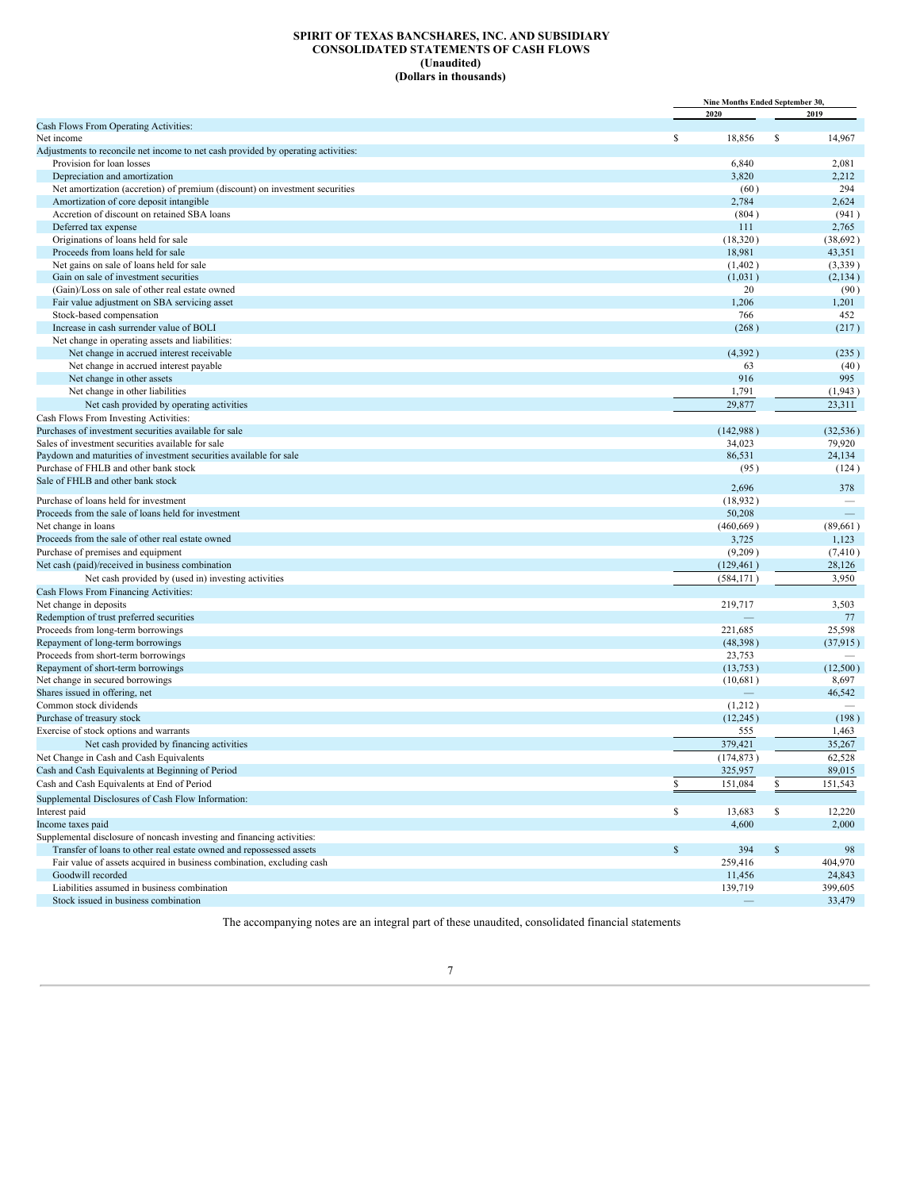### **SPIRIT OF TEXAS BANCSHARES, INC. AND SUBSIDIARY CONSOLIDATED STATEMENTS OF CASH FLOWS (Unaudited) (Dollars in thousands)**

<span id="page-6-0"></span>

|                                                                                   |                     | Nine Months Ended September 30, |
|-----------------------------------------------------------------------------------|---------------------|---------------------------------|
|                                                                                   | 2020                | 2019                            |
| Cash Flows From Operating Activities:                                             |                     |                                 |
| Net income                                                                        | \$<br>18,856        | \$<br>14,967                    |
| Adjustments to reconcile net income to net cash provided by operating activities: |                     |                                 |
| Provision for loan losses                                                         | 6,840               | 2,081                           |
| Depreciation and amortization                                                     | 3,820               | 2,212                           |
| Net amortization (accretion) of premium (discount) on investment securities       | (60)                | 294                             |
| Amortization of core deposit intangible                                           | 2,784               | 2,624                           |
| Accretion of discount on retained SBA loans                                       | (804)               | (941)                           |
| Deferred tax expense                                                              | 111                 | 2,765                           |
| Originations of loans held for sale                                               | (18,320)            | (38,692)                        |
| Proceeds from loans held for sale                                                 | 18,981              | 43,351                          |
| Net gains on sale of loans held for sale                                          | (1,402)             | (3,339)                         |
| Gain on sale of investment securities                                             | (1,031)             | (2,134)                         |
| (Gain)/Loss on sale of other real estate owned                                    | 20                  | (90)                            |
| Fair value adjustment on SBA servicing asset                                      | 1,206               | 1,201                           |
| Stock-based compensation                                                          | 766                 | 452                             |
| Increase in cash surrender value of BOLI                                          | (268)               | (217)                           |
| Net change in operating assets and liabilities:                                   |                     |                                 |
| Net change in accrued interest receivable                                         | (4,392)             | (235)                           |
| Net change in accrued interest payable                                            | 63                  | (40)                            |
| Net change in other assets                                                        | 916                 | 995                             |
| Net change in other liabilities                                                   | 1,791               | (1, 943)                        |
| Net cash provided by operating activities                                         | 29,877              | 23,311                          |
| Cash Flows From Investing Activities:                                             |                     |                                 |
| Purchases of investment securities available for sale                             | (142,988)           | (32, 536)                       |
| Sales of investment securities available for sale                                 | 34,023              | 79,920                          |
| Paydown and maturities of investment securities available for sale                | 86,531              | 24,134                          |
| Purchase of FHLB and other bank stock                                             | (95)                | (124)                           |
| Sale of FHLB and other bank stock                                                 | 2,696               | 378                             |
| Purchase of loans held for investment                                             | (18,932)            | $\overline{\phantom{a}}$        |
| Proceeds from the sale of loans held for investment                               | 50,208              |                                 |
| Net change in loans                                                               | (460, 669)          | (89,661)                        |
| Proceeds from the sale of other real estate owned                                 | 3,725               | 1,123                           |
| Purchase of premises and equipment                                                | (9,209)             | (7, 410)                        |
| Net cash (paid)/received in business combination                                  | (129, 461)          | 28,126                          |
| Net cash provided by (used in) investing activities                               | (584, 171)          | 3,950                           |
| Cash Flows From Financing Activities:                                             |                     |                                 |
| Net change in deposits                                                            | 219,717             | 3,503                           |
| Redemption of trust preferred securities                                          |                     | 77                              |
| Proceeds from long-term borrowings                                                | 221,685             | 25,598                          |
| Repayment of long-term borrowings                                                 | (48,398)            | (37,915)                        |
| Proceeds from short-term borrowings                                               | 23,753              |                                 |
| Repayment of short-term borrowings                                                | (13,753)            | (12,500)                        |
| Net change in secured borrowings                                                  | (10,681)            | 8,697                           |
| Shares issued in offering, net                                                    |                     | 46,542                          |
| Common stock dividends                                                            | (1,212)             |                                 |
| Purchase of treasury stock                                                        | (12, 245)           | (198)                           |
| Exercise of stock options and warrants                                            | 555                 | 1,463                           |
| Net cash provided by financing activities                                         | 379,421             | 35,267                          |
| Net Change in Cash and Cash Equivalents                                           | (174, 873)          | 62,528                          |
| Cash and Cash Equivalents at Beginning of Period                                  |                     | 89,015                          |
|                                                                                   | 325,957<br>S        |                                 |
| Cash and Cash Equivalents at End of Period                                        | 151,084             | 151,543<br>\$                   |
| Supplemental Disclosures of Cash Flow Information:                                |                     |                                 |
| Interest paid                                                                     | \$<br>13,683        | \$<br>12,220                    |
| Income taxes paid                                                                 | 4,600               | 2,000                           |
| Supplemental disclosure of noncash investing and financing activities:            |                     |                                 |
| Transfer of loans to other real estate owned and repossessed assets               | $\mathbb{S}$<br>394 | \$<br>98                        |
| Fair value of assets acquired in business combination, excluding cash             | 259,416             | 404,970                         |
| Goodwill recorded                                                                 | 11,456              | 24,843                          |
| Liabilities assumed in business combination                                       | 139,719             | 399,605                         |
| Stock issued in business combination                                              |                     | 33,479                          |

The accompanying notes are an integral part of these unaudited, consolidated financial statements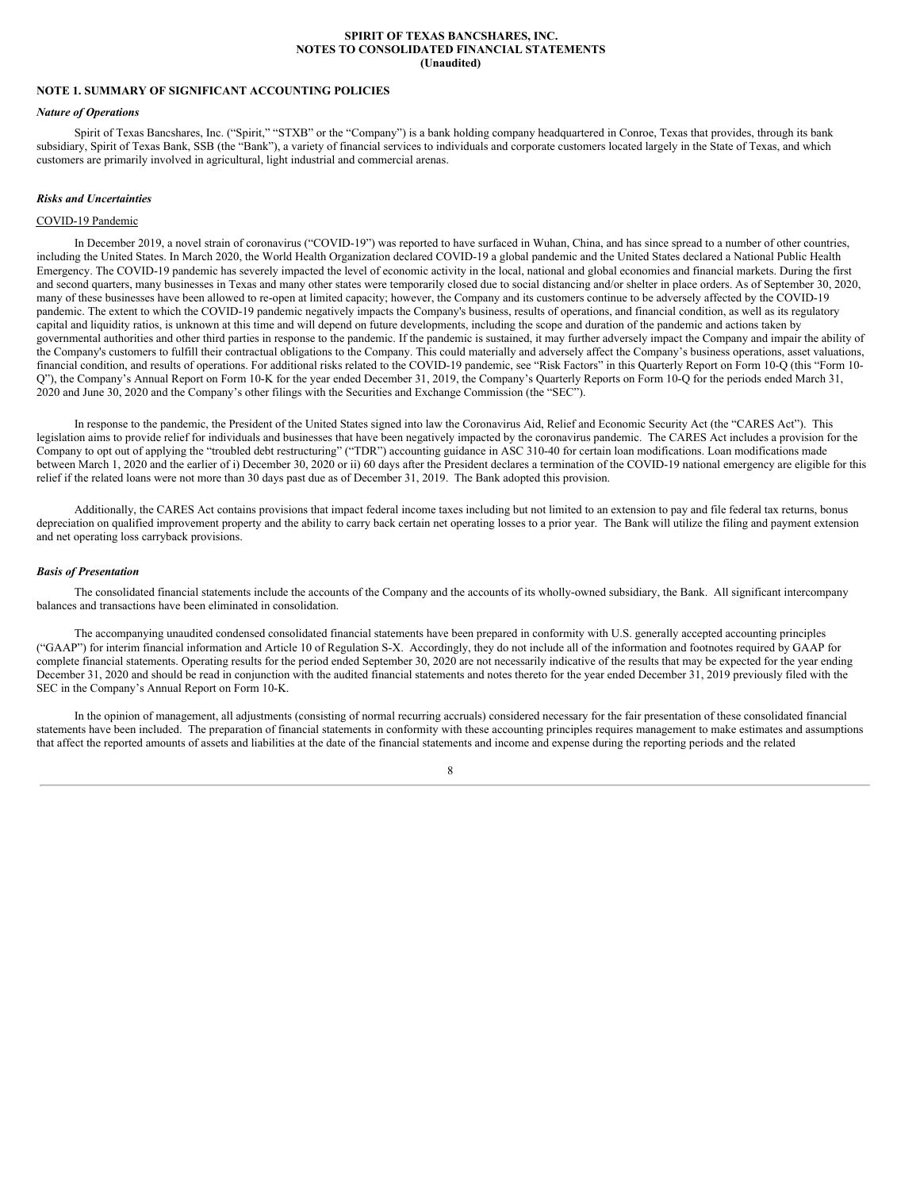### **SPIRIT OF TEXAS BANCSHARES, INC. NOTES TO CONSOLIDATED FINANCIAL STATEMENTS (Unaudited)**

### <span id="page-7-0"></span>**NOTE 1. SUMMARY OF SIGNIFICANT ACCOUNTING POLICIES**

### *Nature of Operations*

Spirit of Texas Bancshares, Inc. ("Spirit," "STXB" or the "Company") is a bank holding company headquartered in Conroe, Texas that provides, through its bank subsidiary, Spirit of Texas Bank, SSB (the "Bank"), a variety of financial services to individuals and corporate customers located largely in the State of Texas, and which customers are primarily involved in agricultural, light industrial and commercial arenas.

### *Risks and Uncertainties*

### COVID-19 Pandemic

In December 2019, a novel strain of coronavirus ("COVID-19") was reported to have surfaced in Wuhan, China, and has since spread to a number of other countries, including the United States. In March 2020, the World Health Organization declared COVID-19 a global pandemic and the United States declared a National Public Health Emergency. The COVID-19 pandemic has severely impacted the level of economic activity in the local, national and global economies and financial markets. During the first and second quarters, many businesses in Texas and many other states were temporarily closed due to social distancing and/or shelter in place orders. As of September 30, 2020, many of these businesses have been allowed to re-open at limited capacity; however, the Company and its customers continue to be adversely affected by the COVID-19 pandemic. The extent to which the COVID-19 pandemic negatively impacts the Company's business, results of operations, and financial condition, as well as its regulatory capital and liquidity ratios, is unknown at this time and will depend on future developments, including the scope and duration of the pandemic and actions taken by governmental authorities and other third parties in response to the pandemic. If the pandemic is sustained, it may further adversely impact the Company and impair the ability of the Company's customers to fulfill their contractual obligations to the Company. This could materially and adversely affect the Company's business operations, asset valuations, financial condition, and results of operations. For additional risks related to the COVID-19 pandemic, see "Risk Factors" in this Quarterly Report on Form 10-Q (this "Form 10- Q"), the Company's Annual Report on Form 10-K for the year ended December 31, 2019, the Company's Quarterly Reports on Form 10-Q for the periods ended March 31, 2020 and June 30, 2020 and the Company's other filings with the Securities and Exchange Commission (the "SEC").

In response to the pandemic, the President of the United States signed into law the Coronavirus Aid, Relief and Economic Security Act (the "CARES Act"). This legislation aims to provide relief for individuals and businesses that have been negatively impacted by the coronavirus pandemic. The CARES Act includes a provision for the Company to opt out of applying the "troubled debt restructuring" ("TDR") accounting guidance in ASC 310-40 for certain loan modifications. Loan modifications made between March 1, 2020 and the earlier of i) December 30, 2020 or ii) 60 days after the President declares a termination of the COVID-19 national emergency are eligible for this relief if the related loans were not more than 30 days past due as of December 31, 2019. The Bank adopted this provision.

Additionally, the CARES Act contains provisions that impact federal income taxes including but not limited to an extension to pay and file federal tax returns, bonus depreciation on qualified improvement property and the ability to carry back certain net operating losses to a prior year. The Bank will utilize the filing and payment extension and net operating loss carryback provisions.

### *Basis of Presentation*

The consolidated financial statements include the accounts of the Company and the accounts of its wholly-owned subsidiary, the Bank. All significant intercompany balances and transactions have been eliminated in consolidation.

The accompanying unaudited condensed consolidated financial statements have been prepared in conformity with U.S. generally accepted accounting principles ("GAAP") for interim financial information and Article 10 of Regulation S-X. Accordingly, they do not include all of the information and footnotes required by GAAP for complete financial statements. Operating results for the period ended September 30, 2020 are not necessarily indicative of the results that may be expected for the year ending December 31, 2020 and should be read in conjunction with the audited financial statements and notes thereto for the year ended December 31, 2019 previously filed with the SEC in the Company's Annual Report on Form 10-K.

In the opinion of management, all adjustments (consisting of normal recurring accruals) considered necessary for the fair presentation of these consolidated financial statements have been included. The preparation of financial statements in conformity with these accounting principles requires management to make estimates and assumptions that affect the reported amounts of assets and liabilities at the date of the financial statements and income and expense during the reporting periods and the related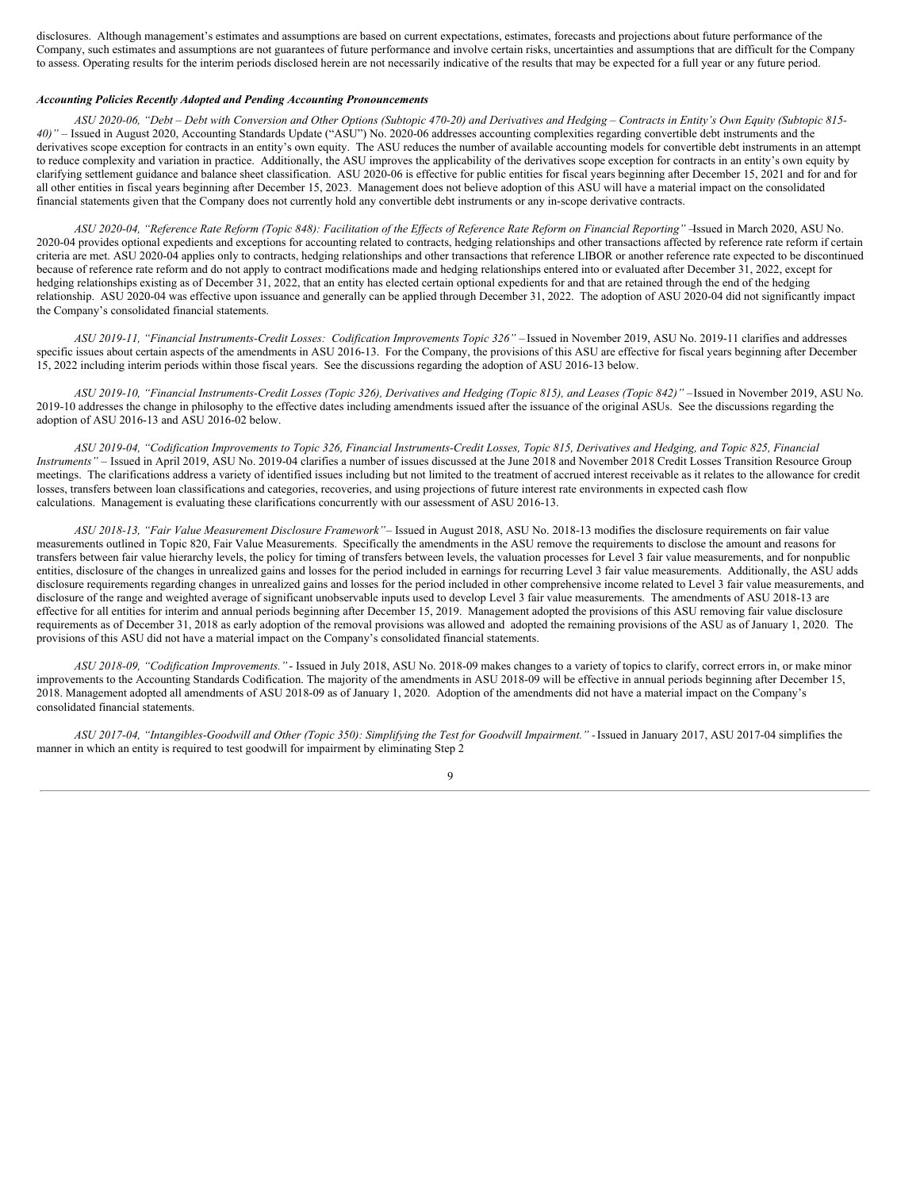disclosures. Although management's estimates and assumptions are based on current expectations, estimates, forecasts and projections about future performance of the Company, such estimates and assumptions are not guarantees of future performance and involve certain risks, uncertainties and assumptions that are difficult for the Company to assess. Operating results for the interim periods disclosed herein are not necessarily indicative of the results that may be expected for a full year or any future period.

### *Accounting Policies Recently Adopted and Pending Accounting Pronouncements*

ASU 2020-06, "Debt – Debt with Conversion and Other Options (Subtopic 470-20) and Derivatives and Hedging – Contracts in Entity's Own Equity (Subtopic 815-*40)" –* Issued in August 2020, Accounting Standards Update ("ASU") No. 2020-06 addresses accounting complexities regarding convertible debt instruments and the derivatives scope exception for contracts in an entity's own equity. The ASU reduces the number of available accounting models for convertible debt instruments in an attempt to reduce complexity and variation in practice. Additionally, the ASU improves the applicability of the derivatives scope exception for contracts in an entity's own equity by clarifying settlement guidance and balance sheet classification. ASU 2020-06 is effective for public entities for fiscal years beginning after December 15, 2021 and for and for all other entities in fiscal years beginning after December 15, 2023. Management does not believe adoption of this ASU will have a material impact on the consolidated financial statements given that the Company does not currently hold any convertible debt instruments or any in-scope derivative contracts.

ASU 2020-04, "Reference Rate Reform (Topic 848): Facilitation of the Effects of Reference Rate Reform on Financial Reporting" -Issued in March 2020, ASU No. 2020-04 provides optional expedients and exceptions for accounting related to contracts, hedging relationships and other transactions affected by reference rate reform if certain criteria are met. ASU 2020-04 applies only to contracts, hedging relationships and other transactions that reference LIBOR or another reference rate expected to be discontinued because of reference rate reform and do not apply to contract modifications made and hedging relationships entered into or evaluated after December 31, 2022, except for hedging relationships existing as of December 31, 2022, that an entity has elected certain optional expedients for and that are retained through the end of the hedging relationship. ASU 2020-04 was effective upon issuance and generally can be applied through December 31, 2022. The adoption of ASU 2020-04 did not significantly impact the Company's consolidated financial statements.

*ASU 2019-11, "Financial Instruments-Credit Losses: Codification Improvements Topic 326" –* Issued in November 2019, ASU No. 2019-11 clarifies and addresses specific issues about certain aspects of the amendments in ASU 2016-13. For the Company, the provisions of this ASU are effective for fiscal years beginning after December 15, 2022 including interim periods within those fiscal years. See the discussions regarding the adoption of ASU 2016-13 below.

ASU 2019-10, "Financial Instruments-Credit Losses (Topic 326), Derivatives and Hedging (Topic 815), and Leases (Topic 842)" -Issued in November 2019, ASU No. 2019-10 addresses the change in philosophy to the effective dates including amendments issued after the issuance of the original ASUs. See the discussions regarding the adoption of ASU 2016-13 and ASU 2016-02 below.

ASU 2019-04, "Codification Improvements to Topic 326, Financial Instruments-Credit Losses, Topic 815, Derivatives and Hedging, and Topic 825, Financial *Instruments" –* Issued in April 2019, ASU No. 2019-04 clarifies a number of issues discussed at the June 2018 and November 2018 Credit Losses Transition Resource Group meetings. The clarifications address a variety of identified issues including but not limited to the treatment of accrued interest receivable as it relates to the allowance for credit losses, transfers between loan classifications and categories, recoveries, and using projections of future interest rate environments in expected cash flow calculations. Management is evaluating these clarifications concurrently with our assessment of ASU 2016-13.

*ASU 2018-13, "Fair Value Measurement Disclosure Framework"*– Issued in August 2018, ASU No. 2018-13 modifies the disclosure requirements on fair value measurements outlined in Topic 820, Fair Value Measurements. Specifically the amendments in the ASU remove the requirements to disclose the amount and reasons for transfers between fair value hierarchy levels, the policy for timing of transfers between levels, the valuation processes for Level 3 fair value measurements, and for nonpublic entities, disclosure of the changes in unrealized gains and losses for the period included in earnings for recurring Level 3 fair value measurements. Additionally, the ASU adds disclosure requirements regarding changes in unrealized gains and losses for the period included in other comprehensive income related to Level 3 fair value measurements, and disclosure of the range and weighted average of significant unobservable inputs used to develop Level 3 fair value measurements. The amendments of ASU 2018-13 are effective for all entities for interim and annual periods beginning after December 15, 2019. Management adopted the provisions of this ASU removing fair value disclosure requirements as of December 31, 2018 as early adoption of the removal provisions was allowed and adopted the remaining provisions of the ASU as of January 1, 2020. The provisions of this ASU did not have a material impact on the Company's consolidated financial statements.

*ASU 2018-09, "Codification Improvements."* - Issued in July 2018, ASU No. 2018-09 makes changes to a variety of topics to clarify, correct errors in, or make minor improvements to the Accounting Standards Codification. The majority of the amendments in ASU 2018-09 will be effective in annual periods beginning after December 15, 2018. Management adopted all amendments of ASU 2018-09 as of January 1, 2020. Adoption of the amendments did not have a material impact on the Company's consolidated financial statements.

ASU 2017-04, "Intangibles-Goodwill and Other (Topic 350): Simplifying the Test for Goodwill Impairment." - Issued in January 2017, ASU 2017-04 simplifies the manner in which an entity is required to test goodwill for impairment by eliminating Step 2

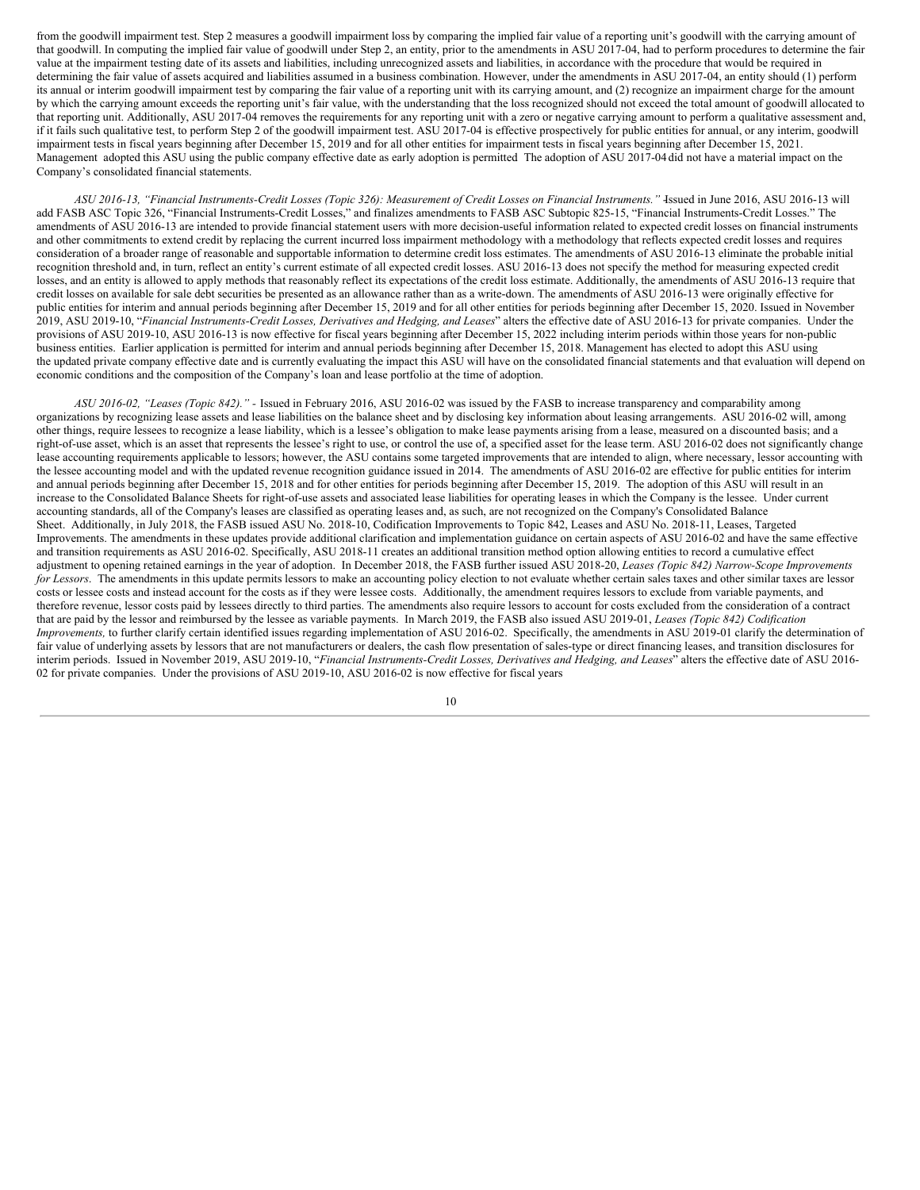from the goodwill impairment test. Step 2 measures a goodwill impairment loss by comparing the implied fair value of a reporting unit's goodwill with the carrying amount of that goodwill. In computing the implied fair value of goodwill under Step 2, an entity, prior to the amendments in ASU 2017-04, had to perform procedures to determine the fair value at the impairment testing date of its assets and liabilities, including unrecognized assets and liabilities, in accordance with the procedure that would be required in determining the fair value of assets acquired and liabilities assumed in a business combination. However, under the amendments in ASU 2017-04, an entity should (1) perform its annual or interim goodwill impairment test by comparing the fair value of a reporting unit with its carrying amount, and (2) recognize an impairment charge for the amount by which the carrying amount exceeds the reporting unit's fair value, with the understanding that the loss recognized should not exceed the total amount of goodwill allocated to that reporting unit. Additionally, ASU 2017-04 removes the requirements for any reporting unit with a zero or negative carrying amount to perform a qualitative assessment and, if it fails such qualitative test, to perform Step 2 of the goodwill impairment test. ASU 2017-04 is effective prospectively for public entities for annual, or any interim, goodwill impairment tests in fiscal years beginning after December 15, 2019 and for all other entities for impairment tests in fiscal years beginning after December 15, 2021. Management adopted this ASU using the public company effective date as early adoption is permitted The adoption of ASU 2017-04 did not have a material impact on the Company's consolidated financial statements.

ASU 2016-13, "Financial Instruments-Credit Losses (Topic 326): Measurement of Credit Losses on Financial Instruments." Issued in June 2016, ASU 2016-13 will add FASB ASC Topic 326, "Financial Instruments-Credit Losses," and finalizes amendments to FASB ASC Subtopic 825-15, "Financial Instruments-Credit Losses." The amendments of ASU 2016-13 are intended to provide financial statement users with more decision-useful information related to expected credit losses on financial instruments and other commitments to extend credit by replacing the current incurred loss impairment methodology with a methodology that reflects expected credit losses and requires consideration of a broader range of reasonable and supportable information to determine credit loss estimates. The amendments of ASU 2016-13 eliminate the probable initial recognition threshold and, in turn, reflect an entity's current estimate of all expected credit losses. ASU 2016-13 does not specify the method for measuring expected credit losses, and an entity is allowed to apply methods that reasonably reflect its expectations of the credit loss estimate. Additionally, the amendments of ASU 2016-13 require that credit losses on available for sale debt securities be presented as an allowance rather than as a write-down. The amendments of ASU 2016-13 were originally effective for public entities for interim and annual periods beginning after December 15, 2019 and for all other entities for periods beginning after December 15, 2020. Issued in November 2019, ASU 2019-10, "*Financial Instruments-Credit Losses, Derivatives and Hedging, and Leases*" alters the effective date of ASU 2016-13 for private companies. Under the provisions of ASU 2019-10, ASU 2016-13 is now effective for fiscal years beginning after December 15, 2022 including interim periods within those years for non-public business entities. Earlier application is permitted for interim and annual periods beginning after December 15, 2018. Management has elected to adopt this ASU using the updated private company effective date and is currently evaluating the impact this ASU will have on the consolidated financial statements and that evaluation will depend on economic conditions and the composition of the Company's loan and lease portfolio at the time of adoption.

*ASU 2016-02, "Leases (Topic 842)." -* Issued in February 2016, ASU 2016-02 was issued by the FASB to increase transparency and comparability among organizations by recognizing lease assets and lease liabilities on the balance sheet and by disclosing key information about leasing arrangements. ASU 2016-02 will, among other things, require lessees to recognize a lease liability, which is a lessee's obligation to make lease payments arising from a lease, measured on a discounted basis; and a right-of-use asset, which is an asset that represents the lessee's right to use, or control the use of, a specified asset for the lease term. ASU 2016-02 does not significantly change lease accounting requirements applicable to lessors; however, the ASU contains some targeted improvements that are intended to align, where necessary, lessor accounting with the lessee accounting model and with the updated revenue recognition guidance issued in 2014. The amendments of ASU 2016-02 are effective for public entities for interim and annual periods beginning after December 15, 2018 and for other entities for periods beginning after December 15, 2019. The adoption of this ASU will result in an increase to the Consolidated Balance Sheets for right-of-use assets and associated lease liabilities for operating leases in which the Company is the lessee. Under current accounting standards, all of the Company's leases are classified as operating leases and, as such, are not recognized on the Company's Consolidated Balance Sheet. Additionally, in July 2018, the FASB issued ASU No. 2018-10, Codification Improvements to Topic 842, Leases and ASU No. 2018-11, Leases, Targeted Improvements. The amendments in these updates provide additional clarification and implementation guidance on certain aspects of ASU 2016-02 and have the same effective and transition requirements as ASU 2016-02. Specifically, ASU 2018-11 creates an additional transition method option allowing entities to record a cumulative effect adjustment to opening retained earnings in the year of adoption. In December 2018, the FASB further issued ASU 2018-20, *Leases (Topic 842) Narrow-Scope Improvements for Lessors*. The amendments in this update permits lessors to make an accounting policy election to not evaluate whether certain sales taxes and other similar taxes are lessor costs or lessee costs and instead account for the costs as if they were lessee costs. Additionally, the amendment requires lessors to exclude from variable payments, and therefore revenue, lessor costs paid by lessees directly to third parties. The amendments also require lessors to account for costs excluded from the consideration of a contract that are paid by the lessor and reimbursed by the lessee as variable payments. In March 2019, the FASB also issued ASU 2019-01, *Leases (Topic 842) Codification Improvements,* to further clarify certain identified issues regarding implementation of ASU 2016-02. Specifically, the amendments in ASU 2019-01 clarify the determination of fair value of underlying assets by lessors that are not manufacturers or dealers, the cash flow presentation of sales-type or direct financing leases, and transition disclosures for interim periods. Issued in November 2019, ASU 2019-10, "*Financial Instruments-Credit Losses, Derivatives and Hedging, and Leases*" alters the effective date of ASU 2016- 02 for private companies. Under the provisions of ASU 2019-10, ASU 2016-02 is now effective for fiscal years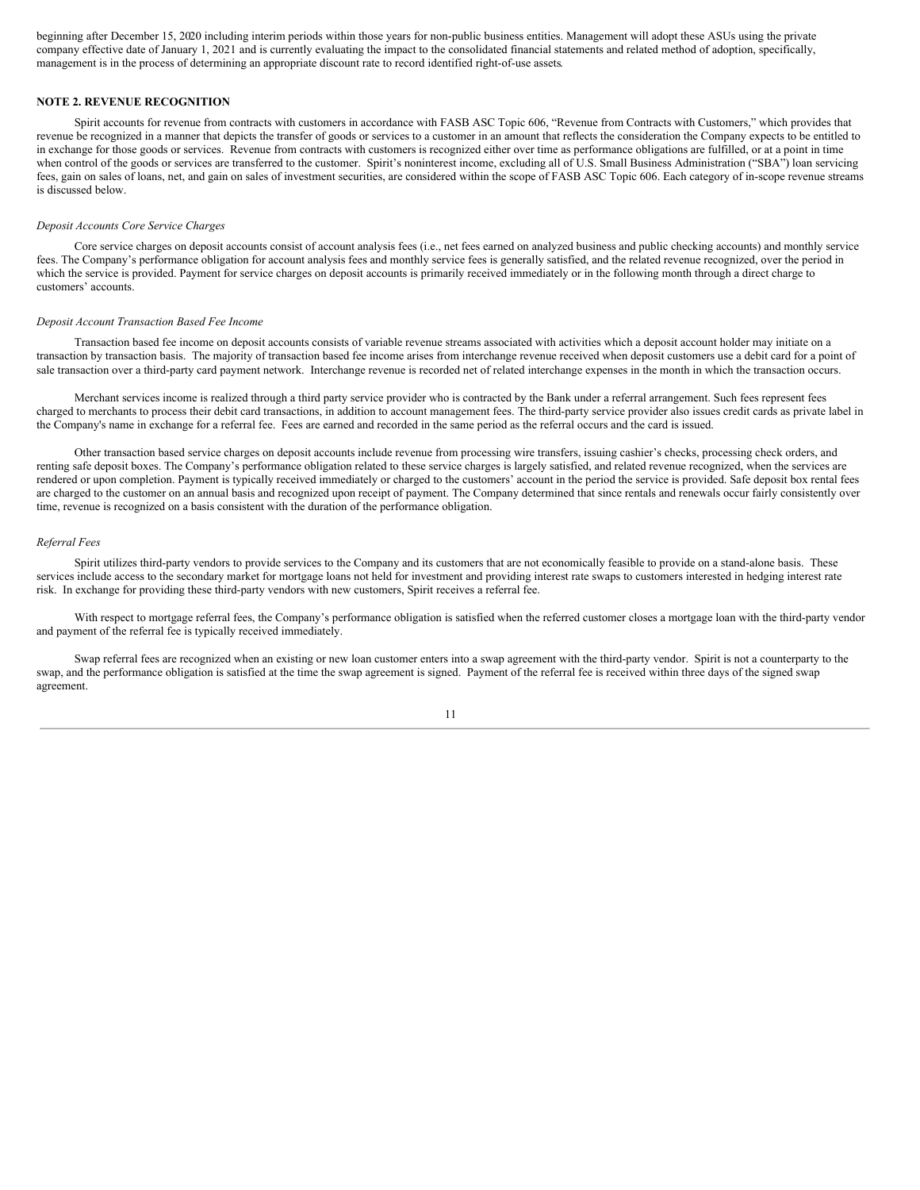beginning after December 15, 2020 including interim periods within those years for non-public business entities. Management will adopt these ASUs using the private company effective date of January 1, 2021 and is currently evaluating the impact to the consolidated financial statements and related method of adoption, specifically, management is in the process of determining an appropriate discount rate to record identified right-of-use assets.

#### **NOTE 2. REVENUE RECOGNITION**

Spirit accounts for revenue from contracts with customers in accordance with FASB ASC Topic 606, "Revenue from Contracts with Customers," which provides that revenue be recognized in a manner that depicts the transfer of goods or services to a customer in an amount that reflects the consideration the Company expects to be entitled to in exchange for those goods or services. Revenue from contracts with customers is recognized either over time as performance obligations are fulfilled, or at a point in time when control of the goods or services are transferred to the customer. Spirit's noninterest income, excluding all of U.S. Small Business Administration ("SBA") loan servicing fees, gain on sales of loans, net, and gain on sales of investment securities, are considered within the scope of FASB ASC Topic 606. Each category of in-scope revenue streams is discussed below.

#### *Deposit Accounts Core Service Charges*

Core service charges on deposit accounts consist of account analysis fees (i.e., net fees earned on analyzed business and public checking accounts) and monthly service fees. The Company's performance obligation for account analysis fees and monthly service fees is generally satisfied, and the related revenue recognized, over the period in which the service is provided. Payment for service charges on deposit accounts is primarily received immediately or in the following month through a direct charge to customers' accounts.

#### *Deposit Account Transaction Based Fee Income*

Transaction based fee income on deposit accounts consists of variable revenue streams associated with activities which a deposit account holder may initiate on a transaction by transaction basis. The majority of transaction based fee income arises from interchange revenue received when deposit customers use a debit card for a point of sale transaction over a third-party card payment network. Interchange revenue is recorded net of related interchange expenses in the month in which the transaction occurs.

Merchant services income is realized through a third party service provider who is contracted by the Bank under a referral arrangement. Such fees represent fees charged to merchants to process their debit card transactions, in addition to account management fees. The third-party service provider also issues credit cards as private label in the Company's name in exchange for a referral fee. Fees are earned and recorded in the same period as the referral occurs and the card is issued.

Other transaction based service charges on deposit accounts include revenue from processing wire transfers, issuing cashier's checks, processing check orders, and renting safe deposit boxes. The Company's performance obligation related to these service charges is largely satisfied, and related revenue recognized, when the services are rendered or upon completion. Payment is typically received immediately or charged to the customers' account in the period the service is provided. Safe deposit box rental fees are charged to the customer on an annual basis and recognized upon receipt of payment. The Company determined that since rentals and renewals occur fairly consistently over time, revenue is recognized on a basis consistent with the duration of the performance obligation.

#### *Referral Fees*

Spirit utilizes third-party vendors to provide services to the Company and its customers that are not economically feasible to provide on a stand-alone basis. These services include access to the secondary market for mortgage loans not held for investment and providing interest rate swaps to customers interested in hedging interest rate risk. In exchange for providing these third-party vendors with new customers, Spirit receives a referral fee.

With respect to mortgage referral fees, the Company's performance obligation is satisfied when the referred customer closes a mortgage loan with the third-party vendor and payment of the referral fee is typically received immediately.

Swap referral fees are recognized when an existing or new loan customer enters into a swap agreement with the third-party vendor. Spirit is not a counterparty to the swap, and the performance obligation is satisfied at the time the swap agreement is signed. Payment of the referral fee is received within three days of the signed swap agreement.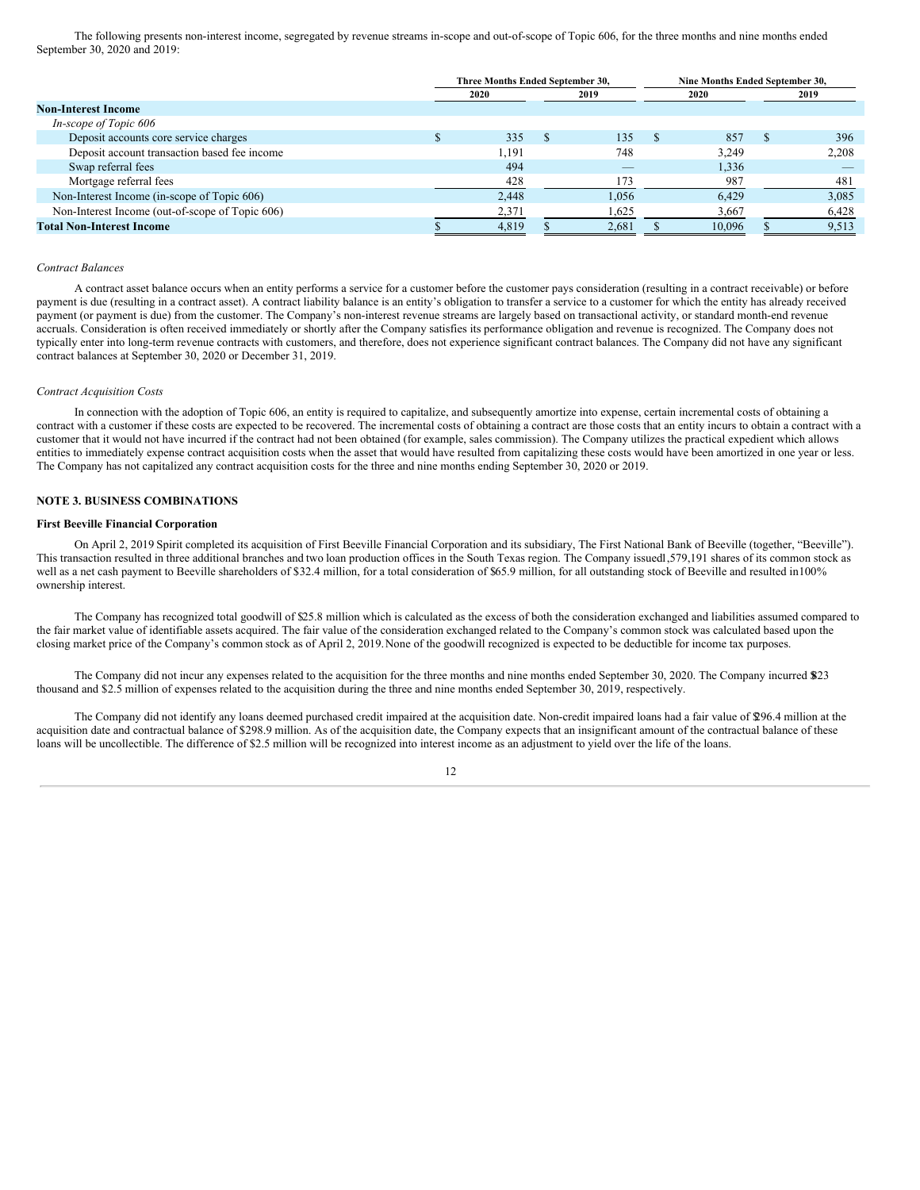The following presents non-interest income, segregated by revenue streams in-scope and out-of-scope of Topic 606, for the three months and nine months ended September 30, 2020 and 2019:

|                                                 | Three Months Ended September 30, |  |                          |        | Nine Months Ended September 30, |       |  |
|-------------------------------------------------|----------------------------------|--|--------------------------|--------|---------------------------------|-------|--|
|                                                 | 2020                             |  | 2019                     | 2020   |                                 | 2019  |  |
| <b>Non-Interest Income</b>                      |                                  |  |                          |        |                                 |       |  |
| In-scope of Topic 606                           |                                  |  |                          |        |                                 |       |  |
| Deposit accounts core service charges           | 335                              |  | 135                      | 857    | Ж                               | 396   |  |
| Deposit account transaction based fee income    | 1,191                            |  | 748                      | 3,249  |                                 | 2,208 |  |
| Swap referral fees                              | 494                              |  | $\overline{\phantom{a}}$ | 1,336  |                                 |       |  |
| Mortgage referral fees                          | 428                              |  | 173                      | 987    |                                 | 481   |  |
| Non-Interest Income (in-scope of Topic 606)     | 2.448                            |  | 1.056                    | 6.429  |                                 | 3,085 |  |
| Non-Interest Income (out-of-scope of Topic 606) | 2,371                            |  | 1,625                    | 3,667  |                                 | 6,428 |  |
| <b>Total Non-Interest Income</b>                | 4,819                            |  | 2,681                    | 10,096 |                                 | 9,513 |  |

### *Contract Balances*

A contract asset balance occurs when an entity performs a service for a customer before the customer pays consideration (resulting in a contract receivable) or before payment is due (resulting in a contract asset). A contract liability balance is an entity's obligation to transfer a service to a customer for which the entity has already received payment (or payment is due) from the customer. The Company's non-interest revenue streams are largely based on transactional activity, or standard month-end revenue accruals. Consideration is often received immediately or shortly after the Company satisfies its performance obligation and revenue is recognized. The Company does not typically enter into long-term revenue contracts with customers, and therefore, does not experience significant contract balances. The Company did not have any significant contract balances at September 30, 2020 or December 31, 2019.

#### *Contract Acquisition Costs*

In connection with the adoption of Topic 606, an entity is required to capitalize, and subsequently amortize into expense, certain incremental costs of obtaining a contract with a customer if these costs are expected to be recovered. The incremental costs of obtaining a contract are those costs that an entity incurs to obtain a contract with a customer that it would not have incurred if the contract had not been obtained (for example, sales commission). The Company utilizes the practical expedient which allows entities to immediately expense contract acquisition costs when the asset that would have resulted from capitalizing these costs would have been amortized in one year or less. The Company has not capitalized any contract acquisition costs for the three and nine months ending September 30, 2020 or 2019.

### **NOTE 3. BUSINESS COMBINATIONS**

#### **First Beeville Financial Corporation**

On April 2, 2019 Spirit completed its acquisition of First Beeville Financial Corporation and its subsidiary, The First National Bank of Beeville (together, "Beeville"). This transaction resulted in three additional branches and two loan production offices in the South Texas region. The Company issued1,579,191 shares of its common stock as well as a net cash payment to Beeville shareholders of \$32.4 million, for a total consideration of \$65.9 million, for all outstanding stock of Beeville and resulted in100% ownership interest.

The Company has recognized total goodwill of \$25.8 million which is calculated as the excess of both the consideration exchanged and liabilities assumed compared to the fair market value of identifiable assets acquired. The fair value of the consideration exchanged related to the Company's common stock was calculated based upon the closing market price of the Company's common stock as of April 2, 2019.None of the goodwill recognized is expected to be deductible for income tax purposes.

The Company did not incur any expenses related to the acquisition for the three months and nine months ended September 30, 2020. The Company incurred \$823 thousand and \$2.5 million of expenses related to the acquisition during the three and nine months ended September 30, 2019, respectively.

The Company did not identify any loans deemed purchased credit impaired at the acquisition date. Non-credit impaired loans had a fair value of \$296.4 million at the acquisition date and contractual balance of \$298.9 million. As of the acquisition date, the Company expects that an insignificant amount of the contractual balance of these loans will be uncollectible. The difference of \$2.5 million will be recognized into interest income as an adjustment to yield over the life of the loans.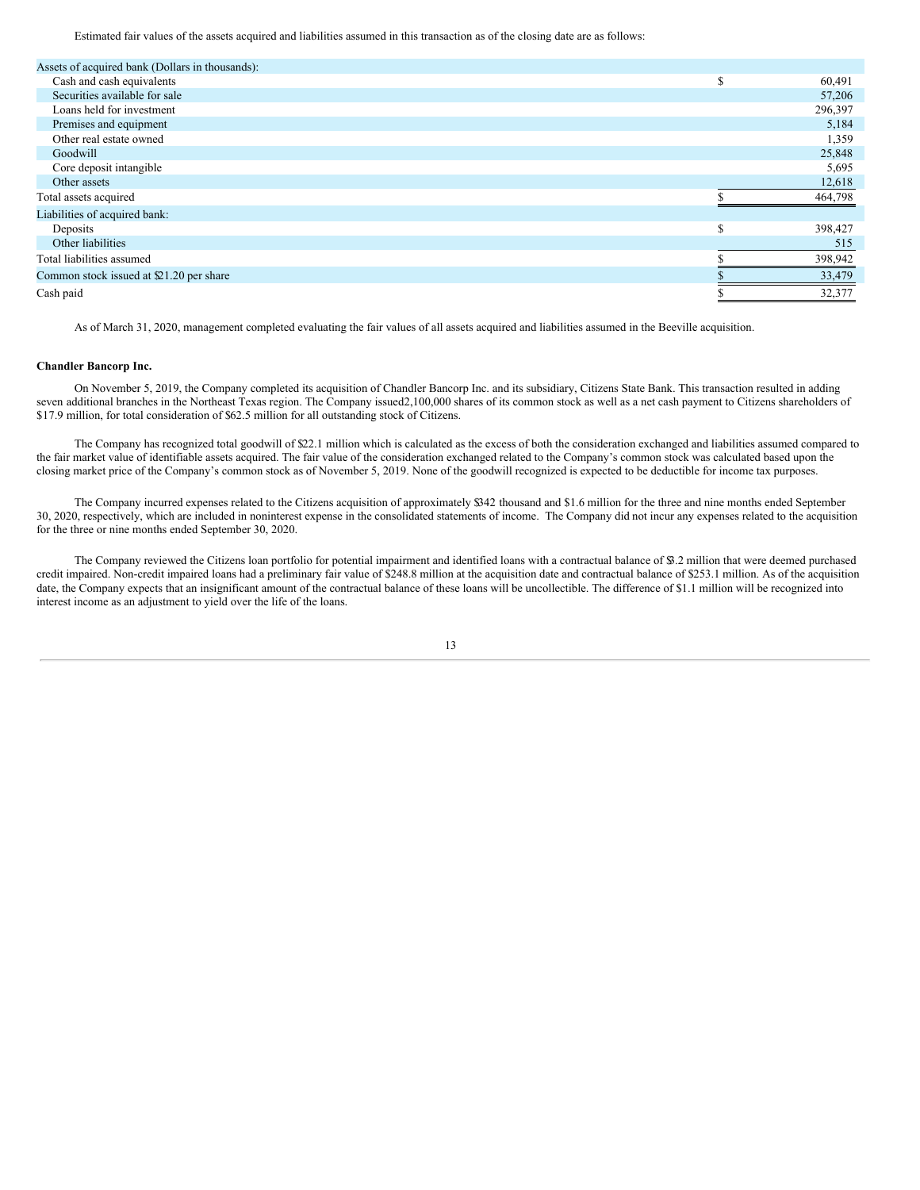Estimated fair values of the assets acquired and liabilities assumed in this transaction as of the closing date are as follows:

| Assets of acquired bank (Dollars in thousands): |    |         |
|-------------------------------------------------|----|---------|
| Cash and cash equivalents                       | S  | 60,491  |
| Securities available for sale                   |    | 57,206  |
| Loans held for investment                       |    | 296,397 |
| Premises and equipment                          |    | 5,184   |
| Other real estate owned                         |    | 1,359   |
| Goodwill                                        |    | 25,848  |
| Core deposit intangible                         |    | 5,695   |
| Other assets                                    |    | 12,618  |
| Total assets acquired                           |    | 464,798 |
| Liabilities of acquired bank:                   |    |         |
| Deposits                                        | \$ | 398,427 |
| Other liabilities                               |    | 515     |
| Total liabilities assumed                       |    | 398,942 |
| Common stock issued at $$21.20$ per share       |    | 33,479  |
| Cash paid                                       |    | 32,377  |
|                                                 |    |         |

As of March 31, 2020, management completed evaluating the fair values of all assets acquired and liabilities assumed in the Beeville acquisition.

### **Chandler Bancorp Inc.**

On November 5, 2019, the Company completed its acquisition of Chandler Bancorp Inc. and its subsidiary, Citizens State Bank. This transaction resulted in adding seven additional branches in the Northeast Texas region. The Company issued2,100,000 shares of its common stock as well as a net cash payment to Citizens shareholders of \$17.9 million, for total consideration of \$62.5 million for all outstanding stock of Citizens.

The Company has recognized total goodwill of \$22.1 million which is calculated as the excess of both the consideration exchanged and liabilities assumed compared to the fair market value of identifiable assets acquired. The fair value of the consideration exchanged related to the Company's common stock was calculated based upon the closing market price of the Company's common stock as of November 5, 2019. None of the goodwill recognized is expected to be deductible for income tax purposes.

The Company incurred expenses related to the Citizens acquisition of approximately \$342 thousand and \$1.6 million for the three and nine months ended September 30, 2020, respectively, which are included in noninterest expense in the consolidated statements of income. The Company did not incur any expenses related to the acquisition for the three or nine months ended September 30, 2020.

The Company reviewed the Citizens loan portfolio for potential impairment and identified loans with a contractual balance of \$3.2 million that were deemed purchased credit impaired. Non-credit impaired loans had a preliminary fair value of \$248.8 million at the acquisition date and contractual balance of \$253.1 million. As of the acquisition date, the Company expects that an insignificant amount of the contractual balance of these loans will be uncollectible. The difference of \$1.1 million will be recognized into interest income as an adjustment to yield over the life of the loans.

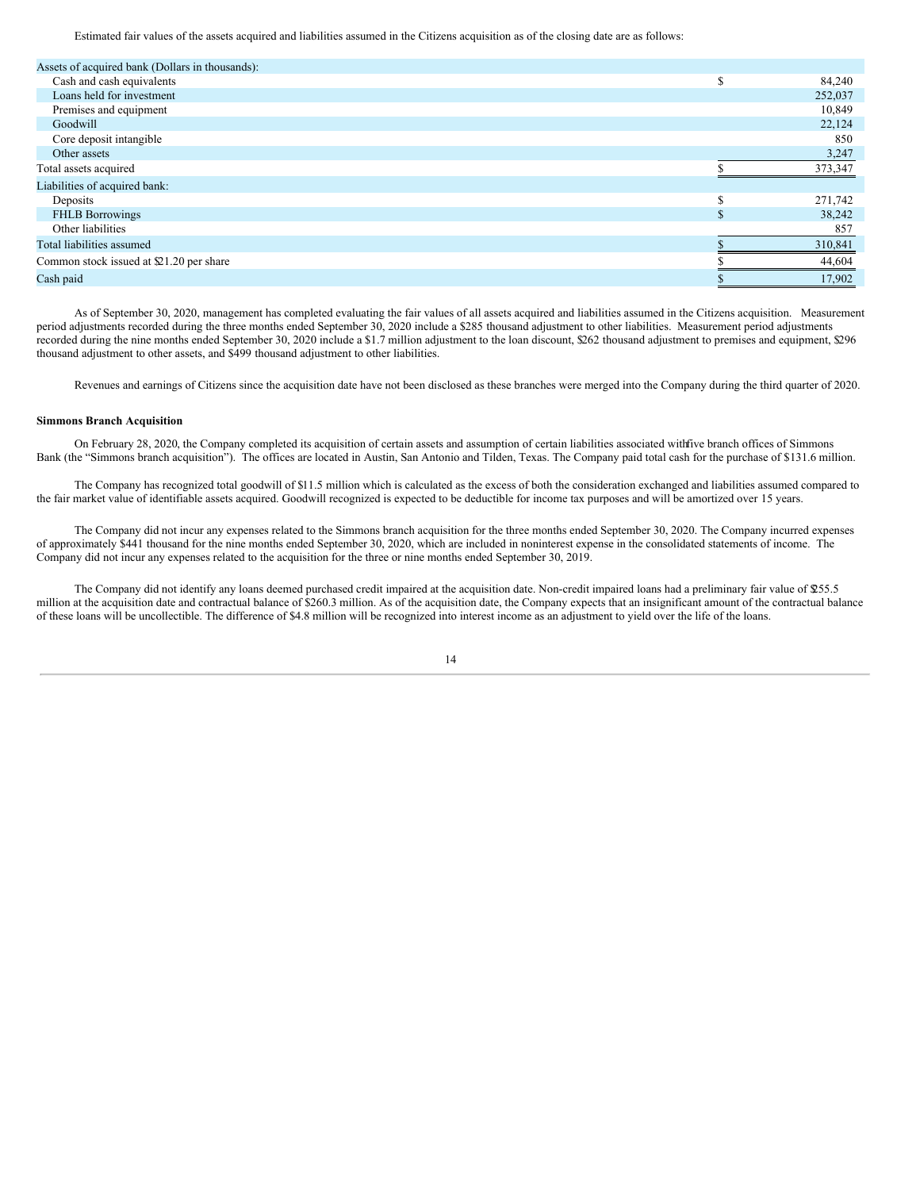Estimated fair values of the assets acquired and liabilities assumed in the Citizens acquisition as of the closing date are as follows:

| Assets of acquired bank (Dollars in thousands): |   |         |
|-------------------------------------------------|---|---------|
| Cash and cash equivalents                       |   | 84,240  |
| Loans held for investment                       |   | 252,037 |
| Premises and equipment                          |   | 10,849  |
| Goodwill                                        |   | 22,124  |
| Core deposit intangible                         |   | 850     |
| Other assets                                    |   | 3,247   |
| Total assets acquired                           |   | 373,347 |
| Liabilities of acquired bank:                   |   |         |
| Deposits                                        | ሐ | 271,742 |
| <b>FHLB Borrowings</b>                          |   | 38,242  |
| Other liabilities                               |   | 857     |
| Total liabilities assumed                       |   | 310,841 |
| Common stock issued at \$21.20 per share        |   | 44,604  |
| Cash paid                                       |   | 17,902  |

As of September 30, 2020, management has completed evaluating the fair values of all assets acquired and liabilities assumed in the Citizens acquisition. Measurement period adjustments recorded during the three months ended September 30, 2020 include a \$285 thousand adjustment to other liabilities. Measurement period adjustments recorded during the nine months ended September 30, 2020 include a \$1.7 million adjustment to the loan discount, \$262 thousand adjustment to premises and equipment, \$296 thousand adjustment to other assets, and \$499 thousand adjustment to other liabilities.

Revenues and earnings of Citizens since the acquisition date have not been disclosed as these branches were merged into the Company during the third quarter of 2020.

### **Simmons Branch Acquisition**

On February 28, 2020, the Company completed its acquisition of certain assets and assumption of certain liabilities associated withfive branch offices of Simmons Bank (the "Simmons branch acquisition"). The offices are located in Austin, San Antonio and Tilden, Texas. The Company paid total cash for the purchase of \$131.6 million.

The Company has recognized total goodwill of \$11.5 million which is calculated as the excess of both the consideration exchanged and liabilities assumed compared to the fair market value of identifiable assets acquired. Goodwill recognized is expected to be deductible for income tax purposes and will be amortized over 15 years.

The Company did not incur any expenses related to the Simmons branch acquisition for the three months ended September 30, 2020. The Company incurred expenses of approximately \$441 thousand for the nine months ended September 30, 2020, which are included in noninterest expense in the consolidated statements of income. The Company did not incur any expenses related to the acquisition for the three or nine months ended September 30, 2019.

The Company did not identify any loans deemed purchased credit impaired at the acquisition date. Non-credit impaired loans had a preliminary fair value of \$255.5 million at the acquisition date and contractual balance of \$260.3 million. As of the acquisition date, the Company expects that an insignificant amount of the contractual balance of these loans will be uncollectible. The difference of \$4.8 million will be recognized into interest income as an adjustment to yield over the life of the loans.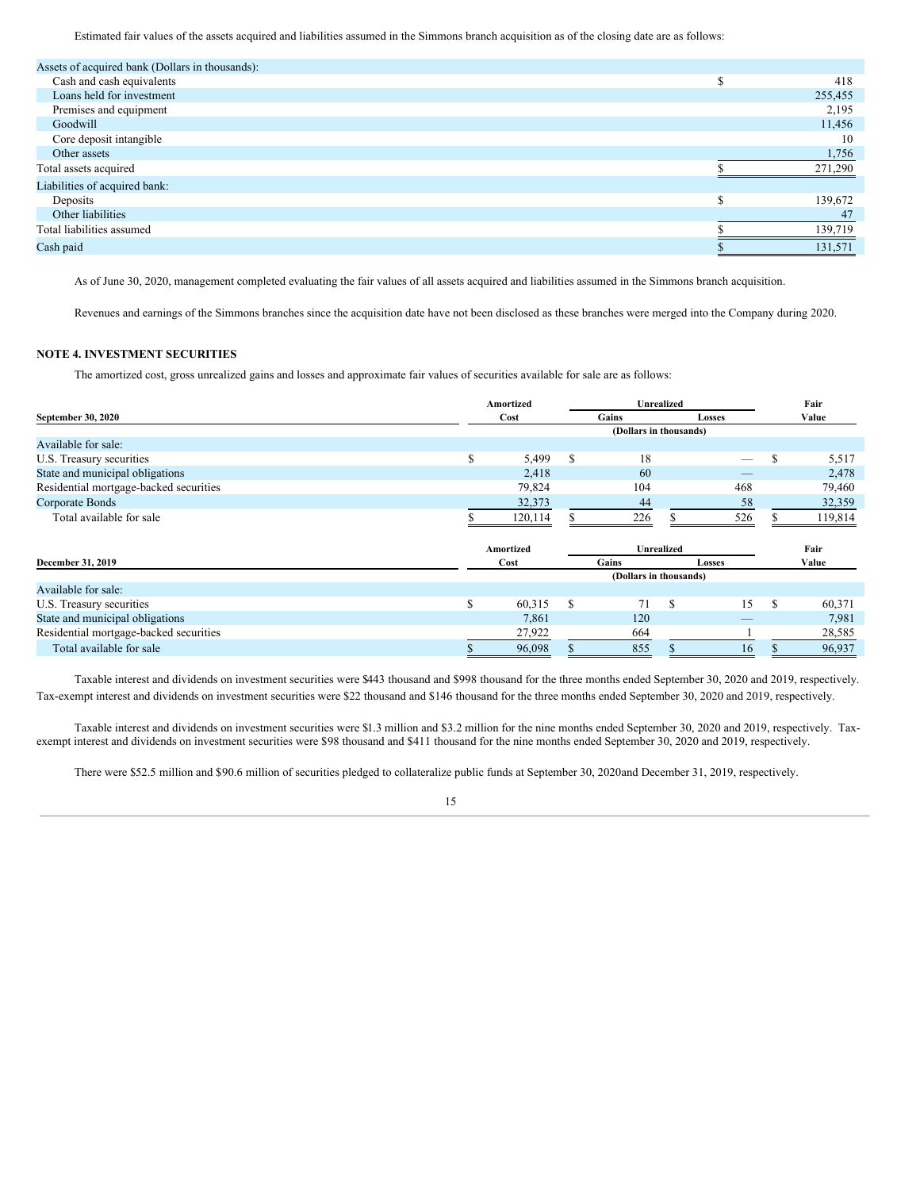Estimated fair values of the assets acquired and liabilities assumed in the Simmons branch acquisition as of the closing date are as follows:

| Assets of acquired bank (Dollars in thousands): |   |         |
|-------------------------------------------------|---|---------|
| Cash and cash equivalents                       |   | 418     |
| Loans held for investment                       |   | 255,455 |
| Premises and equipment                          |   | 2,195   |
| Goodwill                                        |   | 11,456  |
| Core deposit intangible                         |   | 10      |
| Other assets                                    |   | 1,756   |
| Total assets acquired                           |   | 271,290 |
| Liabilities of acquired bank:                   |   |         |
| Deposits                                        | ሖ | 139,672 |
| Other liabilities                               |   | 47      |
| Total liabilities assumed                       |   | 139,719 |
| Cash paid                                       |   | 131,571 |

As of June 30, 2020, management completed evaluating the fair values of all assets acquired and liabilities assumed in the Simmons branch acquisition.

Revenues and earnings of the Simmons branches since the acquisition date have not been disclosed as these branches were merged into the Company during 2020.

### **NOTE 4. INVESTMENT SECURITIES**

The amortized cost, gross unrealized gains and losses and approximate fair values of securities available for sale are as follows:

|                                        | Amortized<br>Cost |           |               | Unrealized             |               |               |     | Fair    |
|----------------------------------------|-------------------|-----------|---------------|------------------------|---------------|---------------|-----|---------|
| September 30, 2020                     |                   |           |               | Gains                  |               | <b>Losses</b> |     | Value   |
|                                        |                   |           |               | (Dollars in thousands) |               |               |     |         |
| Available for sale:                    |                   |           |               |                        |               |               |     |         |
| U.S. Treasury securities               | S                 | 5,499     | <sup>\$</sup> | 18                     |               |               | S   | 5,517   |
| State and municipal obligations        |                   | 2,418     |               | 60                     |               |               |     | 2,478   |
| Residential mortgage-backed securities |                   | 79,824    |               | 104                    |               | 468           |     | 79,460  |
| Corporate Bonds                        |                   | 32,373    |               | 44                     |               | 58            |     | 32,359  |
| Total available for sale               |                   | 120,114   |               | 226                    |               | 526           |     | 119,814 |
|                                        |                   | Amortized |               | <b>Unrealized</b>      |               |               |     | Fair    |
| December 31, 2019                      |                   | Cost      |               | Gains                  | <b>Losses</b> |               |     | Value   |
|                                        |                   |           |               | (Dollars in thousands) |               |               |     |         |
| Available for sale:                    |                   |           |               |                        |               |               |     |         |
| U.S. Treasury securities               | S                 | 60,315    | S             | 71                     | S             | 15            | \$. | 60,371  |
| State and municipal obligations        |                   | 7,861     |               | 120                    |               |               |     | 7,981   |
| Residential mortgage-backed securities |                   | 27,922    |               | 664                    |               |               |     | 28,585  |
| Total available for sale               |                   | 96,098    |               | 855                    |               | 16            |     | 96,937  |

Taxable interest and dividends on investment securities were \$443 thousand and \$998 thousand for the three months ended September 30, 2020 and 2019, respectively. Tax-exempt interest and dividends on investment securities were \$22 thousand and \$146 thousand for the three months ended September 30, 2020 and 2019, respectively.

Taxable interest and dividends on investment securities were \$1.3 million and \$3.2 million for the nine months ended September 30, 2020 and 2019, respectively. Taxexempt interest and dividends on investment securities were \$98 thousand and \$411 thousand for the nine months ended September 30, 2020 and 2019, respectively.

There were \$52.5 million and \$90.6 million of securities pledged to collateralize public funds at September 30, 2020and December 31, 2019, respectively.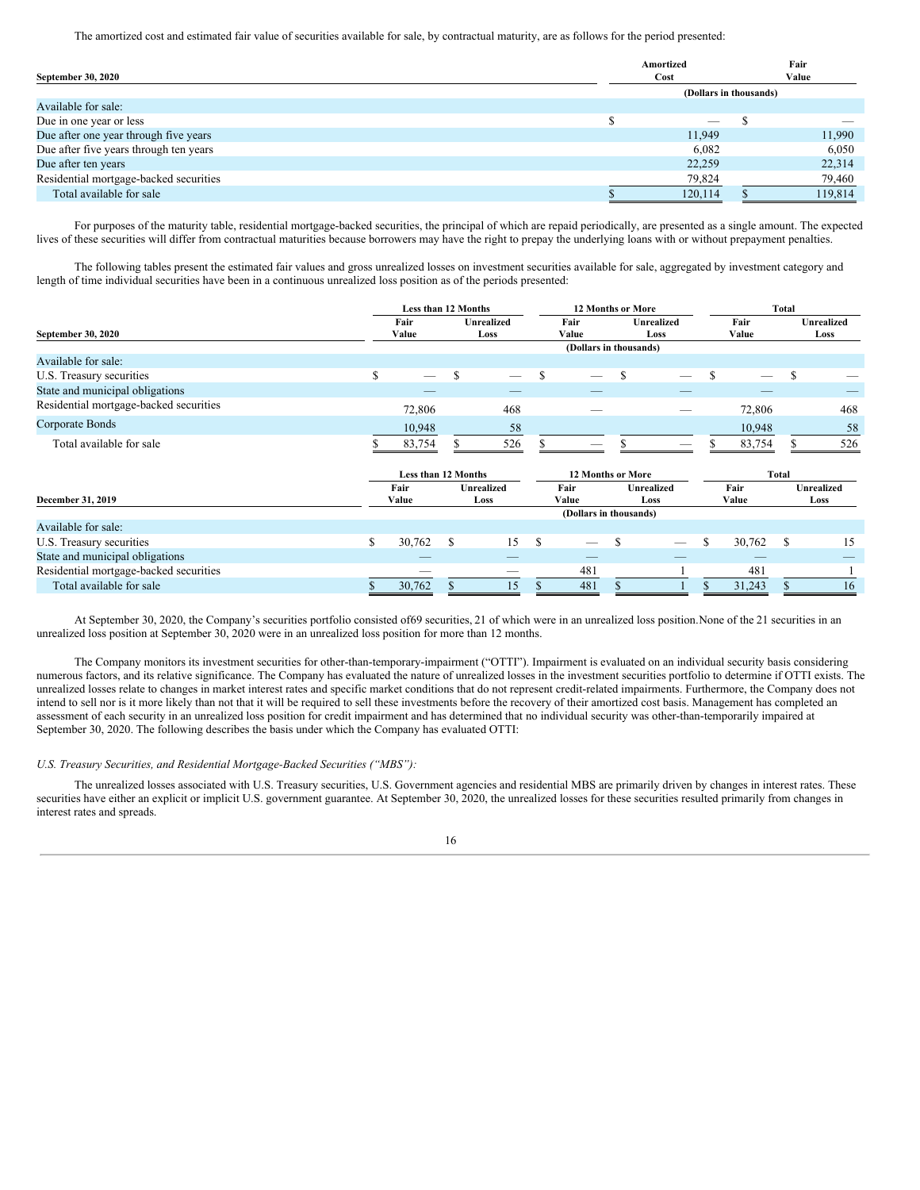The amortized cost and estimated fair value of securities available for sale, by contractual maturity, are as follows for the period presented:

|                                        | Amortized              | Fair    |
|----------------------------------------|------------------------|---------|
| September 30, 2020                     | Cost                   | Value   |
|                                        | (Dollars in thousands) |         |
| Available for sale:                    |                        |         |
| Due in one year or less                | $-$                    |         |
| Due after one year through five years  | 11.949                 | 11.990  |
| Due after five years through ten years | 6.082                  | 6,050   |
| Due after ten years                    | 22,259                 | 22,314  |
| Residential mortgage-backed securities | 79,824                 | 79,460  |
| Total available for sale               | 120,114                | 119,814 |

For purposes of the maturity table, residential mortgage-backed securities, the principal of which are repaid periodically, are presented as a single amount. The expected lives of these securities will differ from contractual maturities because borrowers may have the right to prepay the underlying loans with or without prepayment penalties.

The following tables present the estimated fair values and gross unrealized losses on investment securities available for sale, aggregated by investment category and length of time individual securities have been in a continuous unrealized loss position as of the periods presented:

| <b>Less than 12 Months</b>             |              |                     |               |                           |   | 12 Months or More        |   |                    |    |               | Total        |                    |  |
|----------------------------------------|--------------|---------------------|---------------|---------------------------|---|--------------------------|---|--------------------|----|---------------|--------------|--------------------|--|
| September 30, 2020                     |              | Fair<br>Value       |               | <b>Unrealized</b><br>Loss |   | Fair<br>Value            |   | Unrealized<br>Loss |    | Fair<br>Value |              | Unrealized<br>Loss |  |
|                                        |              |                     |               |                           |   | (Dollars in thousands)   |   |                    |    |               |              |                    |  |
| Available for sale:                    |              |                     |               |                           |   |                          |   |                    |    |               |              |                    |  |
| U.S. Treasury securities               | $\mathbb{S}$ |                     | <sup>\$</sup> |                           | S |                          | S |                    | S  |               | S            |                    |  |
| State and municipal obligations        |              |                     |               |                           |   |                          |   |                    |    |               |              |                    |  |
| Residential mortgage-backed securities |              | 72,806              |               | 468                       |   |                          |   |                    |    | 72,806        |              | 468                |  |
| Corporate Bonds                        |              | 10,948              |               | 58                        |   |                          |   |                    |    | 10,948        |              | 58                 |  |
| Total available for sale               |              | 83,754              | S.            | 526                       |   |                          |   |                    | S  | 83,754        |              | 526                |  |
|                                        |              | Less than 12 Months |               |                           |   | <b>12 Months or More</b> |   |                    |    |               | <b>Total</b> |                    |  |
|                                        |              | Fair                |               | <b>Unrealized</b>         |   | Fair                     |   | Unrealized         |    | Fair          |              | Unrealized         |  |
| December 31, 2019                      |              | Value               |               | Loss                      |   | Value                    |   | Loss               |    | Value         |              | Loss               |  |
| Available for sale:                    |              |                     |               |                           |   | (Dollars in thousands)   |   |                    |    |               |              |                    |  |
|                                        |              |                     |               |                           |   |                          |   |                    |    |               |              |                    |  |
| U.S. Treasury securities               | \$           | 30,762              | \$            | 15                        | S |                          | S |                    | \$ | 30,762        | S            | 15                 |  |
| State and municipal obligations        |              |                     |               |                           |   |                          |   |                    |    |               |              |                    |  |
| Residential mortgage-backed securities |              |                     |               |                           |   | 481                      |   |                    |    | 481           |              |                    |  |
| Total available for sale               |              | 30,762              | S             | 15                        |   | 481                      |   |                    | \$ | 31,243        |              | 16                 |  |

At September 30, 2020, the Company's securities portfolio consisted of69 securities, 21 of which were in an unrealized loss position. None of the 21 securities in an unrealized loss position at September 30, 2020 were in an unrealized loss position for more than 12 months.

The Company monitors its investment securities for other-than-temporary-impairment ("OTTI"). Impairment is evaluated on an individual security basis considering numerous factors, and its relative significance. The Company has evaluated the nature of unrealized losses in the investment securities portfolio to determine if OTTI exists. The unrealized losses relate to changes in market interest rates and specific market conditions that do not represent credit-related impairments. Furthermore, the Company does not intend to sell nor is it more likely than not that it will be required to sell these investments before the recovery of their amortized cost basis. Management has completed an assessment of each security in an unrealized loss position for credit impairment and has determined that no individual security was other-than-temporarily impaired at September 30, 2020. The following describes the basis under which the Company has evaluated OTTI:

### *U.S. Treasury Securities, and Residential Mortgage-Backed Securities ("MBS"):*

The unrealized losses associated with U.S. Treasury securities, U.S. Government agencies and residential MBS are primarily driven by changes in interest rates. These securities have either an explicit or implicit U.S. government guarantee. At September 30, 2020, the unrealized losses for these securities resulted primarily from changes in interest rates and spreads.

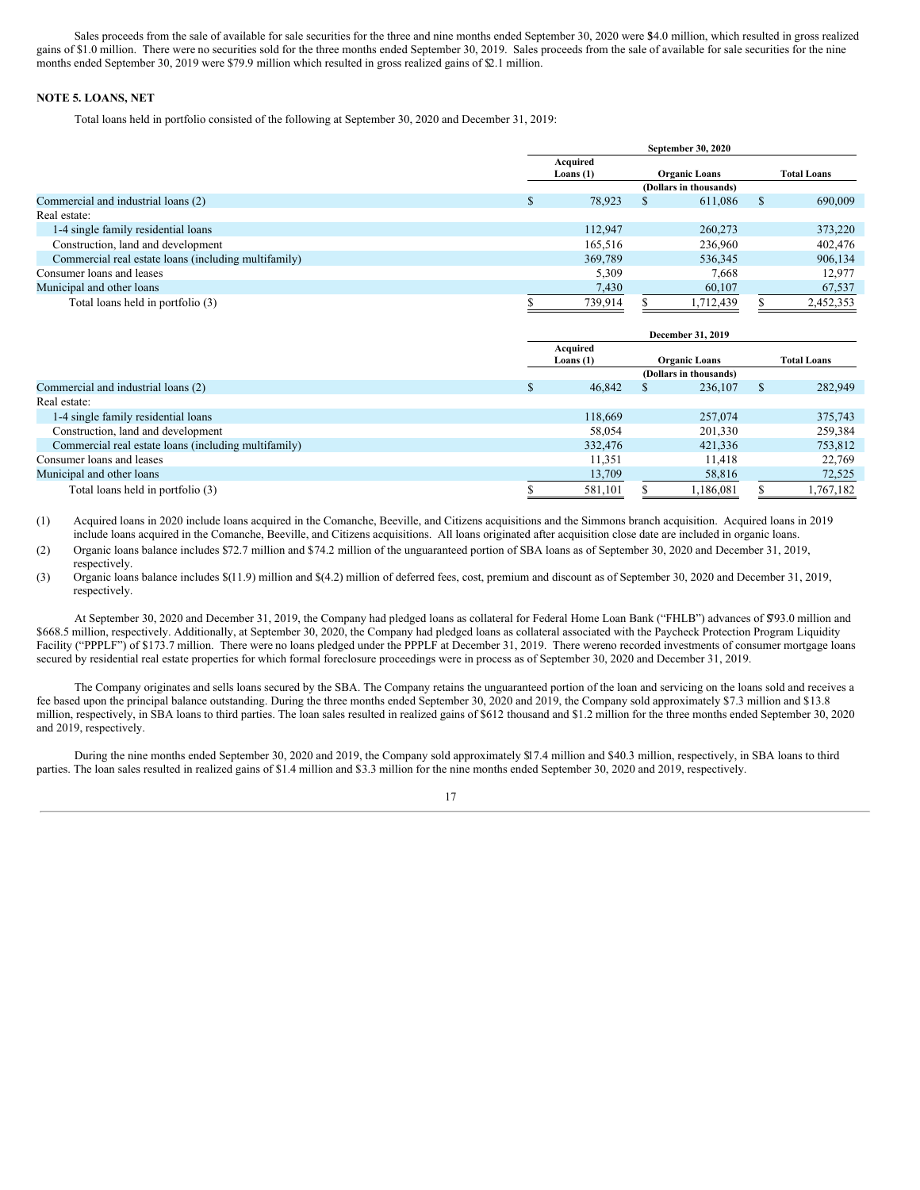Sales proceeds from the sale of available for sale securities for the three and nine months ended September 30, 2020 were \$4.0 million, which resulted in gross realized gains of \$1.0 million. There were no securities sold for the three months ended September 30, 2019. Sales proceeds from the sale of available for sale securities for the nine months ended September 30, 2019 were \$79.9 million which resulted in gross realized gains of \$2.1 million.

### **NOTE 5. LOANS, NET**

Total loans held in portfolio consisted of the following at September 30, 2020 and December 31, 2019:

|                                                      | September 30, 2020 |                         |  |                        |   |                    |  |  |  |  |  |  |
|------------------------------------------------------|--------------------|-------------------------|--|------------------------|---|--------------------|--|--|--|--|--|--|
|                                                      |                    | Acquired<br>Loans $(1)$ |  | <b>Organic Loans</b>   |   | <b>Total Loans</b> |  |  |  |  |  |  |
|                                                      |                    |                         |  | (Dollars in thousands) |   |                    |  |  |  |  |  |  |
| Commercial and industrial loans (2)                  |                    | 78.923                  |  | 611,086                | S | 690,009            |  |  |  |  |  |  |
| Real estate:                                         |                    |                         |  |                        |   |                    |  |  |  |  |  |  |
| 1-4 single family residential loans                  |                    | 112.947                 |  | 260,273                |   | 373,220            |  |  |  |  |  |  |
| Construction, land and development                   |                    | 165,516                 |  | 236,960                |   | 402,476            |  |  |  |  |  |  |
| Commercial real estate loans (including multifamily) |                    | 369,789                 |  | 536,345                |   | 906,134            |  |  |  |  |  |  |
| Consumer loans and leases                            |                    | 5,309                   |  | 7,668                  |   | 12.977             |  |  |  |  |  |  |
| Municipal and other loans                            |                    | 7,430                   |  | 60,107                 |   | 67,537             |  |  |  |  |  |  |
| Total loans held in portfolio (3)                    |                    | 739,914                 |  | 1,712,439              |   | 2,452,353          |  |  |  |  |  |  |

|                                                      | December 31, 2019 |             |  |                        |          |                    |  |  |  |  |  |
|------------------------------------------------------|-------------------|-------------|--|------------------------|----------|--------------------|--|--|--|--|--|
|                                                      | Acquired          |             |  |                        |          |                    |  |  |  |  |  |
|                                                      |                   | Loans $(1)$ |  | <b>Organic Loans</b>   |          | <b>Total Loans</b> |  |  |  |  |  |
|                                                      |                   |             |  | (Dollars in thousands) |          |                    |  |  |  |  |  |
| Commercial and industrial loans (2)                  |                   | 46,842      |  | 236,107                | <b>S</b> | 282,949            |  |  |  |  |  |
| Real estate:                                         |                   |             |  |                        |          |                    |  |  |  |  |  |
| 1-4 single family residential loans                  |                   | 118,669     |  | 257,074                |          | 375,743            |  |  |  |  |  |
| Construction, land and development                   |                   | 58,054      |  | 201,330                |          | 259,384            |  |  |  |  |  |
| Commercial real estate loans (including multifamily) |                   | 332,476     |  | 421,336                |          | 753,812            |  |  |  |  |  |
| Consumer loans and leases                            |                   | 11,351      |  | 11.418                 |          | 22,769             |  |  |  |  |  |
| Municipal and other loans                            |                   | 13,709      |  | 58,816                 |          | 72,525             |  |  |  |  |  |
| Total loans held in portfolio (3)                    |                   | 581,101     |  | 1,186,081              |          | 1,767,182          |  |  |  |  |  |

(1) Acquired loans in 2020 include loans acquired in the Comanche, Beeville, and Citizens acquisitions and the Simmons branch acquisition. Acquired loans in 2019 include loans acquired in the Comanche, Beeville, and Citizens acquisitions. All loans originated after acquisition close date are included in organic loans.

(2) Organic loans balance includes \$72.7 million and \$74.2 million of the unguaranteed portion of SBA loans as of September 30, 2020 and December 31, 2019, respectively.

(3) Organic loans balance includes \$(11.9) million and \$(4.2) million of deferred fees, cost, premium and discount as of September 30, 2020 and December 31, 2019, respectively.

At September 30, 2020 and December 31, 2019, the Company had pledged loans as collateral for Federal Home Loan Bank ("FHLB") advances of \$793.0 million and \$668.5 million, respectively. Additionally, at September 30, 2020, the Company had pledged loans as collateral associated with the Paycheck Protection Program Liquidity Facility ("PPPLF") of \$173.7 million. There were no loans pledged under the PPPLF at December 31, 2019. There wereno recorded investments of consumer mortgage loans secured by residential real estate properties for which formal foreclosure proceedings were in process as of September 30, 2020 and December 31, 2019.

The Company originates and sells loans secured by the SBA. The Company retains the unguaranteed portion of the loan and servicing on the loans sold and receives a fee based upon the principal balance outstanding. During the three months ended September 30, 2020 and 2019, the Company sold approximately \$7.3 million and \$13.8 million, respectively, in SBA loans to third parties. The loan sales resulted in realized gains of \$612 thousand and \$1.2 million for the three months ended September 30, 2020 and 2019, respectively.

During the nine months ended September 30, 2020 and 2019, the Company sold approximately \$17.4 million and \$40.3 million, respectively, in SBA loans to third parties. The loan sales resulted in realized gains of \$1.4 million and \$3.3 million for the nine months ended September 30, 2020 and 2019, respectively.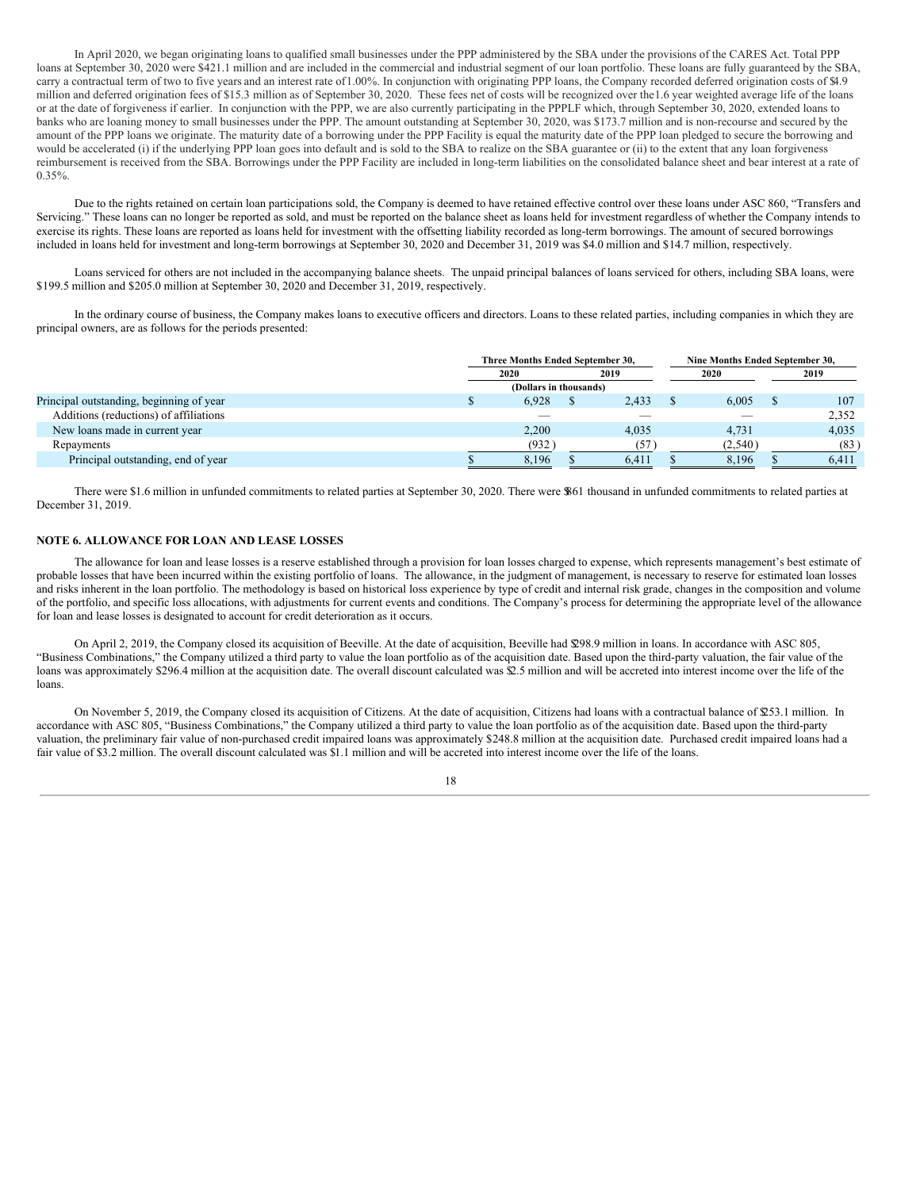In April 2020, we began originating loans to qualified small businesses under the PPP administered by the SBA under the provisions of the CARES Act. Total PPP loans at September 30, 2020 were \$421.1 million and are included in the commercial and industrial segment of our loan portfolio. These loans are fully guaranteed by the SBA, carry a contractual term of two to five years and an interest rate of1.00%. In conjunction with originating PPP loans, the Company recorded deferred origination costs of \$4.9 million and deferred origination fees of \$15.3 million as of September 30, 2020. These fees net of costs will be recognized over the 1.6 year weighted average life of the loans or at the date of forgiveness if earlier. In conjunction with the PPP, we are also currently participating in the PPPLF which, through September 30, 2020, extended loans to banks who are loaning money to small businesses under the PPP. The amount outstanding at September 30, 2020, was \$173.7 million and is non-recourse and secured by the amount of the PPP loans we originate. The maturity date of a borrowing under the PPP Facility is equal the maturity date of the PPP loan pledged to secure the borrowing and would be accelerated (i) if the underlying PPP loan goes into default and is sold to the SBA to realize on the SBA guarantee or (ii) to the extent that any loan forgiveness reimbursement is received from the SBA. Borrowings under the PPP Facility are included in long-term liabilities on the consolidated balance sheet and bear interest at a rate of 0.35%.

Due to the rights retained on certain loan participations sold, the Company is deemed to have retained effective control over these loans under ASC 860, "Transfers and Servicing." These loans can no longer be reported as sold, and must be reported on the balance sheet as loans held for investment regardless of whether the Company intends to exercise its rights. These loans are reported as loans held for investment with the offsetting liability recorded as long-term borrowings. The amount of secured borrowings included in loans held for investment and long-term borrowings at September 30, 2020 and December 31, 2019 was \$4.0 million and \$14.7 million, respectively.

Loans serviced for others are not included in the accompanying balance sheets. The unpaid principal balances of loans serviced for others, including SBA loans, were \$199.5 million and \$205.0 million at September 30, 2020 and December 31, 2019, respectively.

In the ordinary course of business, the Company makes loans to executive officers and directors. Loans to these related parties, including companies in which they are principal owners, are as follows for the periods presented:

|                                          | Three Months Ended September 30, |       | Nine Months Ended September 30, |  |       |  |
|------------------------------------------|----------------------------------|-------|---------------------------------|--|-------|--|
|                                          | 2020                             | 2019  | 2020                            |  | 2019  |  |
|                                          | (Dollars in thousands)           |       |                                 |  |       |  |
| Principal outstanding, beginning of year | 6.928                            | 2.433 | 6,005                           |  | 107   |  |
| Additions (reductions) of affiliations   |                                  |       |                                 |  | 2,352 |  |
| New loans made in current year           | 2.200                            | 4.035 | 4.731                           |  | 4.035 |  |
| Repayments                               | (932)                            | 157   | (2, 540)                        |  | (83)  |  |
| Principal outstanding, end of year       | 8,196                            | 6.411 | 8,196                           |  | 6.411 |  |

There were \$1.6 million in unfunded commitments to related parties at September 30, 2020. There were \$861 thousand in unfunded commitments to related parties at December 31, 2019.

### **NOTE 6. ALLOWANCE FOR LOAN AND LEASE LOSSES**

The allowance for loan and lease losses is a reserve established through a provision for loan losses charged to expense, which represents management's best estimate of probable losses that have been incurred within the existing portfolio of loans. The allowance, in the judgment of management, is necessary to reserve for estimated loan losses and risks inherent in the loan portfolio. The methodology is based on historical loss experience by type of credit and internal risk grade, changes in the composition and volume of the portfolio, and specific loss allocations, with adjustments for current events and conditions. The Company's process for determining the appropriate level of the allowance for loan and lease losses is designated to account for credit deterioration as it occurs.

On April 2, 2019, the Company closed its acquisition of Beeville. At the date of acquisition, Beeville had \$298.9 million in loans. In accordance with ASC 805, "Business Combinations," the Company utilized a third party to value the loan portfolio as of the acquisition date. Based upon the third-party valuation, the fair value of the loans was approximately \$296.4 million at the acquisition date. The overall discount calculated was \$2.5 million and will be accreted into interest income over the life of the loans.

On November 5, 2019, the Company closed its acquisition of Citizens. At the date of acquisition, Citizens had loans with a contractual balance of \$253.1 million. In accordance with ASC 805, "Business Combinations," the Company utilized a third party to value the loan portfolio as of the acquisition date. Based upon the third-party valuation, the preliminary fair value of non-purchased credit impaired loans was approximately \$248.8 million at the acquisition date. Purchased credit impaired loans had a fair value of \$3.2 million. The overall discount calculated was \$1.1 million and will be accreted into interest income over the life of the loans.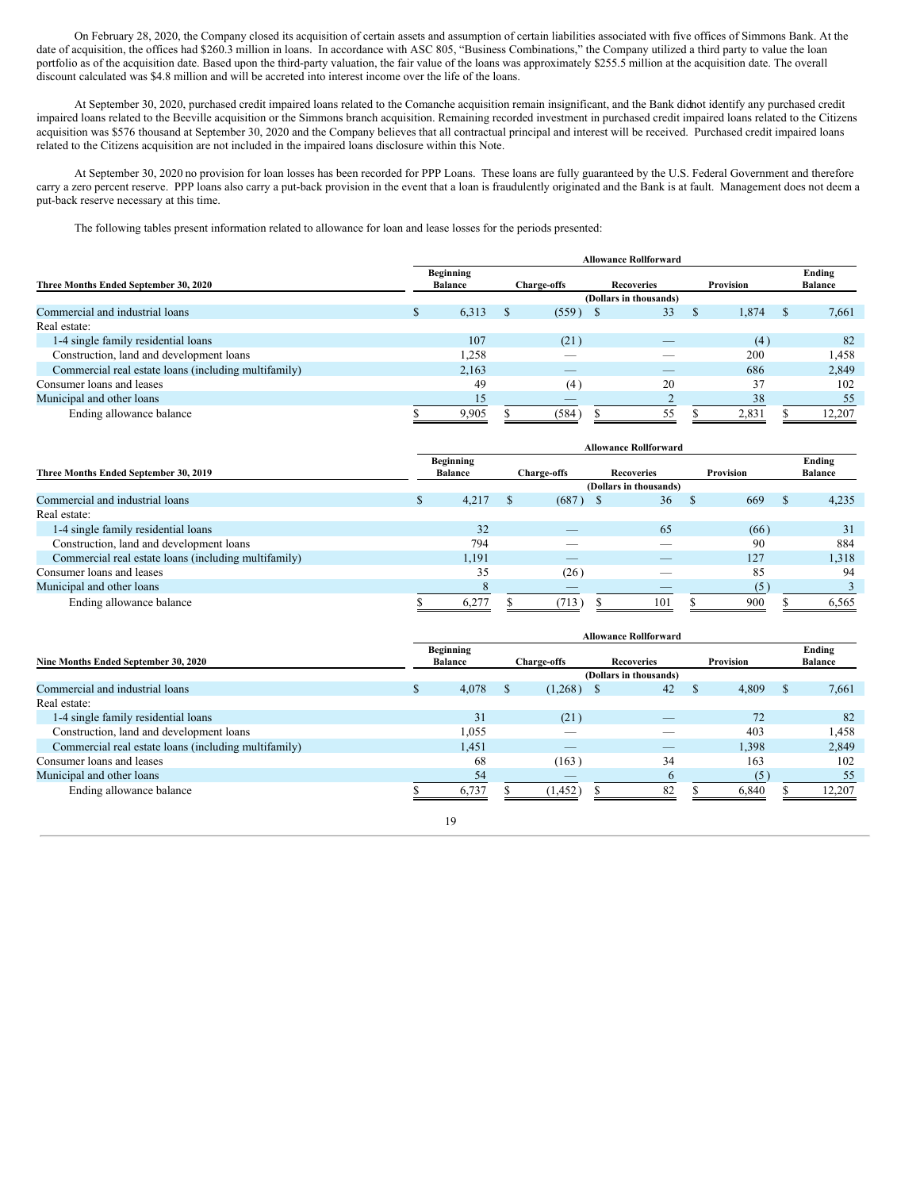On February 28, 2020, the Company closed its acquisition of certain assets and assumption of certain liabilities associated with five offices of Simmons Bank. At the date of acquisition, the offices had \$260.3 million in loans. In accordance with ASC 805, "Business Combinations," the Company utilized a third party to value the loan portfolio as of the acquisition date. Based upon the third-party valuation, the fair value of the loans was approximately \$255.5 million at the acquisition date. The overall discount calculated was \$4.8 million and will be accreted into interest income over the life of the loans.

At September 30, 2020, purchased credit impaired loans related to the Comanche acquisition remain insignificant, and the Bank didnot identify any purchased credit impaired loans related to the Beeville acquisition or the Simmons branch acquisition. Remaining recorded investment in purchased credit impaired loans related to the Citizens acquisition was \$576 thousand at September 30, 2020 and the Company believes that all contractual principal and interest will be received. Purchased credit impaired loans related to the Citizens acquisition are not included in the impaired loans disclosure within this Note.

At September 30, 2020 no provision for loan losses has been recorded for PPP Loans. These loans are fully guaranteed by the U.S. Federal Government and therefore carry a zero percent reserve. PPP loans also carry a put-back provision in the event that a loan is fraudulently originated and the Bank is at fault. Management does not deem a put-back reserve necessary at this time.

The following tables present information related to allowance for loan and lease losses for the periods presented:

|                                                      | <b>Allowance Rollforward</b> |                |  |                    |  |                        |                  |       |                |        |  |  |  |  |
|------------------------------------------------------|------------------------------|----------------|--|--------------------|--|------------------------|------------------|-------|----------------|--------|--|--|--|--|
|                                                      |                              | Beginning      |  |                    |  |                        |                  |       |                | Ending |  |  |  |  |
| Three Months Ended September 30, 2020                |                              | <b>Balance</b> |  | <b>Charge-offs</b> |  | <b>Recoveries</b>      | <b>Provision</b> |       | <b>Balance</b> |        |  |  |  |  |
|                                                      |                              |                |  |                    |  | (Dollars in thousands) |                  |       |                |        |  |  |  |  |
| Commercial and industrial loans                      | \$.                          | 6,313          |  | (559)              |  | 33                     |                  | 1,874 | <sup>\$</sup>  | 7,661  |  |  |  |  |
| Real estate:                                         |                              |                |  |                    |  |                        |                  |       |                |        |  |  |  |  |
| 1-4 single family residential loans                  |                              | 107            |  | (21)               |  |                        |                  | (4)   |                | 82     |  |  |  |  |
| Construction, land and development loans             |                              | 1,258          |  |                    |  |                        |                  | 200   |                | 1,458  |  |  |  |  |
| Commercial real estate loans (including multifamily) |                              | 2,163          |  | _                  |  | $-$                    |                  | 686   |                | 2,849  |  |  |  |  |
| Consumer loans and leases                            |                              | 49             |  | (4)                |  | 20                     |                  | 37    |                | 102    |  |  |  |  |
| Municipal and other loans                            |                              | 15             |  | _                  |  |                        |                  | 38    |                | 55     |  |  |  |  |
| Ending allowance balance                             |                              | 9,905          |  | (584)              |  | 55                     |                  | 2,831 |                | 12,207 |  |  |  |  |

|                                                      | <b>Allowance Rollforward</b> |                                    |  |                    |                        |    |           |    |                          |  |  |  |  |
|------------------------------------------------------|------------------------------|------------------------------------|--|--------------------|------------------------|----|-----------|----|--------------------------|--|--|--|--|
| Three Months Ended September 30, 2019                |                              | <b>Beginning</b><br><b>Balance</b> |  | <b>Charge-offs</b> | <b>Recoveries</b>      |    | Provision |    | Ending<br><b>Balance</b> |  |  |  |  |
|                                                      |                              |                                    |  |                    | (Dollars in thousands) |    |           |    |                          |  |  |  |  |
| Commercial and industrial loans                      |                              | 4,217                              |  | (687)              | 36<br>$\mathbf{S}$     | -S | 669       | Ъ. | 4,235                    |  |  |  |  |
| Real estate:                                         |                              |                                    |  |                    |                        |    |           |    |                          |  |  |  |  |
| 1-4 single family residential loans                  |                              | 32                                 |  |                    | 65                     |    | (66)      |    | 31                       |  |  |  |  |
| Construction, land and development loans             |                              | 794                                |  |                    |                        |    | 90        |    | 884                      |  |  |  |  |
| Commercial real estate loans (including multifamily) |                              | 1.191                              |  | _                  | $-$                    |    | 127       |    | 1,318                    |  |  |  |  |
| Consumer loans and leases                            |                              | 35                                 |  | (26)               |                        |    | 85        |    | 94                       |  |  |  |  |
| Municipal and other loans                            |                              |                                    |  | _                  |                        |    | (5)       |    |                          |  |  |  |  |
| Ending allowance balance                             |                              | 6,277                              |  | (713)              | 101                    |    | 900       |    | 6,565                    |  |  |  |  |

| Nine Months Ended September 30, 2020                 |    | Beginning<br><b>Balance</b> | <b>Charge-offs</b> |          | <b>Recoveries</b> |                        |  | Provision |    | Ending<br><b>Balance</b> |
|------------------------------------------------------|----|-----------------------------|--------------------|----------|-------------------|------------------------|--|-----------|----|--------------------------|
|                                                      |    |                             |                    |          |                   | (Dollars in thousands) |  |           |    |                          |
| Commercial and industrial loans                      | \$ | 4,078                       |                    | (1,268)  |                   | 42                     |  | 4,809     | -S | 7,661                    |
| Real estate:                                         |    |                             |                    |          |                   |                        |  |           |    |                          |
| 1-4 single family residential loans                  |    | 31                          |                    | (21)     |                   | $-$                    |  | 72        |    | 82                       |
| Construction, land and development loans             |    | 1,055                       |                    |          |                   |                        |  | 403       |    | 1,458                    |
| Commercial real estate loans (including multifamily) |    | 1,451                       |                    | _        |                   | _                      |  | 1,398     |    | 2,849                    |
| Consumer loans and leases                            |    | 68                          |                    | (163)    |                   | 34                     |  | 163       |    | 102                      |
| Municipal and other loans                            |    | 54                          |                    | _        |                   | 6                      |  | (5)       |    | 55                       |
| Ending allowance balance                             |    | 6,737                       |                    | (1, 452) |                   | 82                     |  | 6,840     |    | 12,207                   |
|                                                      |    | 19                          |                    |          |                   |                        |  |           |    |                          |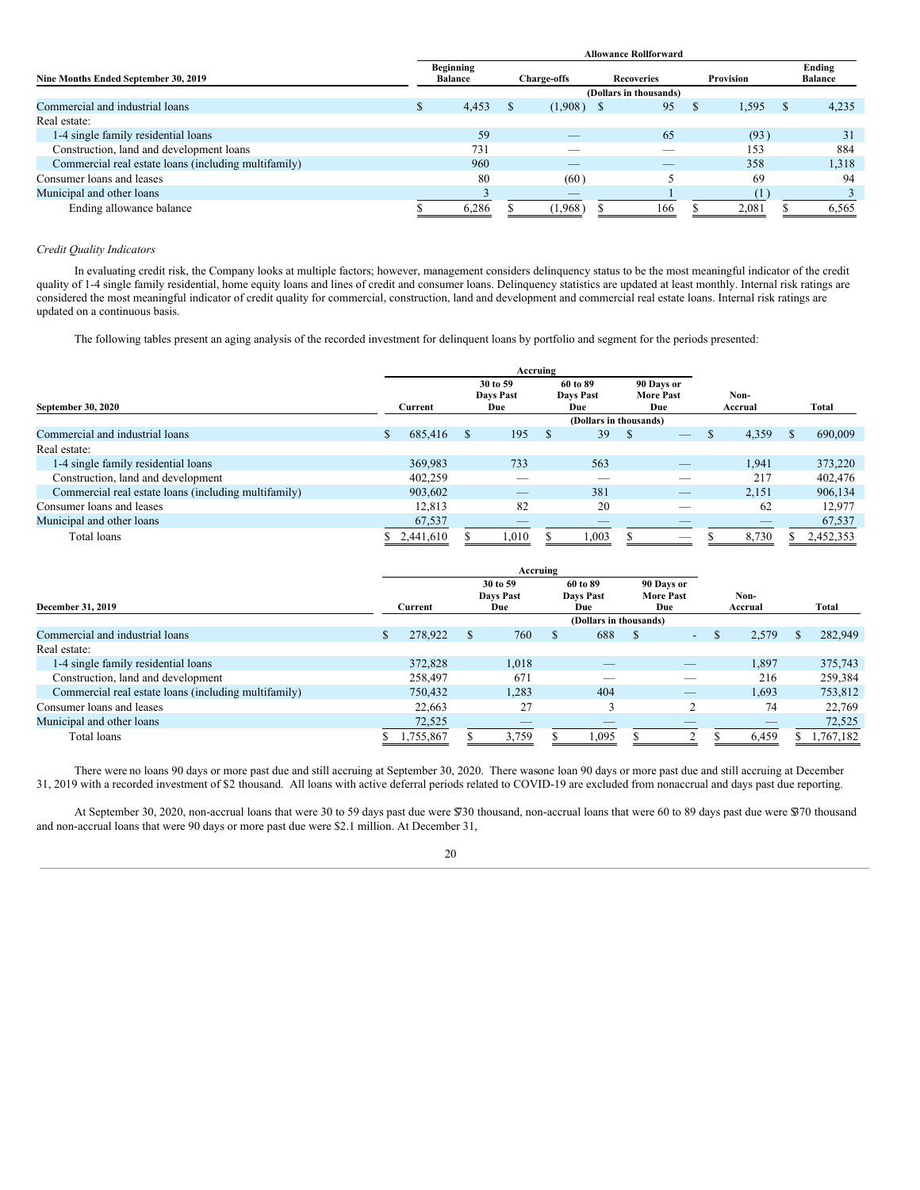|                                                      | <b>Allowance Rollforward</b> |                                    |                        |                          |    |                   |  |           |   |                          |  |  |  |  |
|------------------------------------------------------|------------------------------|------------------------------------|------------------------|--------------------------|----|-------------------|--|-----------|---|--------------------------|--|--|--|--|
| Nine Months Ended September 30, 2019                 |                              | <b>Beginning</b><br><b>Balance</b> |                        | <b>Charge-offs</b>       |    | <b>Recoveries</b> |  | Provision |   | Ending<br><b>Balance</b> |  |  |  |  |
|                                                      |                              |                                    | (Dollars in thousands) |                          |    |                   |  |           |   |                          |  |  |  |  |
| Commercial and industrial loans                      |                              | 4,453                              |                        | (1,908)                  | Ъ. | 95                |  | 1,595     | S | 4,235                    |  |  |  |  |
| Real estate:                                         |                              |                                    |                        |                          |    |                   |  |           |   |                          |  |  |  |  |
| 1-4 single family residential loans                  |                              | 59                                 |                        | $\overline{\phantom{a}}$ |    | 65                |  | (93)      |   | 31                       |  |  |  |  |
| Construction, land and development loans             |                              | 731                                |                        | ___                      |    | __                |  | 153       |   | 884                      |  |  |  |  |
| Commercial real estate loans (including multifamily) |                              | 960                                |                        | _                        |    |                   |  | 358       |   | 1,318                    |  |  |  |  |
| Consumer loans and leases                            |                              | 80                                 |                        | (60)                     |    |                   |  | 69        |   | 94                       |  |  |  |  |
| Municipal and other loans                            |                              |                                    |                        | $\overline{\phantom{a}}$ |    |                   |  |           |   |                          |  |  |  |  |
| Ending allowance balance                             |                              | 6,286                              |                        | (1,968)                  |    | 166               |  | 2,081     |   | 6,565                    |  |  |  |  |

### *Credit Quality Indicators*

In evaluating credit risk, the Company looks at multiple factors; however, management considers delinquency status to be the most meaningful indicator of the credit quality of 1-4 single family residential, home equity loans and lines of credit and consumer loans. Delinquency statistics are updated at least monthly. Internal risk ratings are considered the most meaningful indicator of credit quality for commercial, construction, land and development and commercial real estate loans. Internal risk ratings are updated on a continuous basis.

The following tables present an aging analysis of the recorded investment for delinquent loans by portfolio and segment for the periods presented:

| Accruing                                             |  |           |                                     |       |                                     |       |    |                                       |                 |       |    |           |
|------------------------------------------------------|--|-----------|-------------------------------------|-------|-------------------------------------|-------|----|---------------------------------------|-----------------|-------|----|-----------|
| September 30, 2020                                   |  | Current   | 30 to 59<br><b>Davs Past</b><br>Due |       | 60 to 89<br><b>Davs Past</b><br>Due |       |    | 90 Days or<br><b>More Past</b><br>Due | Non-<br>Accrual |       |    | Total     |
|                                                      |  |           | (Dollars in thousands)              |       |                                     |       |    |                                       |                 |       |    |           |
| Commercial and industrial loans                      |  | 685,416   |                                     | 195   | <sup>S</sup>                        | 39    | -S |                                       |                 | 4,359 | S. | 690,009   |
| Real estate:                                         |  |           |                                     |       |                                     |       |    |                                       |                 |       |    |           |
| 1-4 single family residential loans                  |  | 369,983   |                                     | 733   |                                     | 563   |    | _                                     |                 | 1.941 |    | 373,220   |
| Construction, land and development                   |  | 402,259   |                                     |       |                                     |       |    |                                       |                 | 217   |    | 402,476   |
| Commercial real estate loans (including multifamily) |  | 903,602   |                                     | _     |                                     | 381   |    | _                                     |                 | 2,151 |    | 906,134   |
| Consumer loans and leases                            |  | 12,813    |                                     | 82    |                                     | 20    |    |                                       |                 | 62    |    | 12,977    |
| Municipal and other loans                            |  | 67,537    |                                     |       |                                     | _     |    |                                       |                 | $-\,$ |    | 67,537    |
| Total loans                                          |  | 2,441,610 |                                     | 1,010 |                                     | 1,003 |    |                                       |                 | 8,730 |    | 2,452,353 |

| Accruing                                             |  |           |  |                  |  |                        |  |                          |   |         |          |
|------------------------------------------------------|--|-----------|--|------------------|--|------------------------|--|--------------------------|---|---------|----------|
|                                                      |  |           |  | 30 to 59         |  | 60 to 89               |  | 90 Days or               |   |         |          |
|                                                      |  |           |  | <b>Davs Past</b> |  | Days Past              |  | <b>More Past</b>         |   | Non-    |          |
| December 31, 2019                                    |  | Current   |  | Due              |  | Due                    |  | Due                      |   | Accrual | Total    |
|                                                      |  |           |  |                  |  | (Dollars in thousands) |  |                          |   |         |          |
| Commercial and industrial loans                      |  | 278,922   |  | 760              |  | 688                    |  | $\overline{\phantom{0}}$ | S | 2.579   | 282,949  |
| Real estate:                                         |  |           |  |                  |  |                        |  |                          |   |         |          |
| 1-4 single family residential loans                  |  | 372,828   |  | 1.018            |  |                        |  | _                        |   | 1,897   | 375,743  |
| Construction, land and development                   |  | 258,497   |  | 671              |  |                        |  |                          |   | 216     | 259,384  |
| Commercial real estate loans (including multifamily) |  | 750.432   |  | 1,283            |  | 404                    |  |                          |   | 1.693   | 753,812  |
| Consumer loans and leases                            |  | 22,663    |  | 27               |  |                        |  | ◠                        |   | 74      | 22,769   |
| Municipal and other loans                            |  | 72,525    |  |                  |  |                        |  |                          |   |         | 72,525   |
| Total loans                                          |  | 1,755,867 |  | 3,759            |  | .095                   |  |                          |   | 6,459   | ,767,182 |

There were no loans 90 days or more past due and still accruing at September 30, 2020. There wasone loan 90 days or more past due and still accruing at December 31, 2019 with a recorded investment of \$2 thousand. All loans with active deferral periods related to COVID-19 are excluded from nonaccrual and days past due reporting.

At September 30, 2020, non-accrual loans that were 30 to 59 days past due were \$730 thousand, non-accrual loans that were 60 to 89 days past due were \$370 thousand and non-accrual loans that were 90 days or more past due were \$2.1 million. At December 31,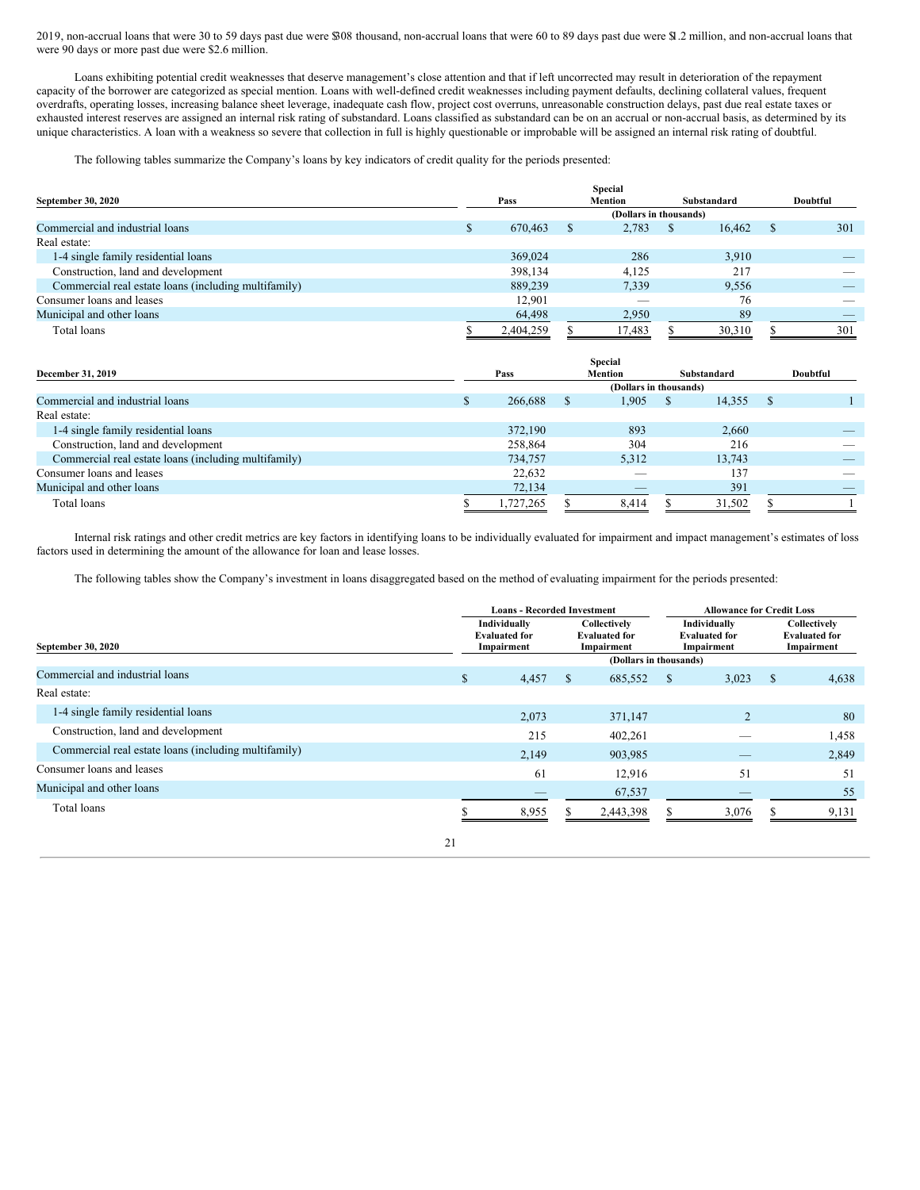2019, non-accrual loans that were 30 to 59 days past due were \$308 thousand, non-accrual loans that were 60 to 89 days past due were \$1.2 million, and non-accrual loans that were 90 days or more past due were \$2.6 million.

Loans exhibiting potential credit weaknesses that deserve management's close attention and that if left uncorrected may result in deterioration of the repayment capacity of the borrower are categorized as special mention. Loans with well-defined credit weaknesses including payment defaults, declining collateral values, frequent overdrafts, operating losses, increasing balance sheet leverage, inadequate cash flow, project cost overruns, unreasonable construction delays, past due real estate taxes or exhausted interest reserves are assigned an internal risk rating of substandard. Loans classified as substandard can be on an accrual or non-accrual basis, as determined by its unique characteristics. A loan with a weakness so severe that collection in full is highly questionable or improbable will be assigned an internal risk rating of doubtful.

The following tables summarize the Company's loans by key indicators of credit quality for the periods presented:

| <b>September 30, 2020</b>                            | Pass      |   | <b>Special</b><br><b>Mention</b> | Substandard | Doubtful |
|------------------------------------------------------|-----------|---|----------------------------------|-------------|----------|
|                                                      |           |   |                                  |             |          |
| Commercial and industrial loans                      | 670,463   | S | 2.783                            | 16.462      | 301      |
| Real estate:                                         |           |   |                                  |             |          |
| 1-4 single family residential loans                  | 369,024   |   | 286                              | 3,910       |          |
| Construction, land and development                   | 398,134   |   | 4,125                            | 217         |          |
| Commercial real estate loans (including multifamily) | 889,239   |   | 7,339                            | 9,556       |          |
| Consumer loans and leases                            | 12.901    |   |                                  | 76          |          |
| Municipal and other loans                            | 64,498    |   | 2,950                            | 89          |          |
| Total loans                                          | 2.404.259 |   | 17,483                           | 30,310      | 301      |

|                                                      |           |             | <b>Special</b>           |               |        |    |   |
|------------------------------------------------------|-----------|-------------|--------------------------|---------------|--------|----|---|
| December 31, 2019                                    | Pass      | Substandard |                          | Doubtful      |        |    |   |
|                                                      |           |             | (Dollars in thousands)   |               |        |    |   |
| Commercial and industrial loans                      | 266,688   | <b>S</b>    | 1.905                    | <sup>\$</sup> | 14,355 | -S |   |
| Real estate:                                         |           |             |                          |               |        |    |   |
| 1-4 single family residential loans                  | 372,190   |             | 893                      |               | 2,660  |    |   |
| Construction, land and development                   | 258,864   |             | 304                      |               | 216    |    |   |
| Commercial real estate loans (including multifamily) | 734,757   |             | 5.312                    |               | 13,743 |    |   |
| Consumer loans and leases                            | 22,632    |             | $\overline{\phantom{a}}$ |               | 137    |    |   |
| Municipal and other loans                            | 72,134    |             | $\overline{\phantom{a}}$ |               | 391    |    | _ |
| Total loans                                          | 1,727,265 |             | 8,414                    |               | 31,502 |    |   |

Internal risk ratings and other credit metrics are key factors in identifying loans to be individually evaluated for impairment and impact management's estimates of loss factors used in determining the amount of the allowance for loan and lease losses.

The following tables show the Company's investment in loans disaggregated based on the method of evaluating impairment for the periods presented:

|                                                      |              |                                                    | <b>Loans - Recorded Investment</b>                 |               |                                                    | <b>Allowance for Credit Loss</b> |                                                    |  |
|------------------------------------------------------|--------------|----------------------------------------------------|----------------------------------------------------|---------------|----------------------------------------------------|----------------------------------|----------------------------------------------------|--|
| September 30, 2020                                   |              | Individually<br><b>Evaluated for</b><br>Impairment | Collectively<br><b>Evaluated for</b><br>Impairment |               | Individually<br><b>Evaluated for</b><br>Impairment |                                  | Collectively<br><b>Evaluated for</b><br>Impairment |  |
|                                                      |              |                                                    |                                                    |               | (Dollars in thousands)                             |                                  |                                                    |  |
| Commercial and industrial loans                      | $\mathbb{S}$ | 4,457                                              | 685,552<br>\$                                      | <sup>\$</sup> | 3,023                                              | <b>S</b>                         | 4,638                                              |  |
| Real estate:                                         |              |                                                    |                                                    |               |                                                    |                                  |                                                    |  |
| 1-4 single family residential loans                  |              | 2,073                                              | 371,147                                            |               | $\overline{2}$                                     |                                  | 80                                                 |  |
| Construction, land and development                   |              | 215                                                | 402,261                                            |               |                                                    |                                  | 1,458                                              |  |
| Commercial real estate loans (including multifamily) |              | 2,149                                              | 903,985                                            |               | $\overline{\phantom{a}}$                           |                                  | 2,849                                              |  |
| Consumer loans and leases                            |              | 61                                                 | 12,916                                             |               | 51                                                 |                                  | 51                                                 |  |
| Municipal and other loans                            |              |                                                    | 67,537                                             |               |                                                    |                                  | 55                                                 |  |
| Total loans                                          |              | 8.955                                              | 2,443,398                                          |               | 3.076                                              |                                  | 9,131                                              |  |
|                                                      | 21           |                                                    |                                                    |               |                                                    |                                  |                                                    |  |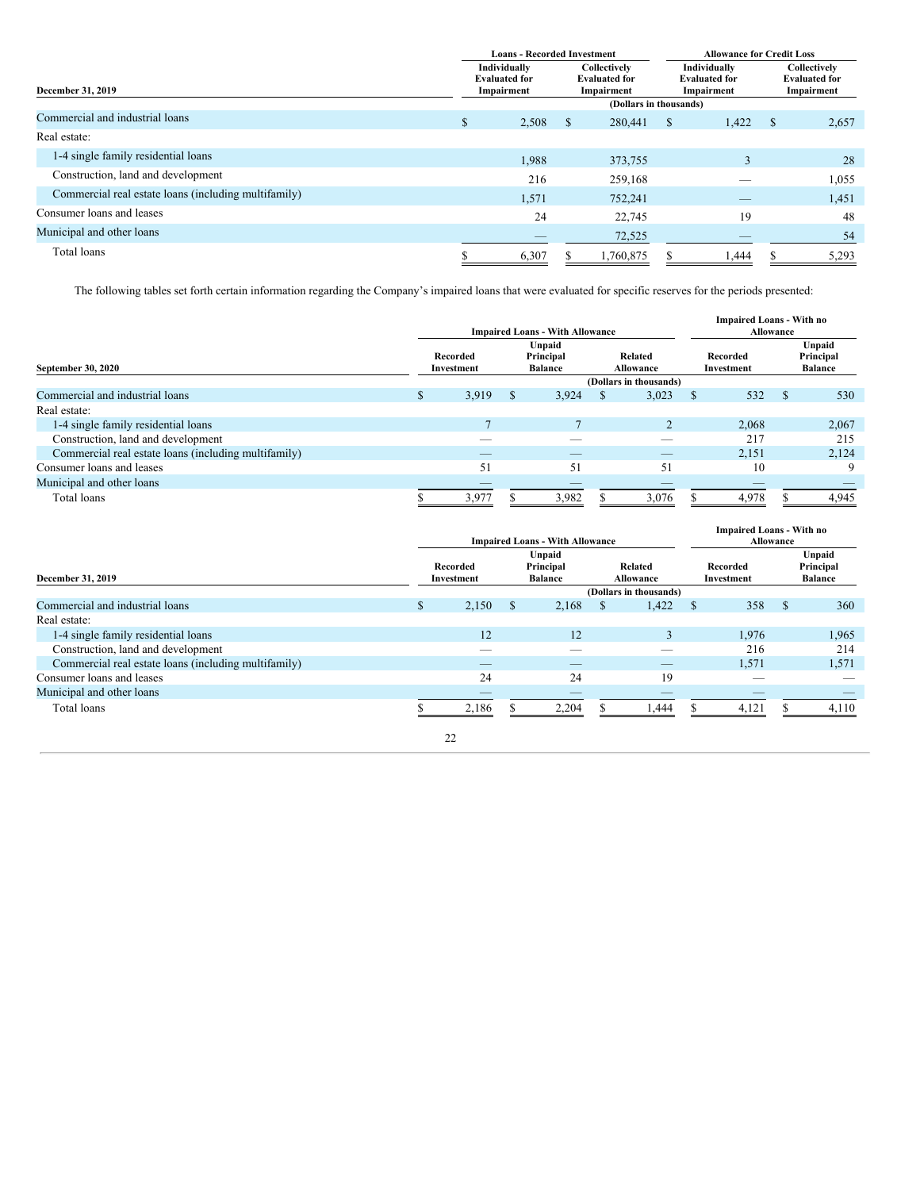|                                                      | <b>Loans - Recorded Investment</b>                 |   |                                                    | <b>Allowance for Credit Loss</b> |                                                    |     |                                                    |  |
|------------------------------------------------------|----------------------------------------------------|---|----------------------------------------------------|----------------------------------|----------------------------------------------------|-----|----------------------------------------------------|--|
| December 31, 2019                                    | Individually<br><b>Evaluated for</b><br>Impairment |   | Collectively<br><b>Evaluated for</b><br>Impairment |                                  | Individually<br><b>Evaluated for</b><br>Impairment |     | Collectively<br><b>Evaluated for</b><br>Impairment |  |
|                                                      |                                                    |   | (Dollars in thousands)                             |                                  |                                                    |     |                                                    |  |
| Commercial and industrial loans                      | \$<br>2,508                                        | S | 280,441                                            | S                                | 1,422                                              | - S | 2,657                                              |  |
| Real estate:                                         |                                                    |   |                                                    |                                  |                                                    |     |                                                    |  |
| 1-4 single family residential loans                  | 1,988                                              |   | 373,755                                            |                                  | 3                                                  |     | 28                                                 |  |
| Construction, land and development                   | 216                                                |   | 259,168                                            |                                  |                                                    |     | 1,055                                              |  |
| Commercial real estate loans (including multifamily) | 1,571                                              |   | 752,241                                            |                                  | _                                                  |     | 1,451                                              |  |
| Consumer loans and leases                            | 24                                                 |   | 22,745                                             |                                  | 19                                                 |     | 48                                                 |  |
| Municipal and other loans                            |                                                    |   | 72,525                                             |                                  |                                                    |     | 54                                                 |  |
| Total loans                                          | 6,307                                              |   | 1,760,875                                          |                                  | 1,444                                              |     | 5,293                                              |  |

The following tables set forth certain information regarding the Company's impaired loans that were evaluated for specific reserves for the periods presented:

|                                                      |   |                        |                                       | <b>Impaired Loans - With Allowance</b> | <b>Impaired Loans - With no</b><br><b>Allowance</b> |                |               |                        |          |                                       |
|------------------------------------------------------|---|------------------------|---------------------------------------|----------------------------------------|-----------------------------------------------------|----------------|---------------|------------------------|----------|---------------------------------------|
| September 30, 2020                                   |   | Recorded<br>Investment | Unpaid<br>Principal<br><b>Balance</b> |                                        | Related<br>Allowance                                |                |               | Recorded<br>Investment |          | Unpaid<br>Principal<br><b>Balance</b> |
|                                                      |   |                        |                                       |                                        | (Dollars in thousands)                              |                |               |                        |          |                                       |
| Commercial and industrial loans                      | ж | 3,919                  | \$                                    | 3,924                                  | \$.                                                 | 3,023          | <sup>\$</sup> | 532                    | <b>S</b> | 530                                   |
| Real estate:                                         |   |                        |                                       |                                        |                                                     |                |               |                        |          |                                       |
| 1-4 single family residential loans                  |   |                        |                                       |                                        |                                                     | $\overline{2}$ |               | 2,068                  |          | 2,067                                 |
| Construction, land and development                   |   |                        |                                       |                                        |                                                     | __             |               | 217                    |          | 215                                   |
| Commercial real estate loans (including multifamily) |   |                        |                                       |                                        |                                                     | _              |               | 2,151                  |          | 2,124                                 |
| Consumer loans and leases                            |   | 51                     |                                       | 51                                     |                                                     | 51             |               | 10                     |          | 9                                     |
| Municipal and other loans                            |   | __                     |                                       | $\overline{\phantom{a}}$               |                                                     | _              |               | $-$                    |          | $\overline{\phantom{a}}$              |
| Total loans                                          |   | 3,977                  |                                       | 3,982                                  |                                                     | 3,076          |               | 4,978                  |          | 4,945                                 |

|                                                      |               | <b>Impaired Loans - With Allowance</b> | <b>Impaired Loans - With no</b><br>Allowance |                                       |          |                          |               |                        |               |                                       |
|------------------------------------------------------|---------------|----------------------------------------|----------------------------------------------|---------------------------------------|----------|--------------------------|---------------|------------------------|---------------|---------------------------------------|
| December 31, 2019                                    |               | Recorded<br>Investment                 |                                              | Unpaid<br>Principal<br><b>Balance</b> |          | Related<br>Allowance     |               | Recorded<br>Investment |               | Unpaid<br>Principal<br><b>Balance</b> |
|                                                      |               |                                        |                                              |                                       |          | (Dollars in thousands)   |               |                        |               |                                       |
| Commercial and industrial loans                      | <sup>\$</sup> | 2,150                                  | <sup>\$</sup>                                | 2,168                                 | <b>S</b> | 1,422                    | <sup>\$</sup> | 358                    | <sup>\$</sup> | 360                                   |
| Real estate:                                         |               |                                        |                                              |                                       |          |                          |               |                        |               |                                       |
| 1-4 single family residential loans                  |               | 12                                     |                                              | 12                                    |          | 3                        |               | 1,976                  |               | 1,965                                 |
| Construction, land and development                   |               | ___                                    |                                              |                                       |          |                          |               | 216                    |               | 214                                   |
| Commercial real estate loans (including multifamily) |               | $\overline{\phantom{a}}$               |                                              |                                       |          | _                        |               | 1,571                  |               | 1,571                                 |
| Consumer loans and leases                            |               | 24                                     |                                              | 24                                    |          | 19                       |               |                        |               |                                       |
| Municipal and other loans                            |               | $\overline{\phantom{a}}$               |                                              | $\overline{\phantom{a}}$              |          | $\overline{\phantom{a}}$ |               | $-$                    |               |                                       |
| Total loans                                          |               | 2,186                                  |                                              | 2,204                                 |          | 1,444                    |               | 4,121                  |               | 4,110                                 |
|                                                      |               | 22                                     |                                              |                                       |          |                          |               |                        |               |                                       |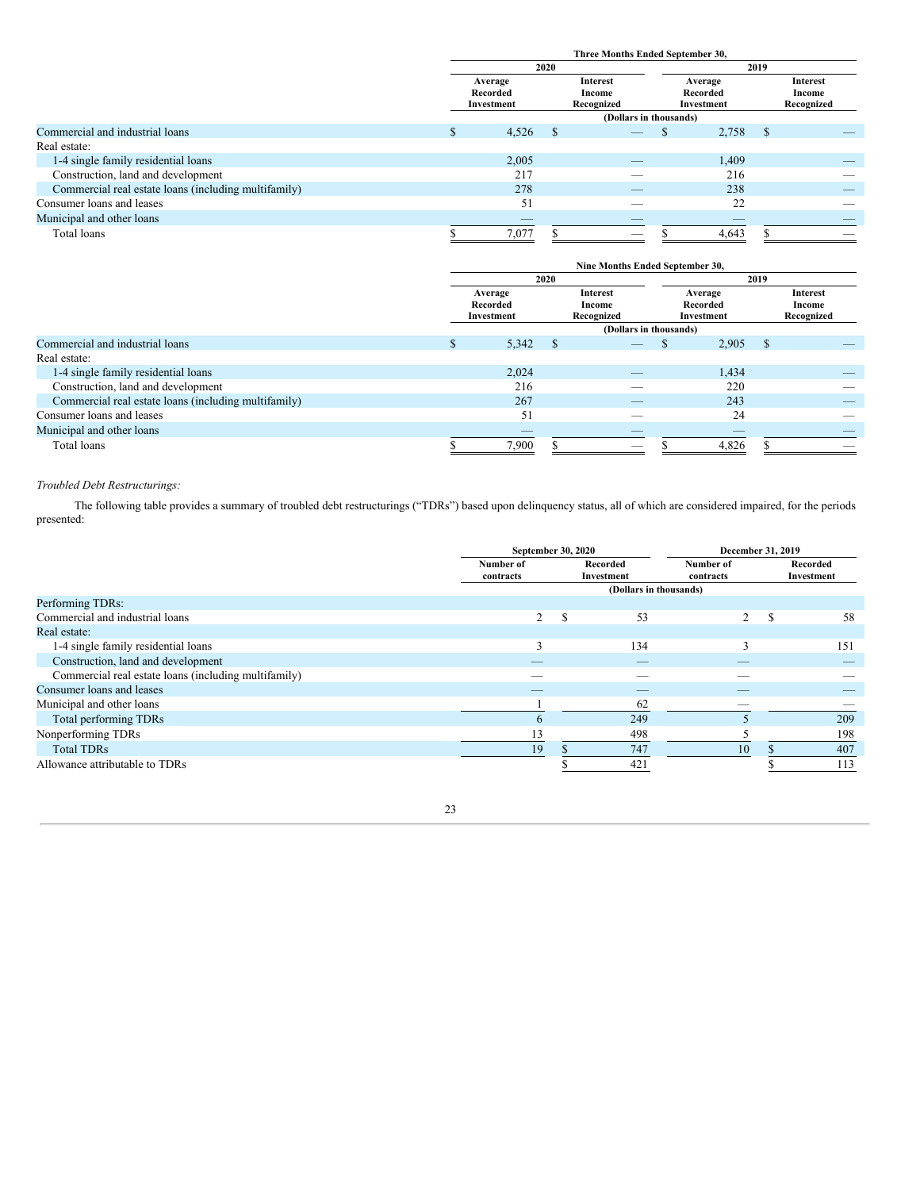|                                                      | Three Months Ended September 30, |                                   |                                                                              |                          |      |       |      |                                         |  |  |  |  |  |
|------------------------------------------------------|----------------------------------|-----------------------------------|------------------------------------------------------------------------------|--------------------------|------|-------|------|-----------------------------------------|--|--|--|--|--|
|                                                      |                                  |                                   | 2020                                                                         |                          | 2019 |       |      |                                         |  |  |  |  |  |
|                                                      |                                  | Average<br>Recorded<br>Investment | <b>Interest</b><br>Average<br>Recorded<br>Income<br>Recognized<br>Investment |                          |      |       |      | <b>Interest</b><br>Income<br>Recognized |  |  |  |  |  |
|                                                      |                                  |                                   |                                                                              | (Dollars in thousands)   |      |       |      |                                         |  |  |  |  |  |
| Commercial and industrial loans                      | Ъ.                               | 4,526                             | S                                                                            | _                        |      | 2,758 | - \$ |                                         |  |  |  |  |  |
| Real estate:                                         |                                  |                                   |                                                                              |                          |      |       |      |                                         |  |  |  |  |  |
| 1-4 single family residential loans                  |                                  | 2,005                             |                                                                              | $\overline{\phantom{a}}$ |      | 1,409 |      |                                         |  |  |  |  |  |
| Construction, land and development                   |                                  | 217                               |                                                                              | _                        |      | 216   |      |                                         |  |  |  |  |  |
| Commercial real estate loans (including multifamily) |                                  | 278                               |                                                                              | $-$                      |      | 238   |      |                                         |  |  |  |  |  |
| Consumer loans and leases                            |                                  | 51                                |                                                                              |                          |      | 22    |      |                                         |  |  |  |  |  |
| Municipal and other loans                            |                                  | $\overline{\phantom{a}}$          |                                                                              | $\overline{\phantom{a}}$ |      | $-$   |      |                                         |  |  |  |  |  |
| Total loans                                          |                                  | 7,077                             |                                                                              |                          |      | 4,643 |      |                                         |  |  |  |  |  |

|                                                      | Nine Months Ended September 30, |                                   |               |                                         |  |                                   |   |                                         |  |  |  |  |  |
|------------------------------------------------------|---------------------------------|-----------------------------------|---------------|-----------------------------------------|--|-----------------------------------|---|-----------------------------------------|--|--|--|--|--|
|                                                      |                                 |                                   | 2020          |                                         |  |                                   |   |                                         |  |  |  |  |  |
|                                                      |                                 | Average<br>Recorded<br>Investment |               | <b>Interest</b><br>Income<br>Recognized |  | Average<br>Recorded<br>Investment |   | <b>Interest</b><br>Income<br>Recognized |  |  |  |  |  |
|                                                      | (Dollars in thousands)          |                                   |               |                                         |  |                                   |   |                                         |  |  |  |  |  |
| Commercial and industrial loans                      | S                               | 5,342                             | <sup>\$</sup> | _                                       |  | 2,905                             | S | _                                       |  |  |  |  |  |
| Real estate:                                         |                                 |                                   |               |                                         |  |                                   |   |                                         |  |  |  |  |  |
| 1-4 single family residential loans                  |                                 | 2,024                             |               |                                         |  | 1,434                             |   |                                         |  |  |  |  |  |
| Construction, land and development                   |                                 | 216                               |               | -                                       |  | 220                               |   |                                         |  |  |  |  |  |
| Commercial real estate loans (including multifamily) |                                 | 267                               |               | $\overline{\phantom{a}}$                |  | 243                               |   | $-$                                     |  |  |  |  |  |
| Consumer loans and leases                            |                                 | 51                                |               | _                                       |  | 24                                |   | --                                      |  |  |  |  |  |
| Municipal and other loans                            |                                 |                                   |               |                                         |  |                                   |   |                                         |  |  |  |  |  |
| Total loans                                          |                                 | 7,900                             |               |                                         |  | 4,826                             |   |                                         |  |  |  |  |  |

### *Troubled Debt Restructurings:*

The following table provides a summary of troubled debt restructurings ("TDRs") based upon delinquency status, all of which are considered impaired, for the periods presented:

|                                                      | <b>September 30, 2020</b> |    |                        |                        | December 31, 2019 |                        |  |
|------------------------------------------------------|---------------------------|----|------------------------|------------------------|-------------------|------------------------|--|
|                                                      | Number of<br>contracts    |    | Recorded<br>Investment | Number of<br>contracts |                   | Recorded<br>Investment |  |
|                                                      |                           |    | (Dollars in thousands) |                        |                   |                        |  |
| Performing TDRs:                                     |                           |    |                        |                        |                   |                        |  |
| Commercial and industrial loans                      | $\overline{2}$            | -S | 53                     | $\overline{2}$         | \$.               | 58                     |  |
| Real estate:                                         |                           |    |                        |                        |                   |                        |  |
| 1-4 single family residential loans                  | 3                         |    | 134                    | o                      |                   | 151                    |  |
| Construction, land and development                   |                           |    |                        |                        |                   |                        |  |
| Commercial real estate loans (including multifamily) |                           |    |                        |                        |                   |                        |  |
| Consumer loans and leases                            |                           |    |                        |                        |                   |                        |  |
| Municipal and other loans                            |                           |    | 62                     |                        |                   |                        |  |
| Total performing TDRs                                | 6                         |    | 249                    |                        |                   | 209                    |  |
| Nonperforming TDRs                                   | 13                        |    | 498                    |                        |                   | 198                    |  |
| <b>Total TDRs</b>                                    | 19                        |    | 747                    | 10                     |                   | 407                    |  |
| Allowance attributable to TDRs                       |                           |    | 421                    |                        |                   | 113                    |  |

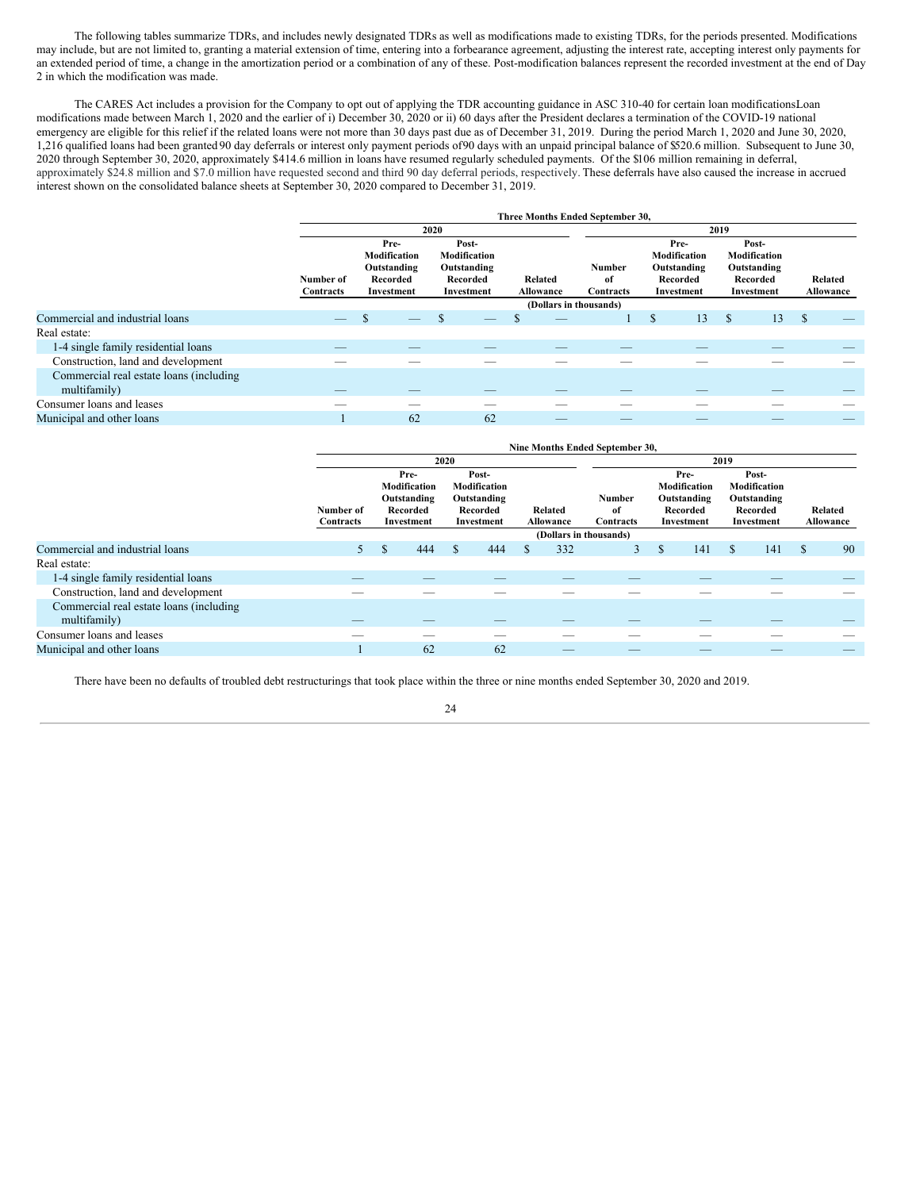The following tables summarize TDRs, and includes newly designated TDRs as well as modifications made to existing TDRs, for the periods presented. Modifications may include, but are not limited to, granting a material extension of time, entering into a forbearance agreement, adjusting the interest rate, accepting interest only payments for an extended period of time, a change in the amortization period or a combination of any of these. Post-modification balances represent the recorded investment at the end of Day 2 in which the modification was made.

The CARES Act includes a provision for the Company to opt out of applying the TDR accounting guidance in ASC 310-40 for certain loan modificationsLoan modifications made between March 1, 2020 and the earlier of i) December 30, 2020 or ii) 60 days after the President declares a termination of the COVID-19 national emergency are eligible for this relief if the related loans were not more than 30 days past due as of December 31, 2019. During the period March 1, 2020 and June 30, 2020, 1,216 qualified loans had been granted 90 day deferrals or interest only payment periods of90 days with an unpaid principal balance of \$520.6 million. Subsequent to June 30, 2020 through September 30, 2020, approximately \$414.6 million in loans have resumed regularly scheduled payments. Of the \$106 million remaining in deferral, approximately \$24.8 million and \$7.0 million have requested second and third 90 day deferral periods, respectively. These deferrals have also caused the increase in accrued interest shown on the consolidated balance sheets at September 30, 2020 compared to December 31, 2019.

|                                         | Three Months Ended September 30, |                                                               |    |                                                                |    |                      |                           |  |                                                               |    |                                                                |    |                      |                          |  |  |
|-----------------------------------------|----------------------------------|---------------------------------------------------------------|----|----------------------------------------------------------------|----|----------------------|---------------------------|--|---------------------------------------------------------------|----|----------------------------------------------------------------|----|----------------------|--------------------------|--|--|
|                                         |                                  |                                                               |    | 2020                                                           |    |                      | 2019                      |  |                                                               |    |                                                                |    |                      |                          |  |  |
|                                         | Number of<br>Contracts           | Pre-<br>Modification<br>Outstanding<br>Recorded<br>Investment |    | Post-<br>Modification<br>Outstanding<br>Recorded<br>Investment |    | Related<br>Allowance | Number<br>of<br>Contracts |  | Pre-<br>Modification<br>Outstanding<br>Recorded<br>Investment |    | Post-<br>Modification<br>Outstanding<br>Recorded<br>Investment |    | Related<br>Allowance |                          |  |  |
|                                         |                                  |                                                               |    |                                                                |    |                      | (Dollars in thousands)    |  |                                                               |    |                                                                |    |                      |                          |  |  |
| Commercial and industrial loans         | $\hspace{0.1mm}-\hspace{0.1mm}$  | \$                                                            |    |                                                                | __ |                      | _                         |  | <b>S</b>                                                      | 13 | -S                                                             | 13 | $\mathbf S$          | $\qquad \qquad - \qquad$ |  |  |
| Real estate:                            |                                  |                                                               |    |                                                                |    |                      |                           |  |                                                               |    |                                                                |    |                      |                          |  |  |
| 1-4 single family residential loans     |                                  |                                                               | _  |                                                                |    |                      |                           |  |                                                               |    |                                                                |    |                      |                          |  |  |
| Construction, land and development      |                                  |                                                               |    |                                                                |    |                      |                           |  |                                                               |    |                                                                |    |                      |                          |  |  |
| Commercial real estate loans (including |                                  |                                                               |    |                                                                |    |                      |                           |  |                                                               |    |                                                                |    |                      |                          |  |  |
| multifamily)                            |                                  |                                                               |    |                                                                |    |                      |                           |  |                                                               |    |                                                                |    |                      |                          |  |  |
| Consumer loans and leases               |                                  |                                                               | __ |                                                                |    |                      |                           |  |                                                               |    |                                                                |    |                      |                          |  |  |
| Municipal and other loans               |                                  |                                                               | 62 |                                                                | 62 |                      |                           |  |                                                               |    |                                                                |    |                      | _                        |  |  |

|                                                         | Nine Months Ended September 30,                                                         |                        |     |                                                                |     |                             |                                  |                                                               |   |                                                                |   |     |                      |    |  |  |  |  |
|---------------------------------------------------------|-----------------------------------------------------------------------------------------|------------------------|-----|----------------------------------------------------------------|-----|-----------------------------|----------------------------------|---------------------------------------------------------------|---|----------------------------------------------------------------|---|-----|----------------------|----|--|--|--|--|
|                                                         |                                                                                         |                        |     | 2020                                                           |     |                             |                                  | 2019                                                          |   |                                                                |   |     |                      |    |  |  |  |  |
|                                                         | Pre-<br>Modification<br>Outstanding<br>Number of<br>Recorded<br>Contracts<br>Investment |                        |     | Post-<br>Modification<br>Outstanding<br>Recorded<br>Investment |     | Related<br><b>Allowance</b> | Number<br>of<br><b>Contracts</b> | Pre-<br>Modification<br>Outstanding<br>Recorded<br>Investment |   | Post-<br>Modification<br>Outstanding<br>Recorded<br>Investment |   |     | Related<br>Allowance |    |  |  |  |  |
|                                                         |                                                                                         | (Dollars in thousands) |     |                                                                |     |                             |                                  |                                                               |   |                                                                |   |     |                      |    |  |  |  |  |
| Commercial and industrial loans                         | 5                                                                                       | $\mathcal{S}$          | 444 | ъ                                                              | 444 | S                           | 332                              | 3                                                             | S | 141                                                            | S | 141 | <sup>\$</sup>        | 90 |  |  |  |  |
| Real estate:                                            |                                                                                         |                        |     |                                                                |     |                             |                                  |                                                               |   |                                                                |   |     |                      |    |  |  |  |  |
| 1-4 single family residential loans                     |                                                                                         |                        |     |                                                                |     |                             |                                  |                                                               |   |                                                                |   |     |                      |    |  |  |  |  |
| Construction, land and development                      |                                                                                         |                        |     |                                                                |     |                             |                                  |                                                               |   |                                                                |   |     |                      |    |  |  |  |  |
| Commercial real estate loans (including<br>multifamily) |                                                                                         |                        |     |                                                                |     |                             |                                  |                                                               |   |                                                                |   |     |                      |    |  |  |  |  |
| Consumer loans and leases                               |                                                                                         |                        |     |                                                                | ___ |                             |                                  |                                                               |   |                                                                |   |     |                      |    |  |  |  |  |
| Municipal and other loans                               |                                                                                         |                        | 62  |                                                                | 62  |                             | _                                | _                                                             |   |                                                                |   |     |                      |    |  |  |  |  |

There have been no defaults of troubled debt restructurings that took place within the three or nine months ended September 30, 2020 and 2019.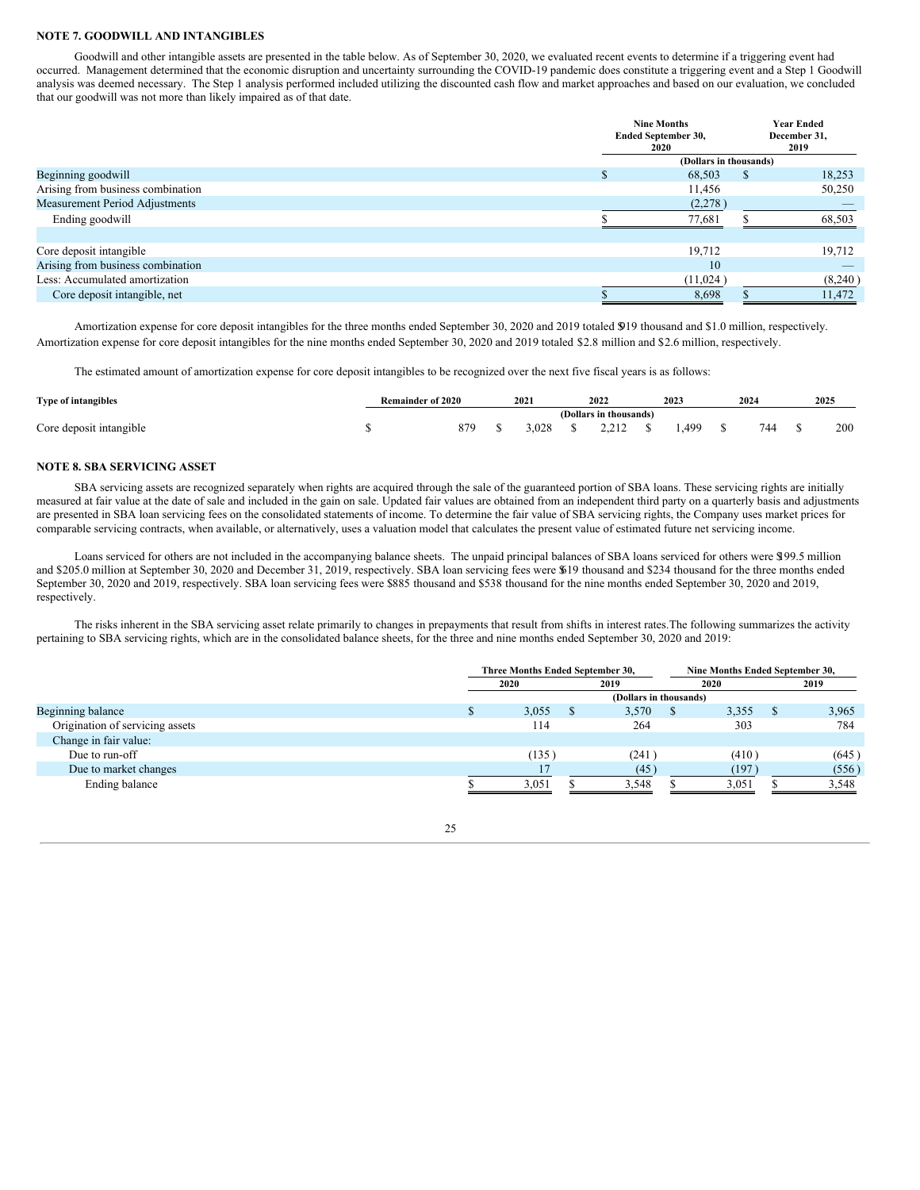### **NOTE 7. GOODWILL AND INTANGIBLES**

Goodwill and other intangible assets are presented in the table below. As of September 30, 2020, we evaluated recent events to determine if a triggering event had occurred. Management determined that the economic disruption and uncertainty surrounding the COVID-19 pandemic does constitute a triggering event and a Step 1 Goodwill analysis was deemed necessary. The Step 1 analysis performed included utilizing the discounted cash flow and market approaches and based on our evaluation, we concluded that our goodwill was not more than likely impaired as of that date.

|                        | 2020     |                                                     | <b>Year Ended</b><br>December 31,<br>2019 |  |  |  |  |  |  |  |
|------------------------|----------|-----------------------------------------------------|-------------------------------------------|--|--|--|--|--|--|--|
| (Dollars in thousands) |          |                                                     |                                           |  |  |  |  |  |  |  |
|                        | 68,503   | S                                                   | 18,253                                    |  |  |  |  |  |  |  |
|                        | 11,456   |                                                     | 50,250                                    |  |  |  |  |  |  |  |
|                        | (2,278)  |                                                     |                                           |  |  |  |  |  |  |  |
|                        | 77,681   |                                                     | 68,503                                    |  |  |  |  |  |  |  |
|                        |          |                                                     |                                           |  |  |  |  |  |  |  |
|                        |          |                                                     | 19,712                                    |  |  |  |  |  |  |  |
|                        | 10       |                                                     |                                           |  |  |  |  |  |  |  |
|                        | (11,024) |                                                     | (8,240)                                   |  |  |  |  |  |  |  |
|                        | 8,698    |                                                     | 11,472                                    |  |  |  |  |  |  |  |
|                        |          | <b>Nine Months</b><br>Ended September 30,<br>19,712 |                                           |  |  |  |  |  |  |  |

Amortization expense for core deposit intangibles for the three months ended September 30, 2020 and 2019 totaled \$919 thousand and \$1.0 million, respectively. Amortization expense for core deposit intangibles for the nine months ended September 30, 2020 and 2019 totaled \$2.8 million and \$2.6 million, respectively.

The estimated amount of amortization expense for core deposit intangibles to be recognized over the next five fiscal years is as follows:

| Type of intangibles     | <b>Remainder of 2020</b> |     | 2023<br>2021<br>2022 |       |  |                        |  |      |  | 2024 | 2025 |     |  |
|-------------------------|--------------------------|-----|----------------------|-------|--|------------------------|--|------|--|------|------|-----|--|
|                         |                          |     |                      |       |  | (Dollars in thousands) |  |      |  |      |      |     |  |
| Core deposit intangible |                          | 879 |                      | 3,028 |  | 2.212                  |  | .499 |  | 744  |      | 200 |  |

#### **NOTE 8. SBA SERVICING ASSET**

SBA servicing assets are recognized separately when rights are acquired through the sale of the guaranteed portion of SBA loans. These servicing rights are initially measured at fair value at the date of sale and included in the gain on sale. Updated fair values are obtained from an independent third party on a quarterly basis and adjustments are presented in SBA loan servicing fees on the consolidated statements of income. To determine the fair value of SBA servicing rights, the Company uses market prices for comparable servicing contracts, when available, or alternatively, uses a valuation model that calculates the present value of estimated future net servicing income.

Loans serviced for others are not included in the accompanying balance sheets. The unpaid principal balances of SBA loans serviced for others were \$199.5 million and \$205.0 million at September 30, 2020 and December 31, 2019, respectively. SBA loan servicing fees were \$619 thousand and \$234 thousand for the three months ended September 30, 2020 and 2019, respectively. SBA loan servicing fees were \$885 thousand and \$538 thousand for the nine months ended September 30, 2020 and 2019, respectively.

The risks inherent in the SBA servicing asset relate primarily to changes in prepayments that result from shifts in interest rates. The following summarizes the activity pertaining to SBA servicing rights, which are in the consolidated balance sheets, for the three and nine months ended September 30, 2020 and 2019:

|                                 | Three Months Ended September 30, |       |                        | Nine Months Ended September 30, |       |  |       |
|---------------------------------|----------------------------------|-------|------------------------|---------------------------------|-------|--|-------|
|                                 |                                  | 2020  | 2019                   |                                 | 2020  |  | 2019  |
|                                 |                                  |       | (Dollars in thousands) |                                 |       |  |       |
| Beginning balance               |                                  | 3,055 | 3,570                  | <sup>3</sup>                    | 3,355 |  | 3,965 |
| Origination of servicing assets |                                  | 114   | 264                    |                                 | 303   |  | 784   |
| Change in fair value:           |                                  |       |                        |                                 |       |  |       |
| Due to run-off                  |                                  | (135) | (241)                  |                                 | (410) |  | (645) |
| Due to market changes           |                                  |       | (45)                   |                                 | (197) |  | (556) |
| Ending balance                  |                                  | 3,051 | 3,548                  |                                 | 3,051 |  | 3,548 |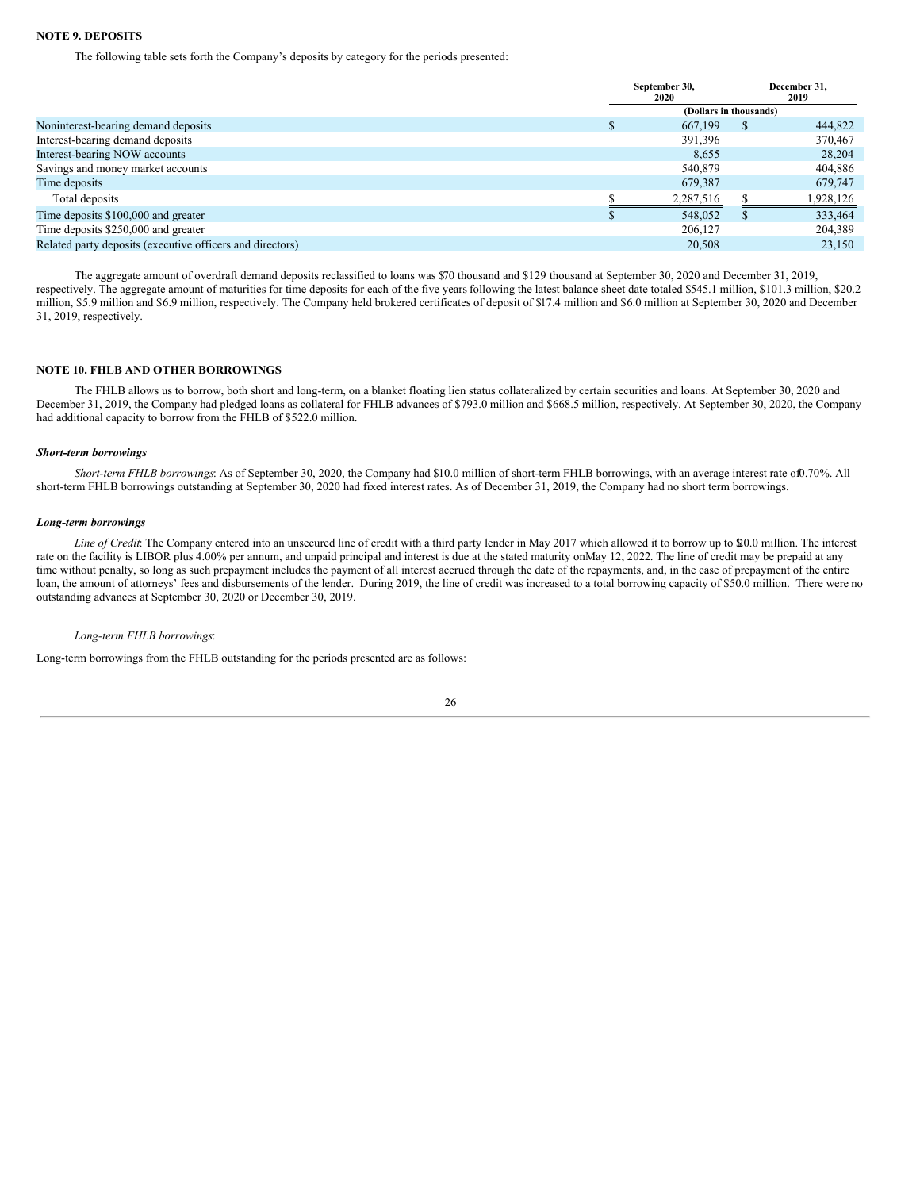### **NOTE 9. DEPOSITS**

The following table sets forth the Company's deposits by category for the periods presented:

|                                                           | September 30,<br>2020 |                        | December 31,<br>2019 |
|-----------------------------------------------------------|-----------------------|------------------------|----------------------|
|                                                           |                       | (Dollars in thousands) |                      |
| Noninterest-bearing demand deposits                       | 667,199               | S                      | 444,822              |
| Interest-bearing demand deposits                          | 391,396               |                        | 370,467              |
| Interest-bearing NOW accounts                             | 8.655                 |                        | 28,204               |
| Savings and money market accounts                         | 540,879               |                        | 404,886              |
| Time deposits                                             | 679,387               |                        | 679,747              |
| Total deposits                                            | 2,287,516             |                        | 1,928,126            |
| Time deposits \$100,000 and greater                       | 548,052               | Эħ.                    | 333,464              |
| Time deposits \$250,000 and greater                       | 206,127               |                        | 204,389              |
| Related party deposits (executive officers and directors) | 20,508                |                        | 23.150               |

The aggregate amount of overdraft demand deposits reclassified to loans was \$70 thousand and \$129 thousand at September 30, 2020 and December 31, 2019, respectively. The aggregate amount of maturities for time deposits for each of the five years following the latest balance sheet date totaled \$545.1 million, \$101.3 million, \$20.2 million, \$5.9 million and \$6.9 million, respectively. The Company held brokered certificates of deposit of \$17.4 million and \$6.0 million at September 30, 2020 and December 31, 2019, respectively.

### **NOTE 10. FHLB AND OTHER BORROWINGS**

The FHLB allows us to borrow, both short and long-term, on a blanket floating lien status collateralized by certain securities and loans. At September 30, 2020 and December 31, 2019, the Company had pledged loans as collateral for FHLB advances of \$793.0 million and \$668.5 million, respectively. At September 30, 2020, the Company had additional capacity to borrow from the FHLB of \$522.0 million.

### *Short-term borrowings*

*Short-term FHLB borrowings*: As of September 30, 2020, the Company had \$10.0 million of short-term FHLB borrowings, with an average interest rate of0.70%. All short-term FHLB borrowings outstanding at September 30, 2020 had fixed interest rates. As of December 31, 2019, the Company had no short term borrowings.

### *Long-term borrowings*

*Line of Credit*: The Company entered into an unsecured line of credit with a third party lender in May 2017 which allowed it to borrow up to \$20.0 million. The interest rate on the facility is LIBOR plus 4.00% per annum, and unpaid principal and interest is due at the stated maturity onMay 12, 2022. The line of credit may be prepaid at any time without penalty, so long as such prepayment includes the payment of all interest accrued through the date of the repayments, and, in the case of prepayment of the entire loan, the amount of attorneys' fees and disbursements of the lender. During 2019, the line of credit was increased to a total borrowing capacity of \$50.0 million. There were no outstanding advances at September 30, 2020 or December 30, 2019.

### *Long-term FHLB borrowings*:

Long-term borrowings from the FHLB outstanding for the periods presented are as follows: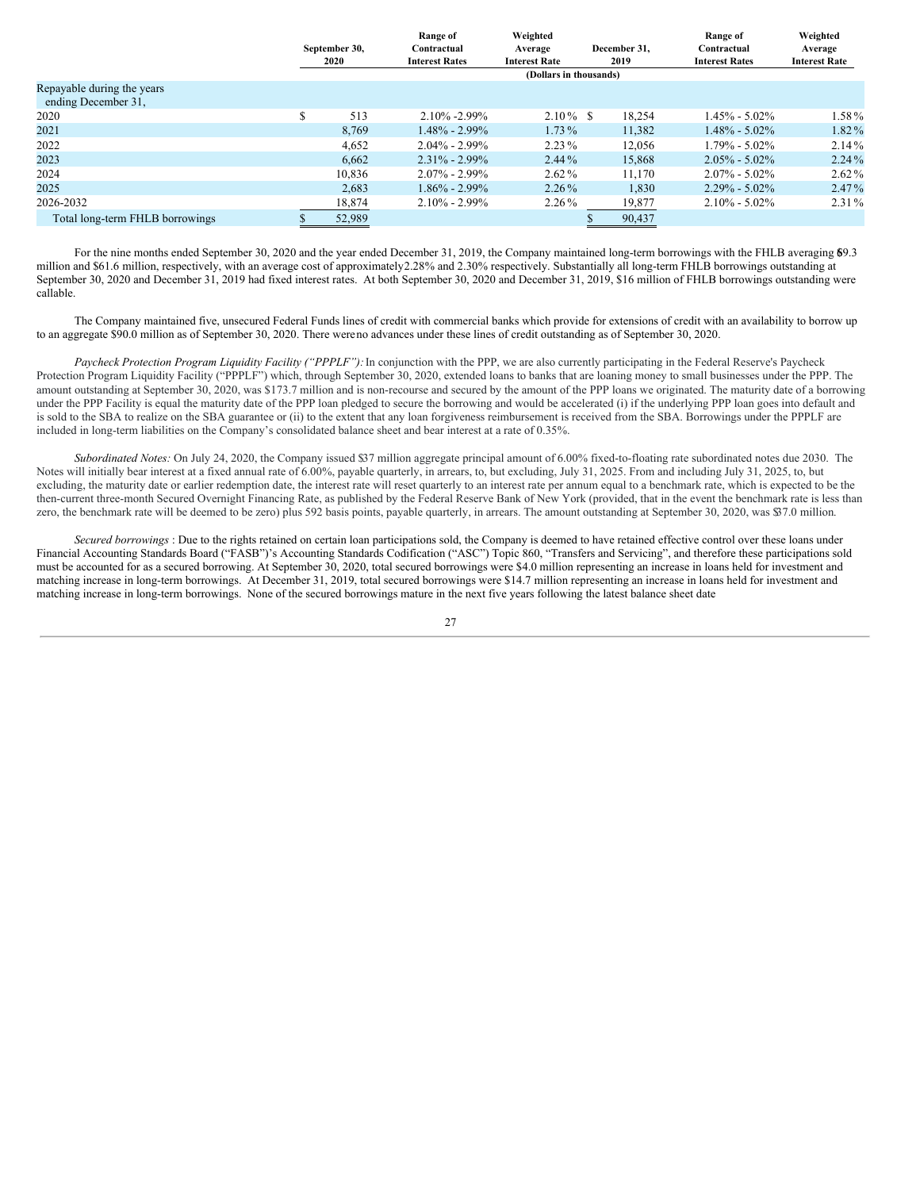|                                                   |               | Range of              | Weighted               |              | Range of              | Weighted             |
|---------------------------------------------------|---------------|-----------------------|------------------------|--------------|-----------------------|----------------------|
|                                                   | September 30, | Contractual           | Average                | December 31. | Contractual           | Average              |
|                                                   | 2020          | <b>Interest Rates</b> | <b>Interest Rate</b>   | 2019         | <b>Interest Rates</b> | <b>Interest Rate</b> |
|                                                   |               |                       | (Dollars in thousands) |              |                       |                      |
| Repayable during the years<br>ending December 31, |               |                       |                        |              |                       |                      |
| 2020                                              | 513           | $2.10\% - 2.99\%$     | $2.10\%$ \$            | 18,254       | $1.45\% - 5.02\%$     | 1.58%                |
| 2021                                              | 8.769         | 1.48% - 2.99%         | $1.73\%$               | 11,382       | $1.48\% - 5.02\%$     | $1.82\%$             |
| 2022                                              | 4,652         | $2.04\% - 2.99\%$     | $2.23\%$               | 12,056       | $1.79\% - 5.02\%$     | $2.14\%$             |
| 2023                                              | 6,662         | $2.31\% - 2.99\%$     | $2.44\%$               | 15,868       | $2.05\% - 5.02\%$     | $2.24\%$             |
| 2024                                              | 10.836        | $2.07\% - 2.99\%$     | $2.62\%$               | 11.170       | $2.07\% - 5.02\%$     | $2.62\%$             |
| 2025                                              | 2.683         | $1.86\% - 2.99\%$     | $2.26\%$               | 1.830        | $2.29\% - 5.02\%$     | $2.47\%$             |
| 2026-2032                                         | 18,874        | $2.10\% - 2.99\%$     | $2.26\%$               | 19,877       | $2.10\% - 5.02\%$     | $2.31\%$             |
| Total long-term FHLB borrowings                   | 52,989        |                       |                        | 90,437       |                       |                      |

For the nine months ended September 30, 2020 and the year ended December 31, 2019, the Company maintained long-term borrowings with the FHLB averaging 69.3 million and \$61.6 million, respectively, with an average cost of approximately2.28% and 2.30% respectively. Substantially all long-term FHLB borrowings outstanding at September 30, 2020 and December 31, 2019 had fixed interest rates. At both September 30, 2020 and December 31, 2019, \$16 million of FHLB borrowings outstanding were callable.

The Company maintained five, unsecured Federal Funds lines of credit with commercial banks which provide for extensions of credit with an availability to borrow up to an aggregate \$90.0 million as of September 30, 2020. There wereno advances under these lines of credit outstanding as of September 30, 2020.

*Paycheck Protection Program Liquidity Facility ("PPPLF"):*In conjunction with the PPP, we are also currently participating in the Federal Reserve's Paycheck Protection Program Liquidity Facility ("PPPLF") which, through September 30, 2020, extended loans to banks that are loaning money to small businesses under the PPP. The amount outstanding at September 30, 2020, was \$173.7 million and is non-recourse and secured by the amount of the PPP loans we originated. The maturity date of a borrowing under the PPP Facility is equal the maturity date of the PPP loan pledged to secure the borrowing and would be accelerated (i) if the underlying PPP loan goes into default and is sold to the SBA to realize on the SBA guarantee or (ii) to the extent that any loan forgiveness reimbursement is received from the SBA. Borrowings under the PPPLF are included in long-term liabilities on the Company's consolidated balance sheet and bear interest at a rate of 0.35%.

*Subordinated Notes:* On July 24, 2020, the Company issued \$37 million aggregate principal amount of 6.00% fixed-to-floating rate subordinated notes due 2030. The Notes will initially bear interest at a fixed annual rate of 6.00%, payable quarterly, in arrears, to, but excluding, July 31, 2025. From and including July 31, 2025, to, but excluding, the maturity date or earlier redemption date, the interest rate will reset quarterly to an interest rate per annum equal to a benchmark rate, which is expected to be the then-current three-month Secured Overnight Financing Rate, as published by the Federal Reserve Bank of New York (provided, that in the event the benchmark rate is less than zero, the benchmark rate will be deemed to be zero) plus 592 basis points, payable quarterly, in arrears. The amount outstanding at September 30, 2020, was \$37.0 million*.*

*Secured borrowings* : Due to the rights retained on certain loan participations sold, the Company is deemed to have retained effective control over these loans under Financial Accounting Standards Board ("FASB")'s Accounting Standards Codification ("ASC") Topic 860, "Transfers and Servicing", and therefore these participations sold must be accounted for as a secured borrowing. At September 30, 2020, total secured borrowings were \$4.0 million representing an increase in loans held for investment and matching increase in long-term borrowings. At December 31, 2019, total secured borrowings were \$14.7 million representing an increase in loans held for investment and matching increase in long-term borrowings. None of the secured borrowings mature in the next five years following the latest balance sheet date*.*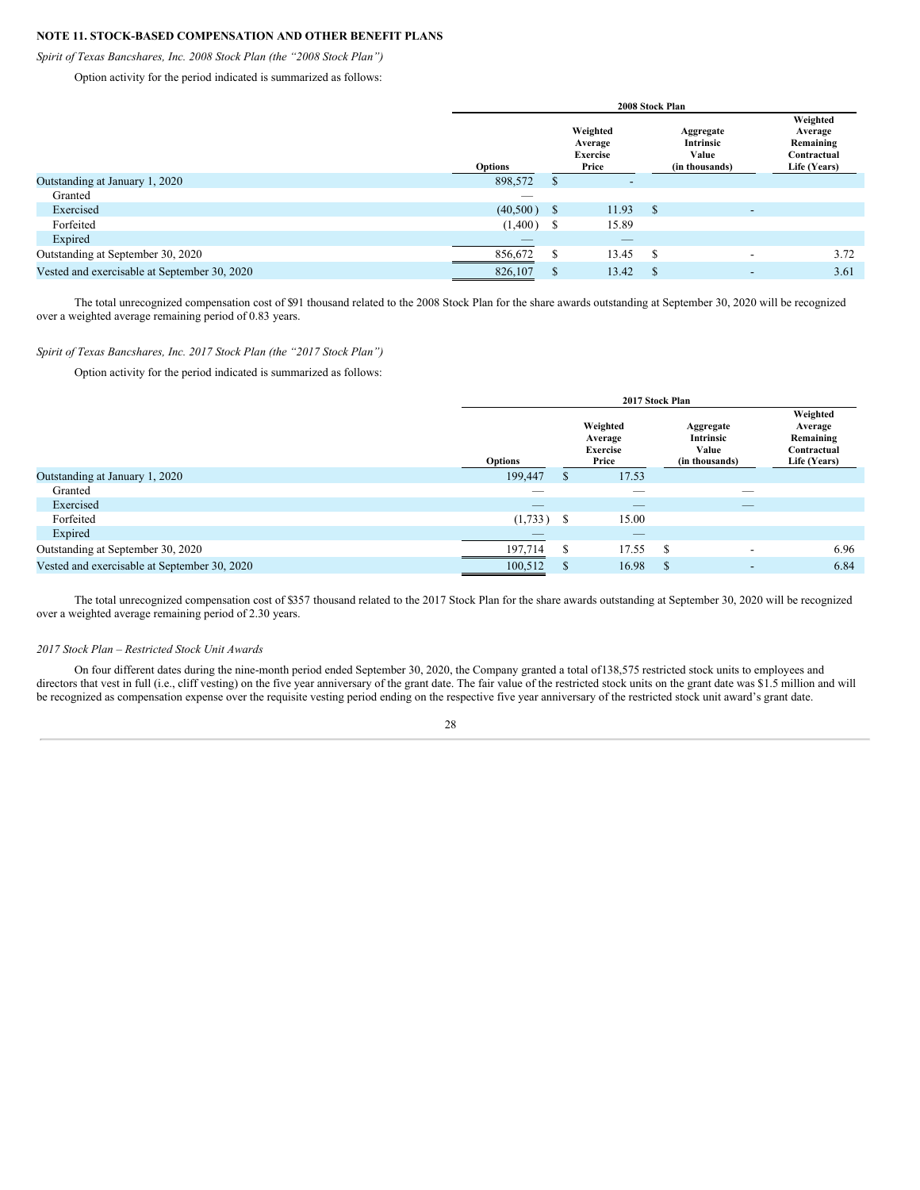### **NOTE 11. STOCK-BASED COMPENSATION AND OTHER BENEFIT PLANS**

*Spirit of Texas Bancshares, Inc. 2008 Stock Plan (the "2008 Stock Plan")*

Option activity for the period indicated is summarized as follows:

|                                              |                | 2008 Stock Plan |                                                 |               |                                                   |  |                                                                 |  |  |  |
|----------------------------------------------|----------------|-----------------|-------------------------------------------------|---------------|---------------------------------------------------|--|-----------------------------------------------------------------|--|--|--|
|                                              | <b>Options</b> |                 | Weighted<br>Average<br><b>Exercise</b><br>Price |               | Aggregate<br>Intrinsic<br>Value<br>(in thousands) |  | Weighted<br>Average<br>Remaining<br>Contractual<br>Life (Years) |  |  |  |
| Outstanding at January 1, 2020               | 898,572        | S               |                                                 |               |                                                   |  |                                                                 |  |  |  |
| Granted                                      | __             |                 |                                                 |               |                                                   |  |                                                                 |  |  |  |
| Exercised                                    | $(40,500)$ \$  |                 | 11.93                                           | -S            | $\overline{\phantom{a}}$                          |  |                                                                 |  |  |  |
| Forfeited                                    | $(1,400)$ \$   |                 | 15.89                                           |               |                                                   |  |                                                                 |  |  |  |
| Expired                                      | _              |                 | __                                              |               |                                                   |  |                                                                 |  |  |  |
| Outstanding at September 30, 2020            | 856,672        | S               | 13.45                                           | -S            | $\overline{\phantom{a}}$                          |  | 3.72                                                            |  |  |  |
| Vested and exercisable at September 30, 2020 | 826,107        | ъ               | 13.42                                           | <sup>\$</sup> | $\overline{\phantom{a}}$                          |  | 3.61                                                            |  |  |  |

The total unrecognized compensation cost of \$91 thousand related to the 2008 Stock Plan for the share awards outstanding at September 30, 2020 will be recognized over a weighted average remaining period of 0.83 years.

### *Spirit of Texas Bancshares, Inc. 2017 Stock Plan (the "2017 Stock Plan")*

Option activity for the period indicated is summarized as follows:

|                                              | 2017 Stock Plan |                                                 |                                 |               |                                                   |                                                                 |  |  |
|----------------------------------------------|-----------------|-------------------------------------------------|---------------------------------|---------------|---------------------------------------------------|-----------------------------------------------------------------|--|--|
|                                              | <b>Options</b>  | Weighted<br>Average<br><b>Exercise</b><br>Price |                                 |               | Aggregate<br>Intrinsic<br>Value<br>(in thousands) | Weighted<br>Average<br>Remaining<br>Contractual<br>Life (Years) |  |  |
| Outstanding at January 1, 2020               | 199,447         |                                                 | 17.53                           |               |                                                   |                                                                 |  |  |
| Granted                                      | -               |                                                 | $\overline{\phantom{a}}$        |               | _                                                 |                                                                 |  |  |
| Exercised                                    | $-$             |                                                 | $\overline{\phantom{a}}$        |               | $-$                                               |                                                                 |  |  |
| Forfeited                                    | $(1,733)$ \$    |                                                 | 15.00                           |               |                                                   |                                                                 |  |  |
| Expired                                      | _               |                                                 | $\hspace{0.1mm}-\hspace{0.1mm}$ |               |                                                   |                                                                 |  |  |
| Outstanding at September 30, 2020            | 197,714         | S                                               | 17.55                           | <sup>\$</sup> | -                                                 | 6.96                                                            |  |  |
| Vested and exercisable at September 30, 2020 | 100,512         | <sup>\$</sup>                                   | 16.98                           | <sup>S</sup>  | $\overline{\phantom{0}}$                          | 6.84                                                            |  |  |

The total unrecognized compensation cost of \$357 thousand related to the 2017 Stock Plan for the share awards outstanding at September 30, 2020 will be recognized over a weighted average remaining period of 2.30 years.

### *2017 Stock Plan – Restricted Stock Unit Awards*

On four different dates during the nine-month period ended September 30, 2020, the Company granted a total of138,575 restricted stock units to employees and directors that vest in full (i.e., cliff vesting) on the five year anniversary of the grant date. The fair value of the restricted stock units on the grant date was \$1.5 million and will be recognized as compensation expense over the requisite vesting period ending on the respective five year anniversary of the restricted stock unit award's grant date.

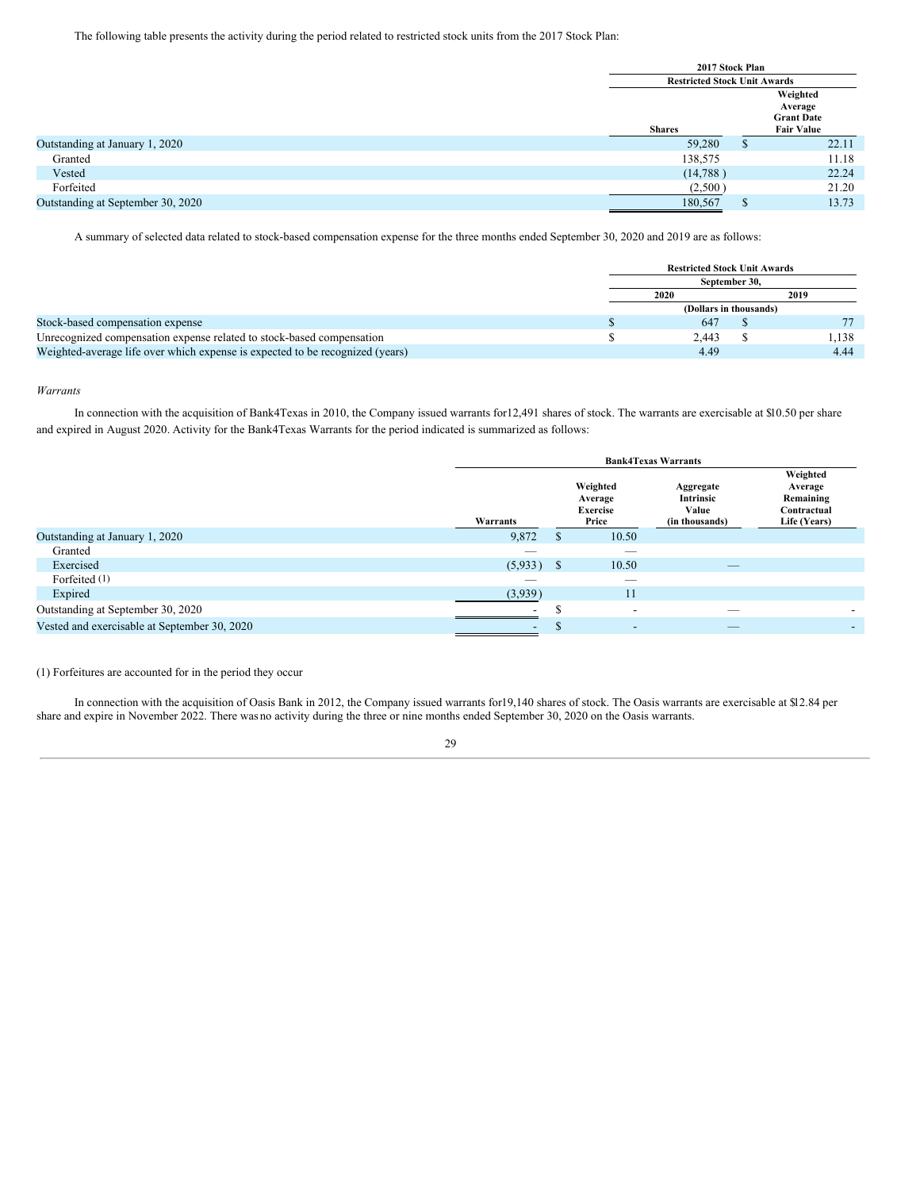The following table presents the activity during the period related to restricted stock units from the 2017 Stock Plan:

|                                   |                                     | 2017 Stock Plan |                                                               |  |  |  |  |  |
|-----------------------------------|-------------------------------------|-----------------|---------------------------------------------------------------|--|--|--|--|--|
|                                   | <b>Restricted Stock Unit Awards</b> |                 |                                                               |  |  |  |  |  |
|                                   | <b>Shares</b>                       |                 | Weighted<br>Average<br><b>Grant Date</b><br><b>Fair Value</b> |  |  |  |  |  |
| Outstanding at January 1, 2020    | 59,280                              | .D              | 22.11                                                         |  |  |  |  |  |
| Granted                           | 138,575                             |                 | 11.18                                                         |  |  |  |  |  |
| Vested                            | (14,788)                            |                 | 22.24                                                         |  |  |  |  |  |
| Forfeited                         | (2,500)                             |                 | 21.20                                                         |  |  |  |  |  |
| Outstanding at September 30, 2020 | 180,567                             | $\mathbf{D}$    | 13.73                                                         |  |  |  |  |  |

A summary of selected data related to stock-based compensation expense for the three months ended September 30, 2020 and 2019 are as follows:

|                                                                               | <b>Restricted Stock Unit Awards</b> |  |       |  |  |  |  |
|-------------------------------------------------------------------------------|-------------------------------------|--|-------|--|--|--|--|
|                                                                               | September 30.                       |  |       |  |  |  |  |
|                                                                               | 2020                                |  | 2019  |  |  |  |  |
|                                                                               | (Dollars in thousands)              |  |       |  |  |  |  |
| Stock-based compensation expense                                              | 647                                 |  |       |  |  |  |  |
| Unrecognized compensation expense related to stock-based compensation         | 2.443                               |  | 1,138 |  |  |  |  |
| Weighted-average life over which expense is expected to be recognized (years) | 4.49                                |  | 4.44  |  |  |  |  |

### *Warrants*

In connection with the acquisition of Bank4Texas in 2010, the Company issued warrants for12,491 shares of stock. The warrants are exercisable at \$10.50 per share and expired in August 2020. Activity for the Bank4Texas Warrants for the period indicated is summarized as follows:

|                                              |          | <b>Bank4Texas Warrants</b> |                                                 |                                                   |                                                                 |  |  |  |  |  |
|----------------------------------------------|----------|----------------------------|-------------------------------------------------|---------------------------------------------------|-----------------------------------------------------------------|--|--|--|--|--|
|                                              | Warrants |                            | Weighted<br>Average<br><b>Exercise</b><br>Price | Aggregate<br>Intrinsic<br>Value<br>(in thousands) | Weighted<br>Average<br>Remaining<br>Contractual<br>Life (Years) |  |  |  |  |  |
| Outstanding at January 1, 2020               | 9,872    | S                          | 10.50                                           |                                                   |                                                                 |  |  |  |  |  |
| Granted                                      |          |                            |                                                 |                                                   |                                                                 |  |  |  |  |  |
| Exercised                                    | (5,933)  | <sup>\$</sup>              | 10.50                                           | _                                                 |                                                                 |  |  |  |  |  |
| Forfeited (1)                                |          |                            | _                                               |                                                   |                                                                 |  |  |  |  |  |
| Expired                                      | (3,939)  |                            | 11                                              |                                                   |                                                                 |  |  |  |  |  |
| Outstanding at September 30, 2020            |          | ۰. ۱                       | $\overline{\phantom{0}}$                        | __                                                |                                                                 |  |  |  |  |  |
| Vested and exercisable at September 30, 2020 |          | Ð                          |                                                 |                                                   |                                                                 |  |  |  |  |  |

### (1) Forfeitures are accounted for in the period they occur

In connection with the acquisition of Oasis Bank in 2012, the Company issued warrants for19,140 shares of stock. The Oasis warrants are exercisable at \$12.84 per share and expire in November 2022. There was no activity during the three or nine months ended September 30, 2020 on the Oasis warrants.

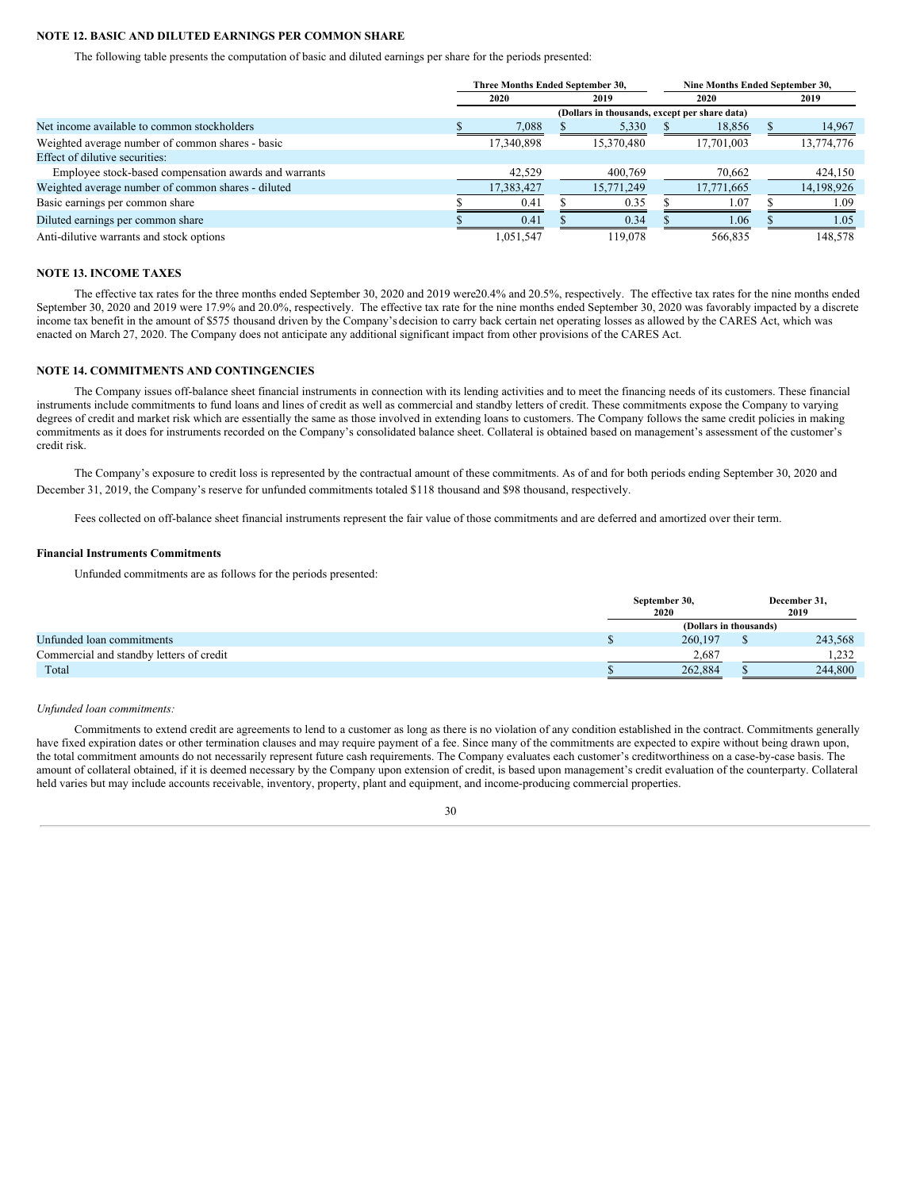### **NOTE 12. BASIC AND DILUTED EARNINGS PER COMMON SHARE**

The following table presents the computation of basic and diluted earnings per share for the periods presented:

|                                                       | Three Months Ended September 30, |            |  | Nine Months Ended September 30,               |      |            |      |            |
|-------------------------------------------------------|----------------------------------|------------|--|-----------------------------------------------|------|------------|------|------------|
|                                                       | 2020<br>2019                     |            |  |                                               | 2020 |            | 2019 |            |
|                                                       |                                  |            |  | (Dollars in thousands, except per share data) |      |            |      |            |
| Net income available to common stockholders           |                                  | 7,088      |  | 5,330                                         |      | 18,856     |      | 14,967     |
| Weighted average number of common shares - basic      |                                  | 17,340,898 |  | 15,370,480                                    |      | 17,701,003 |      | 13,774,776 |
| Effect of dilutive securities:                        |                                  |            |  |                                               |      |            |      |            |
| Employee stock-based compensation awards and warrants |                                  | 42,529     |  | 400,769                                       |      | 70,662     |      | 424,150    |
| Weighted average number of common shares - diluted    |                                  | 17,383,427 |  | 15,771,249                                    |      | 17,771,665 |      | 14,198,926 |
| Basic earnings per common share                       |                                  | 0.41       |  | 0.35                                          |      | 1.07       |      | 1.09       |
| Diluted earnings per common share                     |                                  | 0.41       |  | 0.34                                          |      | 1.06       |      | 1.05       |
| Anti-dilutive warrants and stock options              |                                  | 1,051,547  |  | 119,078                                       |      | 566,835    |      | 148,578    |

### **NOTE 13. INCOME TAXES**

The effective tax rates for the three months ended September 30, 2020 and 2019 were20.4% and 20.5%, respectively. The effective tax rates for the nine months ended September 30, 2020 and 2019 were 17.9% and 20.0%, respectively. The effective tax rate for the nine months ended September 30, 2020 was favorably impacted by a discrete income tax benefit in the amount of \$575 thousand driven by the Company's decision to carry back certain net operating losses as allowed by the CARES Act, which was enacted on March 27, 2020. The Company does not anticipate any additional significant impact from other provisions of the CARES Act.

### **NOTE 14. COMMITMENTS AND CONTINGENCIES**

The Company issues off-balance sheet financial instruments in connection with its lending activities and to meet the financing needs of its customers. These financial instruments include commitments to fund loans and lines of credit as well as commercial and standby letters of credit. These commitments expose the Company to varying degrees of credit and market risk which are essentially the same as those involved in extending loans to customers. The Company follows the same credit policies in making commitments as it does for instruments recorded on the Company's consolidated balance sheet. Collateral is obtained based on management's assessment of the customer's credit risk.

The Company's exposure to credit loss is represented by the contractual amount of these commitments. As of and for both periods ending September 30, 2020 and December 31, 2019, the Company's reserve for unfunded commitments totaled \$118 thousand and \$98 thousand, respectively.

Fees collected on off-balance sheet financial instruments represent the fair value of those commitments and are deferred and amortized over their term.

### **Financial Instruments Commitments**

Unfunded commitments are as follows for the periods presented:

|                                          | September 30.<br>2020  | December 31.<br>2019 |
|------------------------------------------|------------------------|----------------------|
|                                          | (Dollars in thousands) |                      |
| Unfunded loan commitments                | 260,197                | 243,568              |
| Commercial and standby letters of credit | 2.687                  | າາາ<br>ے رے ا        |
| Total                                    | 262,884                | 244,800              |

### *Unfunded loan commitments:*

Commitments to extend credit are agreements to lend to a customer as long as there is no violation of any condition established in the contract. Commitments generally have fixed expiration dates or other termination clauses and may require payment of a fee. Since many of the commitments are expected to expire without being drawn upon, the total commitment amounts do not necessarily represent future cash requirements. The Company evaluates each customer's creditworthiness on a case-by-case basis. The amount of collateral obtained, if it is deemed necessary by the Company upon extension of credit, is based upon management's credit evaluation of the counterparty. Collateral held varies but may include accounts receivable, inventory, property, plant and equipment, and income-producing commercial properties.

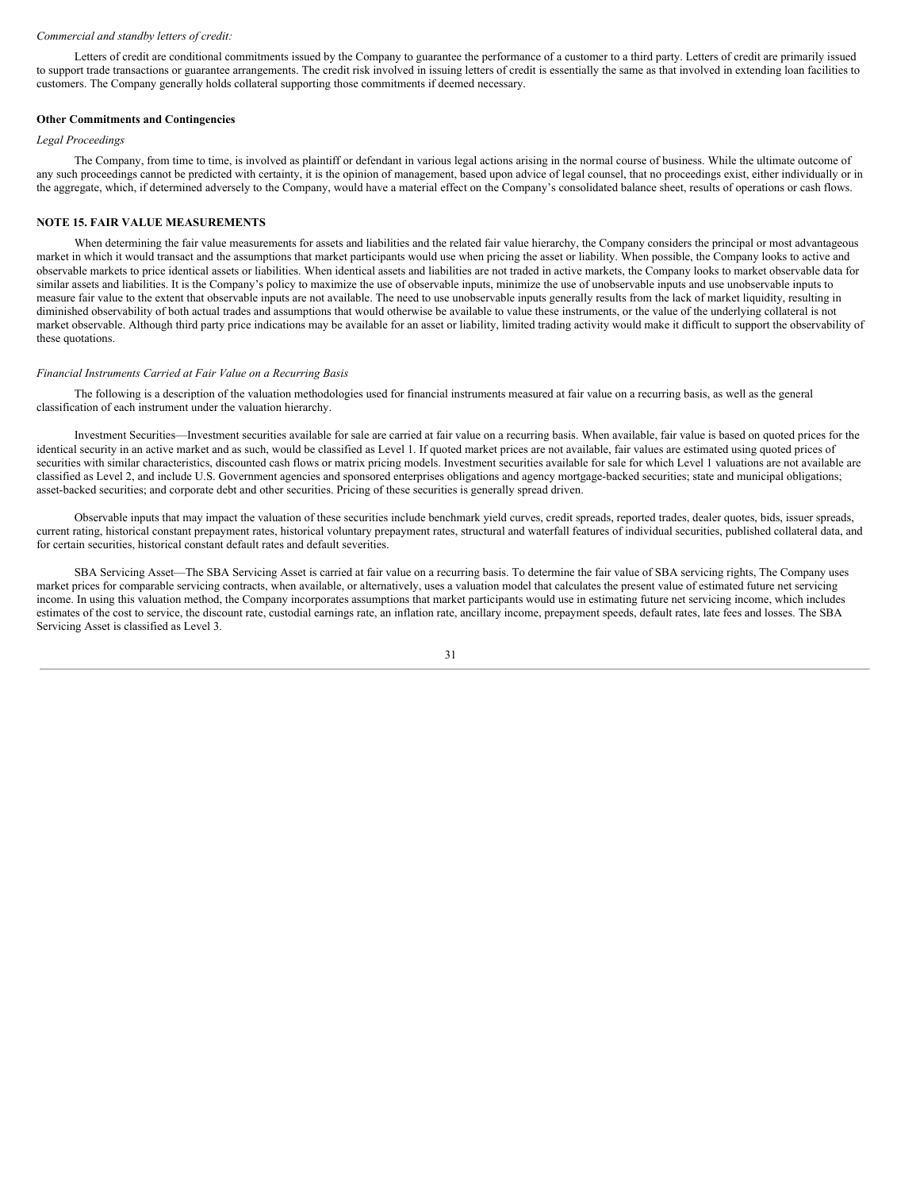#### *Commercial and standby letters of credit:*

Letters of credit are conditional commitments issued by the Company to guarantee the performance of a customer to a third party. Letters of credit are primarily issued to support trade transactions or guarantee arrangements. The credit risk involved in issuing letters of credit is essentially the same as that involved in extending loan facilities to customers. The Company generally holds collateral supporting those commitments if deemed necessary.

#### **Other Commitments and Contingencies**

### *Legal Proceedings*

The Company, from time to time, is involved as plaintiff or defendant in various legal actions arising in the normal course of business. While the ultimate outcome of any such proceedings cannot be predicted with certainty, it is the opinion of management, based upon advice of legal counsel, that no proceedings exist, either individually or in the aggregate, which, if determined adversely to the Company, would have a material effect on the Company's consolidated balance sheet, results of operations or cash flows.

### **NOTE 15. FAIR VALUE MEASUREMENTS**

When determining the fair value measurements for assets and liabilities and the related fair value hierarchy, the Company considers the principal or most advantageous market in which it would transact and the assumptions that market participants would use when pricing the asset or liability. When possible, the Company looks to active and observable markets to price identical assets or liabilities. When identical assets and liabilities are not traded in active markets, the Company looks to market observable data for similar assets and liabilities. It is the Company's policy to maximize the use of observable inputs, minimize the use of unobservable inputs and use unobservable inputs to measure fair value to the extent that observable inputs are not available. The need to use unobservable inputs generally results from the lack of market liquidity, resulting in diminished observability of both actual trades and assumptions that would otherwise be available to value these instruments, or the value of the underlying collateral is not market observable. Although third party price indications may be available for an asset or liability, limited trading activity would make it difficult to support the observability of these quotations.

### *Financial Instruments Carried at Fair Value on a Recurring Basis*

The following is a description of the valuation methodologies used for financial instruments measured at fair value on a recurring basis, as well as the general classification of each instrument under the valuation hierarchy.

Investment Securities—Investment securities available for sale are carried at fair value on a recurring basis. When available, fair value is based on quoted prices for the identical security in an active market and as such, would be classified as Level 1. If quoted market prices are not available, fair values are estimated using quoted prices of securities with similar characteristics, discounted cash flows or matrix pricing models. Investment securities available for sale for which Level 1 valuations are not available are classified as Level 2, and include U.S. Government agencies and sponsored enterprises obligations and agency mortgage-backed securities; state and municipal obligations; asset-backed securities; and corporate debt and other securities. Pricing of these securities is generally spread driven.

Observable inputs that may impact the valuation of these securities include benchmark yield curves, credit spreads, reported trades, dealer quotes, bids, issuer spreads, current rating, historical constant prepayment rates, historical voluntary prepayment rates, structural and waterfall features of individual securities, published collateral data, and for certain securities, historical constant default rates and default severities.

SBA Servicing Asset—The SBA Servicing Asset is carried at fair value on a recurring basis. To determine the fair value of SBA servicing rights, The Company uses market prices for comparable servicing contracts, when available, or alternatively, uses a valuation model that calculates the present value of estimated future net servicing income. In using this valuation method, the Company incorporates assumptions that market participants would use in estimating future net servicing income, which includes estimates of the cost to service, the discount rate, custodial earnings rate, an inflation rate, ancillary income, prepayment speeds, default rates, late fees and losses. The SBA Servicing Asset is classified as Level 3.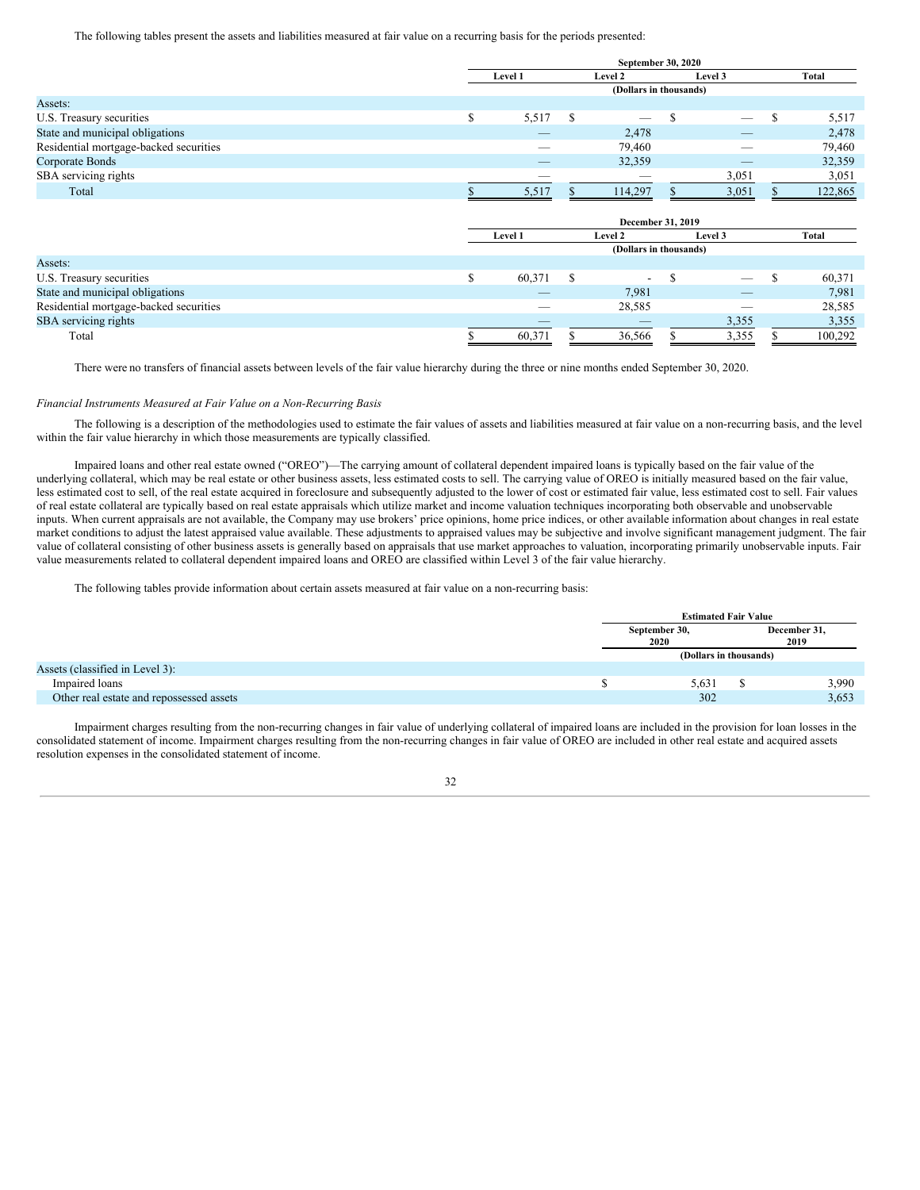The following tables present the assets and liabilities measured at fair value on a recurring basis for the periods presented:

|                                        |    | September 30, 2020 |         |                        |              |         |     |              |
|----------------------------------------|----|--------------------|---------|------------------------|--------------|---------|-----|--------------|
|                                        |    | Level 1            | Level 2 |                        | Level 3      |         |     | <b>Total</b> |
|                                        |    |                    |         | (Dollars in thousands) |              |         |     |              |
| Assets:                                |    |                    |         |                        |              |         |     |              |
| U.S. Treasury securities               | \$ | 5,517              | \$      |                        | \$           |         | S   | 5,517        |
| State and municipal obligations        |    |                    |         | 2,478                  |              |         |     | 2,478        |
| Residential mortgage-backed securities |    |                    |         | 79,460                 |              |         |     | 79,460       |
| Corporate Bonds                        |    |                    |         | 32,359                 |              |         |     | 32,359       |
| SBA servicing rights                   |    |                    |         |                        |              | 3,051   |     | 3,051        |
| Total                                  |    | 5,517              |         | 114,297                |              | 3,051   |     | 122,865      |
|                                        |    |                    |         | December 31, 2019      |              |         |     |              |
|                                        |    | Level 1            |         | Level 2                |              | Level 3 |     | <b>Total</b> |
|                                        |    |                    |         | (Dollars in thousands) |              |         |     |              |
| Assets:                                |    |                    |         |                        |              |         |     |              |
| U.S. Treasury securities               | S  | 60,371             | \$      | $\blacksquare$         | $\mathbb{S}$ |         | \$. | 60,371       |
| State and municipal obligations        |    |                    |         | 7,981                  |              |         |     | 7,981        |
| Residential mortgage-backed securities |    |                    |         | 28,585                 |              |         |     | 28,585       |
| SBA servicing rights                   |    |                    |         |                        |              | 3,355   |     | 3,355        |
| Total                                  |    | 60,371             |         | 36,566                 | S            | 3,355   |     | 100,292      |

There were no transfers of financial assets between levels of the fair value hierarchy during the three or nine months ended September 30, 2020.

#### *Financial Instruments Measured at Fair Value on a Non-Recurring Basis*

The following is a description of the methodologies used to estimate the fair values of assets and liabilities measured at fair value on a non-recurring basis, and the level within the fair value hierarchy in which those measurements are typically classified.

Impaired loans and other real estate owned ("OREO")—The carrying amount of collateral dependent impaired loans is typically based on the fair value of the underlying collateral, which may be real estate or other business assets, less estimated costs to sell. The carrying value of OREO is initially measured based on the fair value, less estimated cost to sell, of the real estate acquired in foreclosure and subsequently adjusted to the lower of cost or estimated fair value, less estimated cost to sell. Fair values of real estate collateral are typically based on real estate appraisals which utilize market and income valuation techniques incorporating both observable and unobservable inputs. When current appraisals are not available, the Company may use brokers' price opinions, home price indices, or other available information about changes in real estate market conditions to adjust the latest appraised value available. These adjustments to appraised values may be subjective and involve significant management judgment. The fair value of collateral consisting of other business assets is generally based on appraisals that use market approaches to valuation, incorporating primarily unobservable inputs. Fair value measurements related to collateral dependent impaired loans and OREO are classified within Level 3 of the fair value hierarchy.

The following tables provide information about certain assets measured at fair value on a non-recurring basis:

|                                          | <b>Estimated Fair Value</b><br>December 31,<br>September 30, |  |       |  |  |  |  |  |
|------------------------------------------|--------------------------------------------------------------|--|-------|--|--|--|--|--|
|                                          | 2020                                                         |  | 2019  |  |  |  |  |  |
|                                          | (Dollars in thousands)                                       |  |       |  |  |  |  |  |
| Assets (classified in Level 3):          |                                                              |  |       |  |  |  |  |  |
| Impaired loans                           | 5,631                                                        |  | 3,990 |  |  |  |  |  |
| Other real estate and repossessed assets | 302                                                          |  | 3,653 |  |  |  |  |  |

Impairment charges resulting from the non-recurring changes in fair value of underlying collateral of impaired loans are included in the provision for loan losses in the consolidated statement of income. Impairment charges resulting from the non-recurring changes in fair value of OREO are included in other real estate and acquired assets resolution expenses in the consolidated statement of income.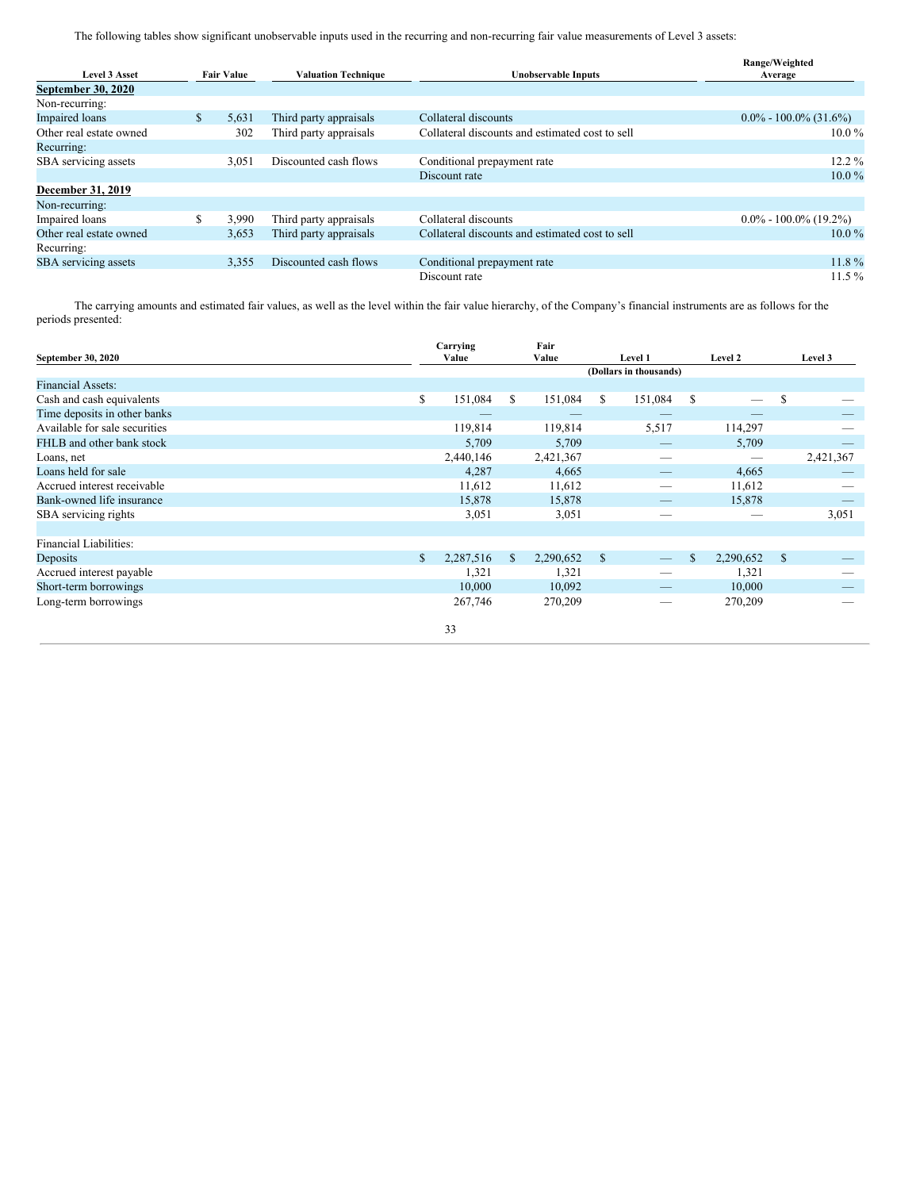The following tables show significant unobservable inputs used in the recurring and non-recurring fair value measurements of Level 3 assets:

| <b>Level 3 Asset</b><br><b>Fair Value</b> |               | <b>Valuation Technique</b> | <b>Unobservable Inputs</b> | Range/Weighted<br>Average                       |                           |  |  |  |
|-------------------------------------------|---------------|----------------------------|----------------------------|-------------------------------------------------|---------------------------|--|--|--|
| <b>September 30, 2020</b>                 |               |                            |                            |                                                 |                           |  |  |  |
| Non-recurring:                            |               |                            |                            |                                                 |                           |  |  |  |
| <b>Impaired</b> loans                     | S             | 5,631                      | Third party appraisals     | Collateral discounts                            | $0.0\% - 100.0\%$ (31.6%) |  |  |  |
| Other real estate owned                   |               | 302                        | Third party appraisals     | Collateral discounts and estimated cost to sell | $10.0\%$                  |  |  |  |
| Recurring:                                |               |                            |                            |                                                 |                           |  |  |  |
| SBA servicing assets                      |               | 3,051                      | Discounted cash flows      | Conditional prepayment rate                     | $12.2\%$                  |  |  |  |
|                                           |               |                            |                            | Discount rate                                   | $10.0\%$                  |  |  |  |
| December 31, 2019                         |               |                            |                            |                                                 |                           |  |  |  |
| Non-recurring:                            |               |                            |                            |                                                 |                           |  |  |  |
| Impaired loans                            | S             | 3,990                      | Third party appraisals     | Collateral discounts                            | $0.0\% - 100.0\%$ (19.2%) |  |  |  |
| Other real estate owned                   |               | 3,653                      | Third party appraisals     | Collateral discounts and estimated cost to sell | $10.0\%$                  |  |  |  |
| Recurring:                                |               |                            |                            |                                                 |                           |  |  |  |
| SBA servicing assets                      |               | 3,355                      | Discounted cash flows      | Conditional prepayment rate                     | $11.8\%$                  |  |  |  |
|                                           | Discount rate |                            |                            | $11.5\%$                                        |                           |  |  |  |

The carrying amounts and estimated fair values, as well as the level within the fair value hierarchy, of the Company's financial instruments are as follows for the periods presented:

|                               | Carrying        |                        | Fair      |               |         |         |           |               |           |
|-------------------------------|-----------------|------------------------|-----------|---------------|---------|---------|-----------|---------------|-----------|
| September 30, 2020            | Value           | Value                  |           | Level 1       |         | Level 2 |           | Level 3       |           |
|                               |                 | (Dollars in thousands) |           |               |         |         |           |               |           |
| <b>Financial Assets:</b>      |                 |                        |           |               |         |         |           |               |           |
| Cash and cash equivalents     | \$<br>151,084   | S.                     | 151,084   | S.            | 151,084 | S       |           | \$            |           |
| Time deposits in other banks  |                 |                        |           |               |         |         |           |               |           |
| Available for sale securities | 119,814         |                        | 119,814   |               | 5,517   |         | 114,297   |               |           |
| FHLB and other bank stock     | 5,709           |                        | 5,709     |               |         |         | 5,709     |               |           |
| Loans, net                    | 2,440,146       |                        | 2,421,367 |               |         |         | -         |               | 2,421,367 |
| Loans held for sale           | 4,287           |                        | 4,665     |               |         |         | 4,665     |               |           |
| Accrued interest receivable   | 11,612          |                        | 11,612    |               |         |         | 11,612    |               |           |
| Bank-owned life insurance     | 15,878          |                        | 15,878    |               |         |         | 15,878    |               |           |
| SBA servicing rights          | 3,051           |                        | 3,051     |               | -       |         | -         |               | 3,051     |
|                               |                 |                        |           |               |         |         |           |               |           |
| <b>Financial Liabilities:</b> |                 |                        |           |               |         |         |           |               |           |
| Deposits                      | \$<br>2,287,516 | \$                     | 2,290,652 | <sup>\$</sup> |         | \$      | 2,290,652 | <sup>\$</sup> |           |
| Accrued interest payable      | 1,321           |                        | 1,321     |               |         |         | 1,321     |               |           |
| Short-term borrowings         | 10,000          |                        | 10,092    |               |         |         | 10,000    |               |           |
| Long-term borrowings          | 267,746         |                        | 270,209   |               |         |         | 270,209   |               |           |
|                               |                 |                        |           |               |         |         |           |               |           |
|                               | 33              |                        |           |               |         |         |           |               |           |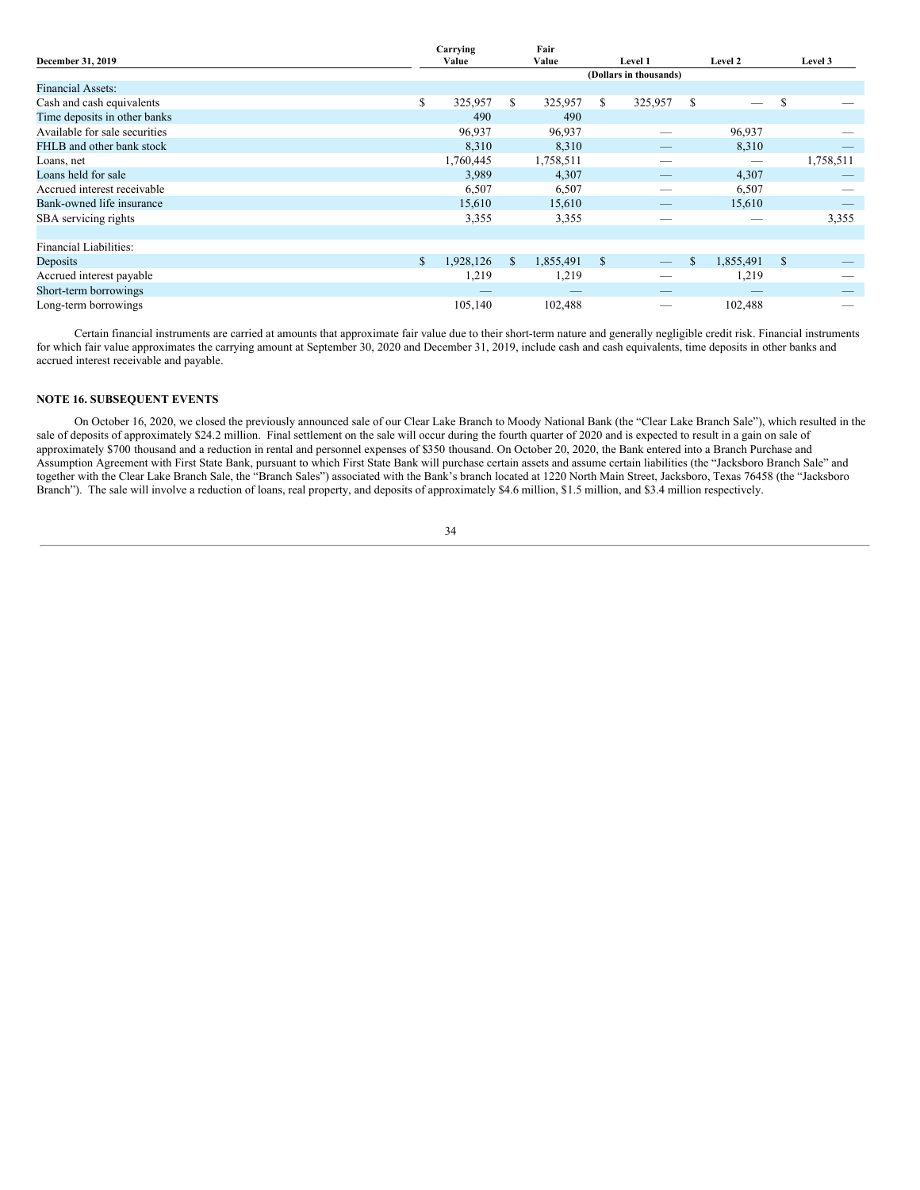|                               |              | Carrying                 |    | Fair      |               |                 |               |           |
|-------------------------------|--------------|--------------------------|----|-----------|---------------|-----------------|---------------|-----------|
| December 31, 2019             |              | Value                    |    | Value     | Level 1       | Level 2         |               | Level 3   |
|                               |              |                          |    |           |               |                 |               |           |
| <b>Financial Assets:</b>      |              |                          |    |           |               |                 |               |           |
| Cash and cash equivalents     | \$           | 325,957                  | \$ | 325,957   | \$<br>325,957 | \$              | <sup>\$</sup> |           |
| Time deposits in other banks  |              | 490                      |    | 490       |               |                 |               |           |
| Available for sale securities |              | 96,937                   |    | 96,937    |               | 96,937          |               |           |
| FHLB and other bank stock     |              | 8,310                    |    | 8,310     |               | 8,310           |               |           |
| Loans, net                    |              | 1,760,445                |    | 1,758,511 |               |                 |               | 1,758,511 |
| Loans held for sale           |              | 3,989                    |    | 4,307     |               | 4,307           |               |           |
| Accrued interest receivable   |              | 6,507                    |    | 6,507     |               | 6,507           |               |           |
| Bank-owned life insurance     |              | 15,610                   |    | 15,610    |               | 15,610          |               |           |
| SBA servicing rights          |              | 3,355                    |    | 3,355     |               | -               |               | 3,355     |
|                               |              |                          |    |           |               |                 |               |           |
| <b>Financial Liabilities:</b> |              |                          |    |           |               |                 |               |           |
| Deposits                      | $\mathbb{S}$ | 1,928,126                | \$ | 1,855,491 | \$            | \$<br>1,855,491 | <sup>\$</sup> |           |
| Accrued interest payable      |              | 1,219                    |    | 1,219     |               | 1,219           |               |           |
| Short-term borrowings         |              | $\overline{\phantom{a}}$ |    |           |               | _               |               |           |
| Long-term borrowings          |              | 105,140                  |    | 102,488   |               | 102,488         |               |           |

Certain financial instruments are carried at amounts that approximate fair value due to their short-term nature and generally negligible credit risk. Financial instruments for which fair value approximates the carrying amount at September 30, 2020 and December 31, 2019, include cash and cash equivalents, time deposits in other banks and accrued interest receivable and payable.

### **NOTE 16. SUBSEQUENT EVENTS**

On October 16, 2020, we closed the previously announced sale of our Clear Lake Branch to Moody National Bank (the "Clear Lake Branch Sale"), which resulted in the sale of deposits of approximately \$24.2 million. Final settlement on the sale will occur during the fourth quarter of 2020 and is expected to result in a gain on sale of approximately \$700 thousand and a reduction in rental and personnel expenses of \$350 thousand. On October 20, 2020, the Bank entered into a Branch Purchase and Assumption Agreement with First State Bank, pursuant to which First State Bank will purchase certain assets and assume certain liabilities (the "Jacksboro Branch Sale" and together with the Clear Lake Branch Sale, the "Branch Sales") associated with the Bank's branch located at 1220 North Main Street, Jacksboro, Texas 76458 (the "Jacksboro Branch"). The sale will involve a reduction of loans, real property, and deposits of approximately \$4.6 million, \$1.5 million, and \$3.4 million respectively.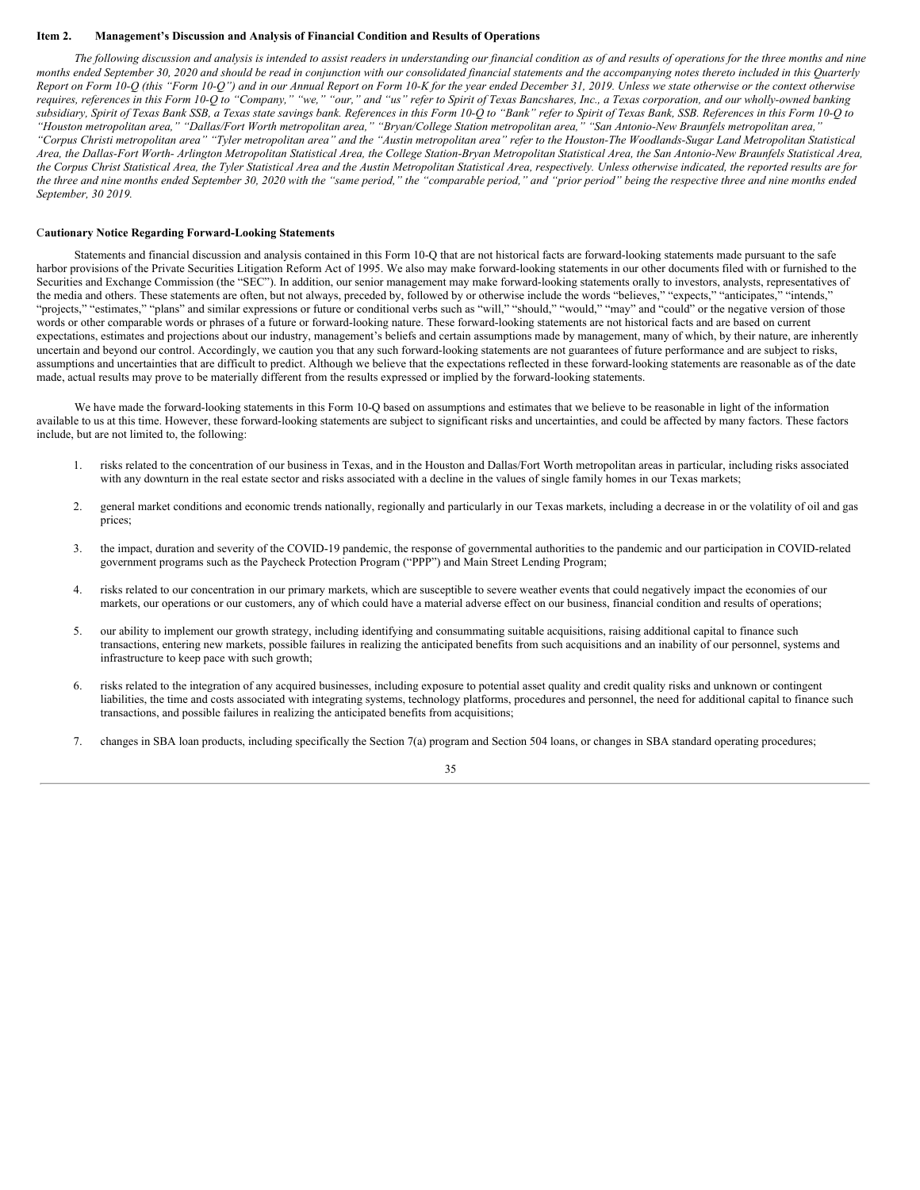### <span id="page-34-0"></span>**Item 2. Management's Discussion and Analysis of Financial Condition and Results of Operations**

The following discussion and analysis is intended to assist readers in understanding our financial condition as of and results of operations for the three months and nine months ended September 30, 2020 and should be read in conjunction with our consolidated financial statements and the accompanying notes thereto included in this Quarterly Report on Form 10-Q (this "Form 10-Q") and in our Annual Report on Form 10-K for the year ended December 31, 2019. Unless we state otherwise or the context otherwise requires, references in this Form 10-Q to "Company," "we," "our," and "us" refer to Spirit of Texas Bancshares, Inc., a Texas corporation, and our wholly-owned banking subsidiary, Spirit of Texas Bank SSB, a Texas state savings bank. References in this Form 10-Q to "Bank" refer to Spirit of Texas Bank, SSB. References in this Form 10-Q to "Houston metropolitan area," "Dallas/Fort Worth metropolitan area," "Bryan/College Station metropolitan area," "San Antonio-New Braunfels metropolitan area," "Corpus Christi metropolitan area" "Tyler metropolitan area" and the "Austin metropolitan area" refer to the Houston-The Woodlands-Sugar Land Metropolitan Statistical Area, the Dallas-Fort Worth- Arlington Metropolitan Statistical Area, the College Station-Bryan Metropolitan Statistical Area, the San Antonio-New Braunfels Statistical Area, the Corpus Christ Statistical Area, the Tyler Statistical Area and the Austin Metropolitan Statistical Area, respectively. Unless otherwise indicated, the reported results are for the three and nine months ended September 30, 2020 with the "same period," the "comparable period," and "prior period" being the respective three and nine months ended *September, 30 2019.*

#### C**autionary Notice Regarding Forward-Looking Statements**

Statements and financial discussion and analysis contained in this Form 10-Q that are not historical facts are forward-looking statements made pursuant to the safe harbor provisions of the Private Securities Litigation Reform Act of 1995. We also may make forward-looking statements in our other documents filed with or furnished to the Securities and Exchange Commission (the "SEC"). In addition, our senior management may make forward-looking statements orally to investors, analysts, representatives of the media and others. These statements are often, but not always, preceded by, followed by or otherwise include the words "believes," "expects," "anticipates," "intends," "projects," "estimates," "plans" and similar expressions or future or conditional verbs such as "will," "should," "would," "may" and "could" or the negative version of those words or other comparable words or phrases of a future or forward-looking nature. These forward-looking statements are not historical facts and are based on current expectations, estimates and projections about our industry, management's beliefs and certain assumptions made by management, many of which, by their nature, are inherently uncertain and beyond our control. Accordingly, we caution you that any such forward-looking statements are not guarantees of future performance and are subject to risks, assumptions and uncertainties that are difficult to predict. Although we believe that the expectations reflected in these forward-looking statements are reasonable as of the date made, actual results may prove to be materially different from the results expressed or implied by the forward-looking statements.

We have made the forward-looking statements in this Form 10-Q based on assumptions and estimates that we believe to be reasonable in light of the information available to us at this time. However, these forward-looking statements are subject to significant risks and uncertainties, and could be affected by many factors. These factors include, but are not limited to, the following:

- 1. risks related to the concentration of our business in Texas, and in the Houston and Dallas/Fort Worth metropolitan areas in particular, including risks associated with any downturn in the real estate sector and risks associated with a decline in the values of single family homes in our Texas markets;
- 2. general market conditions and economic trends nationally, regionally and particularly in our Texas markets, including a decrease in or the volatility of oil and gas prices;
- 3. the impact, duration and severity of the COVID-19 pandemic, the response of governmental authorities to the pandemic and our participation in COVID-related government programs such as the Paycheck Protection Program ("PPP") and Main Street Lending Program;
- 4. risks related to our concentration in our primary markets, which are susceptible to severe weather events that could negatively impact the economies of our markets, our operations or our customers, any of which could have a material adverse effect on our business, financial condition and results of operations;
- 5. our ability to implement our growth strategy, including identifying and consummating suitable acquisitions, raising additional capital to finance such transactions, entering new markets, possible failures in realizing the anticipated benefits from such acquisitions and an inability of our personnel, systems and infrastructure to keep pace with such growth;
- 6. risks related to the integration of any acquired businesses, including exposure to potential asset quality and credit quality risks and unknown or contingent liabilities, the time and costs associated with integrating systems, technology platforms, procedures and personnel, the need for additional capital to finance such transactions, and possible failures in realizing the anticipated benefits from acquisitions;
- changes in SBA loan products, including specifically the Section 7(a) program and Section 504 loans, or changes in SBA standard operating procedures;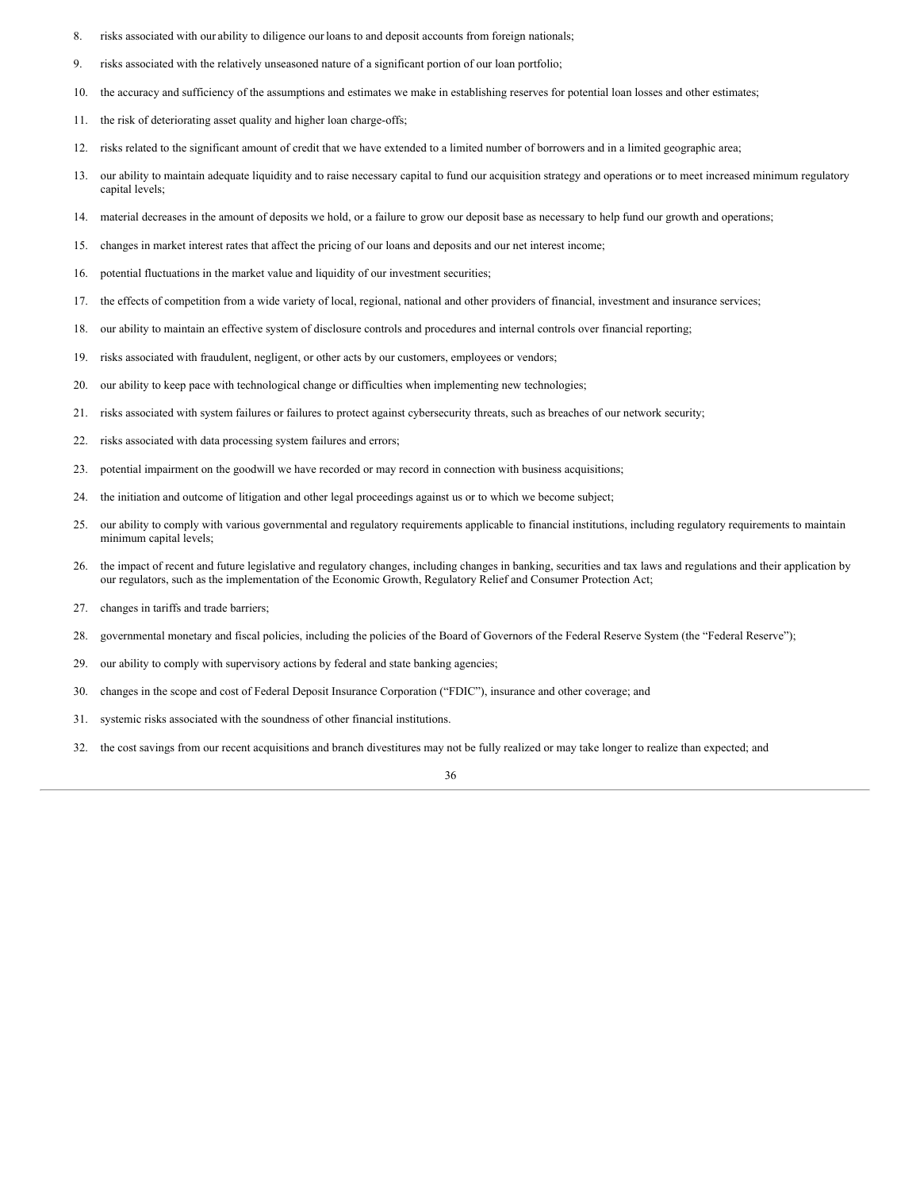- 8. risks associated with our ability to diligence ourloans to and deposit accounts from foreign nationals;
- 9. risks associated with the relatively unseasoned nature of a significant portion of our loan portfolio;
- 10. the accuracy and sufficiency of the assumptions and estimates we make in establishing reserves for potential loan losses and other estimates;
- 11. the risk of deteriorating asset quality and higher loan charge-offs;
- 12. risks related to the significant amount of credit that we have extended to a limited number of borrowers and in a limited geographic area;
- 13. our ability to maintain adequate liquidity and to raise necessary capital to fund our acquisition strategy and operations or to meet increased minimum regulatory capital levels;
- 14. material decreases in the amount of deposits we hold, or a failure to grow our deposit base as necessary to help fund our growth and operations;
- 15. changes in market interest rates that affect the pricing of our loans and deposits and our net interest income;
- 16. potential fluctuations in the market value and liquidity of our investment securities;
- 17. the effects of competition from a wide variety of local, regional, national and other providers of financial, investment and insurance services;
- 18. our ability to maintain an effective system of disclosure controls and procedures and internal controls over financial reporting;
- 19. risks associated with fraudulent, negligent, or other acts by our customers, employees or vendors;
- 20. our ability to keep pace with technological change or difficulties when implementing new technologies;
- 21. risks associated with system failures or failures to protect against cybersecurity threats, such as breaches of our network security;
- 22. risks associated with data processing system failures and errors;
- 23. potential impairment on the goodwill we have recorded or may record in connection with business acquisitions;
- 24. the initiation and outcome of litigation and other legal proceedings against us or to which we become subject;
- 25. our ability to comply with various governmental and regulatory requirements applicable to financial institutions, including regulatory requirements to maintain minimum capital levels;
- 26. the impact of recent and future legislative and regulatory changes, including changes in banking, securities and tax laws and regulations and their application by our regulators, such as the implementation of the Economic Growth, Regulatory Relief and Consumer Protection Act;
- 27. changes in tariffs and trade barriers;
- 28. governmental monetary and fiscal policies, including the policies of the Board of Governors of the Federal Reserve System (the "Federal Reserve");
- 29. our ability to comply with supervisory actions by federal and state banking agencies;
- 30. changes in the scope and cost of Federal Deposit Insurance Corporation ("FDIC"), insurance and other coverage; and
- 31. systemic risks associated with the soundness of other financial institutions.
- 32. the cost savings from our recent acquisitions and branch divestitures may not be fully realized or may take longer to realize than expected; and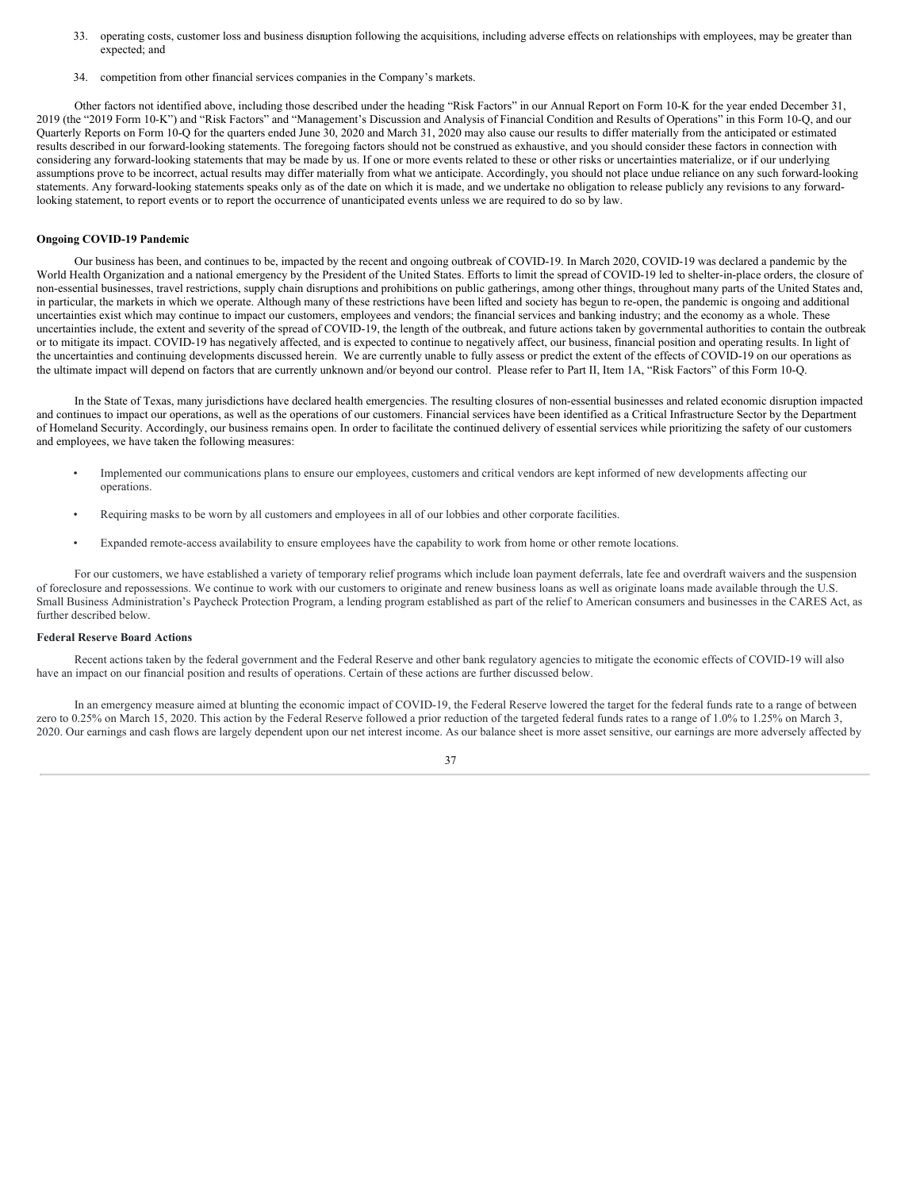- 33. operating costs, customer loss and business disruption following the acquisitions, including adverse effects on relationships with employees, may be greater than expected; and
- 34. competition from other financial services companies in the Company's markets.

Other factors not identified above, including those described under the heading "Risk Factors" in our Annual Report on Form 10-K for the year ended December 31, 2019 (the "2019 Form 10-K") and "Risk Factors" and "Management's Discussion and Analysis of Financial Condition and Results of Operations" in this Form 10-Q, and our Quarterly Reports on Form 10-Q for the quarters ended June 30, 2020 and March 31, 2020 may also cause our results to differ materially from the anticipated or estimated results described in our forward-looking statements. The foregoing factors should not be construed as exhaustive, and you should consider these factors in connection with considering any forward-looking statements that may be made by us. If one or more events related to these or other risks or uncertainties materialize, or if our underlying assumptions prove to be incorrect, actual results may differ materially from what we anticipate. Accordingly, you should not place undue reliance on any such forward-looking statements. Any forward-looking statements speaks only as of the date on which it is made, and we undertake no obligation to release publicly any revisions to any forwardlooking statement, to report events or to report the occurrence of unanticipated events unless we are required to do so by law.

## **Ongoing COVID-19 Pandemic**

Our business has been, and continues to be, impacted by the recent and ongoing outbreak of COVID-19. In March 2020, COVID-19 was declared a pandemic by the World Health Organization and a national emergency by the President of the United States. Efforts to limit the spread of COVID-19 led to shelter-in-place orders, the closure of non-essential businesses, travel restrictions, supply chain disruptions and prohibitions on public gatherings, among other things, throughout many parts of the United States and, in particular, the markets in which we operate. Although many of these restrictions have been lifted and society has begun to re-open, the pandemic is ongoing and additional uncertainties exist which may continue to impact our customers, employees and vendors; the financial services and banking industry; and the economy as a whole. These uncertainties include, the extent and severity of the spread of COVID-19, the length of the outbreak, and future actions taken by governmental authorities to contain the outbreak or to mitigate its impact. COVID-19 has negatively affected, and is expected to continue to negatively affect, our business, financial position and operating results. In light of the uncertainties and continuing developments discussed herein. We are currently unable to fully assess or predict the extent of the effects of COVID-19 on our operations as the ultimate impact will depend on factors that are currently unknown and/or beyond our control. Please refer to Part II, Item 1A, "Risk Factors" of this Form 10-Q.

In the State of Texas, many jurisdictions have declared health emergencies. The resulting closures of non-essential businesses and related economic disruption impacted and continues to impact our operations, as well as the operations of our customers. Financial services have been identified as a Critical Infrastructure Sector by the Department of Homeland Security. Accordingly, our business remains open. In order to facilitate the continued delivery of essential services while prioritizing the safety of our customers and employees, we have taken the following measures:

- Implemented our communications plans to ensure our employees, customers and critical vendors are kept informed of new developments affecting our operations.
- Requiring masks to be worn by all customers and employees in all of our lobbies and other corporate facilities.
- Expanded remote-access availability to ensure employees have the capability to work from home or other remote locations.

For our customers, we have established a variety of temporary relief programs which include loan payment deferrals, late fee and overdraft waivers and the suspension of foreclosure and repossessions. We continue to work with our customers to originate and renew business loans as well as originate loans made available through the U.S. Small Business Administration's Paycheck Protection Program, a lending program established as part of the relief to American consumers and businesses in the CARES Act, as further described below.

#### **Federal Reserve Board Actions**

Recent actions taken by the federal government and the Federal Reserve and other bank regulatory agencies to mitigate the economic effects of COVID-19 will also have an impact on our financial position and results of operations. Certain of these actions are further discussed below.

In an emergency measure aimed at blunting the economic impact of COVID-19, the Federal Reserve lowered the target for the federal funds rate to a range of between zero to 0.25% on March 15, 2020. This action by the Federal Reserve followed a prior reduction of the targeted federal funds rates to a range of 1.0% to 1.25% on March 3, 2020. Our earnings and cash flows are largely dependent upon our net interest income. As our balance sheet is more asset sensitive, our earnings are more adversely affected by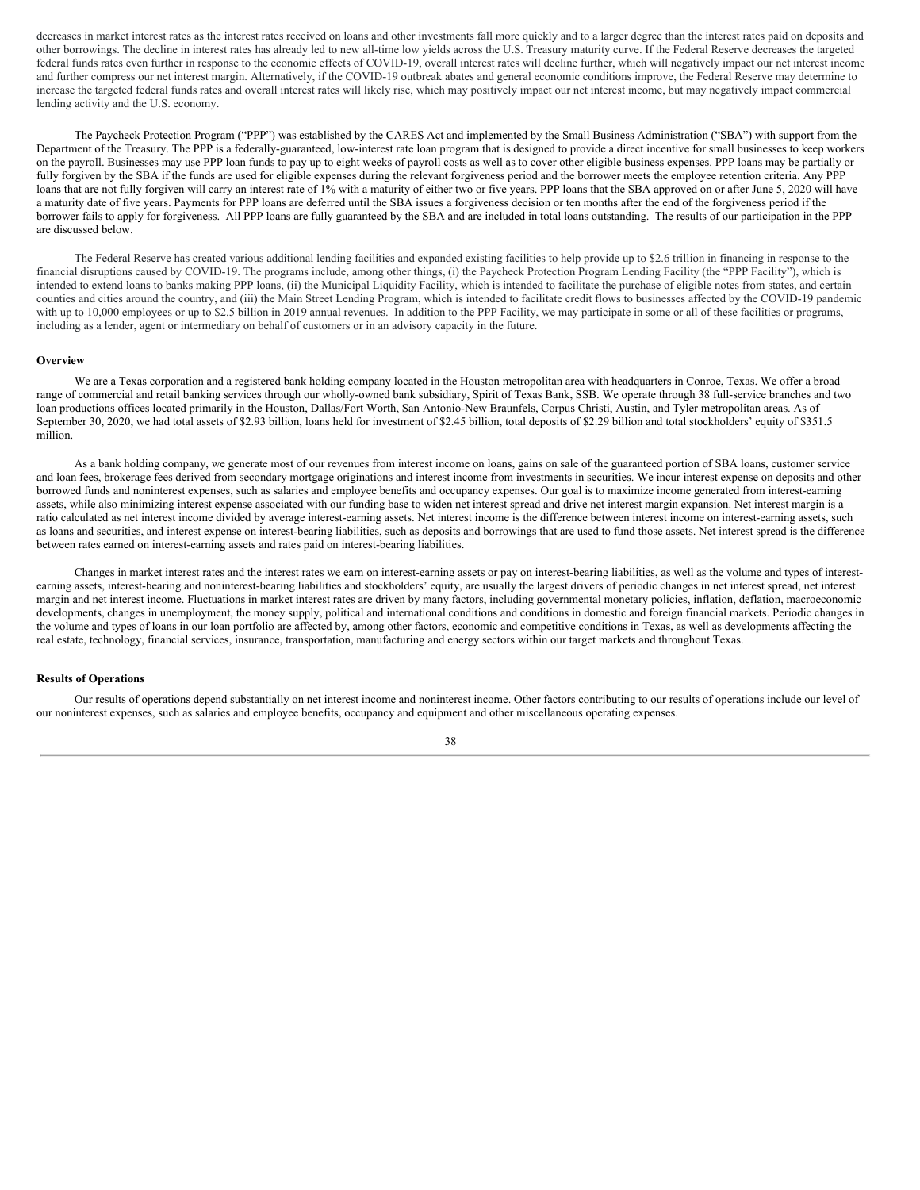decreases in market interest rates as the interest rates received on loans and other investments fall more quickly and to a larger degree than the interest rates paid on deposits and other borrowings. The decline in interest rates has already led to new all-time low yields across the U.S. Treasury maturity curve. If the Federal Reserve decreases the targeted federal funds rates even further in response to the economic effects of COVID-19, overall interest rates will decline further, which will negatively impact our net interest income and further compress our net interest margin. Alternatively, if the COVID-19 outbreak abates and general economic conditions improve, the Federal Reserve may determine to increase the targeted federal funds rates and overall interest rates will likely rise, which may positively impact our net interest income, but may negatively impact commercial lending activity and the U.S. economy.

The Paycheck Protection Program ("PPP") was established by the CARES Act and implemented by the Small Business Administration ("SBA") with support from the Department of the Treasury. The PPP is a federally-guaranteed, low-interest rate loan program that is designed to provide a direct incentive for small businesses to keep workers on the payroll. Businesses may use PPP loan funds to pay up to eight weeks of payroll costs as well as to cover other eligible business expenses. PPP loans may be partially or fully forgiven by the SBA if the funds are used for eligible expenses during the relevant forgiveness period and the borrower meets the employee retention criteria. Any PPP loans that are not fully forgiven will carry an interest rate of 1% with a maturity of either two or five years. PPP loans that the SBA approved on or after June 5, 2020 will have a maturity date of five years. Payments for PPP loans are deferred until the SBA issues a forgiveness decision or ten months after the end of the forgiveness period if the borrower fails to apply for forgiveness. All PPP loans are fully guaranteed by the SBA and are included in total loans outstanding. The results of our participation in the PPP are discussed below.

The Federal Reserve has created various additional lending facilities and expanded existing facilities to help provide up to \$2.6 trillion in financing in response to the financial disruptions caused by COVID-19. The programs include, among other things, (i) the Paycheck Protection Program Lending Facility (the "PPP Facility"), which is intended to extend loans to banks making PPP loans, (ii) the Municipal Liquidity Facility, which is intended to facilitate the purchase of eligible notes from states, and certain counties and cities around the country, and (iii) the Main Street Lending Program, which is intended to facilitate credit flows to businesses affected by the COVID-19 pandemic with up to 10,000 employees or up to \$2.5 billion in 2019 annual revenues. In addition to the PPP Facility, we may participate in some or all of these facilities or programs, including as a lender, agent or intermediary on behalf of customers or in an advisory capacity in the future.

#### **Overview**

We are a Texas corporation and a registered bank holding company located in the Houston metropolitan area with headquarters in Conroe, Texas. We offer a broad range of commercial and retail banking services through our wholly-owned bank subsidiary, Spirit of Texas Bank, SSB. We operate through 38 full-service branches and two loan productions offices located primarily in the Houston, Dallas/Fort Worth, San Antonio-New Braunfels, Corpus Christi, Austin, and Tyler metropolitan areas. As of September 30, 2020, we had total assets of \$2.93 billion, loans held for investment of \$2.45 billion, total deposits of \$2.29 billion and total stockholders' equity of \$351.5 million.

As a bank holding company, we generate most of our revenues from interest income on loans, gains on sale of the guaranteed portion of SBA loans, customer service and loan fees, brokerage fees derived from secondary mortgage originations and interest income from investments in securities. We incur interest expense on deposits and other borrowed funds and noninterest expenses, such as salaries and employee benefits and occupancy expenses. Our goal is to maximize income generated from interest-earning assets, while also minimizing interest expense associated with our funding base to widen net interest spread and drive net interest margin expansion. Net interest margin is a ratio calculated as net interest income divided by average interest-earning assets. Net interest income is the difference between interest income on interest-earning assets, such as loans and securities, and interest expense on interest-bearing liabilities, such as deposits and borrowings that are used to fund those assets. Net interest spread is the difference between rates earned on interest-earning assets and rates paid on interest-bearing liabilities.

Changes in market interest rates and the interest rates we earn on interest-earning assets or pay on interest-bearing liabilities, as well as the volume and types of interestearning assets, interest-bearing and noninterest-bearing liabilities and stockholders' equity, are usually the largest drivers of periodic changes in net interest spread, net interest margin and net interest income. Fluctuations in market interest rates are driven by many factors, including governmental monetary policies, inflation, deflation, macroeconomic developments, changes in unemployment, the money supply, political and international conditions and conditions in domestic and foreign financial markets. Periodic changes in the volume and types of loans in our loan portfolio are affected by, among other factors, economic and competitive conditions in Texas, as well as developments affecting the real estate, technology, financial services, insurance, transportation, manufacturing and energy sectors within our target markets and throughout Texas.

### **Results of Operations**

Our results of operations depend substantially on net interest income and noninterest income. Other factors contributing to our results of operations include our level of our noninterest expenses, such as salaries and employee benefits, occupancy and equipment and other miscellaneous operating expenses.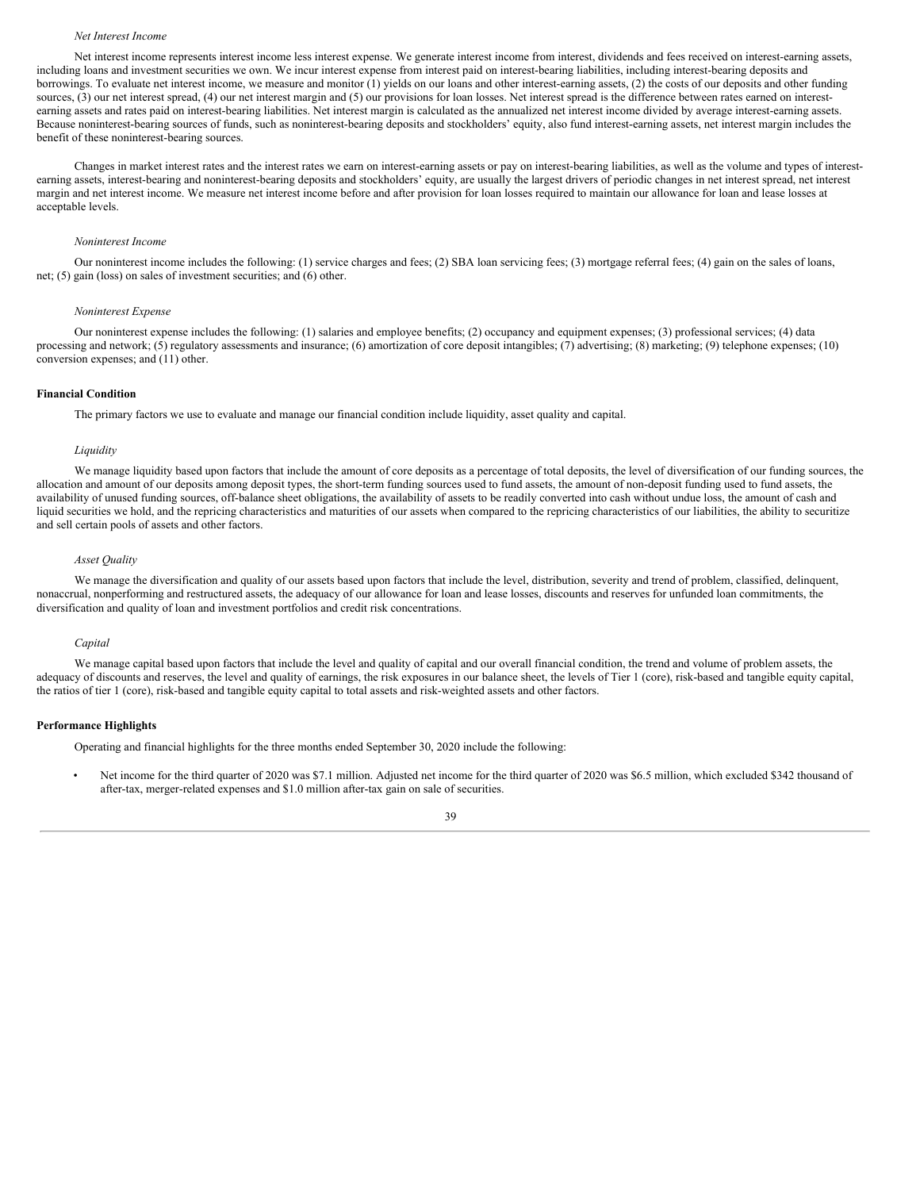#### *Net Interest Income*

Net interest income represents interest income less interest expense. We generate interest income from interest, dividends and fees received on interest-earning assets, including loans and investment securities we own. We incur interest expense from interest paid on interest-bearing liabilities, including interest-bearing deposits and borrowings. To evaluate net interest income, we measure and monitor (1) yields on our loans and other interest-earning assets, (2) the costs of our deposits and other funding sources, (3) our net interest spread, (4) our net interest margin and (5) our provisions for loan losses. Net interest spread is the difference between rates earned on interestearning assets and rates paid on interest-bearing liabilities. Net interest margin is calculated as the annualized net interest income divided by average interest-earning assets. Because noninterest-bearing sources of funds, such as noninterest-bearing deposits and stockholders' equity, also fund interest-earning assets, net interest margin includes the benefit of these noninterest-bearing sources.

Changes in market interest rates and the interest rates we earn on interest-earning assets or pay on interest-bearing liabilities, as well as the volume and types of interestearning assets, interest-bearing and noninterest-bearing deposits and stockholders' equity, are usually the largest drivers of periodic changes in net interest spread, net interest margin and net interest income. We measure net interest income before and after provision for loan losses required to maintain our allowance for loan and lease losses at acceptable levels.

#### *Noninterest Income*

Our noninterest income includes the following: (1) service charges and fees; (2) SBA loan servicing fees; (3) mortgage referral fees; (4) gain on the sales of loans, net; (5) gain (loss) on sales of investment securities; and (6) other.

#### *Noninterest Expense*

Our noninterest expense includes the following: (1) salaries and employee benefits; (2) occupancy and equipment expenses; (3) professional services; (4) data processing and network; (5) regulatory assessments and insurance; (6) amortization of core deposit intangibles; (7) advertising; (8) marketing; (9) telephone expenses; (10) conversion expenses; and (11) other.

### **Financial Condition**

The primary factors we use to evaluate and manage our financial condition include liquidity, asset quality and capital.

#### *Liquidity*

We manage liquidity based upon factors that include the amount of core deposits as a percentage of total deposits, the level of diversification of our funding sources, the allocation and amount of our deposits among deposit types, the short-term funding sources used to fund assets, the amount of non-deposit funding used to fund assets, the availability of unused funding sources, off-balance sheet obligations, the availability of assets to be readily converted into cash without undue loss, the amount of cash and liquid securities we hold, and the repricing characteristics and maturities of our assets when compared to the repricing characteristics of our liabilities, the ability to securitize and sell certain pools of assets and other factors.

## *Asset Quality*

We manage the diversification and quality of our assets based upon factors that include the level, distribution, severity and trend of problem, classified, delinquent, nonaccrual, nonperforming and restructured assets, the adequacy of our allowance for loan and lease losses, discounts and reserves for unfunded loan commitments, the diversification and quality of loan and investment portfolios and credit risk concentrations.

## *Capital*

We manage capital based upon factors that include the level and quality of capital and our overall financial condition, the trend and volume of problem assets, the adequacy of discounts and reserves, the level and quality of earnings, the risk exposures in our balance sheet, the levels of Tier 1 (core), risk-based and tangible equity capital, the ratios of tier 1 (core), risk-based and tangible equity capital to total assets and risk-weighted assets and other factors.

### **Performance Highlights**

Operating and financial highlights for the three months ended September 30, 2020 include the following:

• Net income for the third quarter of 2020 was \$7.1 million. Adjusted net income for the third quarter of 2020 was \$6.5 million, which excluded \$342 thousand of after-tax, merger-related expenses and \$1.0 million after-tax gain on sale of securities.

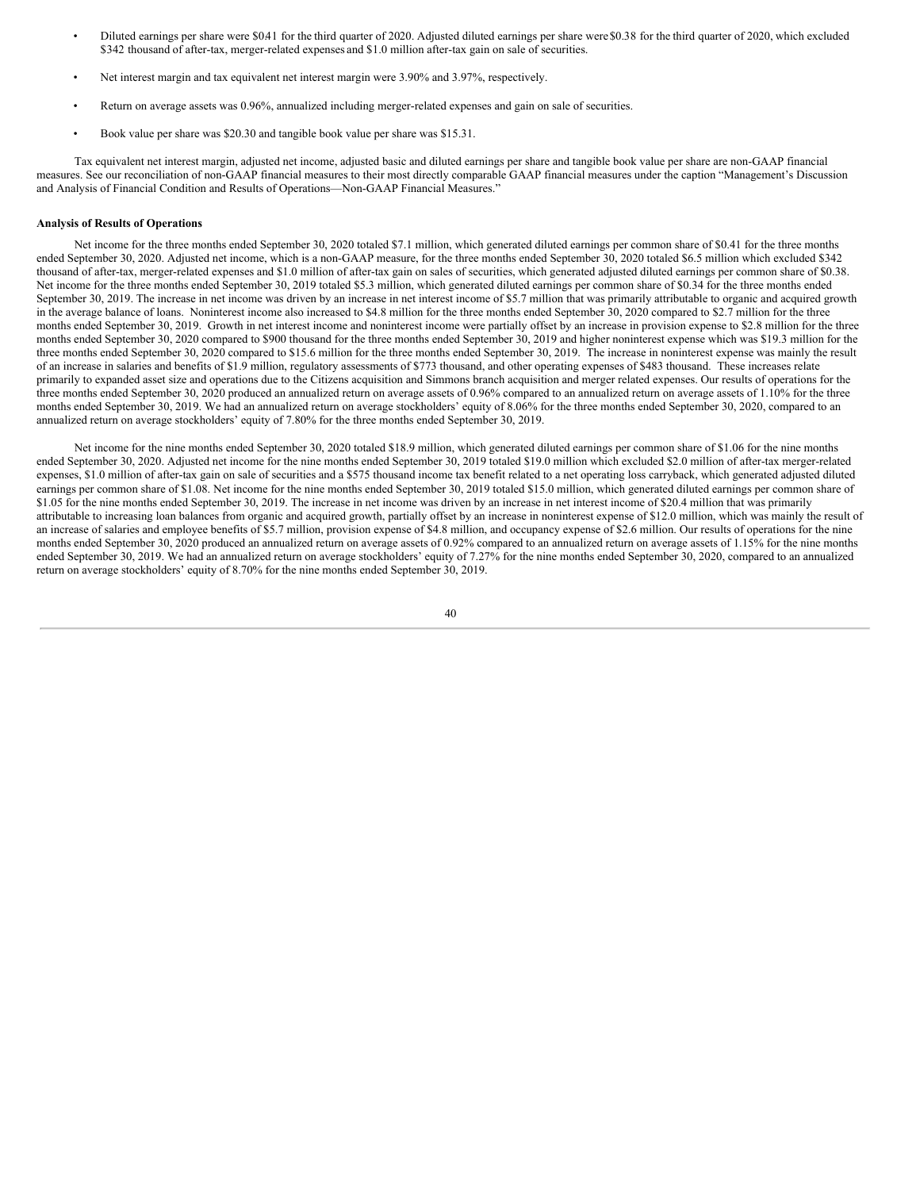- Diluted earnings per share were \$0.41 for the third quarter of 2020. Adjusted diluted earnings per share were\$0.38 for the third quarter of 2020, which excluded \$342 thousand of after-tax, merger-related expenses and \$1.0 million after-tax gain on sale of securities.
- Net interest margin and tax equivalent net interest margin were 3.90% and 3.97%, respectively.
- Return on average assets was 0.96%, annualized including merger-related expenses and gain on sale of securities.
- Book value per share was \$20.30 and tangible book value per share was \$15.31.

Tax equivalent net interest margin, adjusted net income, adjusted basic and diluted earnings per share and tangible book value per share are non-GAAP financial measures. See our reconciliation of non-GAAP financial measures to their most directly comparable GAAP financial measures under the caption "Management's Discussion and Analysis of Financial Condition and Results of Operations—Non-GAAP Financial Measures."

## **Analysis of Results of Operations**

Net income for the three months ended September 30, 2020 totaled \$7.1 million, which generated diluted earnings per common share of \$0.41 for the three months ended September 30, 2020. Adjusted net income, which is a non-GAAP measure, for the three months ended September 30, 2020 totaled \$6.5 million which excluded \$342 thousand of after-tax, merger-related expenses and \$1.0 million of after-tax gain on sales of securities, which generated adjusted diluted earnings per common share of \$0.38. Net income for the three months ended September 30, 2019 totaled \$5.3 million, which generated diluted earnings per common share of \$0.34 for the three months ended September 30, 2019. The increase in net income was driven by an increase in net interest income of \$5.7 million that was primarily attributable to organic and acquired growth in the average balance of loans. Noninterest income also increased to \$4.8 million for the three months ended September 30, 2020 compared to \$2.7 million for the three months ended September 30, 2019. Growth in net interest income and noninterest income were partially offset by an increase in provision expense to \$2.8 million for the three months ended September 30, 2020 compared to \$900 thousand for the three months ended September 30, 2019 and higher noninterest expense which was \$19.3 million for the three months ended September 30, 2020 compared to \$15.6 million for the three months ended September 30, 2019. The increase in noninterest expense was mainly the result of an increase in salaries and benefits of \$1.9 million, regulatory assessments of \$773 thousand, and other operating expenses of \$483 thousand. These increases relate primarily to expanded asset size and operations due to the Citizens acquisition and Simmons branch acquisition and merger related expenses. Our results of operations for the three months ended September 30, 2020 produced an annualized return on average assets of 0.96% compared to an annualized return on average assets of 1.10% for the three months ended September 30, 2019. We had an annualized return on average stockholders' equity of 8.06% for the three months ended September 30, 2020, compared to an annualized return on average stockholders' equity of 7.80% for the three months ended September 30, 2019.

Net income for the nine months ended September 30, 2020 totaled \$18.9 million, which generated diluted earnings per common share of \$1.06 for the nine months ended September 30, 2020. Adjusted net income for the nine months ended September 30, 2019 totaled \$19.0 million which excluded \$2.0 million of after-tax merger-related expenses, \$1.0 million of after-tax gain on sale of securities and a \$575 thousand income tax benefit related to a net operating loss carryback, which generated adjusted diluted earnings per common share of \$1.08. Net income for the nine months ended September 30, 2019 totaled \$15.0 million, which generated diluted earnings per common share of \$1.05 for the nine months ended September 30, 2019. The increase in net income was driven by an increase in net interest income of \$20.4 million that was primarily attributable to increasing loan balances from organic and acquired growth, partially offset by an increase in noninterest expense of \$12.0 million, which was mainly the result of an increase of salaries and employee benefits of \$5.7 million, provision expense of \$4.8 million, and occupancy expense of \$2.6 million. Our results of operations for the nine months ended September 30, 2020 produced an annualized return on average assets of 0.92% compared to an annualized return on average assets of 1.15% for the nine months ended September 30, 2019. We had an annualized return on average stockholders' equity of 7.27% for the nine months ended September 30, 2020, compared to an annualized return on average stockholders' equity of 8.70% for the nine months ended September 30, 2019.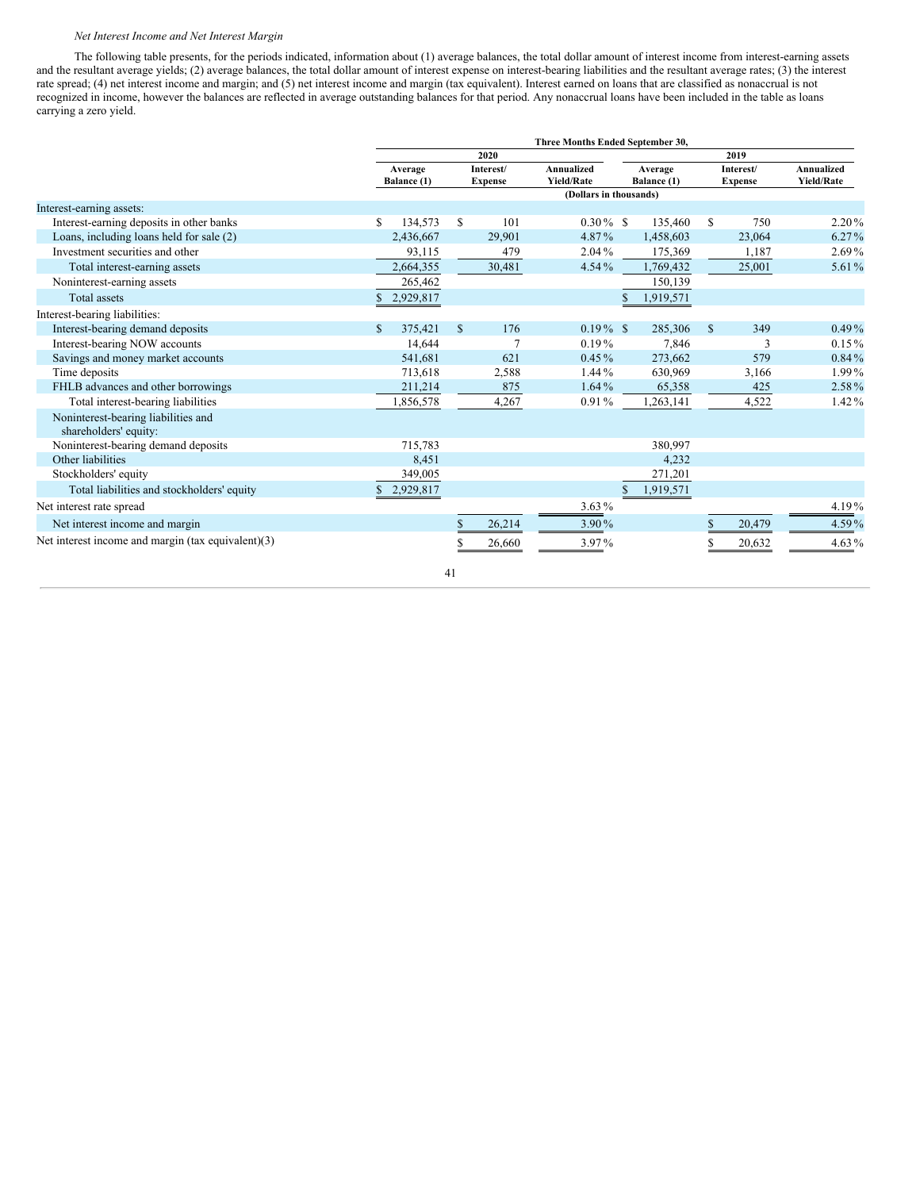## *Net Interest Income and Net Interest Margin*

The following table presents, for the periods indicated, information about (1) average balances, the total dollar amount of interest income from interest-earning assets and the resultant average yields; (2) average balances, the total dollar amount of interest expense on interest-bearing liabilities and the resultant average rates; (3) the interest rate spread; (4) net interest income and margin; and (5) net interest income and margin (tax equivalent). Interest earned on loans that are classified as nonaccrual is not recognized in income, however the balances are reflected in average outstanding balances for that period. Any nonaccrual loans have been included in the table as loans carrying a zero yield.

|                                                              |    |                        |    |                             | Three Months Ended September 30, |   |                        |               |                             |                                 |
|--------------------------------------------------------------|----|------------------------|----|-----------------------------|----------------------------------|---|------------------------|---------------|-----------------------------|---------------------------------|
|                                                              |    |                        |    | 2020                        |                                  |   |                        |               | 2019                        |                                 |
|                                                              |    | Average<br>Balance (1) |    | Interest/<br><b>Expense</b> | Annualized<br><b>Yield/Rate</b>  |   | Average<br>Balance (1) |               | Interest/<br><b>Expense</b> | Annualized<br><b>Yield/Rate</b> |
|                                                              |    |                        |    |                             | (Dollars in thousands)           |   |                        |               |                             |                                 |
| Interest-earning assets:                                     |    |                        |    |                             |                                  |   |                        |               |                             |                                 |
| Interest-earning deposits in other banks                     | S  | 134.573                | S  | 101                         | $0.30\%$ \$                      |   | 135,460                | <sup>\$</sup> | 750                         | $2.20\%$                        |
| Loans, including loans held for sale (2)                     |    | 2,436,667              |    | 29,901                      | 4.87%                            |   | 1,458,603              |               | 23,064                      | $6.27\%$                        |
| Investment securities and other                              |    | 93,115                 |    | 479                         | $2.04\%$                         |   | 175,369                |               | 1,187                       | 2.69%                           |
| Total interest-earning assets                                |    | 2,664,355              |    | 30,481                      | 4.54%                            |   | 1,769,432              |               | 25,001                      | 5.61%                           |
| Noninterest-earning assets                                   |    | 265,462                |    |                             |                                  |   | 150,139                |               |                             |                                 |
| <b>Total assets</b>                                          | \$ | 2,929,817              |    |                             |                                  | S | 1,919,571              |               |                             |                                 |
| Interest-bearing liabilities:                                |    |                        |    |                             |                                  |   |                        |               |                             |                                 |
| Interest-bearing demand deposits                             | S  | 375.421                | \$ | 176                         | $0.19\%$ \$                      |   | 285,306                | <sup>\$</sup> | 349                         | $0.49\%$                        |
| Interest-bearing NOW accounts                                |    | 14.644                 |    | 7                           | $0.19\%$                         |   | 7,846                  |               | 3                           | $0.15\%$                        |
| Savings and money market accounts                            |    | 541,681                |    | 621                         | $0.45\%$                         |   | 273,662                |               | 579                         | $0.84\%$                        |
| Time deposits                                                |    | 713,618                |    | 2,588                       | $1.44\%$                         |   | 630,969                |               | 3,166                       | 1.99%                           |
| FHLB advances and other borrowings                           |    | 211,214                |    | 875                         | $1.64\%$                         |   | 65,358                 |               | 425                         | 2.58%                           |
| Total interest-bearing liabilities                           |    | 1,856,578              |    | 4,267                       | $0.91\%$                         |   | 1,263,141              |               | 4,522                       | 1.42%                           |
| Noninterest-bearing liabilities and<br>shareholders' equity: |    |                        |    |                             |                                  |   |                        |               |                             |                                 |
| Noninterest-bearing demand deposits                          |    | 715,783                |    |                             |                                  |   | 380,997                |               |                             |                                 |
| Other liabilities                                            |    | 8,451                  |    |                             |                                  |   | 4,232                  |               |                             |                                 |
| Stockholders' equity                                         |    | 349,005                |    |                             |                                  |   | 271,201                |               |                             |                                 |
| Total liabilities and stockholders' equity                   |    | 2,929,817              |    |                             |                                  |   | 1,919,571              |               |                             |                                 |
| Net interest rate spread                                     |    |                        |    |                             | $3.63\%$                         |   |                        |               |                             | 4.19%                           |
| Net interest income and margin                               |    |                        |    | 26,214                      | $3.90\%$                         |   |                        | \$.           | 20,479                      | 4.59%                           |
| Net interest income and margin (tax equivalent)(3)           |    |                        |    | 26,660                      | 3.97%                            |   |                        |               | 20,632                      | 4.63%                           |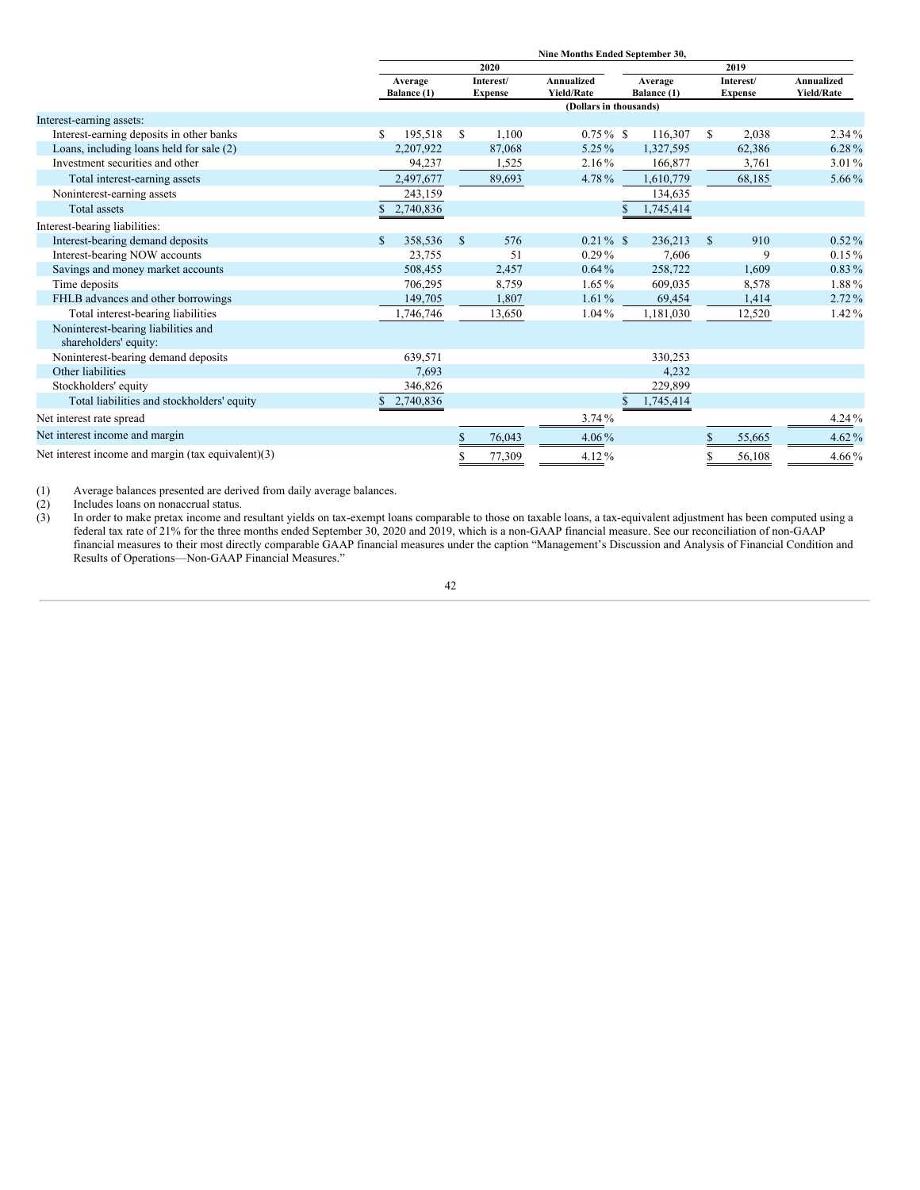|                                                              | Nine Months Ended September 30, |                        |              |                             |                                 |                        |               |                             |                                 |  |  |
|--------------------------------------------------------------|---------------------------------|------------------------|--------------|-----------------------------|---------------------------------|------------------------|---------------|-----------------------------|---------------------------------|--|--|
|                                                              |                                 |                        |              | 2020                        |                                 |                        | 2019          |                             |                                 |  |  |
|                                                              |                                 | Average<br>Balance (1) |              | Interest/<br><b>Expense</b> | Annualized<br><b>Yield/Rate</b> | Average<br>Balance (1) |               | Interest/<br><b>Expense</b> | Annualized<br><b>Yield/Rate</b> |  |  |
|                                                              |                                 |                        |              |                             | (Dollars in thousands)          |                        |               |                             |                                 |  |  |
| Interest-earning assets:                                     |                                 |                        |              |                             |                                 |                        |               |                             |                                 |  |  |
| Interest-earning deposits in other banks                     | \$.                             | 195,518                | S            | 1,100                       | $0.75\%$ \$                     | 116,307                | S             | 2,038                       | $2.34\%$                        |  |  |
| Loans, including loans held for sale (2)                     |                                 | 2,207,922              |              | 87,068                      | 5.25%                           | 1,327,595              |               | 62,386                      | 6.28%                           |  |  |
| Investment securities and other                              |                                 | 94,237                 |              | 1,525                       | 2.16%                           | 166,877                |               | 3,761                       | 3.01%                           |  |  |
| Total interest-earning assets                                |                                 | 2,497,677              |              | 89,693                      | 4.78%                           | 1,610,779              |               | 68,185                      | 5.66%                           |  |  |
| Noninterest-earning assets                                   |                                 | 243,159                |              |                             |                                 | 134,635                |               |                             |                                 |  |  |
| <b>Total assets</b>                                          |                                 | 2,740,836              |              |                             |                                 | 1,745,414              |               |                             |                                 |  |  |
| Interest-bearing liabilities:                                |                                 |                        |              |                             |                                 |                        |               |                             |                                 |  |  |
| Interest-bearing demand deposits                             | $\mathbb{S}$                    | 358,536                | $\mathbb{S}$ | 576                         | $0.21\%$ \$                     | 236,213                | <sup>\$</sup> | 910                         | $0.52\%$                        |  |  |
| Interest-bearing NOW accounts                                |                                 | 23,755                 |              | 51                          | $0.29\%$                        | 7,606                  |               | 9                           | $0.15\%$                        |  |  |
| Savings and money market accounts                            |                                 | 508,455                |              | 2,457                       | $0.64\%$                        | 258,722                |               | 1,609                       | $0.83\%$                        |  |  |
| Time deposits                                                |                                 | 706,295                |              | 8,759                       | $1.65\%$                        | 609,035                |               | 8,578                       | 1.88%                           |  |  |
| FHLB advances and other borrowings                           |                                 | 149,705                |              | 1,807                       | 1.61%                           | 69,454                 |               | 1,414                       | $2.72\%$                        |  |  |
| Total interest-bearing liabilities                           |                                 | 1,746,746              |              | 13,650                      | $1.04\%$                        | 1,181,030              |               | 12,520                      | $1.42\%$                        |  |  |
| Noninterest-bearing liabilities and<br>shareholders' equity: |                                 |                        |              |                             |                                 |                        |               |                             |                                 |  |  |
| Noninterest-bearing demand deposits                          |                                 | 639,571                |              |                             |                                 | 330,253                |               |                             |                                 |  |  |
| Other liabilities                                            |                                 | 7,693                  |              |                             |                                 | 4,232                  |               |                             |                                 |  |  |
| Stockholders' equity                                         |                                 | 346,826                |              |                             |                                 | 229,899                |               |                             |                                 |  |  |
| Total liabilities and stockholders' equity                   |                                 | 2,740,836              |              |                             |                                 | 1,745,414              |               |                             |                                 |  |  |
| Net interest rate spread                                     |                                 |                        |              |                             | $3.74\%$                        |                        |               |                             | $4.24\%$                        |  |  |
| Net interest income and margin                               |                                 |                        |              | 76,043                      | 4.06%                           |                        | S             | 55,665                      | 4.62%                           |  |  |
| Net interest income and margin (tax equivalent)(3)           |                                 |                        |              | 77,309                      | 4.12%                           |                        |               | 56,108                      | 4.66%                           |  |  |

Includes loans on nonaccrual status.

(1) Average balances presented are derived from daily average balances.<br>
(2) Includes loans on nonaccrual status.<br>
(3) In order to make pretax income and resultant yields on tax-exempt loan (3) In order to make pretax income and resultant yields on tax-exempt loans comparable to those on taxable loans, a tax-equivalent adjustment has been computed using a federal tax rate of 21% for the three months ended September 30, 2020 and 2019, which is a non-GAAP financial measure. See our reconciliation of non-GAAP financial measures to their most directly comparable GAAP financial measures under the caption "Management's Discussion and Analysis of Financial Condition and Results of Operations—Non-GAAP Financial Measures."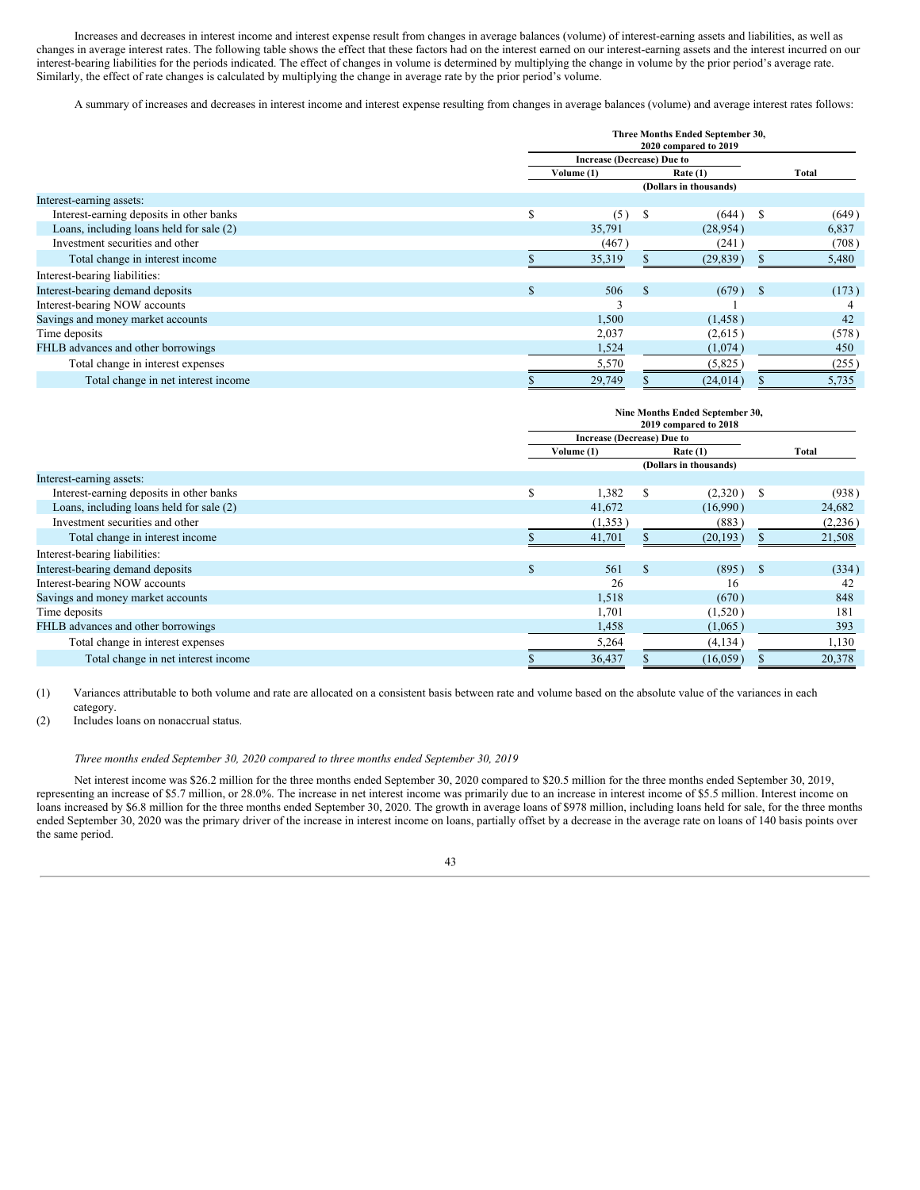Increases and decreases in interest income and interest expense result from changes in average balances (volume) of interest-earning assets and liabilities, as well as changes in average interest rates. The following table shows the effect that these factors had on the interest earned on our interest-earning assets and the interest incurred on our interest-bearing liabilities for the periods indicated. The effect of changes in volume is determined by multiplying the change in volume by the prior period's average rate. Similarly, the effect of rate changes is calculated by multiplying the change in average rate by the prior period's volume.

A summary of increases and decreases in interest income and interest expense resulting from changes in average balances (volume) and average interest rates follows:

|                                          |   | Three Months Ended September 30,<br>2020 compared to 2019 |          |                        |    |       |  |  |
|------------------------------------------|---|-----------------------------------------------------------|----------|------------------------|----|-------|--|--|
|                                          |   | <b>Increase (Decrease) Due to</b>                         |          |                        |    |       |  |  |
|                                          |   | Volume (1)                                                |          | Rate(1)                |    | Total |  |  |
|                                          |   |                                                           |          | (Dollars in thousands) |    |       |  |  |
| Interest-earning assets:                 |   |                                                           |          |                        |    |       |  |  |
| Interest-earning deposits in other banks | ъ | (5)                                                       | S.       | (644)                  | -S | (649) |  |  |
| Loans, including loans held for sale (2) |   | 35,791                                                    |          | (28, 954)              |    | 6,837 |  |  |
| Investment securities and other          |   | (467)                                                     |          | (241)                  |    | (708) |  |  |
| Total change in interest income          |   | 35,319                                                    |          | (29, 839)              |    | 5,480 |  |  |
| Interest-bearing liabilities:            |   |                                                           |          |                        |    |       |  |  |
| Interest-bearing demand deposits         |   | 506                                                       | <b>S</b> | (679)                  | -S | (173) |  |  |
| Interest-bearing NOW accounts            |   |                                                           |          |                        |    |       |  |  |
| Savings and money market accounts        |   | 1,500                                                     |          | (1, 458)               |    | 42    |  |  |
| Time deposits                            |   | 2,037                                                     |          | (2,615)                |    | (578) |  |  |
| FHLB advances and other borrowings       |   | 1,524                                                     |          | (1,074)                |    | 450   |  |  |
| Total change in interest expenses        |   | 5,570                                                     |          | (5,825)                |    | (255) |  |  |
| Total change in net interest income      |   | 29,749                                                    |          | (24, 014)              |    | 5,735 |  |  |

|                                          |    | Nine Months Ended September 30,   |     |                        |      |         |
|------------------------------------------|----|-----------------------------------|-----|------------------------|------|---------|
|                                          |    | <b>Increase (Decrease) Due to</b> |     |                        |      |         |
|                                          |    | Volume (1)                        |     | Rate(1)                |      | Total   |
|                                          |    |                                   |     | (Dollars in thousands) |      |         |
| Interest-earning assets:                 |    |                                   |     |                        |      |         |
| Interest-earning deposits in other banks | S  | 1,382                             | \$  | (2,320)                | - \$ | (938)   |
| Loans, including loans held for sale (2) |    | 41,672                            |     | (16,990)               |      | 24,682  |
| Investment securities and other          |    | (1,353)                           |     | (883)                  |      | (2,236) |
| Total change in interest income          |    | 41,701                            |     | (20, 193)              |      | 21,508  |
| Interest-bearing liabilities:            |    |                                   |     |                        |      |         |
| Interest-bearing demand deposits         | \$ | 561                               | \$. | (895)                  | -S   | (334)   |
| Interest-bearing NOW accounts            |    | 26                                |     | 16                     |      | 42      |
| Savings and money market accounts        |    | 1,518                             |     | (670)                  |      | 848     |
| Time deposits                            |    | 1,701                             |     | (1,520)                |      | 181     |
| FHLB advances and other borrowings       |    | 1,458                             |     | (1,065)                |      | 393     |
| Total change in interest expenses        |    | 5,264                             |     | (4,134)                |      | 1,130   |
| Total change in net interest income      |    | 36,437                            |     | (16,059)               |      | 20,378  |

(1) Variances attributable to both volume and rate are allocated on a consistent basis between rate and volume based on the absolute value of the variances in each category.

(2) Includes loans on nonaccrual status.

## *Three months ended September 30, 2020 compared to three months ended September 30, 2019*

Net interest income was \$26.2 million for the three months ended September 30, 2020 compared to \$20.5 million for the three months ended September 30, 2019, representing an increase of \$5.7 million, or 28.0%. The increase in net interest income was primarily due to an increase in interest income of \$5.5 million. Interest income on loans increased by \$6.8 million for the three months ended September 30, 2020. The growth in average loans of \$978 million, including loans held for sale, for the three months ended September 30, 2020 was the primary driver of the increase in interest income on loans, partially offset by a decrease in the average rate on loans of 140 basis points over the same period.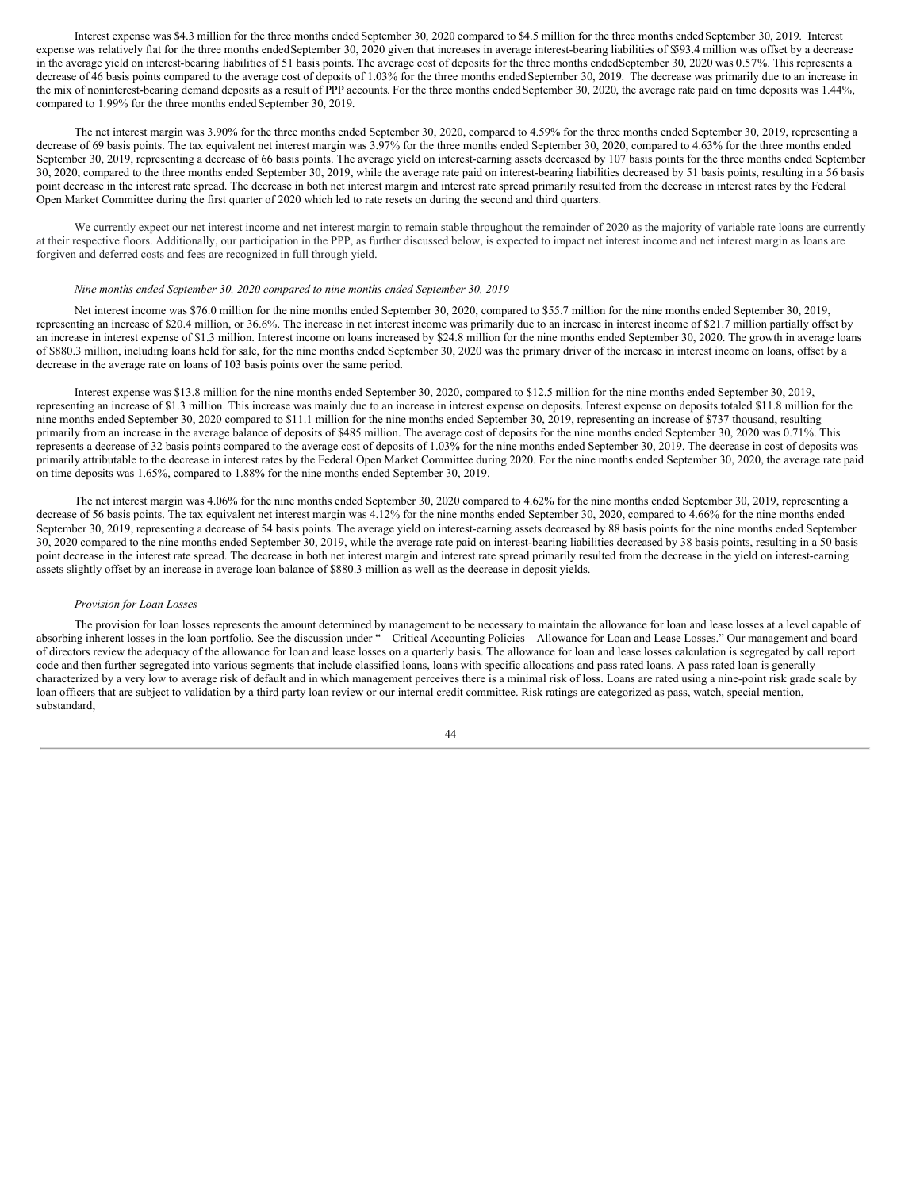Interest expense was \$4.3 million for the three months endedSeptember 30, 2020 compared to \$4.5 million for the three months endedSeptember 30, 2019. Interest expense was relatively flat for the three months endedSeptember 30, 2020 given that increases in average interest-bearing liabilities of \$593.4 million was offset by a decrease in the average yield on interest-bearing liabilities of 51 basis points. The average cost of deposits for the three months endedSeptember 30, 2020 was 0.57%. This represents a decrease of 46 basis points compared to the average cost of deposits of 1.03% for the three months ended September 30, 2019. The decrease was primarily due to an increase in the mix of noninterest-bearing demand deposits as a result of PPP accounts. For the three months ended September 30, 2020, the average rate paid on time deposits was 1.44%, compared to 1.99% for the three months ended September 30, 2019.

The net interest margin was 3.90% for the three months ended September 30, 2020, compared to 4.59% for the three months ended September 30, 2019, representing a decrease of 69 basis points. The tax equivalent net interest margin was 3.97% for the three months ended September 30, 2020, compared to 4.63% for the three months ended September 30, 2019, representing a decrease of 66 basis points. The average yield on interest-earning assets decreased by 107 basis points for the three months ended September 30, 2020, compared to the three months ended September 30, 2019, while the average rate paid on interest-bearing liabilities decreased by 51 basis points, resulting in a 56 basis point decrease in the interest rate spread. The decrease in both net interest margin and interest rate spread primarily resulted from the decrease in interest rates by the Federal Open Market Committee during the first quarter of 2020 which led to rate resets on during the second and third quarters.

We currently expect our net interest income and net interest margin to remain stable throughout the remainder of 2020 as the majority of variable rate loans are currently at their respective floors. Additionally, our participation in the PPP, as further discussed below, is expected to impact net interest income and net interest margin as loans are forgiven and deferred costs and fees are recognized in full through yield.

### *Nine months ended September 30, 2020 compared to nine months ended September 30, 2019*

Net interest income was \$76.0 million for the nine months ended September 30, 2020, compared to \$55.7 million for the nine months ended September 30, 2019, representing an increase of \$20.4 million, or 36.6%. The increase in net interest income was primarily due to an increase in interest income of \$21.7 million partially offset by an increase in interest expense of \$1.3 million. Interest income on loans increased by \$24.8 million for the nine months ended September 30, 2020. The growth in average loans of \$880.3 million, including loans held for sale, for the nine months ended September 30, 2020 was the primary driver of the increase in interest income on loans, offset by a decrease in the average rate on loans of 103 basis points over the same period.

Interest expense was \$13.8 million for the nine months ended September 30, 2020, compared to \$12.5 million for the nine months ended September 30, 2019, representing an increase of \$1.3 million. This increase was mainly due to an increase in interest expense on deposits. Interest expense on deposits totaled \$11.8 million for the nine months ended September 30, 2020 compared to \$11.1 million for the nine months ended September 30, 2019, representing an increase of \$737 thousand, resulting primarily from an increase in the average balance of deposits of \$485 million. The average cost of deposits for the nine months ended September 30, 2020 was 0.71%. This represents a decrease of 32 basis points compared to the average cost of deposits of 1.03% for the nine months ended September 30, 2019. The decrease in cost of deposits was primarily attributable to the decrease in interest rates by the Federal Open Market Committee during 2020. For the nine months ended September 30, 2020, the average rate paid on time deposits was 1.65%, compared to 1.88% for the nine months ended September 30, 2019.

The net interest margin was 4.06% for the nine months ended September 30, 2020 compared to 4.62% for the nine months ended September 30, 2019, representing a decrease of 56 basis points. The tax equivalent net interest margin was 4.12% for the nine months ended September 30, 2020, compared to 4.66% for the nine months ended September 30, 2019, representing a decrease of 54 basis points. The average yield on interest-earning assets decreased by 88 basis points for the nine months ended September 30, 2020 compared to the nine months ended September 30, 2019, while the average rate paid on interest-bearing liabilities decreased by 38 basis points, resulting in a 50 basis point decrease in the interest rate spread. The decrease in both net interest margin and interest rate spread primarily resulted from the decrease in the yield on interest-earning assets slightly offset by an increase in average loan balance of \$880.3 million as well as the decrease in deposit yields.

#### *Provision for Loan Losses*

The provision for loan losses represents the amount determined by management to be necessary to maintain the allowance for loan and lease losses at a level capable of absorbing inherent losses in the loan portfolio. See the discussion under "—Critical Accounting Policies—Allowance for Loan and Lease Losses." Our management and board of directors review the adequacy of the allowance for loan and lease losses on a quarterly basis. The allowance for loan and lease losses calculation is segregated by call report code and then further segregated into various segments that include classified loans, loans with specific allocations and pass rated loans. A pass rated loan is generally characterized by a very low to average risk of default and in which management perceives there is a minimal risk of loss. Loans are rated using a nine-point risk grade scale by loan officers that are subject to validation by a third party loan review or our internal credit committee. Risk ratings are categorized as pass, watch, special mention, substandard,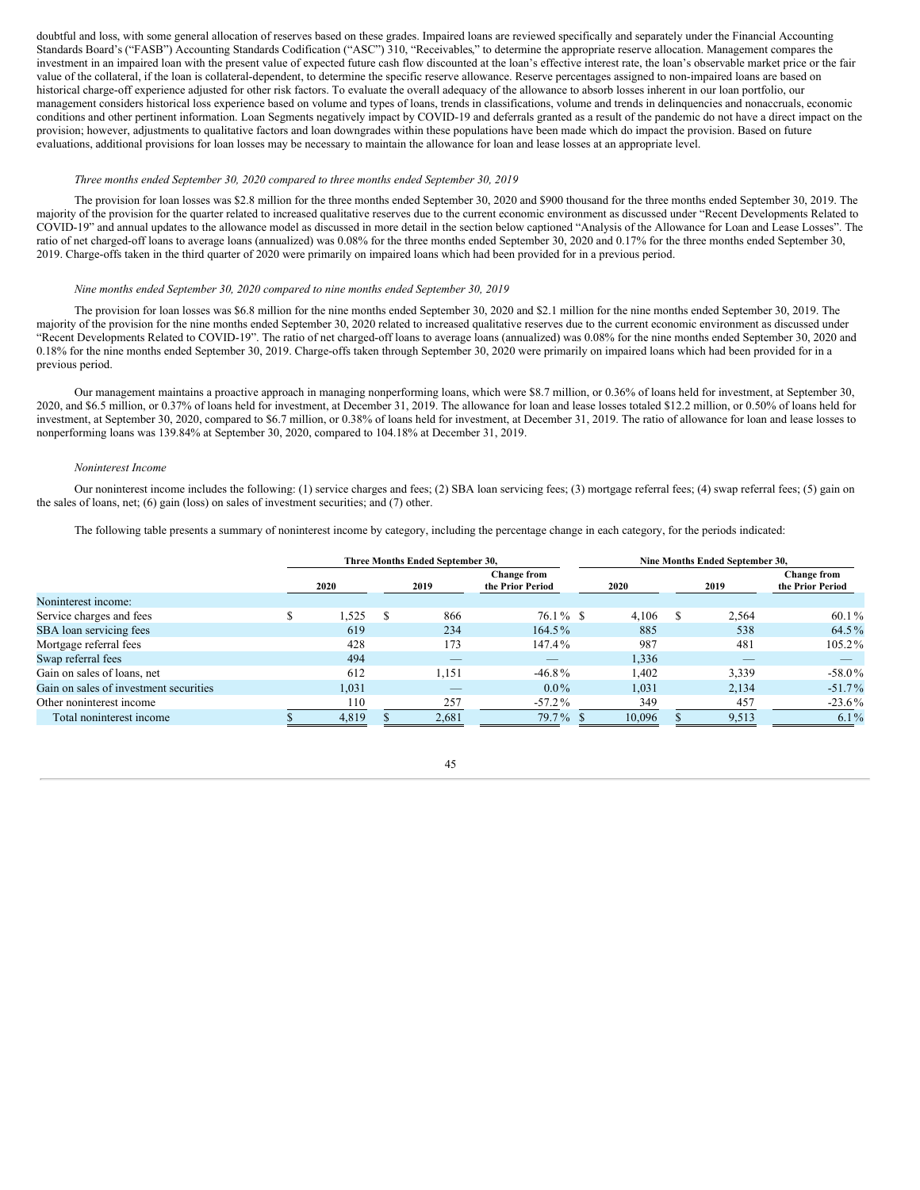doubtful and loss, with some general allocation of reserves based on these grades. Impaired loans are reviewed specifically and separately under the Financial Accounting Standards Board's ("FASB") Accounting Standards Codification ("ASC") 310, "Receivables," to determine the appropriate reserve allocation. Management compares the investment in an impaired loan with the present value of expected future cash flow discounted at the loan's effective interest rate, the loan's observable market price or the fair value of the collateral, if the loan is collateral-dependent, to determine the specific reserve allowance. Reserve percentages assigned to non-impaired loans are based on historical charge-off experience adjusted for other risk factors. To evaluate the overall adequacy of the allowance to absorb losses inherent in our loan portfolio, our management considers historical loss experience based on volume and types of loans, trends in classifications, volume and trends in delinquencies and nonaccruals, economic conditions and other pertinent information. Loan Segments negatively impact by COVID-19 and deferrals granted as a result of the pandemic do not have a direct impact on the provision; however, adjustments to qualitative factors and loan downgrades within these populations have been made which do impact the provision. Based on future evaluations, additional provisions for loan losses may be necessary to maintain the allowance for loan and lease losses at an appropriate level.

### *Three months ended September 30, 2020 compared to three months ended September 30, 2019*

The provision for loan losses was \$2.8 million for the three months ended September 30, 2020 and \$900 thousand for the three months ended September 30, 2019. The majority of the provision for the quarter related to increased qualitative reserves due to the current economic environment as discussed under "Recent Developments Related to COVID-19" and annual updates to the allowance model as discussed in more detail in the section below captioned "Analysis of the Allowance for Loan and Lease Losses". The ratio of net charged-off loans to average loans (annualized) was 0.08% for the three months ended September 30, 2020 and 0.17% for the three months ended September 30, 2019. Charge-offs taken in the third quarter of 2020 were primarily on impaired loans which had been provided for in a previous period.

### *Nine months ended September 30, 2020 compared to nine months ended September 30, 2019*

The provision for loan losses was \$6.8 million for the nine months ended September 30, 2020 and \$2.1 million for the nine months ended September 30, 2019. The majority of the provision for the nine months ended September 30, 2020 related to increased qualitative reserves due to the current economic environment as discussed under "Recent Developments Related to COVID-19". The ratio of net charged-off loans to average loans (annualized) was 0.08% for the nine months ended September 30, 2020 and 0.18% for the nine months ended September 30, 2019. Charge-offs taken through September 30, 2020 were primarily on impaired loans which had been provided for in a previous period.

Our management maintains a proactive approach in managing nonperforming loans, which were \$8.7 million, or 0.36% of loans held for investment, at September 30, 2020, and \$6.5 million, or 0.37% of loans held for investment, at December 31, 2019. The allowance for loan and lease losses totaled \$12.2 million, or 0.50% of loans held for investment, at September 30, 2020, compared to \$6.7 million, or 0.38% of loans held for investment, at December 31, 2019. The ratio of allowance for loan and lease losses to nonperforming loans was 139.84% at September 30, 2020, compared to 104.18% at December 31, 2019.

### *Noninterest Income*

Our noninterest income includes the following: (1) service charges and fees; (2) SBA loan servicing fees; (3) mortgage referral fees; (4) swap referral fees; (5) gain on the sales of loans, net; (6) gain (loss) on sales of investment securities; and (7) other.

The following table presents a summary of noninterest income by category, including the percentage change in each category, for the periods indicated:

|                                        |              |       |    | Three Months Ended September 30, |             | Nine Months Ended September 30, |        |      |                                        |           |  |  |
|----------------------------------------|--------------|-------|----|----------------------------------|-------------|---------------------------------|--------|------|----------------------------------------|-----------|--|--|
|                                        | 2020<br>2019 |       |    | Change from<br>the Prior Period  |             | 2020                            |        | 2019 | <b>Change from</b><br>the Prior Period |           |  |  |
| Noninterest income:                    |              |       |    |                                  |             |                                 |        |      |                                        |           |  |  |
| Service charges and fees               |              | .525  | £. | 866                              | $76.1\%$ \$ |                                 | 4,106  | \$.  | 2,564                                  | 60.1%     |  |  |
| SBA loan servicing fees                |              | 619   |    | 234                              | $164.5\%$   |                                 | 885    |      | 538                                    | 64.5%     |  |  |
| Mortgage referral fees                 |              | 428   |    | 173                              | 147.4%      |                                 | 987    |      | 481                                    | $105.2\%$ |  |  |
| Swap referral fees                     |              | 494   |    | __                               | _           |                                 | 1,336  |      |                                        |           |  |  |
| Gain on sales of loans, net            |              | 612   |    | 1.151                            | $-46.8\%$   |                                 | 1.402  |      | 3,339                                  | $-58.0\%$ |  |  |
| Gain on sales of investment securities |              | 1.031 |    | $\overline{\phantom{a}}$         | $0.0\%$     |                                 | 1.031  |      | 2,134                                  | $-51.7\%$ |  |  |
| Other noninterest income               |              | 110   |    | 257                              | $-57.2\%$   |                                 | 349    |      | 457                                    | $-23.6\%$ |  |  |
| Total noninterest income               |              | 4,819 |    | 2,681                            | 79.7%       |                                 | 10,096 |      | 9,513                                  | $6.1\%$   |  |  |

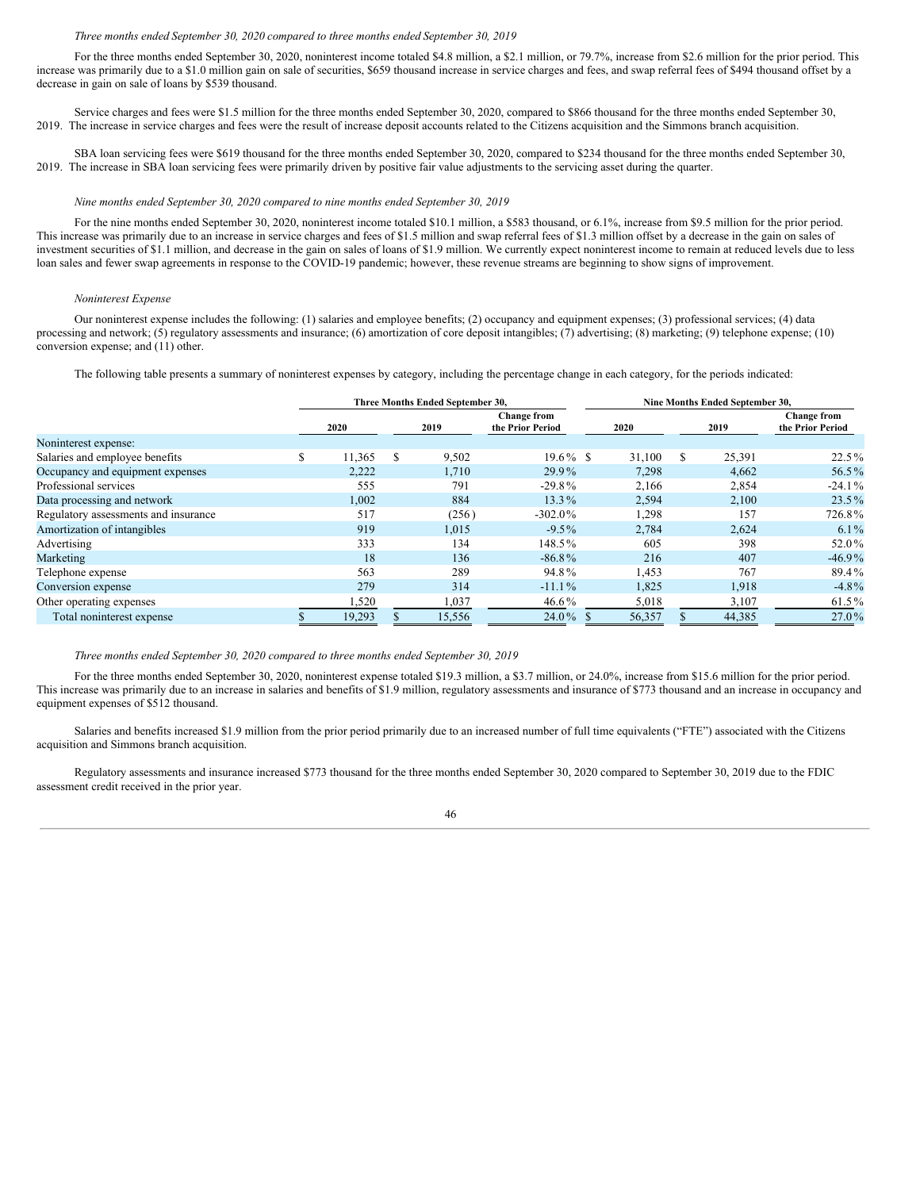#### *Three months ended September 30, 2020 compared to three months ended September 30, 2019*

For the three months ended September 30, 2020, noninterest income totaled \$4.8 million, a \$2.1 million, or 79.7%, increase from \$2.6 million for the prior period. This increase was primarily due to a \$1.0 million gain on sale of securities, \$659 thousand increase in service charges and fees, and swap referral fees of \$494 thousand offset by a decrease in gain on sale of loans by \$539 thousand.

Service charges and fees were \$1.5 million for the three months ended September 30, 2020, compared to \$866 thousand for the three months ended September 30, 2019. The increase in service charges and fees were the result of increase deposit accounts related to the Citizens acquisition and the Simmons branch acquisition.

SBA loan servicing fees were \$619 thousand for the three months ended September 30, 2020, compared to \$234 thousand for the three months ended September 30, 2019. The increase in SBA loan servicing fees were primarily driven by positive fair value adjustments to the servicing asset during the quarter.

### *Nine months ended September 30, 2020 compared to nine months ended September 30, 2019*

For the nine months ended September 30, 2020, noninterest income totaled \$10.1 million, a \$583 thousand, or 6.1%, increase from \$9.5 million for the prior period. This increase was primarily due to an increase in service charges and fees of \$1.5 million and swap referral fees of \$1.3 million offset by a decrease in the gain on sales of investment securities of \$1.1 million, and decrease in the gain on sales of loans of \$1.9 million. We currently expect noninterest income to remain at reduced levels due to less loan sales and fewer swap agreements in response to the COVID-19 pandemic; however, these revenue streams are beginning to show signs of improvement.

### *Noninterest Expense*

Our noninterest expense includes the following: (1) salaries and employee benefits; (2) occupancy and equipment expenses; (3) professional services; (4) data processing and network; (5) regulatory assessments and insurance; (6) amortization of core deposit intangibles; (7) advertising; (8) marketing; (9) telephone expense; (10) conversion expense; and (11) other.

The following table presents a summary of noninterest expenses by category, including the percentage change in each category, for the periods indicated:

|                                      |     |        |      | Three Months Ended September 30, |                                        | Nine Months Ended September 30, |        |   |        |                                        |  |  |
|--------------------------------------|-----|--------|------|----------------------------------|----------------------------------------|---------------------------------|--------|---|--------|----------------------------------------|--|--|
|                                      |     | 2020   | 2019 |                                  | <b>Change from</b><br>the Prior Period | 2020                            |        |   | 2019   | <b>Change from</b><br>the Prior Period |  |  |
| Noninterest expense:                 |     |        |      |                                  |                                        |                                 |        |   |        |                                        |  |  |
| Salaries and employee benefits       | \$. | 11,365 | \$   | 9,502                            | $19.6\%$ \$                            |                                 | 31,100 | S | 25,391 | $22.5\%$                               |  |  |
| Occupancy and equipment expenses     |     | 2,222  |      | 1.710                            | $29.9\%$                               |                                 | 7,298  |   | 4.662  | 56.5%                                  |  |  |
| Professional services                |     | 555    |      | 791                              | $-29.8\%$                              |                                 | 2,166  |   | 2,854  | $-24.1%$                               |  |  |
| Data processing and network          |     | 1,002  |      | 884                              | $13.3\%$                               |                                 | 2,594  |   | 2,100  | $23.5\%$                               |  |  |
| Regulatory assessments and insurance |     | 517    |      | (256)                            | $-302.0\%$                             |                                 | 1,298  |   | 157    | 726.8%                                 |  |  |
| Amortization of intangibles          |     | 919    |      | 1,015                            | $-9.5\%$                               |                                 | 2,784  |   | 2,624  | $6.1\%$                                |  |  |
| Advertising                          |     | 333    |      | 134                              | 148.5%                                 |                                 | 605    |   | 398    | 52.0%                                  |  |  |
| Marketing                            |     | 18     |      | 136                              | $-86.8\%$                              |                                 | 216    |   | 407    | $-46.9%$                               |  |  |
| Telephone expense                    |     | 563    |      | 289                              | 94.8%                                  |                                 | 1,453  |   | 767    | 89.4%                                  |  |  |
| Conversion expense                   |     | 279    |      | 314                              | $-11.1\%$                              |                                 | 1.825  |   | 1.918  | $-4.8\%$                               |  |  |
| Other operating expenses             |     | 1,520  |      | 1,037                            | $46.6\%$                               |                                 | 5,018  |   | 3,107  | $61.5\%$                               |  |  |
| Total noninterest expense            |     | 19,293 |      | 15,556                           | $24.0\%$                               |                                 | 56,357 |   | 44,385 | $27.0\%$                               |  |  |

#### *Three months ended September 30, 2020 compared to three months ended September 30, 2019*

For the three months ended September 30, 2020, noninterest expense totaled \$19.3 million, a \$3.7 million, or 24.0%, increase from \$15.6 million for the prior period. This increase was primarily due to an increase in salaries and benefits of \$1.9 million, regulatory assessments and insurance of \$773 thousand and an increase in occupancy and equipment expenses of \$512 thousand.

Salaries and benefits increased \$1.9 million from the prior period primarily due to an increased number of full time equivalents ("FTE") associated with the Citizens acquisition and Simmons branch acquisition.

Regulatory assessments and insurance increased \$773 thousand for the three months ended September 30, 2020 compared to September 30, 2019 due to the FDIC assessment credit received in the prior year.

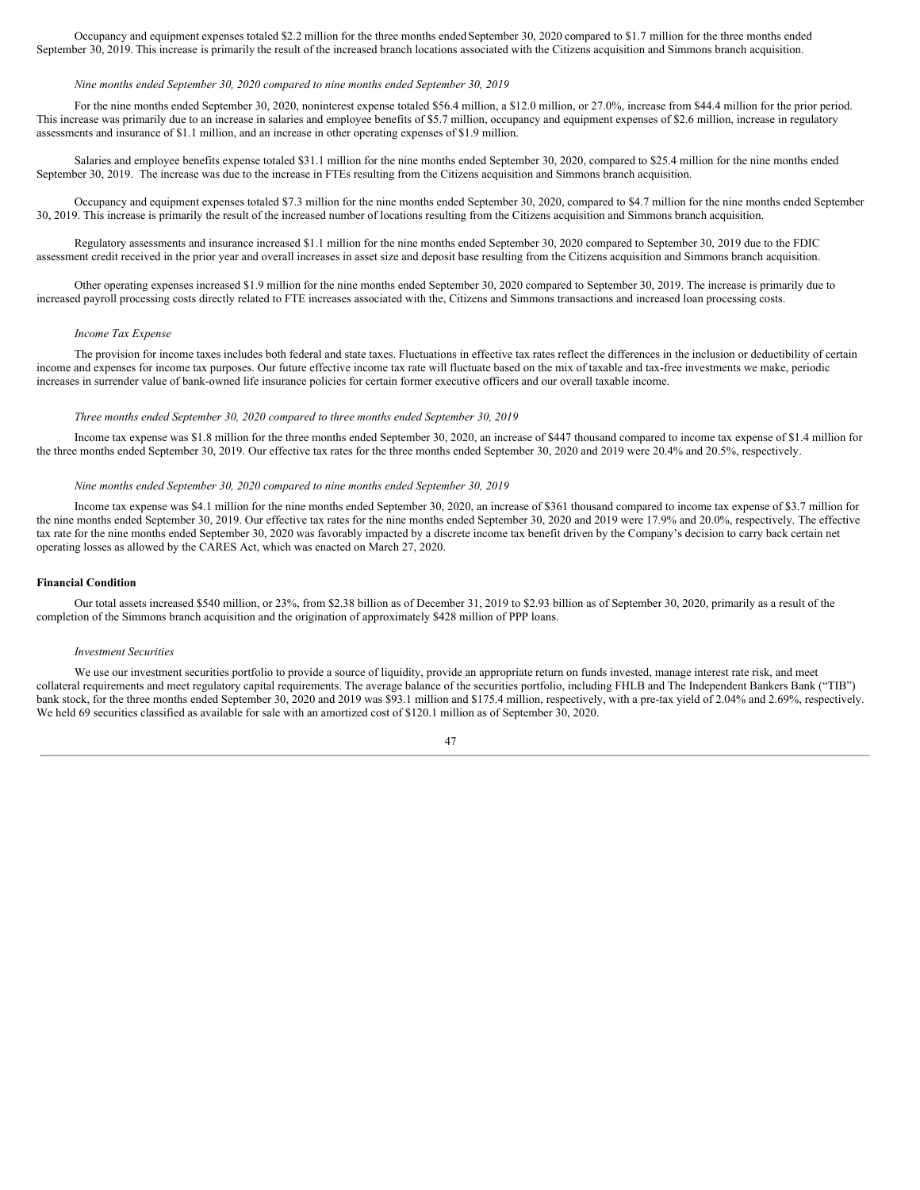Occupancy and equipment expenses totaled \$2.2 million for the three months endedSeptember 30, 2020 compared to \$1.7 million for the three months ended September 30, 2019. This increase is primarily the result of the increased branch locations associated with the Citizens acquisition and Simmons branch acquisition.

#### *Nine months ended September 30, 2020 compared to nine months ended September 30, 2019*

For the nine months ended September 30, 2020, noninterest expense totaled \$56.4 million, a \$12.0 million, or 27.0%, increase from \$44.4 million for the prior period. This increase was primarily due to an increase in salaries and employee benefits of \$5.7 million, occupancy and equipment expenses of \$2.6 million, increase in regulatory assessments and insurance of \$1.1 million, and an increase in other operating expenses of \$1.9 million.

Salaries and employee benefits expense totaled \$31.1 million for the nine months ended September 30, 2020, compared to \$25.4 million for the nine months ended September 30, 2019. The increase was due to the increase in FTEs resulting from the Citizens acquisition and Simmons branch acquisition.

Occupancy and equipment expenses totaled \$7.3 million for the nine months ended September 30, 2020, compared to \$4.7 million for the nine months ended September 30, 2019. This increase is primarily the result of the increased number of locations resulting from the Citizens acquisition and Simmons branch acquisition.

Regulatory assessments and insurance increased \$1.1 million for the nine months ended September 30, 2020 compared to September 30, 2019 due to the FDIC assessment credit received in the prior year and overall increases in asset size and deposit base resulting from the Citizens acquisition and Simmons branch acquisition.

Other operating expenses increased \$1.9 million for the nine months ended September 30, 2020 compared to September 30, 2019. The increase is primarily due to increased payroll processing costs directly related to FTE increases associated with the, Citizens and Simmons transactions and increased loan processing costs.

### *Income Tax Expense*

The provision for income taxes includes both federal and state taxes. Fluctuations in effective tax rates reflect the differences in the inclusion or deductibility of certain income and expenses for income tax purposes. Our future effective income tax rate will fluctuate based on the mix of taxable and tax-free investments we make, periodic increases in surrender value of bank-owned life insurance policies for certain former executive officers and our overall taxable income.

#### *Three months ended September 30, 2020 compared to three months ended September 30, 2019*

Income tax expense was \$1.8 million for the three months ended September 30, 2020, an increase of \$447 thousand compared to income tax expense of \$1.4 million for the three months ended September 30, 2019. Our effective tax rates for the three months ended September 30, 2020 and 2019 were 20.4% and 20.5%, respectively.

#### *Nine months ended September 30, 2020 compared to nine months ended September 30, 2019*

Income tax expense was \$4.1 million for the nine months ended September 30, 2020, an increase of \$361 thousand compared to income tax expense of \$3.7 million for the nine months ended September 30, 2019. Our effective tax rates for the nine months ended September 30, 2020 and 2019 were 17.9% and 20.0%, respectively. The effective tax rate for the nine months ended September 30, 2020 was favorably impacted by a discrete income tax benefit driven by the Company's decision to carry back certain net operating losses as allowed by the CARES Act, which was enacted on March 27, 2020.

#### **Financial Condition**

Our total assets increased \$540 million, or 23%, from \$2.38 billion as of December 31, 2019 to \$2.93 billion as of September 30, 2020, primarily as a result of the completion of the Simmons branch acquisition and the origination of approximately \$428 million of PPP loans.

#### *Investment Securities*

We use our investment securities portfolio to provide a source of liquidity, provide an appropriate return on funds invested, manage interest rate risk, and meet collateral requirements and meet regulatory capital requirements. The average balance of the securities portfolio, including FHLB and The Independent Bankers Bank ("TIB") bank stock, for the three months ended September 30, 2020 and 2019 was \$93.1 million and \$175.4 million, respectively, with a pre-tax yield of 2.04% and 2.69%, respectively. We held 69 securities classified as available for sale with an amortized cost of \$120.1 million as of September 30, 2020.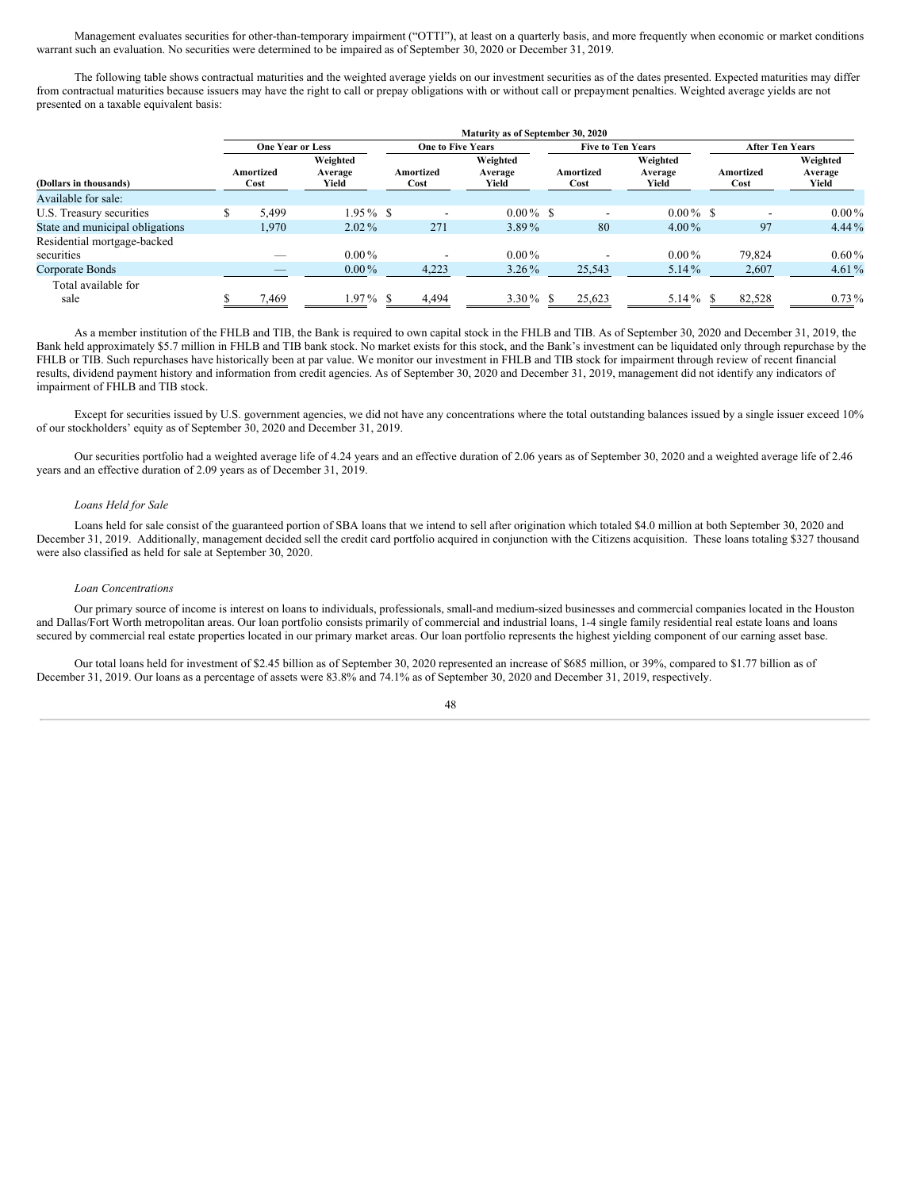Management evaluates securities for other-than-temporary impairment ("OTTI"), at least on a quarterly basis, and more frequently when economic or market conditions warrant such an evaluation. No securities were determined to be impaired as of September 30, 2020 or December 31, 2019.

The following table shows contractual maturities and the weighted average yields on our investment securities as of the dates presented. Expected maturities may differ from contractual maturities because issuers may have the right to call or prepay obligations with or without call or prepayment penalties. Weighted average yields are not presented on a taxable equivalent basis:

|                                           | Maturity as of September 30, 2020 |                         |                              |  |                          |                              |                          |                   |                              |                   |                        |                              |  |  |
|-------------------------------------------|-----------------------------------|-------------------------|------------------------------|--|--------------------------|------------------------------|--------------------------|-------------------|------------------------------|-------------------|------------------------|------------------------------|--|--|
|                                           |                                   | <b>One Year or Less</b> |                              |  | <b>One to Five Years</b> |                              | <b>Five to Ten Years</b> |                   |                              |                   | <b>After Ten Years</b> |                              |  |  |
| (Dollars in thousands)                    |                                   | Amortized<br>Cost       | Weighted<br>Average<br>Yield |  | Amortized<br>Cost        | Weighted<br>Average<br>Yield |                          | Amortized<br>Cost | Weighted<br>Average<br>Yield | Amortized<br>Cost |                        | Weighted<br>Average<br>Yield |  |  |
| Available for sale:                       |                                   |                         |                              |  |                          |                              |                          |                   |                              |                   |                        |                              |  |  |
| U.S. Treasury securities                  |                                   | 5.499                   | $1.95\%$ \$                  |  |                          | $0.00\%$ \$                  |                          |                   | $0.00\%$ \$                  |                   |                        | $0.00\%$                     |  |  |
| State and municipal obligations           |                                   | 1,970                   | $2.02\%$                     |  | 271                      | $3.89\%$                     |                          | 80                | $4.00\%$                     |                   | 97                     | $4.44\%$                     |  |  |
| Residential mortgage-backed<br>securities |                                   |                         | $0.00\%$                     |  |                          | $0.00\%$                     |                          |                   | $0.00\%$                     |                   | 79.824                 | $0.60\,\%$                   |  |  |
| Corporate Bonds                           |                                   |                         | $0.00\,\%$                   |  | 4,223                    | $3.26\%$                     |                          | 25,543            | $5.14\%$                     |                   | 2,607                  | 4.61 $%$                     |  |  |
| Total available for<br>sale               |                                   | 7,469                   | $1.97\%$ \$                  |  | 4,494                    | 3.30%                        |                          | 25,623            | 5.14 $\%$ \$                 |                   | 82,528                 | $0.73\%$                     |  |  |

As a member institution of the FHLB and TIB, the Bank is required to own capital stock in the FHLB and TIB. As of September 30, 2020 and December 31, 2019, the Bank held approximately \$5.7 million in FHLB and TIB bank stock. No market exists for this stock, and the Bank's investment can be liquidated only through repurchase by the FHLB or TIB. Such repurchases have historically been at par value. We monitor our investment in FHLB and TIB stock for impairment through review of recent financial results, dividend payment history and information from credit agencies. As of September 30, 2020 and December 31, 2019, management did not identify any indicators of impairment of FHLB and TIB stock.

Except for securities issued by U.S. government agencies, we did not have any concentrations where the total outstanding balances issued by a single issuer exceed 10% of our stockholders' equity as of September 30, 2020 and December 31, 2019.

Our securities portfolio had a weighted average life of 4.24 years and an effective duration of 2.06 years as of September 30, 2020 and a weighted average life of 2.46 years and an effective duration of 2.09 years as of December 31, 2019.

#### *Loans Held for Sale*

Loans held for sale consist of the guaranteed portion of SBA loans that we intend to sell after origination which totaled \$4.0 million at both September 30, 2020 and December 31, 2019. Additionally, management decided sell the credit card portfolio acquired in conjunction with the Citizens acquisition. These loans totaling \$327 thousand were also classified as held for sale at September 30, 2020.

### *Loan Concentrations*

Our primary source of income is interest on loans to individuals, professionals, small-and medium-sized businesses and commercial companies located in the Houston and Dallas/Fort Worth metropolitan areas. Our loan portfolio consists primarily of commercial and industrial loans, 1-4 single family residential real estate loans and loans secured by commercial real estate properties located in our primary market areas. Our loan portfolio represents the highest yielding component of our earning asset base.

Our total loans held for investment of \$2.45 billion as of September 30, 2020 represented an increase of \$685 million, or 39%, compared to \$1.77 billion as of December 31, 2019. Our loans as a percentage of assets were 83.8% and 74.1% as of September 30, 2020 and December 31, 2019, respectively.

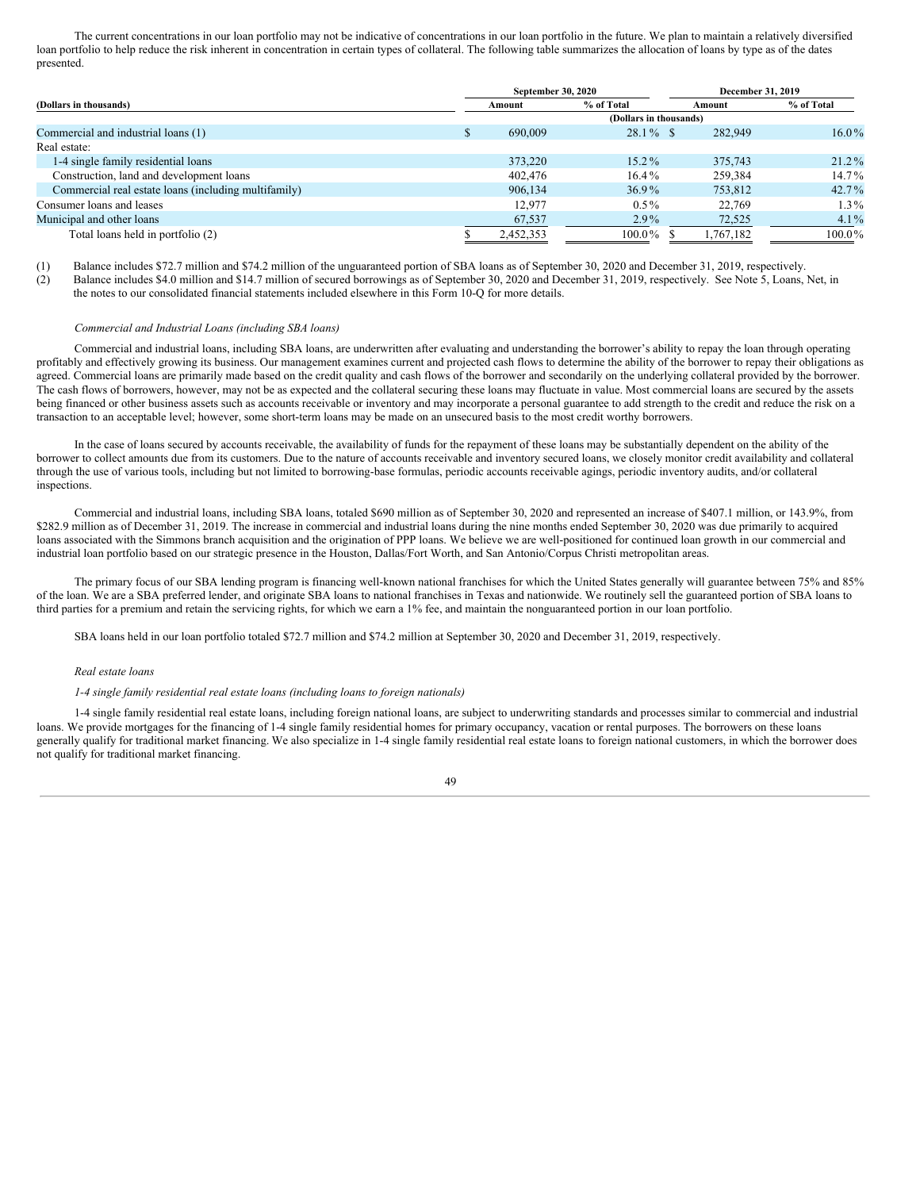The current concentrations in our loan portfolio may not be indicative of concentrations in our loan portfolio in the future. We plan to maintain a relatively diversified loan portfolio to help reduce the risk inherent in concentration in certain types of collateral. The following table summarizes the allocation of loans by type as of the dates presented.

|                                                      | September 30, 2020 |                        |           | December 31, 2019 |
|------------------------------------------------------|--------------------|------------------------|-----------|-------------------|
| (Dollars in thousands)                               | Amount             | % of Total             | Amount    | % of Total        |
|                                                      |                    | (Dollars in thousands) |           |                   |
| Commercial and industrial loans (1)                  | 690,009            | $28.1\%$ \$            | 282,949   | $16.0\%$          |
| Real estate:                                         |                    |                        |           |                   |
| 1-4 single family residential loans                  | 373,220            | $15.2\%$               | 375,743   | $21.2\%$          |
| Construction, land and development loans             | 402,476            | $16.4\%$               | 259,384   | $14.7\%$          |
| Commercial real estate loans (including multifamily) | 906.134            | $36.9\%$               | 753.812   | $42.7\%$          |
| Consumer loans and leases                            | 12.977             | $0.5\%$                | 22.769    | $1.3\%$           |
| Municipal and other loans                            | 67,537             | $2.9\%$                | 72,525    | $4.1\%$           |
| Total loans held in portfolio (2)                    | 2,452,353          | $100.0\%$              | 1.767.182 | $100.0\%$         |

(1) Balance includes \$72.7 million and \$74.2 million of the unguaranteed portion of SBA loans as of September 30, 2020 and December 31, 2019, respectively.

(2) Balance includes \$4.0 million and \$14.7 million of secured borrowings as of September 30, 2020 and December 31, 2019, respectively. See Note 5, Loans, Net, in the notes to our consolidated financial statements included elsewhere in this Form 10-Q for more details.

### *Commercial and Industrial Loans (including SBA loans)*

Commercial and industrial loans, including SBA loans, are underwritten after evaluating and understanding the borrower's ability to repay the loan through operating profitably and effectively growing its business. Our management examines current and projected cash flows to determine the ability of the borrower to repay their obligations as agreed. Commercial loans are primarily made based on the credit quality and cash flows of the borrower and secondarily on the underlying collateral provided by the borrower. The cash flows of borrowers, however, may not be as expected and the collateral securing these loans may fluctuate in value. Most commercial loans are secured by the assets being financed or other business assets such as accounts receivable or inventory and may incorporate a personal guarantee to add strength to the credit and reduce the risk on a transaction to an acceptable level; however, some short-term loans may be made on an unsecured basis to the most credit worthy borrowers.

In the case of loans secured by accounts receivable, the availability of funds for the repayment of these loans may be substantially dependent on the ability of the borrower to collect amounts due from its customers. Due to the nature of accounts receivable and inventory secured loans, we closely monitor credit availability and collateral through the use of various tools, including but not limited to borrowing-base formulas, periodic accounts receivable agings, periodic inventory audits, and/or collateral inspections.

Commercial and industrial loans, including SBA loans, totaled \$690 million as of September 30, 2020 and represented an increase of \$407.1 million, or 143.9%, from \$282.9 million as of December 31, 2019. The increase in commercial and industrial loans during the nine months ended September 30, 2020 was due primarily to acquired loans associated with the Simmons branch acquisition and the origination of PPP loans. We believe we are well-positioned for continued loan growth in our commercial and industrial loan portfolio based on our strategic presence in the Houston, Dallas/Fort Worth, and San Antonio/Corpus Christi metropolitan areas.

The primary focus of our SBA lending program is financing well-known national franchises for which the United States generally will guarantee between 75% and 85% of the loan. We are a SBA preferred lender, and originate SBA loans to national franchises in Texas and nationwide. We routinely sell the guaranteed portion of SBA loans to third parties for a premium and retain the servicing rights, for which we earn a 1% fee, and maintain the nonguaranteed portion in our loan portfolio.

SBA loans held in our loan portfolio totaled \$72.7 million and \$74.2 million at September 30, 2020 and December 31, 2019, respectively.

#### *Real estate loans*

*1-4 single family residential real estate loans (including loans to foreign nationals)*

1-4 single family residential real estate loans, including foreign national loans, are subject to underwriting standards and processes similar to commercial and industrial loans. We provide mortgages for the financing of 1-4 single family residential homes for primary occupancy, vacation or rental purposes. The borrowers on these loans generally qualify for traditional market financing. We also specialize in 1-4 single family residential real estate loans to foreign national customers, in which the borrower does not qualify for traditional market financing.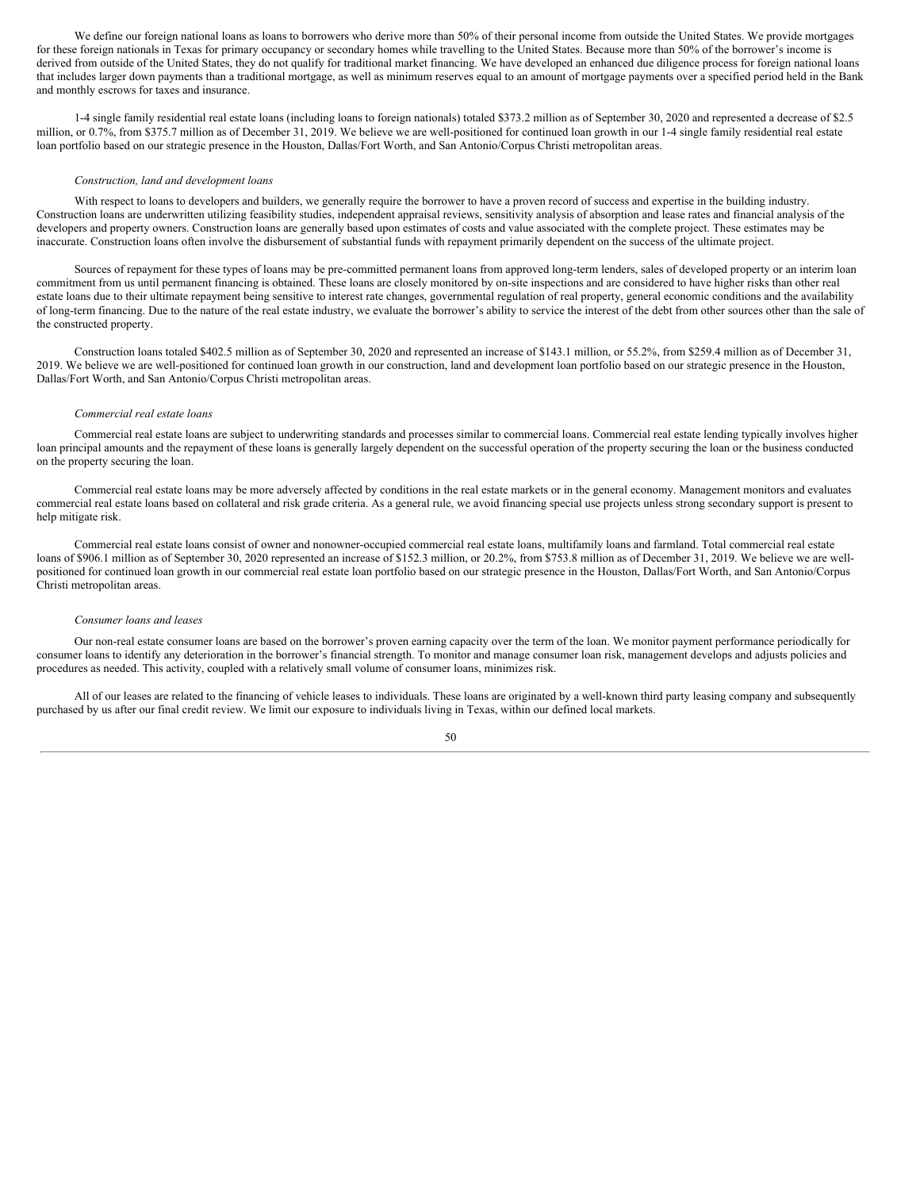We define our foreign national loans as loans to borrowers who derive more than 50% of their personal income from outside the United States. We provide mortgages for these foreign nationals in Texas for primary occupancy or secondary homes while travelling to the United States. Because more than 50% of the borrower's income is derived from outside of the United States, they do not qualify for traditional market financing. We have developed an enhanced due diligence process for foreign national loans that includes larger down payments than a traditional mortgage, as well as minimum reserves equal to an amount of mortgage payments over a specified period held in the Bank and monthly escrows for taxes and insurance.

1-4 single family residential real estate loans (including loans to foreign nationals) totaled \$373.2 million as of September 30, 2020 and represented a decrease of \$2.5 million, or  $0.7\%$ , from \$375.7 million as of December 31, 2019. We believe we are well-positioned for continued loan growth in our 1-4 single family residential real estate loan portfolio based on our strategic presence in the Houston, Dallas/Fort Worth, and San Antonio/Corpus Christi metropolitan areas.

#### *Construction, land and development loans*

With respect to loans to developers and builders, we generally require the borrower to have a proven record of success and expertise in the building industry. Construction loans are underwritten utilizing feasibility studies, independent appraisal reviews, sensitivity analysis of absorption and lease rates and financial analysis of the developers and property owners. Construction loans are generally based upon estimates of costs and value associated with the complete project. These estimates may be inaccurate. Construction loans often involve the disbursement of substantial funds with repayment primarily dependent on the success of the ultimate project.

Sources of repayment for these types of loans may be pre-committed permanent loans from approved long-term lenders, sales of developed property or an interim loan commitment from us until permanent financing is obtained. These loans are closely monitored by on-site inspections and are considered to have higher risks than other real estate loans due to their ultimate repayment being sensitive to interest rate changes, governmental regulation of real property, general economic conditions and the availability of long-term financing. Due to the nature of the real estate industry, we evaluate the borrower's ability to service the interest of the debt from other sources other than the sale of the constructed property.

Construction loans totaled \$402.5 million as of September 30, 2020 and represented an increase of \$143.1 million, or 55.2%, from \$259.4 million as of December 31, 2019. We believe we are well-positioned for continued loan growth in our construction, land and development loan portfolio based on our strategic presence in the Houston, Dallas/Fort Worth, and San Antonio/Corpus Christi metropolitan areas.

#### *Commercial real estate loans*

Commercial real estate loans are subject to underwriting standards and processes similar to commercial loans. Commercial real estate lending typically involves higher loan principal amounts and the repayment of these loans is generally largely dependent on the successful operation of the property securing the loan or the business conducted on the property securing the loan.

Commercial real estate loans may be more adversely affected by conditions in the real estate markets or in the general economy. Management monitors and evaluates commercial real estate loans based on collateral and risk grade criteria. As a general rule, we avoid financing special use projects unless strong secondary support is present to help mitigate risk.

Commercial real estate loans consist of owner and nonowner-occupied commercial real estate loans, multifamily loans and farmland. Total commercial real estate loans of \$906.1 million as of September 30, 2020 represented an increase of \$152.3 million, or 20.2%, from \$753.8 million as of December 31, 2019. We believe we are wellpositioned for continued loan growth in our commercial real estate loan portfolio based on our strategic presence in the Houston, Dallas/Fort Worth, and San Antonio/Corpus Christi metropolitan areas.

## *Consumer loans and leases*

Our non-real estate consumer loans are based on the borrower's proven earning capacity over the term of the loan. We monitor payment performance periodically for consumer loans to identify any deterioration in the borrower's financial strength. To monitor and manage consumer loan risk, management develops and adjusts policies and procedures as needed. This activity, coupled with a relatively small volume of consumer loans, minimizes risk.

All of our leases are related to the financing of vehicle leases to individuals. These loans are originated by a well-known third party leasing company and subsequently purchased by us after our final credit review. We limit our exposure to individuals living in Texas, within our defined local markets.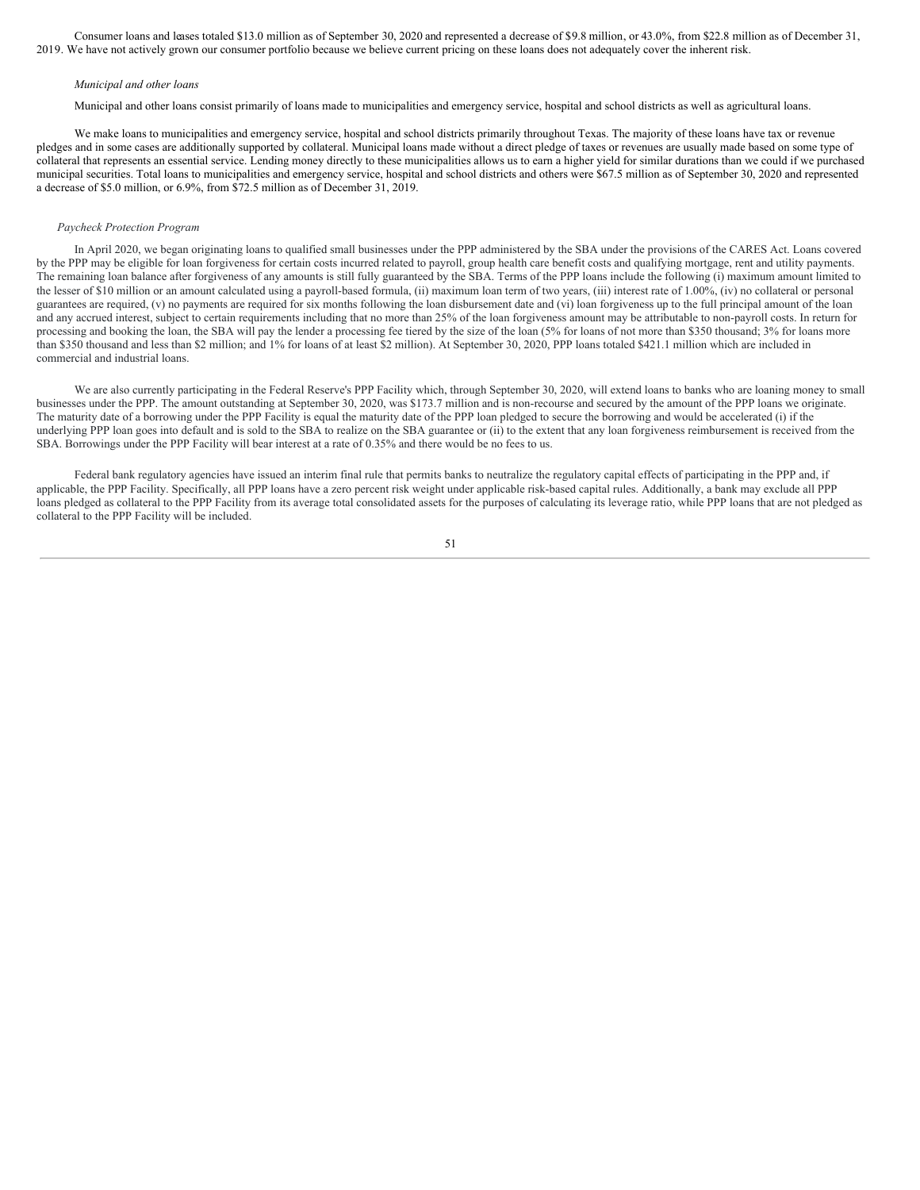Consumer loans and leases totaled \$13.0 million as of September 30, 2020 and represented a decrease of \$9.8 million, or 43.0%, from \$22.8 million as of December 31, 2019. We have not actively grown our consumer portfolio because we believe current pricing on these loans does not adequately cover the inherent risk.

#### *Municipal and other loans*

Municipal and other loans consist primarily of loans made to municipalities and emergency service, hospital and school districts as well as agricultural loans.

We make loans to municipalities and emergency service, hospital and school districts primarily throughout Texas. The majority of these loans have tax or revenue pledges and in some cases are additionally supported by collateral. Municipal loans made without a direct pledge of taxes or revenues are usually made based on some type of collateral that represents an essential service. Lending money directly to these municipalities allows us to earn a higher yield for similar durations than we could if we purchased municipal securities. Total loans to municipalities and emergency service, hospital and school districts and others were \$67.5 million as of September 30, 2020 and represented a decrease of \$5.0 million, or 6.9%, from \$72.5 million as of December 31, 2019.

#### *Paycheck Protection Program*

In April 2020, we began originating loans to qualified small businesses under the PPP administered by the SBA under the provisions of the CARES Act. Loans covered by the PPP may be eligible for loan forgiveness for certain costs incurred related to payroll, group health care benefit costs and qualifying mortgage, rent and utility payments. The remaining loan balance after forgiveness of any amounts is still fully guaranteed by the SBA. Terms of the PPP loans include the following (i) maximum amount limited to the lesser of \$10 million or an amount calculated using a payroll-based formula, (ii) maximum loan term of two years, (iii) interest rate of 1.00%, (iv) no collateral or personal guarantees are required, (v) no payments are required for six months following the loan disbursement date and (vi) loan forgiveness up to the full principal amount of the loan and any accrued interest, subject to certain requirements including that no more than 25% of the loan forgiveness amount may be attributable to non-payroll costs. In return for processing and booking the loan, the SBA will pay the lender a processing fee tiered by the size of the loan (5% for loans of not more than \$350 thousand; 3% for loans more than \$350 thousand and less than \$2 million; and 1% for loans of at least \$2 million). At September 30, 2020, PPP loans totaled \$421.1 million which are included in commercial and industrial loans.

We are also currently participating in the Federal Reserve's PPP Facility which, through September 30, 2020, will extend loans to banks who are loaning money to small businesses under the PPP. The amount outstanding at September 30, 2020, was \$173.7 million and is non-recourse and secured by the amount of the PPP loans we originate. The maturity date of a borrowing under the PPP Facility is equal the maturity date of the PPP loan pledged to secure the borrowing and would be accelerated (i) if the underlying PPP loan goes into default and is sold to the SBA to realize on the SBA guarantee or (ii) to the extent that any loan forgiveness reimbursement is received from the SBA. Borrowings under the PPP Facility will bear interest at a rate of 0.35% and there would be no fees to us.

Federal bank regulatory agencies have issued an interim final rule that permits banks to neutralize the regulatory capital effects of participating in the PPP and, if applicable, the PPP Facility. Specifically, all PPP loans have a zero percent risk weight under applicable risk-based capital rules. Additionally, a bank may exclude all PPP loans pledged as collateral to the PPP Facility from its average total consolidated assets for the purposes of calculating its leverage ratio, while PPP loans that are not pledged as collateral to the PPP Facility will be included.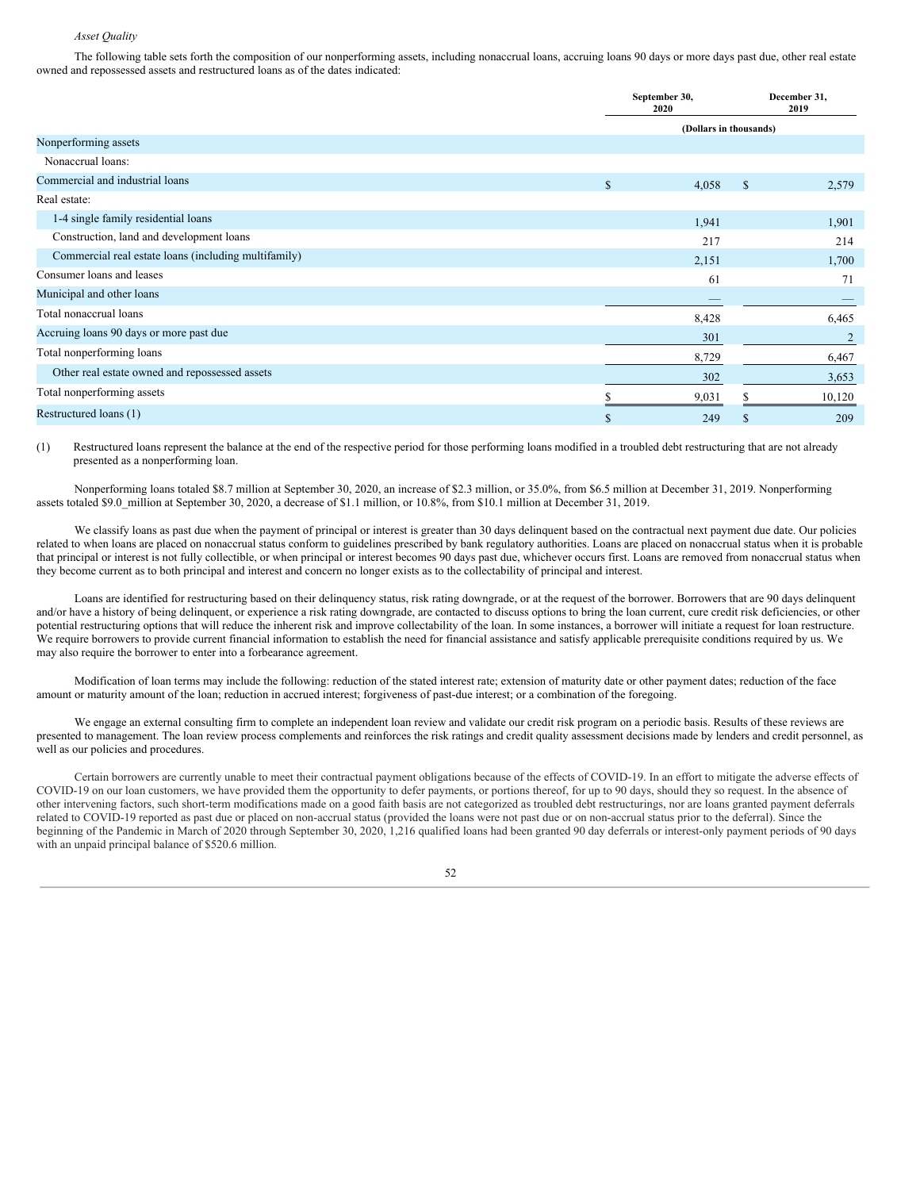### *Asset Quality*

The following table sets forth the composition of our nonperforming assets, including nonaccrual loans, accruing loans 90 days or more days past due, other real estate owned and repossessed assets and restructured loans as of the dates indicated:

|                                                      |               | September 30,<br>2020  |    | December 31,<br>2019 |
|------------------------------------------------------|---------------|------------------------|----|----------------------|
|                                                      |               | (Dollars in thousands) |    |                      |
| Nonperforming assets                                 |               |                        |    |                      |
| Nonaccrual loans:                                    |               |                        |    |                      |
| Commercial and industrial loans                      | <sup>\$</sup> | 4,058                  | \$ | 2,579                |
| Real estate:                                         |               |                        |    |                      |
| 1-4 single family residential loans                  |               | 1,941                  |    | 1,901                |
| Construction, land and development loans             |               | 217                    |    | 214                  |
| Commercial real estate loans (including multifamily) |               | 2,151                  |    | 1,700                |
| Consumer loans and leases                            |               | 61                     |    | 71                   |
| Municipal and other loans                            |               |                        |    |                      |
| Total nonaccrual loans                               |               | 8,428                  |    | 6,465                |
| Accruing loans 90 days or more past due              |               | 301                    |    |                      |
| Total nonperforming loans                            |               | 8,729                  |    | 6,467                |
| Other real estate owned and repossessed assets       |               | 302                    |    | 3,653                |
| Total nonperforming assets                           |               | 9,031                  |    | 10,120               |
| Restructured loans (1)                               | \$            | 249                    | S  | 209                  |

(1) Restructured loans represent the balance at the end of the respective period for those performing loans modified in a troubled debt restructuring that are not already presented as a nonperforming loan.

Nonperforming loans totaled \$8.7 million at September 30, 2020, an increase of \$2.3 million, or 35.0%, from \$6.5 million at December 31, 2019. Nonperforming assets totaled \$9.0\_million at September 30, 2020, a decrease of \$1.1 million, or 10.8%, from \$10.1 million at December 31, 2019.

We classify loans as past due when the payment of principal or interest is greater than 30 days delinquent based on the contractual next payment due date. Our policies related to when loans are placed on nonaccrual status conform to guidelines prescribed by bank regulatory authorities. Loans are placed on nonaccrual status when it is probable that principal or interest is not fully collectible, or when principal or interest becomes 90 days past due, whichever occurs first. Loans are removed from nonaccrual status when they become current as to both principal and interest and concern no longer exists as to the collectability of principal and interest.

Loans are identified for restructuring based on their delinquency status, risk rating downgrade, or at the request of the borrower. Borrowers that are 90 days delinquent and/or have a history of being delinquent, or experience a risk rating downgrade, are contacted to discuss options to bring the loan current, cure credit risk deficiencies, or other potential restructuring options that will reduce the inherent risk and improve collectability of the loan. In some instances, a borrower will initiate a request for loan restructure. We require borrowers to provide current financial information to establish the need for financial assistance and satisfy applicable prerequisite conditions required by us. We may also require the borrower to enter into a forbearance agreement.

Modification of loan terms may include the following: reduction of the stated interest rate; extension of maturity date or other payment dates; reduction of the face amount or maturity amount of the loan; reduction in accrued interest; forgiveness of past-due interest; or a combination of the foregoing.

We engage an external consulting firm to complete an independent loan review and validate our credit risk program on a periodic basis. Results of these reviews are presented to management. The loan review process complements and reinforces the risk ratings and credit quality assessment decisions made by lenders and credit personnel, as well as our policies and procedures.

Certain borrowers are currently unable to meet their contractual payment obligations because of the effects of COVID-19. In an effort to mitigate the adverse effects of COVID-19 on our loan customers, we have provided them the opportunity to defer payments, or portions thereof, for up to 90 days, should they so request. In the absence of other intervening factors, such short-term modifications made on a good faith basis are not categorized as troubled debt restructurings, nor are loans granted payment deferrals related to COVID-19 reported as past due or placed on non-accrual status (provided the loans were not past due or on non-accrual status prior to the deferral). Since the beginning of the Pandemic in March of 2020 through September 30, 2020, 1,216 qualified loans had been granted 90 day deferrals or interest-only payment periods of 90 days with an unpaid principal balance of \$520.6 million.

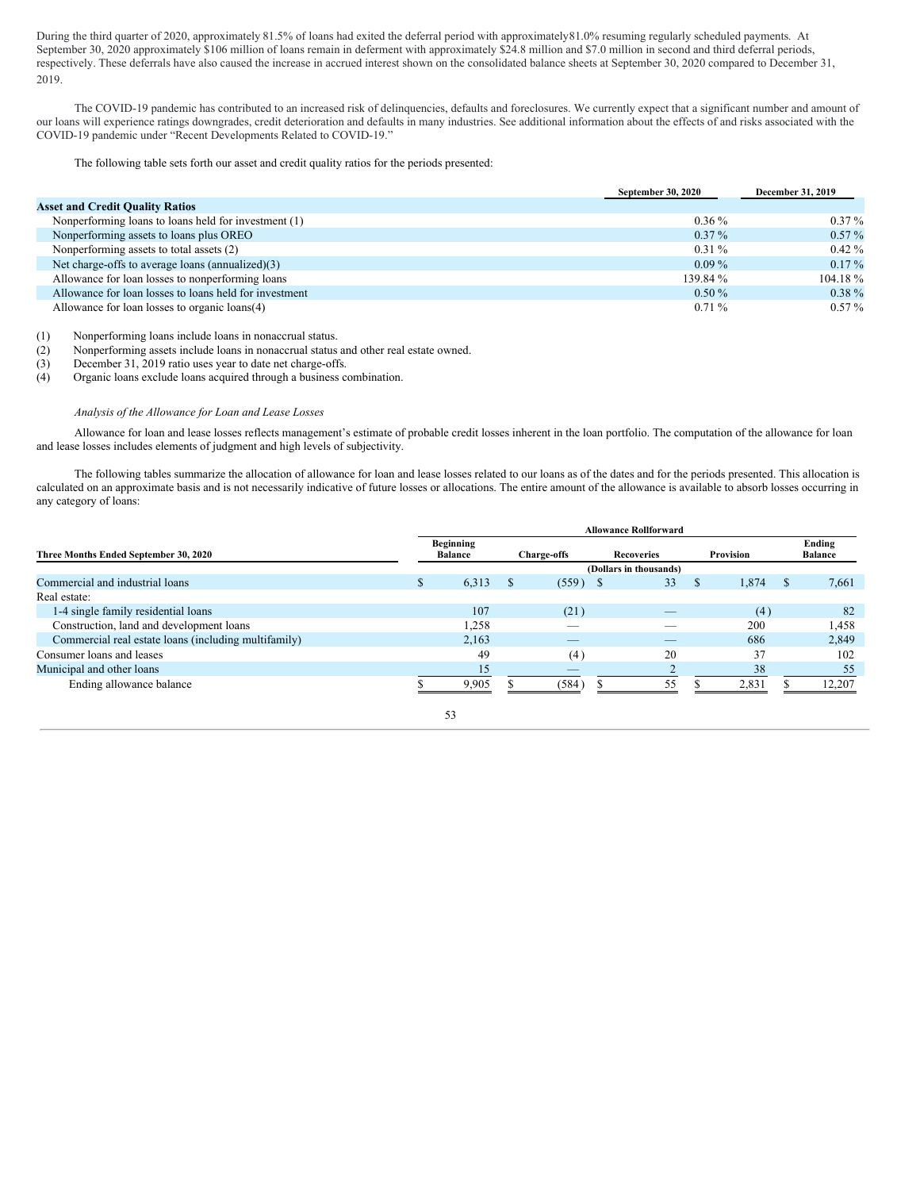During the third quarter of 2020, approximately 81.5% of loans had exited the deferral period with approximately81.0% resuming regularly scheduled payments. At September 30, 2020 approximately \$106 million of loans remain in deferment with approximately \$24.8 million and \$7.0 million in second and third deferral periods, respectively. These deferrals have also caused the increase in accrued interest shown on the consolidated balance sheets at September 30, 2020 compared to December 31, 2019.

The COVID-19 pandemic has contributed to an increased risk of delinquencies, defaults and foreclosures. We currently expect that a significant number and amount of our loans will experience ratings downgrades, credit deterioration and defaults in many industries. See additional information about the effects of and risks associated with the COVID-19 pandemic under "Recent Developments Related to COVID-19."

The following table sets forth our asset and credit quality ratios for the periods presented:

|                                                        | September 30, 2020 | December 31, 2019 |
|--------------------------------------------------------|--------------------|-------------------|
| <b>Asset and Credit Quality Ratios</b>                 |                    |                   |
| Nonperforming loans to loans held for investment (1)   | $0.36\%$           | $0.37\%$          |
| Nonperforming assets to loans plus OREO                | $0.37\%$           | $0.57\%$          |
| Nonperforming assets to total assets (2)               | $0.31\%$           | $0.42\%$          |
| Net charge-offs to average loans (annualized)(3)       | $0.09\%$           | $0.17\%$          |
| Allowance for loan losses to nonperforming loans       | 139.84 %           | $104.18\%$        |
| Allowance for loan losses to loans held for investment | $0.50\%$           | $0.38\%$          |
| Allowance for loan losses to organic loans(4)          | $0.71\%$           | $0.57\%$          |

(1) Nonperforming loans include loans in nonaccrual status.

(2) Nonperforming assets include loans in nonaccrual status and other real estate owned.

(3) December 31, 2019 ratio uses year to date net charge-offs.

(4) Organic loans exclude loans acquired through a business combination.

## *Analysis of the Allowance for Loan and Lease Losses*

Allowance for loan and lease losses reflects management's estimate of probable credit losses inherent in the loan portfolio. The computation of the allowance for loan and lease losses includes elements of judgment and high levels of subjectivity.

The following tables summarize the allocation of allowance for loan and lease losses related to our loans as of the dates and for the periods presented. This allocation is calculated on an approximate basis and is not necessarily indicative of future losses or allocations. The entire amount of the allowance is available to absorb losses occurring in any category of loans:

| <b>Allowance Rollforward</b>                         |               |                        |  |             |                   |               |           |               |                |
|------------------------------------------------------|---------------|------------------------|--|-------------|-------------------|---------------|-----------|---------------|----------------|
|                                                      |               | <b>Beginning</b>       |  |             |                   |               |           |               | Ending         |
| Three Months Ended September 30, 2020                |               | <b>Balance</b>         |  | Charge-offs | <b>Recoveries</b> |               | Provision |               | <b>Balance</b> |
|                                                      |               | (Dollars in thousands) |  |             |                   |               |           |               |                |
| Commercial and industrial loans                      | <sup>\$</sup> | 6,313                  |  | $(559)$ \$  | 33                | <sup>\$</sup> | 1,874     | <sup>\$</sup> | 7,661          |
| Real estate:                                         |               |                        |  |             |                   |               |           |               |                |
| 1-4 single family residential loans                  |               | 107                    |  | (21)        |                   |               | (4)       |               | 82             |
| Construction, land and development loans             |               | 1,258                  |  |             |                   |               | 200       |               | 1,458          |
| Commercial real estate loans (including multifamily) |               | 2.163                  |  |             | __                |               | 686       |               | 2,849          |
| Consumer loans and leases                            |               | 49                     |  | (4)         | 20                |               | 37        |               | 102            |
| Municipal and other loans                            |               | 15                     |  | $-$         |                   |               | 38        |               | 55             |
| Ending allowance balance                             |               | 9,905                  |  | (584)       | 55                |               | 2,831     |               | 12,207         |
|                                                      |               |                        |  |             |                   |               |           |               |                |

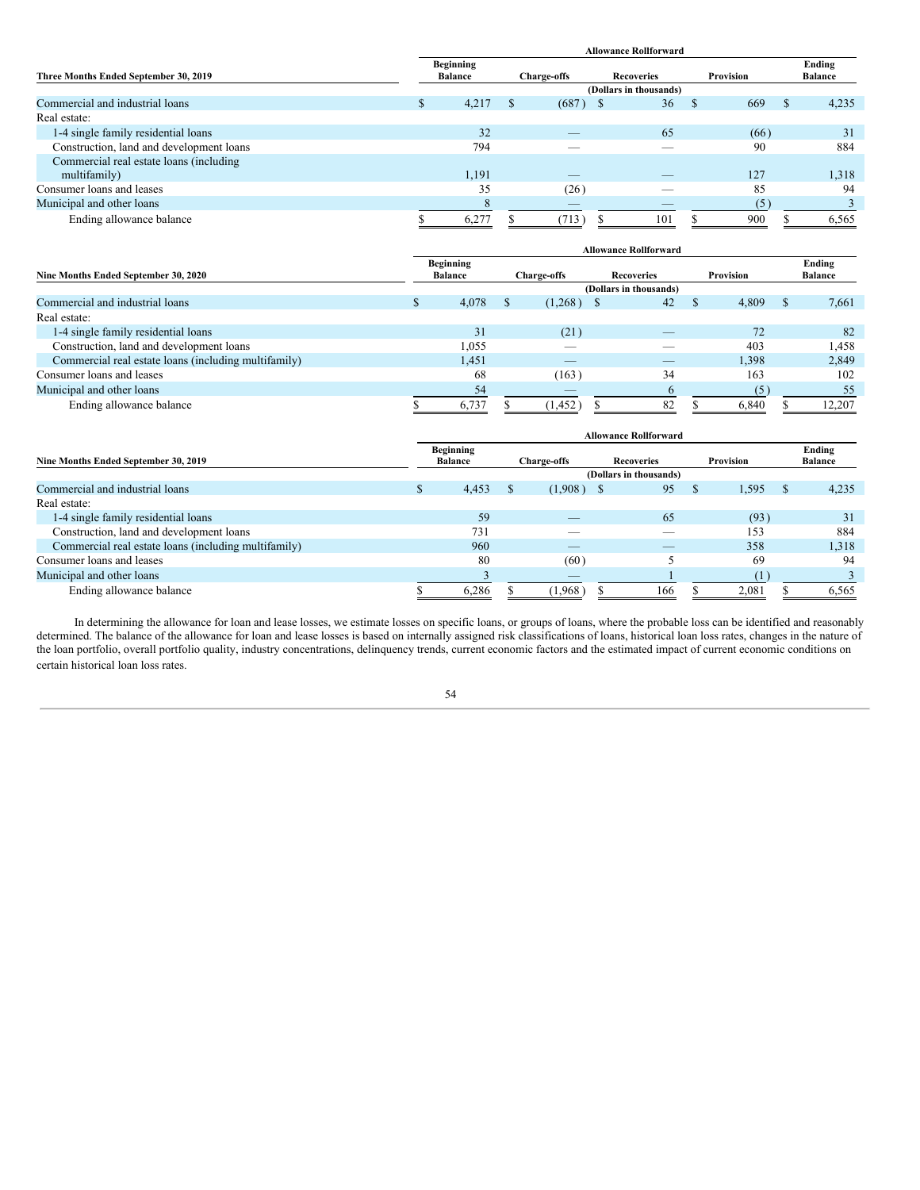| <b>Beginning</b><br><b>Balance</b> |       | Charge-offs |                          | <b>Recoveries</b> | Provision              |                              |   | Ending<br><b>Balance</b> |  |  |  |  |
|------------------------------------|-------|-------------|--------------------------|-------------------|------------------------|------------------------------|---|--------------------------|--|--|--|--|
|                                    |       |             |                          |                   |                        |                              |   |                          |  |  |  |  |
|                                    | 4,217 |             | (687)                    | 36<br>ъ           | -S                     | 669                          | S | 4,235                    |  |  |  |  |
|                                    |       |             |                          |                   |                        |                              |   |                          |  |  |  |  |
|                                    | 32    |             |                          | 65                |                        | (66)                         |   | 31                       |  |  |  |  |
|                                    | 794   |             |                          |                   |                        | 90                           |   | 884                      |  |  |  |  |
|                                    |       |             |                          |                   |                        |                              |   |                          |  |  |  |  |
|                                    | 1.191 |             |                          |                   |                        | 127                          |   | 1,318                    |  |  |  |  |
|                                    | 35    |             | (26)                     |                   |                        | 85                           |   | 94                       |  |  |  |  |
|                                    |       |             | $\overline{\phantom{a}}$ |                   |                        | (5                           |   |                          |  |  |  |  |
|                                    | 6,277 |             | 713                      | 101               |                        | 900                          |   | 6,565                    |  |  |  |  |
|                                    |       |             |                          |                   | (Dollars in thousands) | <b>Allowance Rollforward</b> |   |                          |  |  |  |  |

| Nine Months Ended September 30, 2020                 |    | <b>Beginning</b><br><b>Balance</b> |  | <b>Charge-offs</b>       |  | <b>Recoveries</b> |    | Provision | Ending<br><b>Balance</b> |        |
|------------------------------------------------------|----|------------------------------------|--|--------------------------|--|-------------------|----|-----------|--------------------------|--------|
|                                                      |    | (Dollars in thousands)             |  |                          |  |                   |    |           |                          |        |
| Commercial and industrial loans                      | \$ | 4,078                              |  | $(1,268)$ \$             |  | 42                | -S | 4,809     | <b>S</b>                 | 7,661  |
| Real estate:                                         |    |                                    |  |                          |  |                   |    |           |                          |        |
| 1-4 single family residential loans                  |    | 31                                 |  | (21)                     |  |                   |    | 72        |                          | 82     |
| Construction, land and development loans             |    | 1,055                              |  |                          |  |                   |    | 403       |                          | 1,458  |
| Commercial real estate loans (including multifamily) |    | 1,451                              |  | _                        |  | _                 |    | 1,398     |                          | 2,849  |
| Consumer loans and leases                            |    | 68                                 |  | (163)                    |  | 34                |    | 163       |                          | 102    |
| Municipal and other loans                            |    | 54                                 |  | $\overline{\phantom{a}}$ |  |                   |    | (5)       |                          | 55     |
| Ending allowance balance                             |    | 6.737                              |  | (1, 452)                 |  | 82                |    | 6.840     |                          | 12.207 |

|                                                      | <b>Allowance Rollforward</b> |                                    |  |             |   |                          |  |           |   |                          |
|------------------------------------------------------|------------------------------|------------------------------------|--|-------------|---|--------------------------|--|-----------|---|--------------------------|
| Nine Months Ended September 30, 2019                 |                              | <b>Beginning</b><br><b>Balance</b> |  | Charge-offs |   | <b>Recoveries</b>        |  | Provision |   | Ending<br><b>Balance</b> |
|                                                      |                              |                                    |  |             |   | (Dollars in thousands)   |  |           |   |                          |
| Commercial and industrial loans                      | S                            | 4,453                              |  | (1,908)     | ъ | 95                       |  | 1,595     | S | 4,235                    |
| Real estate:                                         |                              |                                    |  |             |   |                          |  |           |   |                          |
| 1-4 single family residential loans                  |                              | 59                                 |  | _           |   | 65                       |  | (93)      |   | 31                       |
| Construction, land and development loans             |                              | 731                                |  | ___         |   |                          |  | 153       |   | 884                      |
| Commercial real estate loans (including multifamily) |                              | 960                                |  | _           |   | $\overline{\phantom{a}}$ |  | 358       |   | 1,318                    |
| Consumer loans and leases                            |                              | 80                                 |  | (60)        |   |                          |  | 69        |   | 94                       |
| Municipal and other loans                            |                              |                                    |  | $-$         |   |                          |  | (1)       |   |                          |
| Ending allowance balance                             |                              | 6,286                              |  | (1,968)     |   | 166                      |  | 2,081     |   | 6,565                    |

In determining the allowance for loan and lease losses, we estimate losses on specific loans, or groups of loans, where the probable loss can be identified and reasonably determined. The balance of the allowance for loan and lease losses is based on internally assigned risk classifications of loans, historical loan loss rates, changes in the nature of the loan portfolio, overall portfolio quality, industry concentrations, delinquency trends, current economic factors and the estimated impact of current economic conditions on certain historical loan loss rates.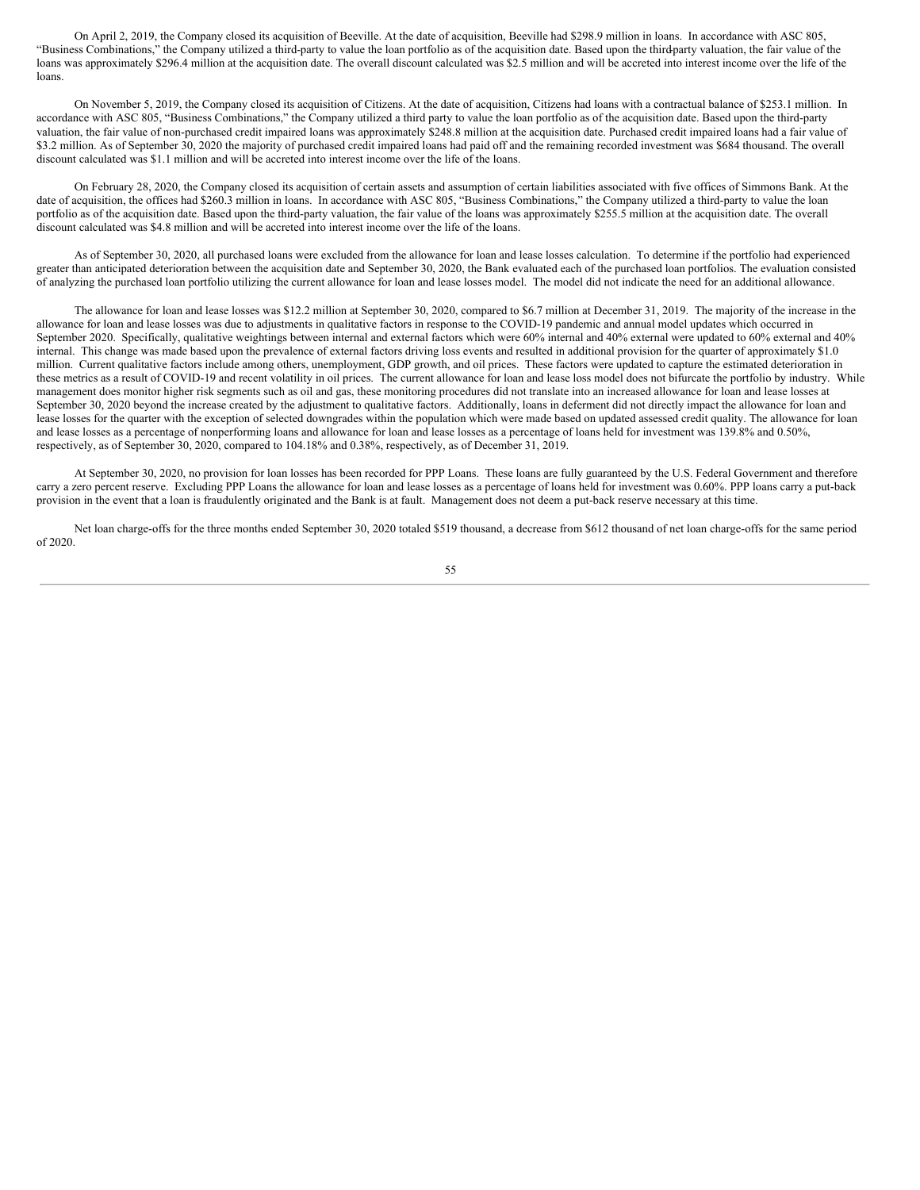On April 2, 2019, the Company closed its acquisition of Beeville. At the date of acquisition, Beeville had \$298.9 million in loans. In accordance with ASC 805, "Business Combinations," the Company utilized a third-party to value the loan portfolio as of the acquisition date. Based upon the third-party valuation, the fair value of the loans was approximately \$296.4 million at the acquisition date. The overall discount calculated was \$2.5 million and will be accreted into interest income over the life of the loans.

On November 5, 2019, the Company closed its acquisition of Citizens. At the date of acquisition, Citizens had loans with a contractual balance of \$253.1 million. In accordance with ASC 805, "Business Combinations," the Company utilized a third party to value the loan portfolio as of the acquisition date. Based upon the third-party valuation, the fair value of non-purchased credit impaired loans was approximately \$248.8 million at the acquisition date. Purchased credit impaired loans had a fair value of \$3.2 million. As of September 30, 2020 the majority of purchased credit impaired loans had paid off and the remaining recorded investment was \$684 thousand. The overall discount calculated was \$1.1 million and will be accreted into interest income over the life of the loans.

On February 28, 2020, the Company closed its acquisition of certain assets and assumption of certain liabilities associated with five offices of Simmons Bank. At the date of acquisition, the offices had \$260.3 million in loans. In accordance with ASC 805, "Business Combinations," the Company utilized a third-party to value the loan portfolio as of the acquisition date. Based upon the third-party valuation, the fair value of the loans was approximately \$255.5 million at the acquisition date. The overall discount calculated was \$4.8 million and will be accreted into interest income over the life of the loans.

As of September 30, 2020, all purchased loans were excluded from the allowance for loan and lease losses calculation. To determine if the portfolio had experienced greater than anticipated deterioration between the acquisition date and September 30, 2020, the Bank evaluated each of the purchased loan portfolios. The evaluation consisted of analyzing the purchased loan portfolio utilizing the current allowance for loan and lease losses model. The model did not indicate the need for an additional allowance.

The allowance for loan and lease losses was \$12.2 million at September 30, 2020, compared to \$6.7 million at December 31, 2019. The majority of the increase in the allowance for loan and lease losses was due to adjustments in qualitative factors in response to the COVID-19 pandemic and annual model updates which occurred in September 2020. Specifically, qualitative weightings between internal and external factors which were 60% internal and 40% external were updated to 60% external and 40% internal. This change was made based upon the prevalence of external factors driving loss events and resulted in additional provision for the quarter of approximately \$1.0 million. Current qualitative factors include among others, unemployment, GDP growth, and oil prices. These factors were updated to capture the estimated deterioration in these metrics as a result of COVID-19 and recent volatility in oil prices. The current allowance for loan and lease loss model does not bifurcate the portfolio by industry. While management does monitor higher risk segments such as oil and gas, these monitoring procedures did not translate into an increased allowance for loan and lease losses at September 30, 2020 beyond the increase created by the adjustment to qualitative factors. Additionally, loans in deferment did not directly impact the allowance for loan and lease losses for the quarter with the exception of selected downgrades within the population which were made based on updated assessed credit quality. The allowance for loan and lease losses as a percentage of nonperforming loans and allowance for loan and lease losses as a percentage of loans held for investment was 139.8% and 0.50%, respectively, as of September 30, 2020, compared to 104.18% and 0.38%, respectively, as of December 31, 2019.

At September 30, 2020, no provision for loan losses has been recorded for PPP Loans. These loans are fully guaranteed by the U.S. Federal Government and therefore carry a zero percent reserve. Excluding PPP Loans the allowance for loan and lease losses as a percentage of loans held for investment was 0.60%. PPP loans carry a put-back provision in the event that a loan is fraudulently originated and the Bank is at fault. Management does not deem a put-back reserve necessary at this time.

Net loan charge-offs for the three months ended September 30, 2020 totaled \$519 thousand, a decrease from \$612 thousand of net loan charge-offs for the same period of 2020.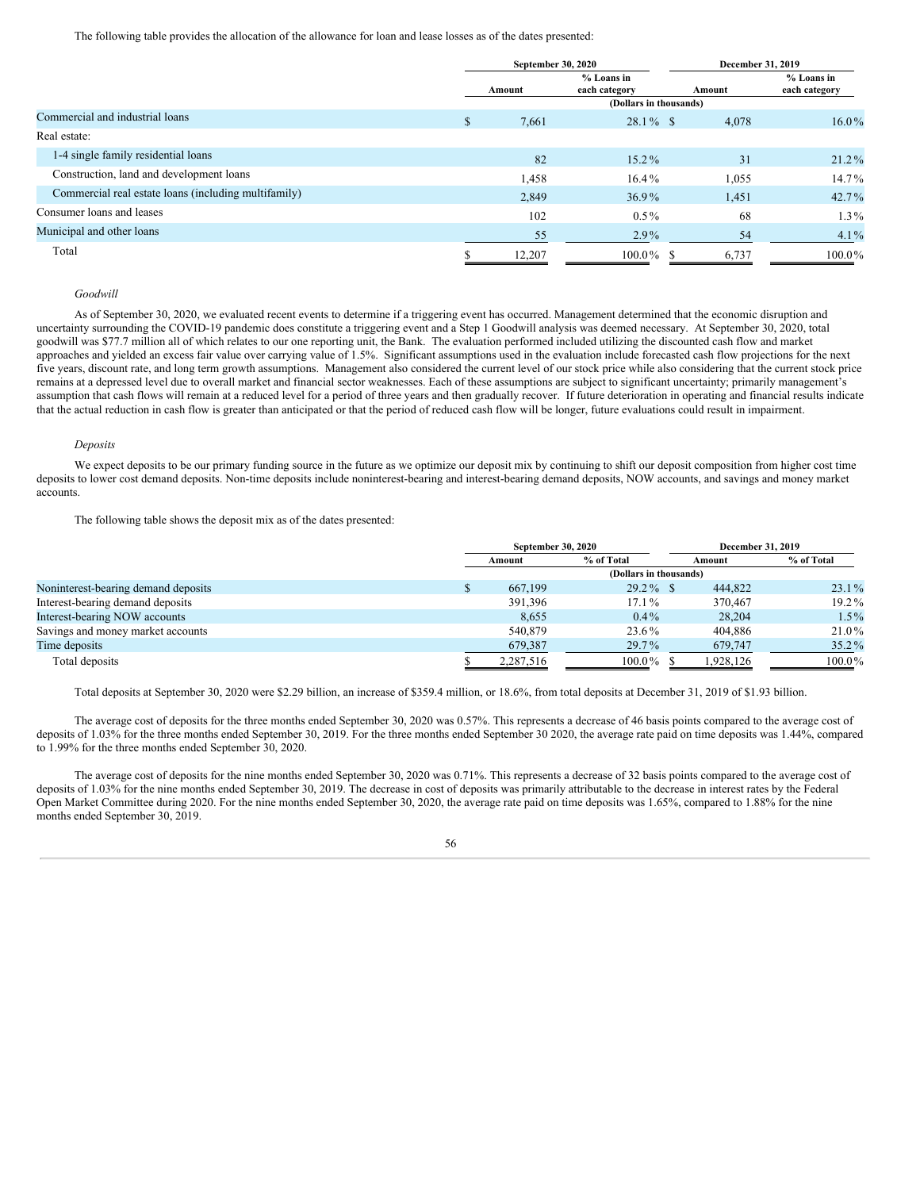The following table provides the allocation of the allowance for loan and lease losses as of the dates presented:

|                                                      |              | September 30, 2020 |                               | December 31, 2019 |                               |  |
|------------------------------------------------------|--------------|--------------------|-------------------------------|-------------------|-------------------------------|--|
|                                                      |              | Amount             | $%$ Loans in<br>each category | Amount            | $%$ Loans in<br>each category |  |
|                                                      |              |                    | (Dollars in thousands)        |                   |                               |  |
| Commercial and industrial loans                      | $\mathbb{S}$ | 7,661              | $28.1\%$ \$                   | 4,078             | $16.0\%$                      |  |
| Real estate:                                         |              |                    |                               |                   |                               |  |
| 1-4 single family residential loans                  |              | 82                 | $15.2\%$                      | 31                | $21.2\%$                      |  |
| Construction, land and development loans             |              | 1,458              | $16.4\%$                      | 1,055             | $14.7\%$                      |  |
| Commercial real estate loans (including multifamily) |              | 2.849              | $36.9\%$                      | 1,451             | $42.7\%$                      |  |
| Consumer loans and leases                            |              | 102                | $0.5\%$                       | 68                | $1.3\%$                       |  |
| Municipal and other loans                            |              | 55                 | $2.9\%$                       | 54                | $4.1\%$                       |  |
| Total                                                |              | 12,207             | $100.0\%$ \$                  | 6,737             | $100.0\%$                     |  |

## *Goodwill*

As of September 30, 2020, we evaluated recent events to determine if a triggering event has occurred. Management determined that the economic disruption and uncertainty surrounding the COVID-19 pandemic does constitute a triggering event and a Step 1 Goodwill analysis was deemed necessary. At September 30, 2020, total goodwill was \$77.7 million all of which relates to our one reporting unit, the Bank. The evaluation performed included utilizing the discounted cash flow and market approaches and yielded an excess fair value over carrying value of 1.5%. Significant assumptions used in the evaluation include forecasted cash flow projections for the next five years, discount rate, and long term growth assumptions. Management also considered the current level of our stock price while also considering that the current stock price remains at a depressed level due to overall market and financial sector weaknesses. Each of these assumptions are subject to significant uncertainty; primarily management's assumption that cash flows will remain at a reduced level for a period of three years and then gradually recover. If future deterioration in operating and financial results indicate that the actual reduction in cash flow is greater than anticipated or that the period of reduced cash flow will be longer, future evaluations could result in impairment.

#### *Deposits*

We expect deposits to be our primary funding source in the future as we optimize our deposit mix by continuing to shift our deposit composition from higher cost time deposits to lower cost demand deposits. Non-time deposits include noninterest-bearing and interest-bearing demand deposits, NOW accounts, and savings and money market accounts.

The following table shows the deposit mix as of the dates presented:

|                                     | September 30, 2020     |           |             |  | December 31, 2019 |            |  |  |  |
|-------------------------------------|------------------------|-----------|-------------|--|-------------------|------------|--|--|--|
|                                     | Amount                 |           | % of Total  |  | Amount            | % of Total |  |  |  |
|                                     | (Dollars in thousands) |           |             |  |                   |            |  |  |  |
| Noninterest-bearing demand deposits |                        | 667,199   | $29.2\%$ \$ |  | 444,822           | $23.1\%$   |  |  |  |
| Interest-bearing demand deposits    |                        | 391,396   | $17.1\%$    |  | 370,467           | $19.2\%$   |  |  |  |
| Interest-bearing NOW accounts       |                        | 8.655     | $0.4\%$     |  | 28,204            | $1.5\%$    |  |  |  |
| Savings and money market accounts   |                        | 540,879   | 23.6%       |  | 404.886           | 21.0%      |  |  |  |
| Time deposits                       |                        | 679,387   | $29.7\%$    |  | 679,747           | $35.2\%$   |  |  |  |
| Total deposits                      |                        | 2,287,516 | $100.0\%$   |  | 1,928,126         | $100.0\%$  |  |  |  |

Total deposits at September 30, 2020 were \$2.29 billion, an increase of \$359.4 million, or 18.6%, from total deposits at December 31, 2019 of \$1.93 billion.

The average cost of deposits for the three months ended September 30, 2020 was 0.57%. This represents a decrease of 46 basis points compared to the average cost of deposits of 1.03% for the three months ended September 30, 2019. For the three months ended September 30 2020, the average rate paid on time deposits was 1.44%, compared to 1.99% for the three months ended September 30, 2020.

The average cost of deposits for the nine months ended September 30, 2020 was 0.71%. This represents a decrease of 32 basis points compared to the average cost of deposits of 1.03% for the nine months ended September 30, 2019. The decrease in cost of deposits was primarily attributable to the decrease in interest rates by the Federal Open Market Committee during 2020. For the nine months ended September 30, 2020, the average rate paid on time deposits was 1.65%, compared to 1.88% for the nine months ended September 30, 2019.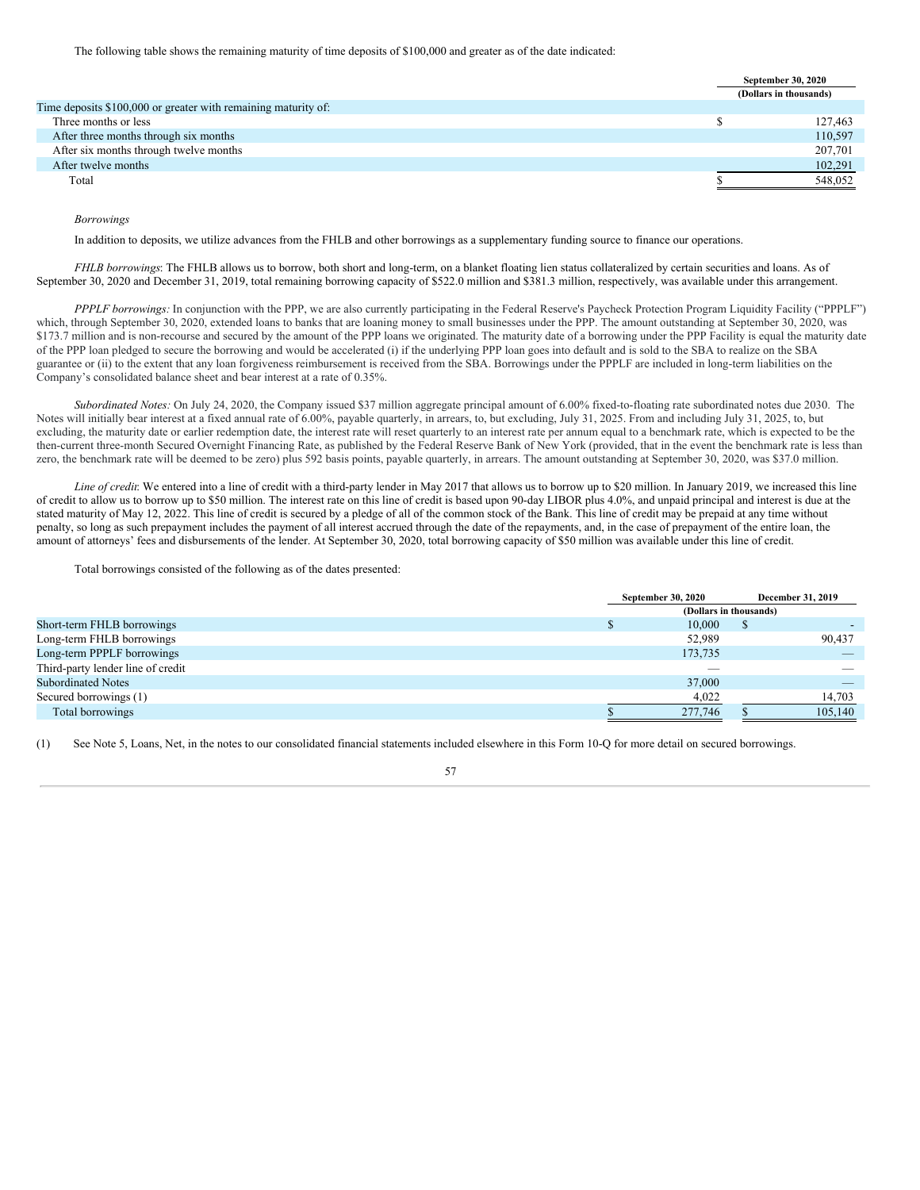The following table shows the remaining maturity of time deposits of \$100,000 and greater as of the date indicated:

|                                                                | <b>September 30, 2020</b> |  |
|----------------------------------------------------------------|---------------------------|--|
|                                                                | (Dollars in thousands)    |  |
| Time deposits \$100,000 or greater with remaining maturity of: |                           |  |
| Three months or less                                           | 127,463                   |  |
| After three months through six months                          | 110,597                   |  |
| After six months through twelve months                         | 207,701                   |  |
| After twelve months                                            | 102,291                   |  |
| Total                                                          | 548,052                   |  |
|                                                                |                           |  |

### *Borrowings*

In addition to deposits, we utilize advances from the FHLB and other borrowings as a supplementary funding source to finance our operations.

*FHLB borrowings*: The FHLB allows us to borrow, both short and long-term, on a blanket floating lien status collateralized by certain securities and loans. As of September 30, 2020 and December 31, 2019, total remaining borrowing capacity of \$522.0 million and \$381.3 million, respectively, was available under this arrangement.

*PPPLF borrowings:* In conjunction with the PPP, we are also currently participating in the Federal Reserve's Paycheck Protection Program Liquidity Facility ("PPPLF") which, through September 30, 2020, extended loans to banks that are loaning money to small businesses under the PPP. The amount outstanding at September 30, 2020, was \$173.7 million and is non-recourse and secured by the amount of the PPP loans we originated. The maturity date of a borrowing under the PPP Facility is equal the maturity date of the PPP loan pledged to secure the borrowing and would be accelerated (i) if the underlying PPP loan goes into default and is sold to the SBA to realize on the SBA guarantee or (ii) to the extent that any loan forgiveness reimbursement is received from the SBA. Borrowings under the PPPLF are included in long-term liabilities on the Company's consolidated balance sheet and bear interest at a rate of 0.35%.

*Subordinated Notes:* On July 24, 2020, the Company issued \$37 million aggregate principal amount of 6.00% fixed-to-floating rate subordinated notes due 2030. The Notes will initially bear interest at a fixed annual rate of 6.00%, payable quarterly, in arrears, to, but excluding, July 31, 2025. From and including July 31, 2025, to, but excluding, the maturity date or earlier redemption date, the interest rate will reset quarterly to an interest rate per annum equal to a benchmark rate, which is expected to be the then-current three-month Secured Overnight Financing Rate, as published by the Federal Reserve Bank of New York (provided, that in the event the benchmark rate is less than zero, the benchmark rate will be deemed to be zero) plus 592 basis points, payable quarterly, in arrears. The amount outstanding at September 30, 2020, was \$37.0 million.

*Line of credit*: We entered into a line of credit with a third-party lender in May 2017 that allows us to borrow up to \$20 million. In January 2019, we increased this line of credit to allow us to borrow up to \$50 million. The interest rate on this line of credit is based upon 90-day LIBOR plus 4.0%, and unpaid principal and interest is due at the stated maturity of May 12, 2022. This line of credit is secured by a pledge of all of the common stock of the Bank. This line of credit may be prepaid at any time without penalty, so long as such prepayment includes the payment of all interest accrued through the date of the repayments, and, in the case of prepayment of the entire loan, the amount of attorneys' fees and disbursements of the lender. At September 30, 2020, total borrowing capacity of \$50 million was available under this line of credit.

Total borrowings consisted of the following as of the dates presented:

|                                   | <b>September 30, 2020</b> |         | December 31, 2019 |         |
|-----------------------------------|---------------------------|---------|-------------------|---------|
|                                   |                           |         |                   |         |
| Short-term FHLB borrowings        |                           | 10.000  |                   |         |
| Long-term FHLB borrowings         |                           | 52,989  |                   | 90,437  |
| Long-term PPPLF borrowings        |                           | 173,735 |                   |         |
| Third-party lender line of credit |                           | __      |                   |         |
| <b>Subordinated Notes</b>         |                           | 37,000  |                   |         |
| Secured borrowings (1)            |                           | 4,022   |                   | 14,703  |
| Total borrowings                  |                           | 277,746 |                   | 105,140 |

(1) See Note 5, Loans, Net, in the notes to our consolidated financial statements included elsewhere in this Form 10-Q for more detail on secured borrowings.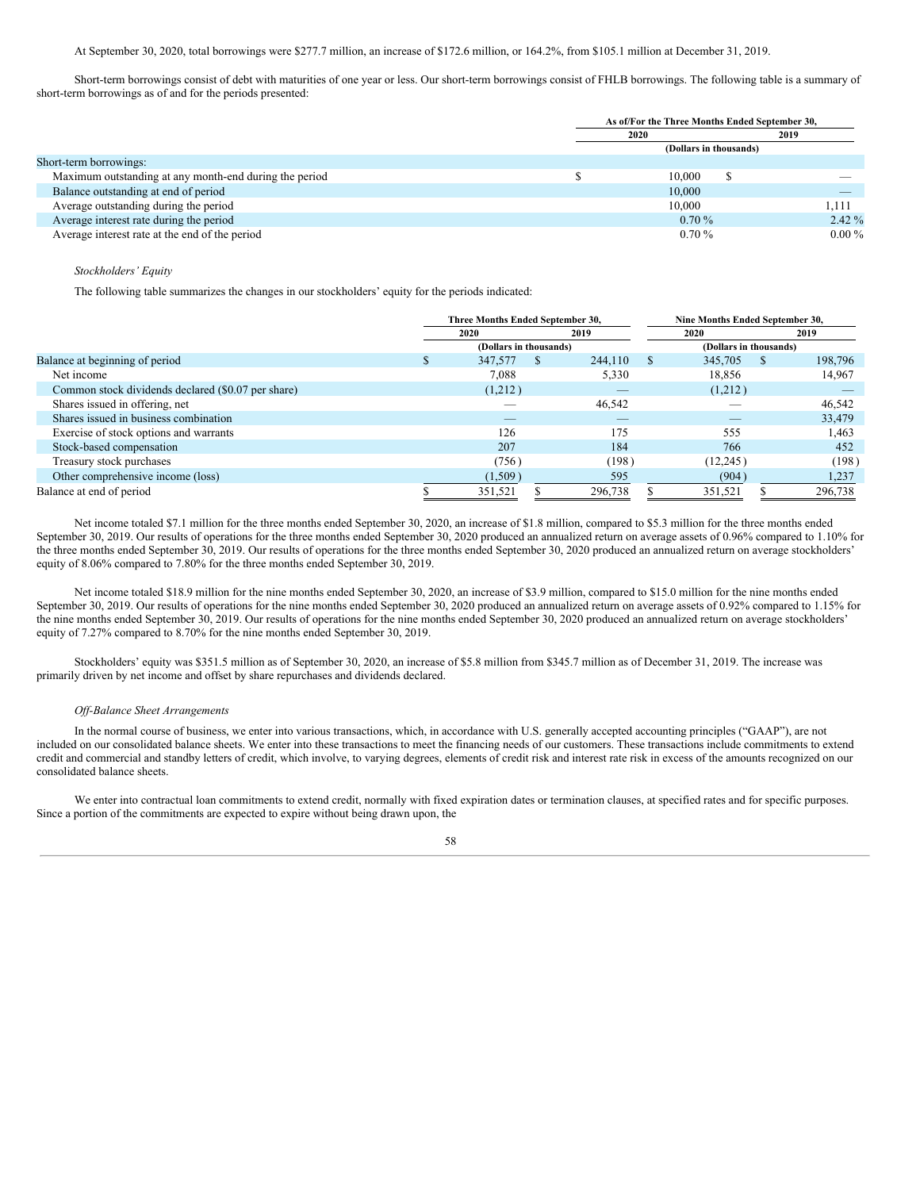At September 30, 2020, total borrowings were \$277.7 million, an increase of \$172.6 million, or 164.2%, from \$105.1 million at December 31, 2019.

Short-term borrowings consist of debt with maturities of one year or less. Our short-term borrowings consist of FHLB borrowings. The following table is a summary of short-term borrowings as of and for the periods presented:

|                                                        | As of/For the Three Months Ended September 30, |          |  |  |  |  |
|--------------------------------------------------------|------------------------------------------------|----------|--|--|--|--|
|                                                        | 2020                                           | 2019     |  |  |  |  |
|                                                        | (Dollars in thousands)                         |          |  |  |  |  |
| Short-term borrowings:                                 |                                                |          |  |  |  |  |
| Maximum outstanding at any month-end during the period | 10,000                                         |          |  |  |  |  |
| Balance outstanding at end of period                   | 10,000                                         |          |  |  |  |  |
| Average outstanding during the period                  | 10.000                                         | 1.111    |  |  |  |  |
| Average interest rate during the period                | $0.70\%$                                       | $2.42\%$ |  |  |  |  |
| Average interest rate at the end of the period         | $0.70\%$                                       | $0.00\%$ |  |  |  |  |

# *Stockholders' Equity*

The following table summarizes the changes in our stockholders' equity for the periods indicated:

|                                                    | Three Months Ended September 30, |                        |    |         | Nine Months Ended September 30, |                        |    |         |
|----------------------------------------------------|----------------------------------|------------------------|----|---------|---------------------------------|------------------------|----|---------|
|                                                    | 2020                             |                        |    | 2019    |                                 | 2020                   |    | 2019    |
|                                                    |                                  | (Dollars in thousands) |    |         |                                 | (Dollars in thousands) |    |         |
| Balance at beginning of period                     |                                  | 347,577                | S. | 244,110 | <sup>S</sup>                    | 345,705                | -8 | 198,796 |
| Net income                                         |                                  | 7,088                  |    | 5,330   |                                 | 18,856                 |    | 14,967  |
| Common stock dividends declared (\$0.07 per share) |                                  | (1,212)                |    |         |                                 | (1,212)                |    |         |
| Shares issued in offering, net                     |                                  |                        |    | 46,542  |                                 |                        |    | 46,542  |
| Shares issued in business combination              |                                  |                        |    |         |                                 |                        |    | 33,479  |
| Exercise of stock options and warrants             |                                  | 126                    |    | 175     |                                 | 555                    |    | 1,463   |
| Stock-based compensation                           |                                  | 207                    |    | 184     |                                 | 766                    |    | 452     |
| Treasury stock purchases                           |                                  | (756)                  |    | (198)   |                                 | (12, 245)              |    | (198)   |
| Other comprehensive income (loss)                  |                                  | (1,509)                |    | 595     |                                 | (904)                  |    | 1,237   |
| Balance at end of period                           |                                  | 351,521                |    | 296,738 |                                 | 351,521                |    | 296,738 |

Net income totaled \$7.1 million for the three months ended September 30, 2020, an increase of \$1.8 million, compared to \$5.3 million for the three months ended September 30, 2019. Our results of operations for the three months ended September 30, 2020 produced an annualized return on average assets of 0.96% compared to 1.10% for the three months ended September 30, 2019. Our results of operations for the three months ended September 30, 2020 produced an annualized return on average stockholders' equity of 8.06% compared to 7.80% for the three months ended September 30, 2019.

Net income totaled \$18.9 million for the nine months ended September 30, 2020, an increase of \$3.9 million, compared to \$15.0 million for the nine months ended September 30, 2019. Our results of operations for the nine months ended September 30, 2020 produced an annualized return on average assets of 0.92% compared to 1.15% for the nine months ended September 30, 2019. Our results of operations for the nine months ended September 30, 2020 produced an annualized return on average stockholders' equity of 7.27% compared to 8.70% for the nine months ended September 30, 2019.

Stockholders' equity was \$351.5 million as of September 30, 2020, an increase of \$5.8 million from \$345.7 million as of December 31, 2019. The increase was primarily driven by net income and offset by share repurchases and dividends declared.

#### *Of -Balance Sheet Arrangements*

In the normal course of business, we enter into various transactions, which, in accordance with U.S. generally accepted accounting principles ("GAAP"), are not included on our consolidated balance sheets. We enter into these transactions to meet the financing needs of our customers. These transactions include commitments to extend credit and commercial and standby letters of credit, which involve, to varying degrees, elements of credit risk and interest rate risk in excess of the amounts recognized on our consolidated balance sheets.

We enter into contractual loan commitments to extend credit, normally with fixed expiration dates or termination clauses, at specified rates and for specific purposes. Since a portion of the commitments are expected to expire without being drawn upon, the

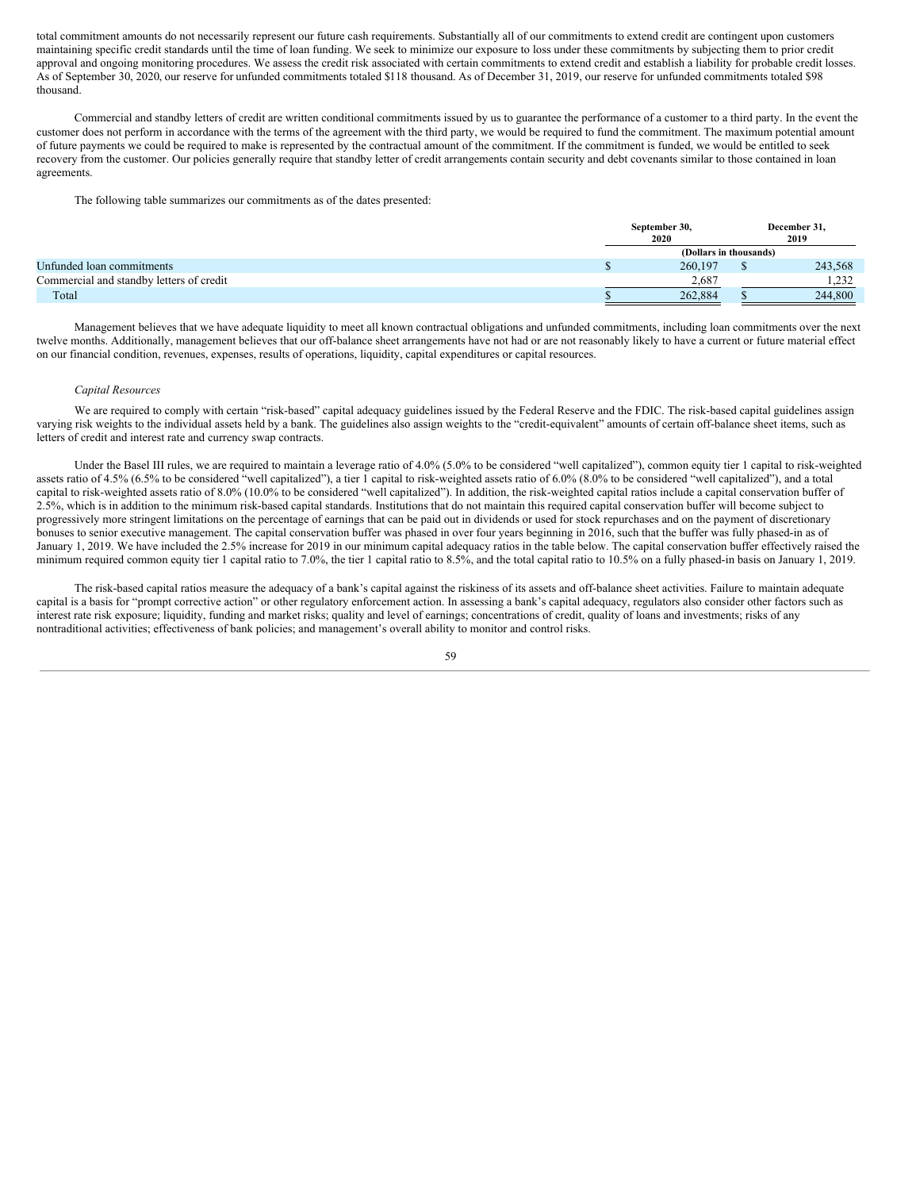total commitment amounts do not necessarily represent our future cash requirements. Substantially all of our commitments to extend credit are contingent upon customers maintaining specific credit standards until the time of loan funding. We seek to minimize our exposure to loss under these commitments by subjecting them to prior credit approval and ongoing monitoring procedures. We assess the credit risk associated with certain commitments to extend credit and establish a liability for probable credit losses. As of September 30, 2020, our reserve for unfunded commitments totaled \$118 thousand. As of December 31, 2019, our reserve for unfunded commitments totaled \$98 thousand.

Commercial and standby letters of credit are written conditional commitments issued by us to guarantee the performance of a customer to a third party. In the event the customer does not perform in accordance with the terms of the agreement with the third party, we would be required to fund the commitment. The maximum potential amount of future payments we could be required to make is represented by the contractual amount of the commitment. If the commitment is funded, we would be entitled to seek recovery from the customer. Our policies generally require that standby letter of credit arrangements contain security and debt covenants similar to those contained in loan agreements.

The following table summarizes our commitments as of the dates presented:

|                                          | September 30,          |  | December 31, |  |  |
|------------------------------------------|------------------------|--|--------------|--|--|
|                                          | 2020                   |  | 2019         |  |  |
|                                          | (Dollars in thousands) |  |              |  |  |
| Unfunded loan commitments                | 260,197                |  | 243,568      |  |  |
| Commercial and standby letters of credit | 2.687                  |  | 1.232        |  |  |
| Total                                    | 262,884                |  | 244,800      |  |  |

Management believes that we have adequate liquidity to meet all known contractual obligations and unfunded commitments, including loan commitments over the next twelve months. Additionally, management believes that our off-balance sheet arrangements have not had or are not reasonably likely to have a current or future material effect on our financial condition, revenues, expenses, results of operations, liquidity, capital expenditures or capital resources.

### *Capital Resources*

We are required to comply with certain "risk-based" capital adequacy guidelines issued by the Federal Reserve and the FDIC. The risk-based capital guidelines assign varying risk weights to the individual assets held by a bank. The guidelines also assign weights to the "credit-equivalent" amounts of certain off-balance sheet items, such as letters of credit and interest rate and currency swap contracts.

Under the Basel III rules, we are required to maintain a leverage ratio of 4.0% (5.0% to be considered "well capitalized"), common equity tier 1 capital to risk-weighted assets ratio of 4.5% (6.5% to be considered "well capitalized"), a tier 1 capital to risk-weighted assets ratio of 6.0% (8.0% to be considered "well capitalized"), and a total capital to risk-weighted assets ratio of 8.0% (10.0% to be considered "well capitalized"). In addition, the risk-weighted capital ratios include a capital conservation buffer of 2.5%, which is in addition to the minimum risk-based capital standards. Institutions that do not maintain this required capital conservation buffer will become subject to progressively more stringent limitations on the percentage of earnings that can be paid out in dividends or used for stock repurchases and on the payment of discretionary bonuses to senior executive management. The capital conservation buffer was phased in over four years beginning in 2016, such that the buffer was fully phased-in as of January 1, 2019. We have included the 2.5% increase for 2019 in our minimum capital adequacy ratios in the table below. The capital conservation buffer effectively raised the minimum required common equity tier 1 capital ratio to 7.0%, the tier 1 capital ratio to 8.5%, and the total capital ratio to 10.5% on a fully phased-in basis on January 1, 2019.

The risk-based capital ratios measure the adequacy of a bank's capital against the riskiness of its assets and off-balance sheet activities. Failure to maintain adequate capital is a basis for "prompt corrective action" or other regulatory enforcement action. In assessing a bank's capital adequacy, regulators also consider other factors such as interest rate risk exposure; liquidity, funding and market risks; quality and level of earnings; concentrations of credit, quality of loans and investments; risks of any nontraditional activities; effectiveness of bank policies; and management's overall ability to monitor and control risks.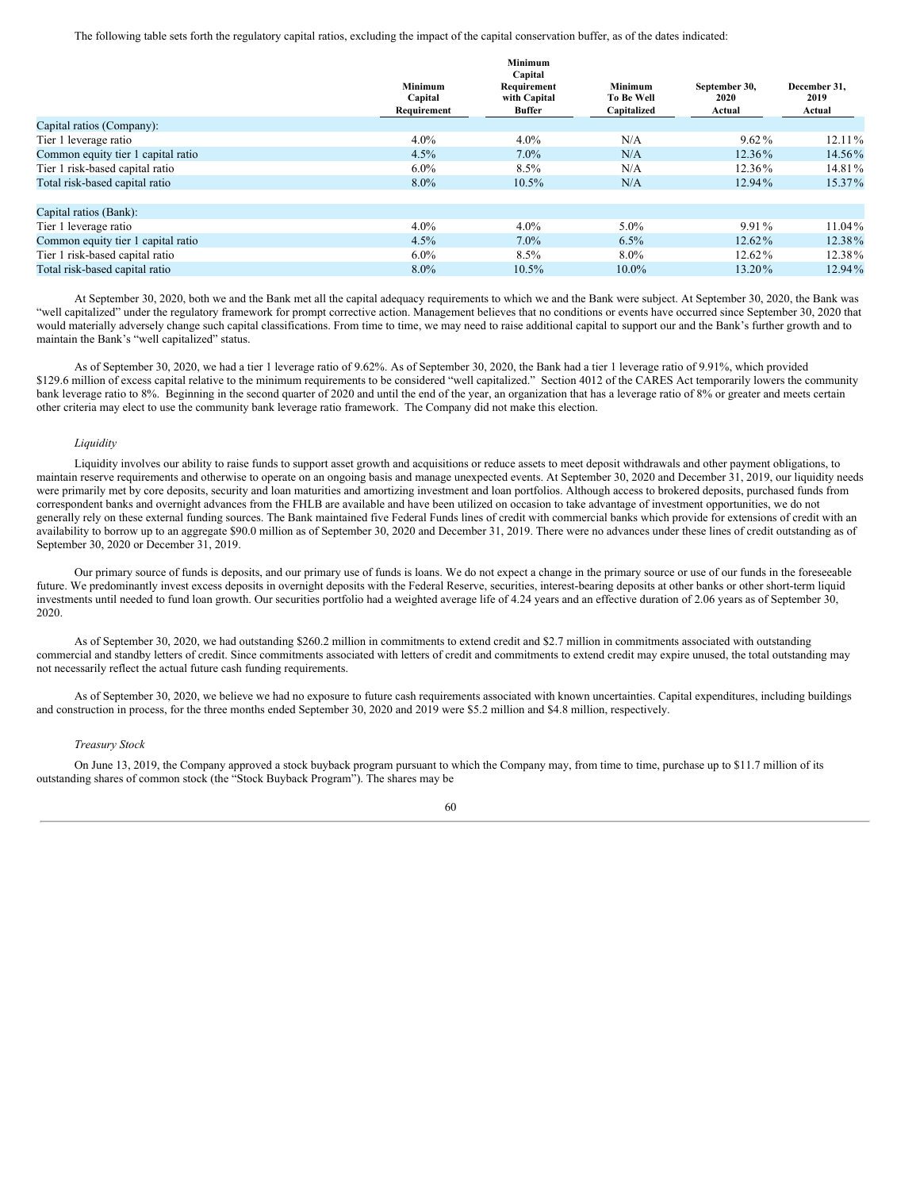The following table sets forth the regulatory capital ratios, excluding the impact of the capital conservation buffer, as of the dates indicated:

|                                    |                                   | Minimum<br>Capital                    |                                                    |                                 |                                |
|------------------------------------|-----------------------------------|---------------------------------------|----------------------------------------------------|---------------------------------|--------------------------------|
|                                    | Minimum<br>Capital<br>Requirement | Requirement<br>with Capital<br>Buffer | <b>Minimum</b><br><b>To Be Well</b><br>Capitalized | September 30,<br>2020<br>Actual | December 31,<br>2019<br>Actual |
| Capital ratios (Company):          |                                   |                                       |                                                    |                                 |                                |
| Tier 1 leverage ratio              | $4.0\%$                           | $4.0\%$                               | N/A                                                | $9.62\%$                        | $12.11\%$                      |
| Common equity tier 1 capital ratio | 4.5%                              | $7.0\%$                               | N/A                                                | $12.36\%$                       | 14.56%                         |
| Tier 1 risk-based capital ratio    | $6.0\%$                           | $8.5\%$                               | N/A                                                | 12.36%                          | 14.81%                         |
| Total risk-based capital ratio     | $8.0\%$                           | 10.5%                                 | N/A                                                | 12.94%                          | 15.37%                         |
| Capital ratios (Bank):             |                                   |                                       |                                                    |                                 |                                |
| Tier 1 leverage ratio              | $4.0\%$                           | $4.0\%$                               | $5.0\%$                                            | $9.91\%$                        | $11.04\%$                      |
| Common equity tier 1 capital ratio | 4.5%                              | $7.0\%$                               | $6.5\%$                                            | $12.62\%$                       | 12.38%                         |
| Tier 1 risk-based capital ratio    | $6.0\%$                           | 8.5%                                  | $8.0\%$                                            | 12.62%                          | 12.38%                         |
| Total risk-based capital ratio     | $8.0\%$                           | $10.5\%$                              | $10.0\%$                                           | 13.20%                          | 12.94%                         |

At September 30, 2020, both we and the Bank met all the capital adequacy requirements to which we and the Bank were subject. At September 30, 2020, the Bank was "well capitalized" under the regulatory framework for prompt corrective action. Management believes that no conditions or events have occurred since September 30, 2020 that would materially adversely change such capital classifications. From time to time, we may need to raise additional capital to support our and the Bank's further growth and to maintain the Bank's "well capitalized" status.

As of September 30, 2020, we had a tier 1 leverage ratio of 9.62%. As of September 30, 2020, the Bank had a tier 1 leverage ratio of 9.91%, which provided \$129.6 million of excess capital relative to the minimum requirements to be considered "well capitalized." Section 4012 of the CARES Act temporarily lowers the community bank leverage ratio to 8%. Beginning in the second quarter of 2020 and until the end of the year, an organization that has a leverage ratio of 8% or greater and meets certain other criteria may elect to use the community bank leverage ratio framework. The Company did not make this election.

#### *Liquidity*

Liquidity involves our ability to raise funds to support asset growth and acquisitions or reduce assets to meet deposit withdrawals and other payment obligations, to maintain reserve requirements and otherwise to operate on an ongoing basis and manage unexpected events. At September 30, 2020 and December 31, 2019, our liquidity needs were primarily met by core deposits, security and loan maturities and amortizing investment and loan portfolios. Although access to brokered deposits, purchased funds from correspondent banks and overnight advances from the FHLB are available and have been utilized on occasion to take advantage of investment opportunities, we do not generally rely on these external funding sources. The Bank maintained five Federal Funds lines of credit with commercial banks which provide for extensions of credit with an availability to borrow up to an aggregate \$90.0 million as of September 30, 2020 and December 31, 2019. There were no advances under these lines of credit outstanding as of September 30, 2020 or December 31, 2019.

Our primary source of funds is deposits, and our primary use of funds is loans. We do not expect a change in the primary source or use of our funds in the foreseeable future. We predominantly invest excess deposits in overnight deposits with the Federal Reserve, securities, interest-bearing deposits at other banks or other short-term liquid investments until needed to fund loan growth. Our securities portfolio had a weighted average life of 4.24 years and an effective duration of 2.06 years as of September 30, 2020.

As of September 30, 2020, we had outstanding \$260.2 million in commitments to extend credit and \$2.7 million in commitments associated with outstanding commercial and standby letters of credit. Since commitments associated with letters of credit and commitments to extend credit may expire unused, the total outstanding may not necessarily reflect the actual future cash funding requirements.

As of September 30, 2020, we believe we had no exposure to future cash requirements associated with known uncertainties. Capital expenditures, including buildings and construction in process, for the three months ended September 30, 2020 and 2019 were \$5.2 million and \$4.8 million, respectively.

#### *Treasury Stock*

On June 13, 2019, the Company approved a stock buyback program pursuant to which the Company may, from time to time, purchase up to \$11.7 million of its outstanding shares of common stock (the "Stock Buyback Program"). The shares may be

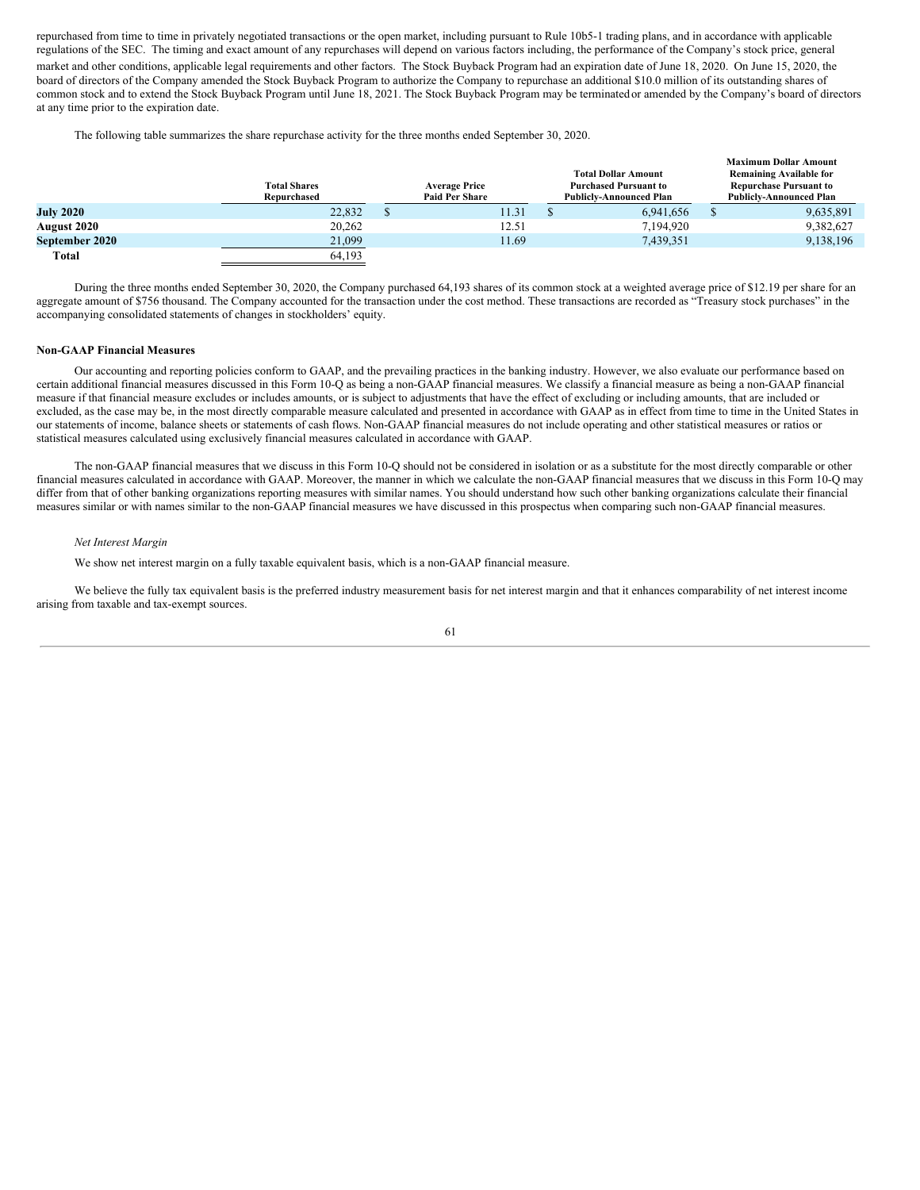repurchased from time to time in privately negotiated transactions or the open market, including pursuant to Rule 10b5-1 trading plans, and in accordance with applicable regulations of the SEC. The timing and exact amount of any repurchases will depend on various factors including, the performance of the Company's stock price, general market and other conditions, applicable legal requirements and other factors. The Stock Buyback Program had an expiration date of June 18, 2020. On June 15, 2020, the board of directors of the Company amended the Stock Buyback Program to authorize the Company to repurchase an additional \$10.0 million of its outstanding shares of common stock and to extend the Stock Buyback Program until June 18, 2021. The Stock Buyback Program may be terminated or amended by the Company's board of directors at any time prior to the expiration date.

The following table summarizes the share repurchase activity for the three months ended September 30, 2020.

|                  |                     |                       |                                | <b>Maximum Dollar Amount</b>   |
|------------------|---------------------|-----------------------|--------------------------------|--------------------------------|
|                  |                     |                       | <b>Total Dollar Amount</b>     | <b>Remaining Available for</b> |
|                  | <b>Total Shares</b> | <b>Average Price</b>  | <b>Purchased Pursuant to</b>   | <b>Repurchase Pursuant to</b>  |
|                  | Repurchased         | <b>Paid Per Share</b> | <b>Publicly-Announced Plan</b> | <b>Publicly-Announced Plan</b> |
| <b>July 2020</b> | 22,832              | 11.31                 | 6,941,656                      | 9,635,891                      |
| August 2020      | 20,262              | 12.51                 | 7.194.920                      | 9,382,627                      |
| September 2020   | 21,099              | 11.69                 | 7.439.351                      | 9,138,196                      |
| Total            | 64.193              |                       |                                |                                |

During the three months ended September 30, 2020, the Company purchased 64,193 shares of its common stock at a weighted average price of \$12.19 per share for an aggregate amount of \$756 thousand. The Company accounted for the transaction under the cost method. These transactions are recorded as "Treasury stock purchases" in the accompanying consolidated statements of changes in stockholders' equity.

## **Non-GAAP Financial Measures**

Our accounting and reporting policies conform to GAAP, and the prevailing practices in the banking industry. However, we also evaluate our performance based on certain additional financial measures discussed in this Form 10-Q as being a non-GAAP financial measures. We classify a financial measure as being a non-GAAP financial measure if that financial measure excludes or includes amounts, or is subject to adjustments that have the effect of excluding or including amounts, that are included or excluded, as the case may be, in the most directly comparable measure calculated and presented in accordance with GAAP as in effect from time to time in the United States in our statements of income, balance sheets or statements of cash flows. Non-GAAP financial measures do not include operating and other statistical measures or ratios or statistical measures calculated using exclusively financial measures calculated in accordance with GAAP.

The non-GAAP financial measures that we discuss in this Form 10-Q should not be considered in isolation or as a substitute for the most directly comparable or other financial measures calculated in accordance with GAAP. Moreover, the manner in which we calculate the non-GAAP financial measures that we discuss in this Form 10-Q may differ from that of other banking organizations reporting measures with similar names. You should understand how such other banking organizations calculate their financial measures similar or with names similar to the non-GAAP financial measures we have discussed in this prospectus when comparing such non-GAAP financial measures.

### *Net Interest Margin*

We show net interest margin on a fully taxable equivalent basis, which is a non-GAAP financial measure.

We believe the fully tax equivalent basis is the preferred industry measurement basis for net interest margin and that it enhances comparability of net interest income arising from taxable and tax-exempt sources.

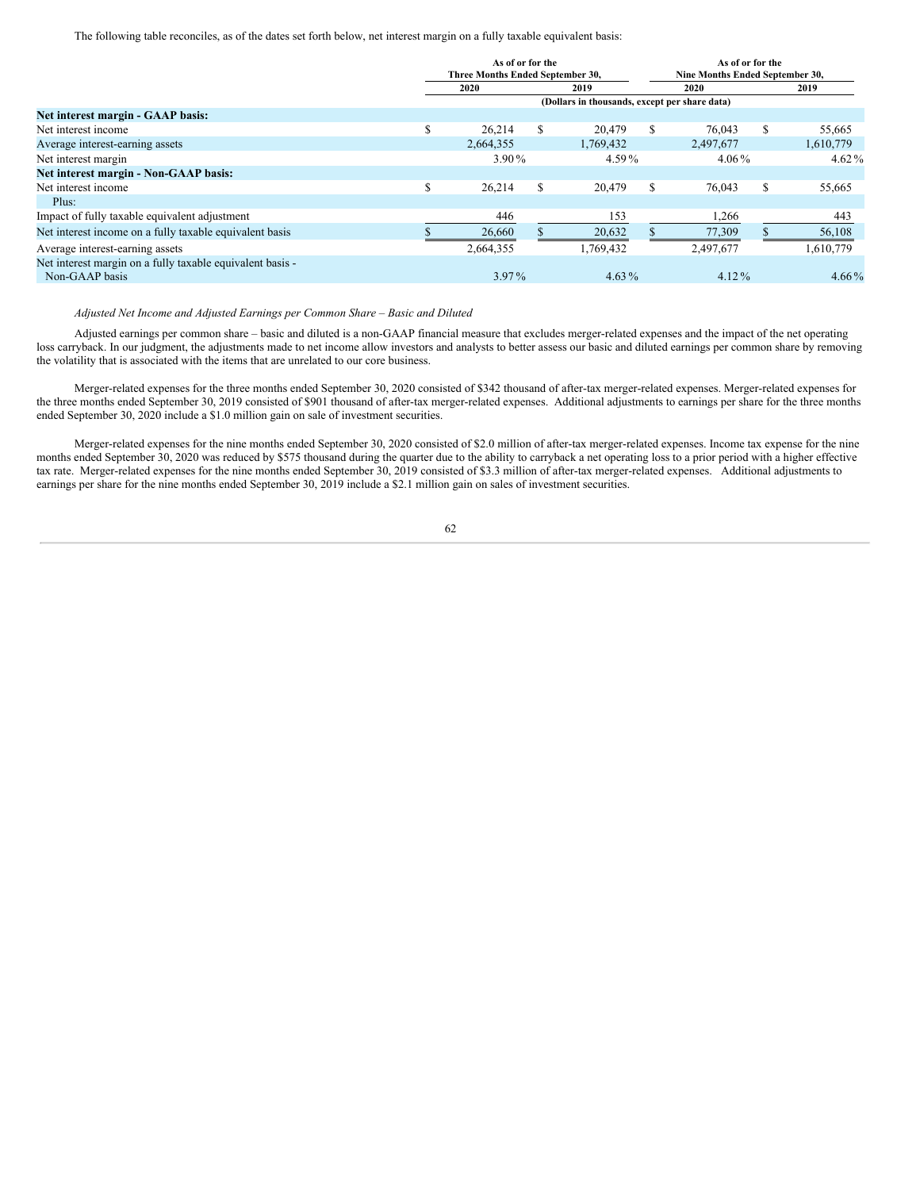The following table reconciles, as of the dates set forth below, net interest margin on a fully taxable equivalent basis:

|                                                                             |      | As of or for the<br>Three Months Ended September 30, |    |           |     | As of or for the<br>Nine Months Ended September 30, |               |           |  |
|-----------------------------------------------------------------------------|------|------------------------------------------------------|----|-----------|-----|-----------------------------------------------------|---------------|-----------|--|
|                                                                             | 2020 |                                                      |    | 2019      |     | 2020                                                |               | 2019      |  |
|                                                                             |      | (Dollars in thousands, except per share data)        |    |           |     |                                                     |               |           |  |
| Net interest margin - GAAP basis:                                           |      |                                                      |    |           |     |                                                     |               |           |  |
| Net interest income                                                         | ъ    | 26.214                                               | \$ | 20.479    | \$. | 76,043                                              | \$            | 55,665    |  |
| Average interest-earning assets                                             |      | 2,664,355                                            |    | 1.769.432 |     | 2.497.677                                           |               | 1,610,779 |  |
| Net interest margin                                                         |      | 3.90%                                                |    | 4.59%     |     | $4.06\%$                                            |               | $4.62\%$  |  |
| Net interest margin - Non-GAAP basis:                                       |      |                                                      |    |           |     |                                                     |               |           |  |
| Net interest income                                                         |      | 26,214                                               | \$ | 20,479    | \$. | 76,043                                              | <sup>\$</sup> | 55,665    |  |
| Plus:                                                                       |      |                                                      |    |           |     |                                                     |               |           |  |
| Impact of fully taxable equivalent adjustment                               |      | 446                                                  |    | 153       |     | 1,266                                               |               | 443       |  |
| Net interest income on a fully taxable equivalent basis                     |      | 26,660                                               |    | 20,632    |     | 77,309                                              |               | 56,108    |  |
| Average interest-earning assets                                             |      | 2,664,355                                            |    | 1,769,432 |     | 2,497,677                                           |               | 1,610,779 |  |
| Net interest margin on a fully taxable equivalent basis -<br>Non-GAAP basis |      | 3.97%                                                |    | $4.63\%$  |     | $4.12\%$                                            |               | $4.66\%$  |  |

### *Adjusted Net Income and Adjusted Earnings per Common Share – Basic and Diluted*

Adjusted earnings per common share – basic and diluted is a non-GAAP financial measure that excludes merger-related expenses and the impact of the net operating loss carryback. In our judgment, the adjustments made to net income allow investors and analysts to better assess our basic and diluted earnings per common share by removing the volatility that is associated with the items that are unrelated to our core business.

Merger-related expenses for the three months ended September 30, 2020 consisted of \$342 thousand of after-tax merger-related expenses. Merger-related expenses for the three months ended September 30, 2019 consisted of \$901 thousand of after-tax merger-related expenses. Additional adjustments to earnings per share for the three months ended September 30, 2020 include a \$1.0 million gain on sale of investment securities.

Merger-related expenses for the nine months ended September 30, 2020 consisted of \$2.0 million of after-tax merger-related expenses. Income tax expense for the nine months ended September 30, 2020 was reduced by \$575 thousand during the quarter due to the ability to carryback a net operating loss to a prior period with a higher effective tax rate. Merger-related expenses for the nine months ended September 30, 2019 consisted of \$3.3 million of after-tax merger-related expenses. Additional adjustments to earnings per share for the nine months ended September 30, 2019 include a \$2.1 million gain on sales of investment securities.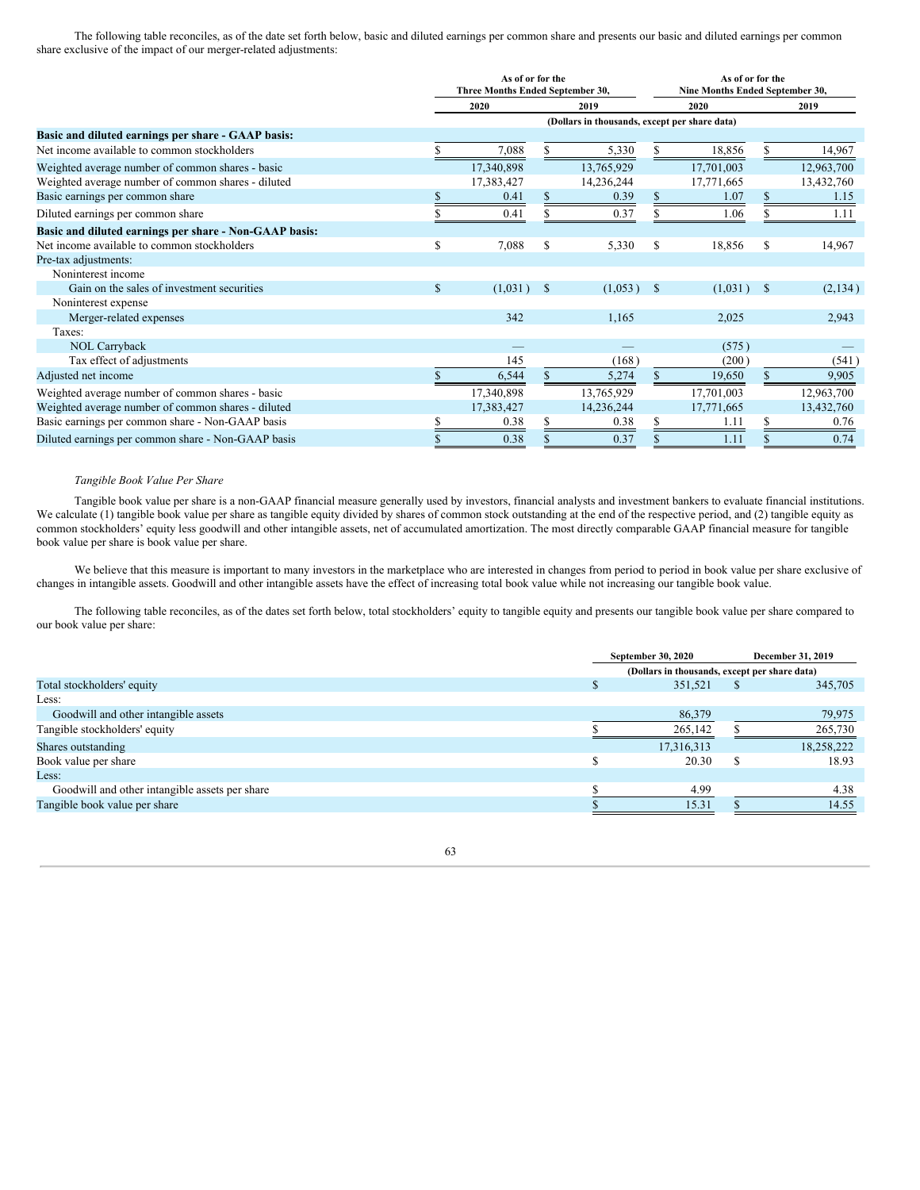The following table reconciles, as of the date set forth below, basic and diluted earnings per common share and presents our basic and diluted earnings per common share exclusive of the impact of our merger-related adjustments:

|                                                        | As of or for the<br>Three Months Ended September 30, |              |               | As of or for the<br>Nine Months Ended September 30, |      |            |              |            |
|--------------------------------------------------------|------------------------------------------------------|--------------|---------------|-----------------------------------------------------|------|------------|--------------|------------|
|                                                        |                                                      | 2019<br>2020 |               |                                                     | 2020 | 2019       |              |            |
|                                                        |                                                      |              |               | (Dollars in thousands, except per share data)       |      |            |              |            |
| Basic and diluted earnings per share - GAAP basis:     |                                                      |              |               |                                                     |      |            |              |            |
| Net income available to common stockholders            |                                                      | 7,088        |               | 5,330                                               |      | 18,856     |              | 14,967     |
| Weighted average number of common shares - basic       |                                                      | 17,340,898   |               | 13,765,929                                          |      | 17,701,003 |              | 12,963,700 |
| Weighted average number of common shares - diluted     |                                                      | 17,383,427   |               | 14,236,244                                          |      | 17,771,665 |              | 13,432,760 |
| Basic earnings per common share                        |                                                      | 0.41         | \$            | 0.39                                                | \$   | 1.07       | \$           | 1.15       |
| Diluted earnings per common share                      |                                                      | 0.41         |               | 0.37                                                |      | 1.06       |              | 1.11       |
| Basic and diluted earnings per share - Non-GAAP basis: |                                                      |              |               |                                                     |      |            |              |            |
| Net income available to common stockholders            | S                                                    | 7,088        | \$            | 5,330                                               | S    | 18,856     | S            | 14,967     |
| Pre-tax adjustments:                                   |                                                      |              |               |                                                     |      |            |              |            |
| Noninterest income                                     |                                                      |              |               |                                                     |      |            |              |            |
| Gain on the sales of investment securities             | $\mathbb{S}$                                         | (1,031)      | $\mathbb{S}$  | (1,053)                                             | -\$  | (1,031)    | $\mathbb{S}$ | (2, 134)   |
| Noninterest expense                                    |                                                      |              |               |                                                     |      |            |              |            |
| Merger-related expenses                                |                                                      | 342          |               | 1,165                                               |      | 2,025      |              | 2,943      |
| Taxes:                                                 |                                                      |              |               |                                                     |      |            |              |            |
| <b>NOL Carryback</b>                                   |                                                      |              |               |                                                     |      | (575)      |              |            |
| Tax effect of adjustments                              |                                                      | 145          |               | (168)                                               |      | (200)      |              | (541)      |
| Adjusted net income                                    | Ж                                                    | 6,544        | <sup>\$</sup> | 5,274                                               | S.   | 19,650     | \$           | 9,905      |
| Weighted average number of common shares - basic       |                                                      | 17,340,898   |               | 13,765,929                                          |      | 17,701,003 |              | 12,963,700 |
| Weighted average number of common shares - diluted     |                                                      | 17,383,427   |               | 14,236,244                                          |      | 17,771,665 |              | 13,432,760 |
| Basic earnings per common share - Non-GAAP basis       |                                                      | 0.38         | \$.           | 0.38                                                | ж    | 1.11       |              | 0.76       |
| Diluted earnings per common share - Non-GAAP basis     |                                                      | 0.38         |               | 0.37                                                |      | 1.11       |              | 0.74       |

### *Tangible Book Value Per Share*

Tangible book value per share is a non-GAAP financial measure generally used by investors, financial analysts and investment bankers to evaluate financial institutions. We calculate (1) tangible book value per share as tangible equity divided by shares of common stock outstanding at the end of the respective period, and (2) tangible equity as common stockholders' equity less goodwill and other intangible assets, net of accumulated amortization. The most directly comparable GAAP financial measure for tangible book value per share is book value per share.

We believe that this measure is important to many investors in the marketplace who are interested in changes from period to period in book value per share exclusive of changes in intangible assets. Goodwill and other intangible assets have the effect of increasing total book value while not increasing our tangible book value.

The following table reconciles, as of the dates set forth below, total stockholders' equity to tangible equity and presents our tangible book value per share compared to our book value per share:

|                                                |    | <b>September 30, 2020</b>                     | December 31, 2019 |            |  |
|------------------------------------------------|----|-----------------------------------------------|-------------------|------------|--|
|                                                |    | (Dollars in thousands, except per share data) |                   |            |  |
| Total stockholders' equity                     | ٠D | 351,521                                       |                   | 345,705    |  |
| Less:                                          |    |                                               |                   |            |  |
| Goodwill and other intangible assets           |    | 86,379                                        |                   | 79,975     |  |
| Tangible stockholders' equity                  |    | 265,142                                       |                   | 265,730    |  |
| Shares outstanding                             |    | 17,316,313                                    |                   | 18,258,222 |  |
| Book value per share                           |    | 20.30                                         |                   | 18.93      |  |
| Less:                                          |    |                                               |                   |            |  |
| Goodwill and other intangible assets per share |    | 4.99                                          |                   | 4.38       |  |
| Tangible book value per share                  |    | 15.31                                         |                   | 14.55      |  |

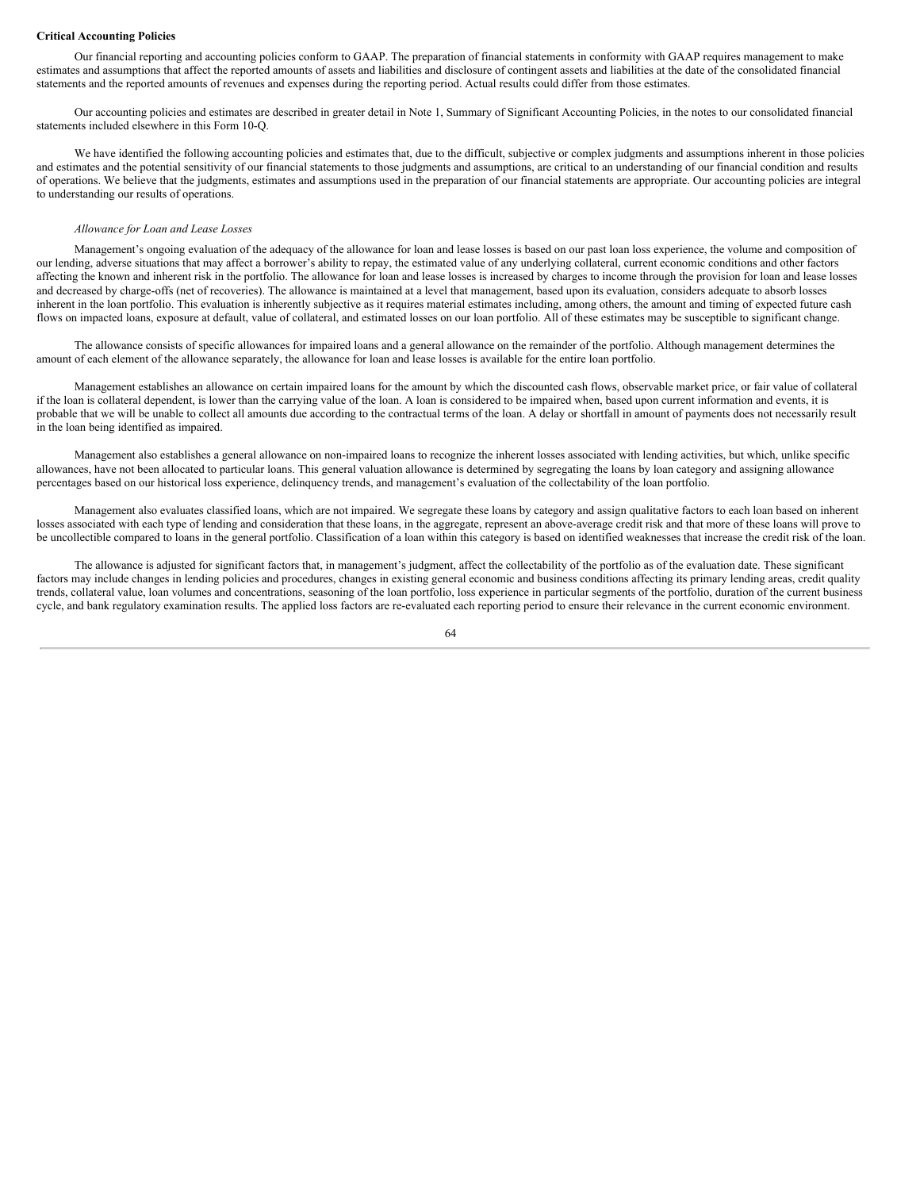#### **Critical Accounting Policies**

Our financial reporting and accounting policies conform to GAAP. The preparation of financial statements in conformity with GAAP requires management to make estimates and assumptions that affect the reported amounts of assets and liabilities and disclosure of contingent assets and liabilities at the date of the consolidated financial statements and the reported amounts of revenues and expenses during the reporting period. Actual results could differ from those estimates.

Our accounting policies and estimates are described in greater detail in Note 1, Summary of Significant Accounting Policies, in the notes to our consolidated financial statements included elsewhere in this Form 10-Q.

We have identified the following accounting policies and estimates that, due to the difficult, subjective or complex judgments and assumptions inherent in those policies and estimates and the potential sensitivity of our financial statements to those judgments and assumptions, are critical to an understanding of our financial condition and results of operations. We believe that the judgments, estimates and assumptions used in the preparation of our financial statements are appropriate. Our accounting policies are integral to understanding our results of operations.

## *Allowance for Loan and Lease Losses*

Management's ongoing evaluation of the adequacy of the allowance for loan and lease losses is based on our past loan loss experience, the volume and composition of our lending, adverse situations that may affect a borrower's ability to repay, the estimated value of any underlying collateral, current economic conditions and other factors affecting the known and inherent risk in the portfolio. The allowance for loan and lease losses is increased by charges to income through the provision for loan and lease losses and decreased by charge-offs (net of recoveries). The allowance is maintained at a level that management, based upon its evaluation, considers adequate to absorb losses inherent in the loan portfolio. This evaluation is inherently subjective as it requires material estimates including, among others, the amount and timing of expected future cash flows on impacted loans, exposure at default, value of collateral, and estimated losses on our loan portfolio. All of these estimates may be susceptible to significant change.

The allowance consists of specific allowances for impaired loans and a general allowance on the remainder of the portfolio. Although management determines the amount of each element of the allowance separately, the allowance for loan and lease losses is available for the entire loan portfolio.

Management establishes an allowance on certain impaired loans for the amount by which the discounted cash flows, observable market price, or fair value of collateral if the loan is collateral dependent, is lower than the carrying value of the loan. A loan is considered to be impaired when, based upon current information and events, it is probable that we will be unable to collect all amounts due according to the contractual terms of the loan. A delay or shortfall in amount of payments does not necessarily result in the loan being identified as impaired.

Management also establishes a general allowance on non-impaired loans to recognize the inherent losses associated with lending activities, but which, unlike specific allowances, have not been allocated to particular loans. This general valuation allowance is determined by segregating the loans by loan category and assigning allowance percentages based on our historical loss experience, delinquency trends, and management's evaluation of the collectability of the loan portfolio.

Management also evaluates classified loans, which are not impaired. We segregate these loans by category and assign qualitative factors to each loan based on inherent losses associated with each type of lending and consideration that these loans, in the aggregate, represent an above-average credit risk and that more of these loans will prove to be uncollectible compared to loans in the general portfolio. Classification of a loan within this category is based on identified weaknesses that increase the credit risk of the loan.

The allowance is adjusted for significant factors that, in management's judgment, affect the collectability of the portfolio as of the evaluation date. These significant factors may include changes in lending policies and procedures, changes in existing general economic and business conditions affecting its primary lending areas, credit quality trends, collateral value, loan volumes and concentrations, seasoning of the loan portfolio, loss experience in particular segments of the portfolio, duration of the current business cycle, and bank regulatory examination results. The applied loss factors are re-evaluated each reporting period to ensure their relevance in the current economic environment.

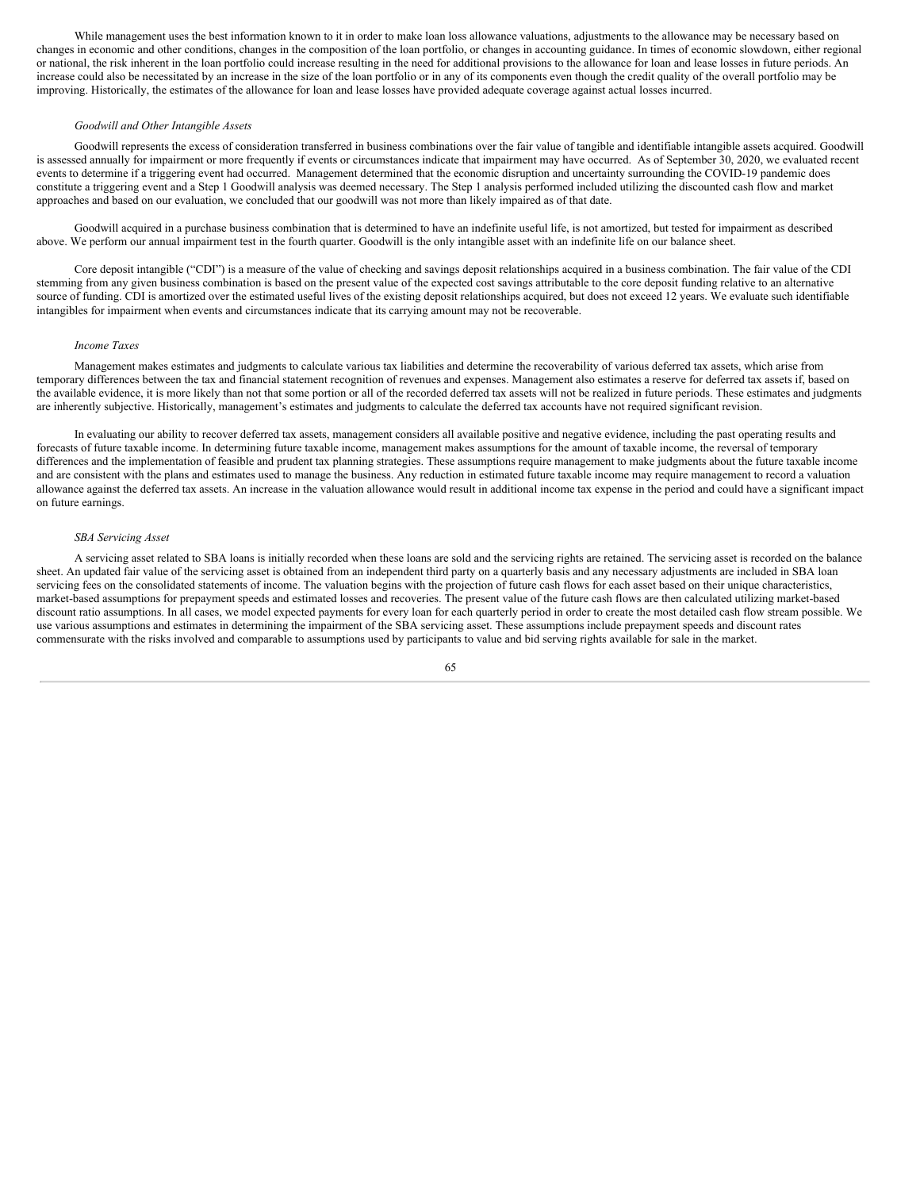While management uses the best information known to it in order to make loan loss allowance valuations, adjustments to the allowance may be necessary based on changes in economic and other conditions, changes in the composition of the loan portfolio, or changes in accounting guidance. In times of economic slowdown, either regional or national, the risk inherent in the loan portfolio could increase resulting in the need for additional provisions to the allowance for loan and lease losses in future periods. An increase could also be necessitated by an increase in the size of the loan portfolio or in any of its components even though the credit quality of the overall portfolio may be improving. Historically, the estimates of the allowance for loan and lease losses have provided adequate coverage against actual losses incurred.

## *Goodwill and Other Intangible Assets*

Goodwill represents the excess of consideration transferred in business combinations over the fair value of tangible and identifiable intangible assets acquired. Goodwill is assessed annually for impairment or more frequently if events or circumstances indicate that impairment may have occurred. As of September 30, 2020, we evaluated recent events to determine if a triggering event had occurred. Management determined that the economic disruption and uncertainty surrounding the COVID-19 pandemic does constitute a triggering event and a Step 1 Goodwill analysis was deemed necessary. The Step 1 analysis performed included utilizing the discounted cash flow and market approaches and based on our evaluation, we concluded that our goodwill was not more than likely impaired as of that date.

Goodwill acquired in a purchase business combination that is determined to have an indefinite useful life, is not amortized, but tested for impairment as described above. We perform our annual impairment test in the fourth quarter. Goodwill is the only intangible asset with an indefinite life on our balance sheet.

Core deposit intangible ("CDI") is a measure of the value of checking and savings deposit relationships acquired in a business combination. The fair value of the CDI stemming from any given business combination is based on the present value of the expected cost savings attributable to the core deposit funding relative to an alternative source of funding. CDI is amortized over the estimated useful lives of the existing deposit relationships acquired, but does not exceed 12 years. We evaluate such identifiable intangibles for impairment when events and circumstances indicate that its carrying amount may not be recoverable.

## *Income Taxes*

Management makes estimates and judgments to calculate various tax liabilities and determine the recoverability of various deferred tax assets, which arise from temporary differences between the tax and financial statement recognition of revenues and expenses. Management also estimates a reserve for deferred tax assets if, based on the available evidence, it is more likely than not that some portion or all of the recorded deferred tax assets will not be realized in future periods. These estimates and judgments are inherently subjective. Historically, management's estimates and judgments to calculate the deferred tax accounts have not required significant revision.

In evaluating our ability to recover deferred tax assets, management considers all available positive and negative evidence, including the past operating results and forecasts of future taxable income. In determining future taxable income, management makes assumptions for the amount of taxable income, the reversal of temporary differences and the implementation of feasible and prudent tax planning strategies. These assumptions require management to make judgments about the future taxable income and are consistent with the plans and estimates used to manage the business. Any reduction in estimated future taxable income may require management to record a valuation allowance against the deferred tax assets. An increase in the valuation allowance would result in additional income tax expense in the period and could have a significant impact on future earnings.

### *SBA Servicing Asset*

A servicing asset related to SBA loans is initially recorded when these loans are sold and the servicing rights are retained. The servicing asset is recorded on the balance sheet. An updated fair value of the servicing asset is obtained from an independent third party on a quarterly basis and any necessary adjustments are included in SBA loan servicing fees on the consolidated statements of income. The valuation begins with the projection of future cash flows for each asset based on their unique characteristics, market-based assumptions for prepayment speeds and estimated losses and recoveries. The present value of the future cash flows are then calculated utilizing market-based discount ratio assumptions. In all cases, we model expected payments for every loan for each quarterly period in order to create the most detailed cash flow stream possible. We use various assumptions and estimates in determining the impairment of the SBA servicing asset. These assumptions include prepayment speeds and discount rates commensurate with the risks involved and comparable to assumptions used by participants to value and bid serving rights available for sale in the market.

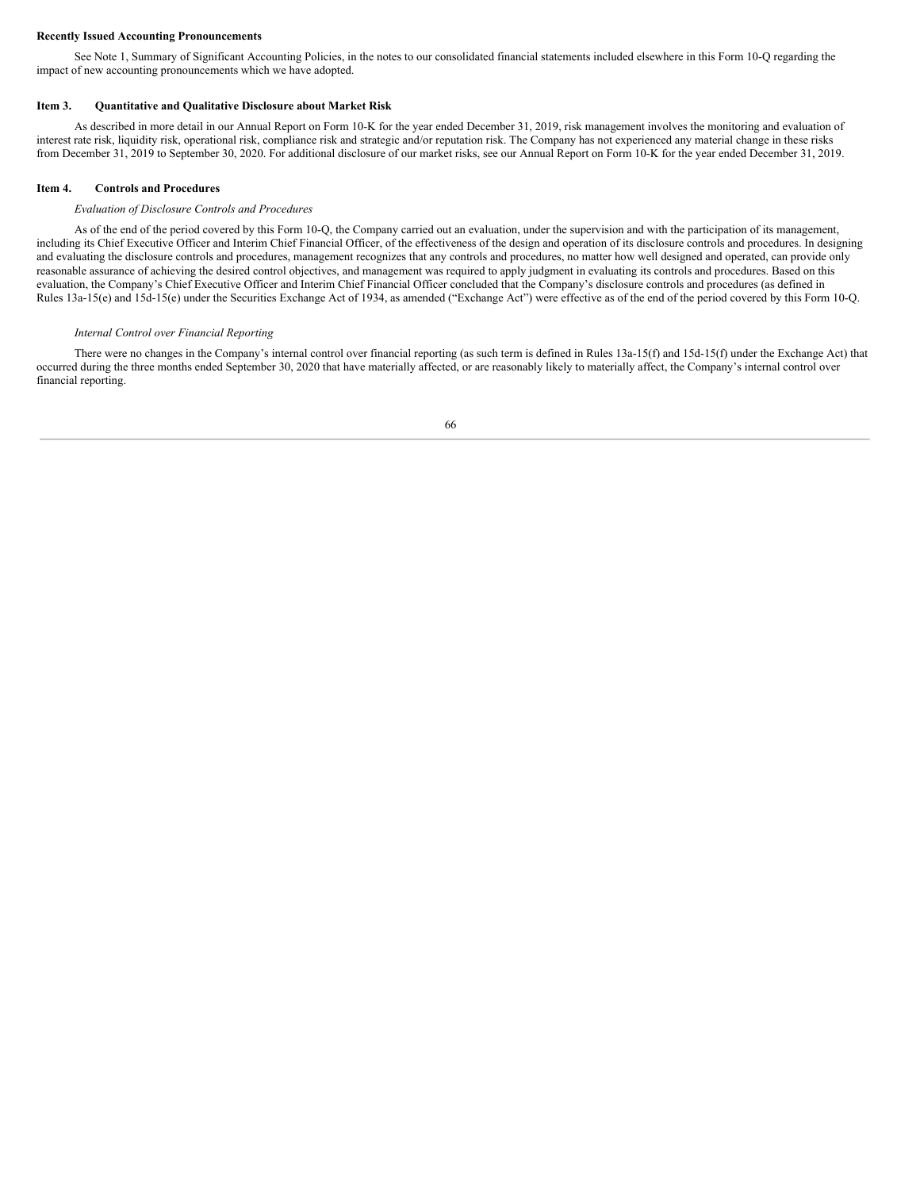#### **Recently Issued Accounting Pronouncements**

See Note 1, Summary of Significant Accounting Policies, in the notes to our consolidated financial statements included elsewhere in this Form 10-Q regarding the impact of new accounting pronouncements which we have adopted.

### **Item 3. Quantitative and Qualitative Disclosure about Market Risk**

As described in more detail in our Annual Report on Form 10-K for the year ended December 31, 2019, risk management involves the monitoring and evaluation of interest rate risk, liquidity risk, operational risk, compliance risk and strategic and/or reputation risk. The Company has not experienced any material change in these risks from December 31, 2019 to September 30, 2020. For additional disclosure of our market risks, see our Annual Report on Form 10-K for the year ended December 31, 2019.

### **Item 4. Controls and Procedures**

#### *Evaluation of Disclosure Controls and Procedures*

As of the end of the period covered by this Form 10-Q, the Company carried out an evaluation, under the supervision and with the participation of its management, including its Chief Executive Officer and Interim Chief Financial Officer, of the effectiveness of the design and operation of its disclosure controls and procedures. In designing and evaluating the disclosure controls and procedures, management recognizes that any controls and procedures, no matter how well designed and operated, can provide only reasonable assurance of achieving the desired control objectives, and management was required to apply judgment in evaluating its controls and procedures. Based on this evaluation, the Company's Chief Executive Officer and Interim Chief Financial Officer concluded that the Company's disclosure controls and procedures (as defined in Rules 13a-15(e) and 15d-15(e) under the Securities Exchange Act of 1934, as amended ("Exchange Act") were effective as of the end of the period covered by this Form 10-Q.

## *Internal Control over Financial Reporting*

There were no changes in the Company's internal control over financial reporting (as such term is defined in Rules 13a-15(f) and 15d-15(f) under the Exchange Act) that occurred during the three months ended September 30, 2020 that have materially affected, or are reasonably likely to materially affect, the Company's internal control over financial reporting.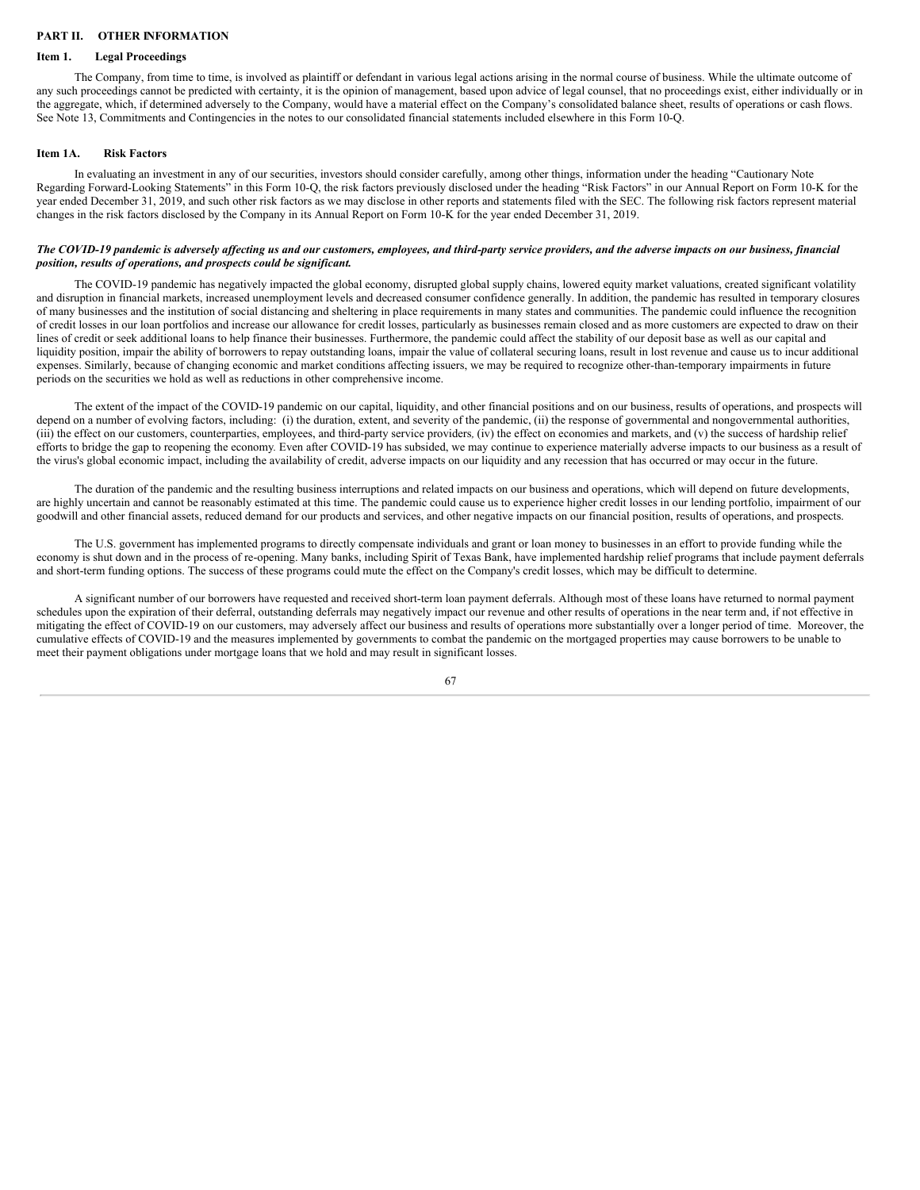## **PART II. OTHER INFORMATION**

## **Item 1. Legal Proceedings**

The Company, from time to time, is involved as plaintiff or defendant in various legal actions arising in the normal course of business. While the ultimate outcome of any such proceedings cannot be predicted with certainty, it is the opinion of management, based upon advice of legal counsel, that no proceedings exist, either individually or in the aggregate, which, if determined adversely to the Company, would have a material effect on the Company's consolidated balance sheet, results of operations or cash flows. See Note 13, Commitments and Contingencies in the notes to our consolidated financial statements included elsewhere in this Form 10-Q.

#### **Item 1A. Risk Factors**

In evaluating an investment in any of our securities, investors should consider carefully, among other things, information under the heading "Cautionary Note Regarding Forward-Looking Statements" in this Form 10-Q, the risk factors previously disclosed under the heading "Risk Factors" in our Annual Report on Form 10-K for the year ended December 31, 2019, and such other risk factors as we may disclose in other reports and statements filed with the SEC. The following risk factors represent material changes in the risk factors disclosed by the Company in its Annual Report on Form 10-K for the year ended December 31, 2019.

### The COVID-19 pandemic is adversely affecting us and our customers, employees, and third-party service providers, and the adverse impacts on our business, financial *position, results of operations, and prospects could be significant.*

The COVID-19 pandemic has negatively impacted the global economy, disrupted global supply chains, lowered equity market valuations, created significant volatility and disruption in financial markets, increased unemployment levels and decreased consumer confidence generally. In addition, the pandemic has resulted in temporary closures of many businesses and the institution of social distancing and sheltering in place requirements in many states and communities. The pandemic could influence the recognition of credit losses in our loan portfolios and increase our allowance for credit losses, particularly as businesses remain closed and as more customers are expected to draw on their lines of credit or seek additional loans to help finance their businesses. Furthermore, the pandemic could affect the stability of our deposit base as well as our capital and liquidity position, impair the ability of borrowers to repay outstanding loans, impair the value of collateral securing loans, result in lost revenue and cause us to incur additional expenses. Similarly, because of changing economic and market conditions affecting issuers, we may be required to recognize other-than-temporary impairments in future periods on the securities we hold as well as reductions in other comprehensive income.

The extent of the impact of the COVID-19 pandemic on our capital, liquidity, and other financial positions and on our business, results of operations, and prospects will depend on a number of evolving factors, including: (i) the duration, extent, and severity of the pandemic, (ii) the response of governmental and nongovernmental authorities, (iii) the effect on our customers, counterparties, employees, and third-party service providers*,* (iv) the effect on economies and markets, and (v) the success of hardship relief efforts to bridge the gap to reopening the economy*.* Even after COVID-19 has subsided, we may continue to experience materially adverse impacts to our business as a result of the virus's global economic impact, including the availability of credit, adverse impacts on our liquidity and any recession that has occurred or may occur in the future.

The duration of the pandemic and the resulting business interruptions and related impacts on our business and operations, which will depend on future developments, are highly uncertain and cannot be reasonably estimated at this time. The pandemic could cause us to experience higher credit losses in our lending portfolio, impairment of our goodwill and other financial assets, reduced demand for our products and services, and other negative impacts on our financial position, results of operations, and prospects.

The U.S. government has implemented programs to directly compensate individuals and grant or loan money to businesses in an effort to provide funding while the economy is shut down and in the process of re-opening. Many banks, including Spirit of Texas Bank, have implemented hardship relief programs that include payment deferrals and short-term funding options. The success of these programs could mute the effect on the Company's credit losses, which may be difficult to determine.

A significant number of our borrowers have requested and received short-term loan payment deferrals. Although most of these loans have returned to normal payment schedules upon the expiration of their deferral, outstanding deferrals may negatively impact our revenue and other results of operations in the near term and, if not effective in mitigating the effect of COVID-19 on our customers, may adversely affect our business and results of operations more substantially over a longer period of time. Moreover, the cumulative effects of COVID-19 and the measures implemented by governments to combat the pandemic on the mortgaged properties may cause borrowers to be unable to meet their payment obligations under mortgage loans that we hold and may result in significant losses.

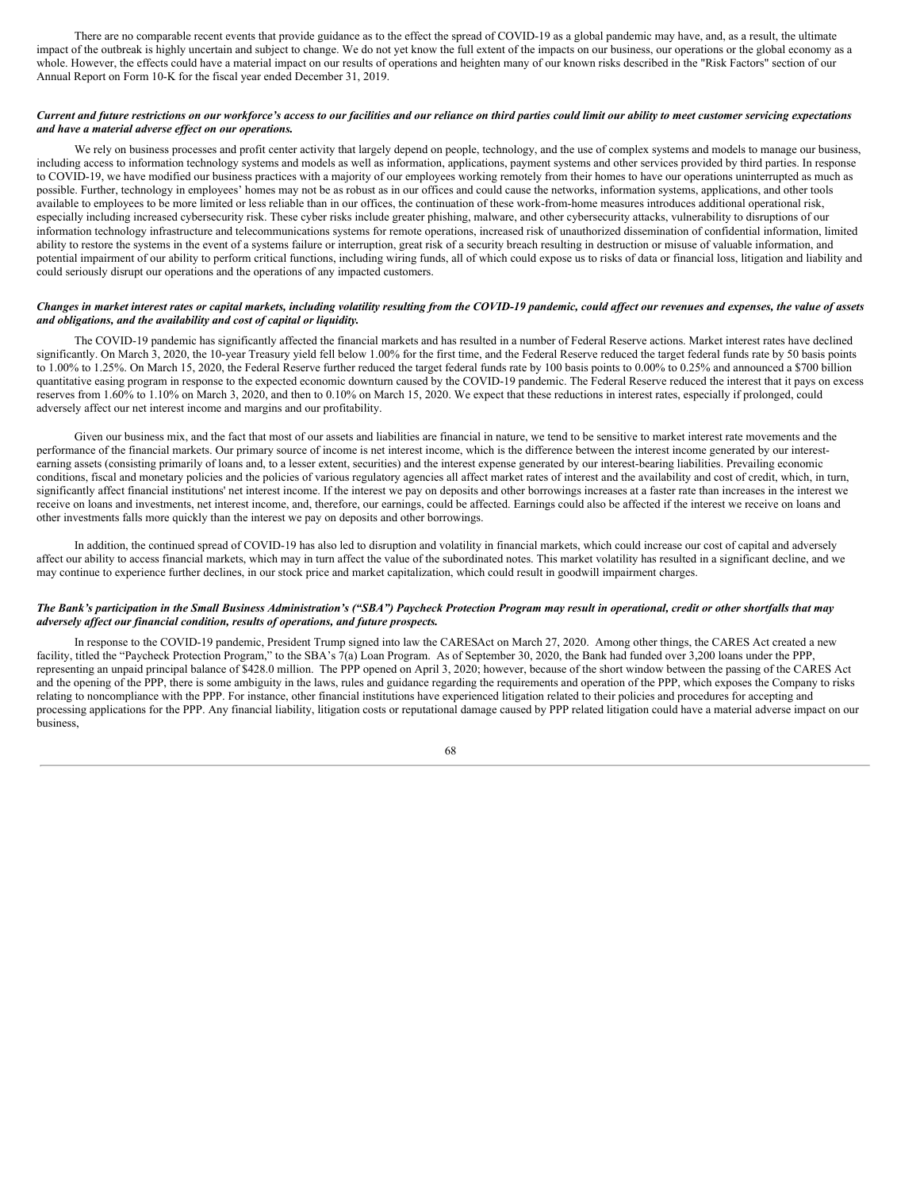There are no comparable recent events that provide guidance as to the effect the spread of COVID-19 as a global pandemic may have, and, as a result, the ultimate impact of the outbreak is highly uncertain and subject to change. We do not yet know the full extent of the impacts on our business, our operations or the global economy as a whole. However, the effects could have a material impact on our results of operations and heighten many of our known risks described in the "Risk Factors" section of our Annual Report on Form 10-K for the fiscal year ended December 31, 2019.

### Current and future restrictions on our workforce's access to our facilities and our reliance on third parties could limit our ability to meet customer servicing expectations *and have a material adverse ef ect on our operations.*

We rely on business processes and profit center activity that largely depend on people, technology, and the use of complex systems and models to manage our business, including access to information technology systems and models as well as information, applications, payment systems and other services provided by third parties. In response to COVID-19, we have modified our business practices with a majority of our employees working remotely from their homes to have our operations uninterrupted as much as possible. Further, technology in employees' homes may not be as robust as in our offices and could cause the networks, information systems, applications, and other tools available to employees to be more limited or less reliable than in our offices, the continuation of these work-from-home measures introduces additional operational risk, especially including increased cybersecurity risk. These cyber risks include greater phishing, malware, and other cybersecurity attacks, vulnerability to disruptions of our information technology infrastructure and telecommunications systems for remote operations, increased risk of unauthorized dissemination of confidential information, limited ability to restore the systems in the event of a systems failure or interruption, great risk of a security breach resulting in destruction or misuse of valuable information, and potential impairment of our ability to perform critical functions, including wiring funds, all of which could expose us to risks of data or financial loss, litigation and liability and could seriously disrupt our operations and the operations of any impacted customers.

## Changes in market interest rates or capital markets, including volatility resulting from the COVID-19 pandemic, could affect our revenues and expenses, the value of assets *and obligations, and the availability and cost of capital or liquidity.*

The COVID-19 pandemic has significantly affected the financial markets and has resulted in a number of Federal Reserve actions. Market interest rates have declined significantly. On March 3, 2020, the 10-year Treasury yield fell below 1.00% for the first time, and the Federal Reserve reduced the target federal funds rate by 50 basis points to 1.00% to 1.25%. On March 15, 2020, the Federal Reserve further reduced the target federal funds rate by 100 basis points to 0.00% to 0.25% and announced a \$700 billion quantitative easing program in response to the expected economic downturn caused by the COVID-19 pandemic. The Federal Reserve reduced the interest that it pays on excess reserves from 1.60% to 1.10% on March 3, 2020, and then to 0.10% on March 15, 2020. We expect that these reductions in interest rates, especially if prolonged, could adversely affect our net interest income and margins and our profitability.

Given our business mix, and the fact that most of our assets and liabilities are financial in nature, we tend to be sensitive to market interest rate movements and the performance of the financial markets. Our primary source of income is net interest income, which is the difference between the interest income generated by our interestearning assets (consisting primarily of loans and, to a lesser extent, securities) and the interest expense generated by our interest-bearing liabilities. Prevailing economic conditions, fiscal and monetary policies and the policies of various regulatory agencies all affect market rates of interest and the availability and cost of credit, which, in turn, significantly affect financial institutions' net interest income. If the interest we pay on deposits and other borrowings increases at a faster rate than increases in the interest we receive on loans and investments, net interest income, and, therefore, our earnings, could be affected. Earnings could also be affected if the interest we receive on loans and other investments falls more quickly than the interest we pay on deposits and other borrowings.

In addition, the continued spread of COVID-19 has also led to disruption and volatility in financial markets, which could increase our cost of capital and adversely affect our ability to access financial markets, which may in turn affect the value of the subordinated notes. This market volatility has resulted in a significant decline, and we may continue to experience further declines, in our stock price and market capitalization, which could result in goodwill impairment charges.

### The Bank's participation in the Small Business Administration's ("SBA") Paycheck Protection Program may result in operational, credit or other shortfalls that may *adversely af ect our financial condition, results of operations, and future prospects.*

In response to the COVID-19 pandemic, President Trump signed into law the CARESAct on March 27, 2020. Among other things, the CARES Act created a new facility, titled the "Paycheck Protection Program," to the SBA's 7(a) Loan Program. As of September 30, 2020, the Bank had funded over 3,200 loans under the PPP, representing an unpaid principal balance of \$428.0 million. The PPP opened on April 3, 2020; however, because of the short window between the passing of the CARES Act and the opening of the PPP, there is some ambiguity in the laws, rules and guidance regarding the requirements and operation of the PPP, which exposes the Company to risks relating to noncompliance with the PPP. For instance, other financial institutions have experienced litigation related to their policies and procedures for accepting and processing applications for the PPP. Any financial liability, litigation costs or reputational damage caused by PPP related litigation could have a material adverse impact on our business,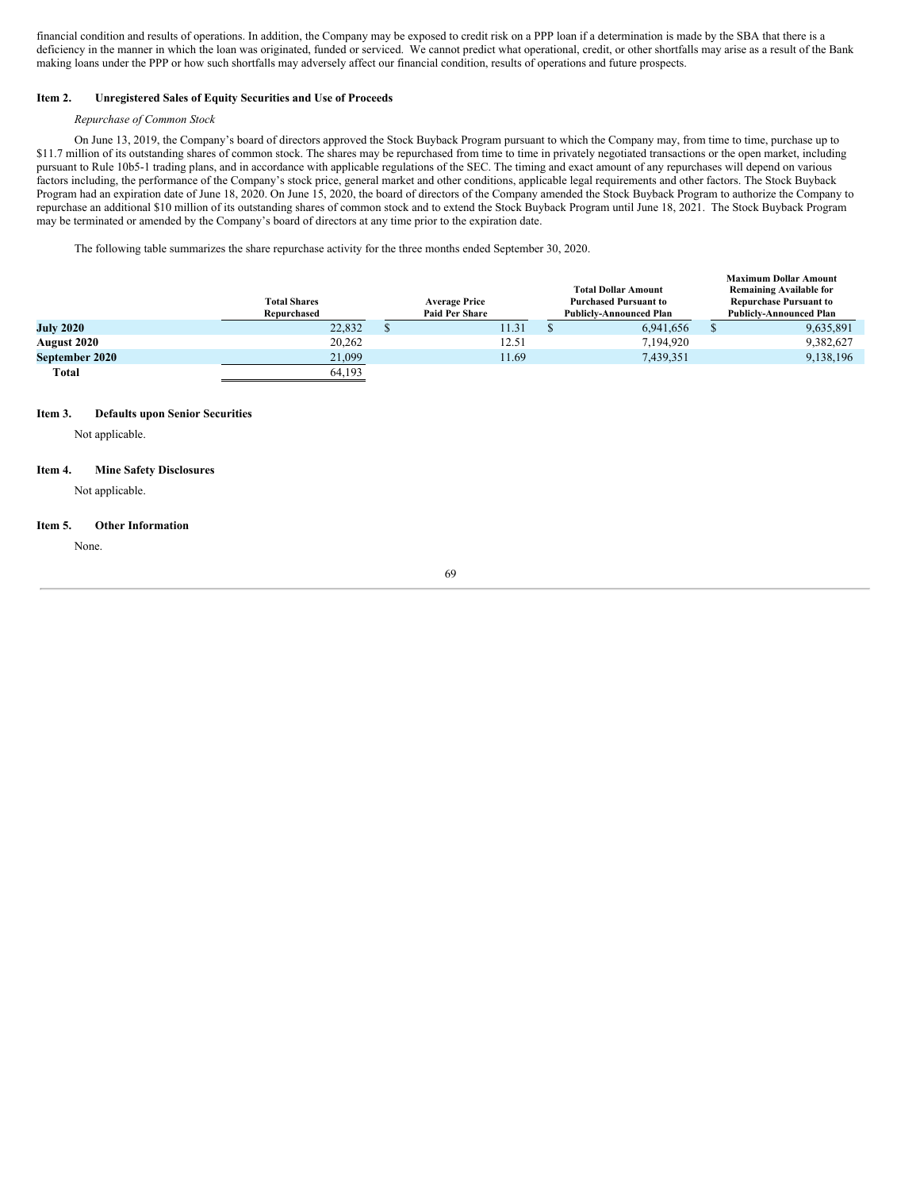financial condition and results of operations. In addition, the Company may be exposed to credit risk on a PPP loan if a determination is made by the SBA that there is a deficiency in the manner in which the loan was originated, funded or serviced. We cannot predict what operational, credit, or other shortfalls may arise as a result of the Bank making loans under the PPP or how such shortfalls may adversely affect our financial condition, results of operations and future prospects.

### **Item 2. Unregistered Sales of Equity Securities and Use of Proceeds**

### *Repurchase of Common Stock*

On June 13, 2019, the Company's board of directors approved the Stock Buyback Program pursuant to which the Company may, from time to time, purchase up to \$11.7 million of its outstanding shares of common stock. The shares may be repurchased from time to time in privately negotiated transactions or the open market, including pursuant to Rule 10b5-1 trading plans, and in accordance with applicable regulations of the SEC. The timing and exact amount of any repurchases will depend on various factors including, the performance of the Company's stock price, general market and other conditions, applicable legal requirements and other factors. The Stock Buyback Program had an expiration date of June 18, 2020. On June 15, 2020, the board of directors of the Company amended the Stock Buyback Program to authorize the Company to repurchase an additional \$10 million of its outstanding shares of common stock and to extend the Stock Buyback Program until June 18, 2021. The Stock Buyback Program may be terminated or amended by the Company's board of directors at any time prior to the expiration date.

The following table summarizes the share repurchase activity for the three months ended September 30, 2020.

|                  | <b>Total Shares</b><br>Repurchased | <b>Average Price</b><br><b>Paid Per Share</b> | <b>Total Dollar Amount</b><br><b>Purchased Pursuant to</b><br><b>Publicly-Announced Plan</b> |           | <b>Maximum Dollar Amount</b><br><b>Remaining Available for</b><br><b>Repurchase Pursuant to</b><br><b>Publicly-Announced Plan</b> |
|------------------|------------------------------------|-----------------------------------------------|----------------------------------------------------------------------------------------------|-----------|-----------------------------------------------------------------------------------------------------------------------------------|
| <b>July 2020</b> | 22,832                             | 11.31                                         |                                                                                              | 6,941,656 | 9,635,891                                                                                                                         |
| August 2020      | 20,262                             | 12.51                                         |                                                                                              | 7,194,920 | 9,382,627                                                                                                                         |
| September 2020   | 21,099                             | 11.69                                         |                                                                                              | 7,439,351 | 9,138,196                                                                                                                         |
| <b>Total</b>     | 64.193                             |                                               |                                                                                              |           |                                                                                                                                   |

### **Item 3. Defaults upon Senior Securities**

Not applicable.

# **Item 4. Mine Safety Disclosures**

Not applicable.

#### **Item 5. Other Information**

None.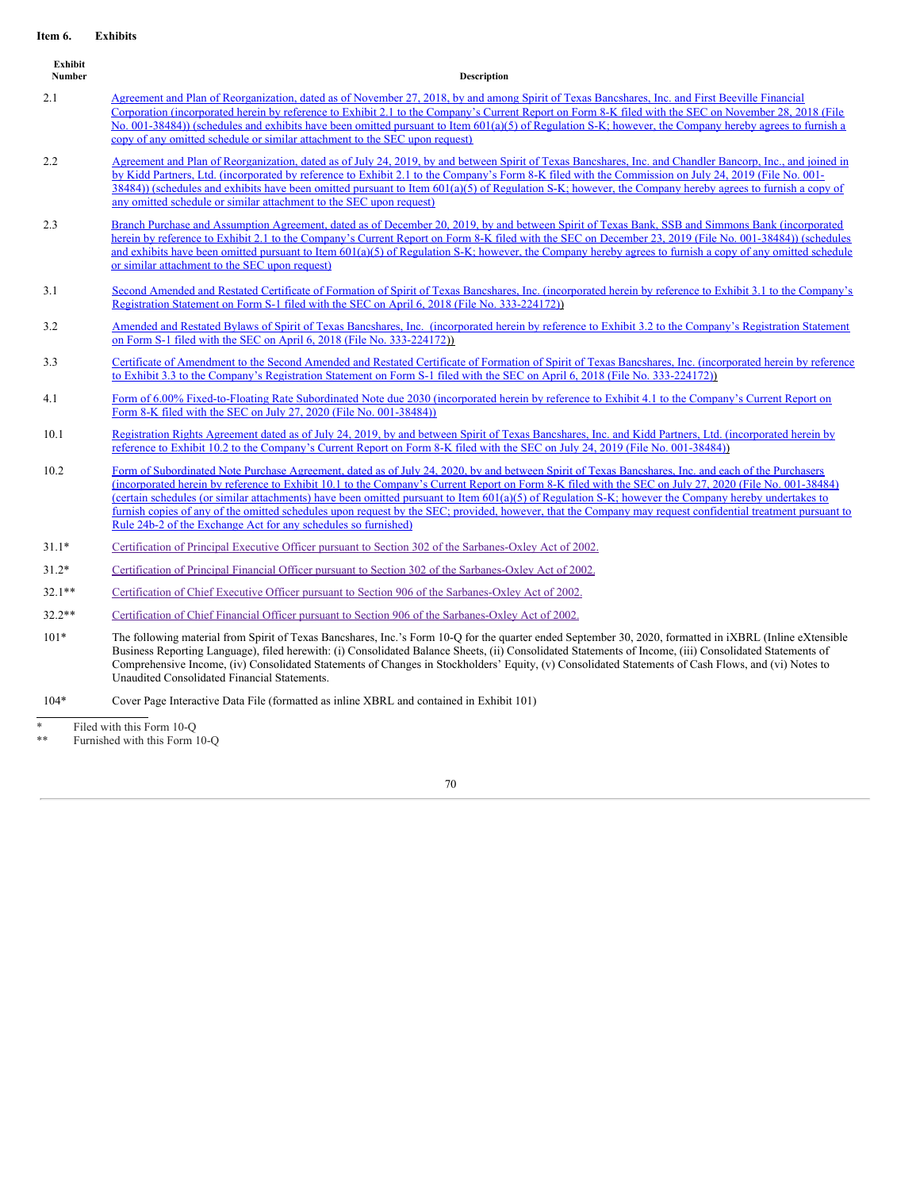## **Item 6. Exhibits**

| Exhibit<br><b>Number</b> | <b>Description</b>                                                                                                                                                                                                                                                                                                                                                                                                                                                                                                                                                                                                                                                                                    |
|--------------------------|-------------------------------------------------------------------------------------------------------------------------------------------------------------------------------------------------------------------------------------------------------------------------------------------------------------------------------------------------------------------------------------------------------------------------------------------------------------------------------------------------------------------------------------------------------------------------------------------------------------------------------------------------------------------------------------------------------|
| 2.1                      | Agreement and Plan of Reorganization, dated as of November 27, 2018, by and among Spirit of Texas Bancshares. Inc. and First Beeville Financial<br>Corporation (incorporated herein by reference to Exhibit 2.1 to the Company's Current Report on Form 8-K filed with the SEC on November 28, 2018 (File<br>No. 001-38484) (schedules and exhibits have been omitted pursuant to Item 601(a)(5) of Regulation S-K; however, the Company hereby agrees to furnish a<br>copy of any omitted schedule or similar attachment to the SEC upon request)                                                                                                                                                    |
| 2.2                      | Agreement and Plan of Reorganization, dated as of July 24, 2019, by and between Spirit of Texas Bancshares, Inc. and Chandler Bancorp, Inc., and joined in<br>by Kidd Partners, Ltd. (incorporated by reference to Exhibit 2.1 to the Company's Form 8-K filed with the Commission on July 24, 2019 (File No. 001-<br>38484)) (schedules and exhibits have been omitted pursuant to Item 601(a)(5) of Regulation S-K; however, the Company hereby agrees to furnish a copy of<br>any omitted schedule or similar attachment to the SEC upon request)                                                                                                                                                  |
| 2.3                      | Branch Purchase and Assumption Agreement, dated as of December 20, 2019, by and between Spirit of Texas Bank, SSB and Simmons Bank (incorporated<br>herein by reference to Exhibit 2.1 to the Company's Current Report on Form 8-K filed with the SEC on December 23, 2019 (File No. 001-38484)) (schedules<br>and exhibits have been omitted pursuant to Item $601(a)(5)$ of Regulation S-K; however, the Company hereby agrees to furnish a copy of any omitted schedule<br>or similar attachment to the SEC upon request)                                                                                                                                                                          |
| 3.1                      | Second Amended and Restated Certificate of Formation of Spirit of Texas Bancshares, Inc. (incorporated herein by reference to Exhibit 3.1 to the Company's<br>Registration Statement on Form S-1 filed with the SEC on April 6, 2018 (File No. 333-224172))                                                                                                                                                                                                                                                                                                                                                                                                                                           |
| 3.2                      | Amended and Restated Bylaws of Spirit of Texas Bancshares, Inc. (incorporated herein by reference to Exhibit 3.2 to the Company's Registration Statement<br>on Form S-1 filed with the SEC on April 6, 2018 (File No. 333-224172))                                                                                                                                                                                                                                                                                                                                                                                                                                                                    |
| 3.3                      | Certificate of Amendment to the Second Amended and Restated Certificate of Formation of Spirit of Texas Bancshares, Inc. (incorporated herein by reference<br>to Exhibit 3.3 to the Company's Registration Statement on Form S-1 filed with the SEC on April 6, 2018 (File No. 333-224172))                                                                                                                                                                                                                                                                                                                                                                                                           |
| 4.1                      | Form of 6.00% Fixed-to-Floating Rate Subordinated Note due 2030 (incorporated herein by reference to Exhibit 4.1 to the Company's Current Report on<br>Form 8-K filed with the SEC on July 27, 2020 (File No. 001-38484))                                                                                                                                                                                                                                                                                                                                                                                                                                                                             |
| 10.1                     | Registration Rights Agreement dated as of July 24, 2019, by and between Spirit of Texas Bancshares, Inc. and Kidd Partners, Ltd. (incorporated herein by<br>reference to Exhibit 10.2 to the Company's Current Report on Form 8-K filed with the SEC on July 24, 2019 (File No. 001-38484))                                                                                                                                                                                                                                                                                                                                                                                                           |
| 10.2                     | Form of Subordinated Note Purchase Agreement, dated as of July 24, 2020, by and between Spirit of Texas Bancshares, Inc. and each of the Purchasers<br>(incorporated herein by reference to Exhibit 10.1 to the Company's Current Report on Form 8-K filed with the SEC on July 27, 2020 (File No. 001-38484)<br>(certain schedules (or similar attachments) have been omitted pursuant to Item 601(a)(5) of Regulation S-K; however the Company hereby undertakes to<br>furnish copies of any of the omitted schedules upon request by the SEC; provided, however, that the Company may request confidential treatment pursuant to<br>Rule 24b-2 of the Exchange Act for any schedules so furnished) |
| $31.1*$                  | Certification of Principal Executive Officer pursuant to Section 302 of the Sarbanes-Oxley Act of 2002.                                                                                                                                                                                                                                                                                                                                                                                                                                                                                                                                                                                               |
| $31.2*$                  | Certification of Principal Financial Officer pursuant to Section 302 of the Sarbanes-Oxley Act of 2002.                                                                                                                                                                                                                                                                                                                                                                                                                                                                                                                                                                                               |
| $32.1**$                 | Certification of Chief Executive Officer pursuant to Section 906 of the Sarbanes-Oxley Act of 2002.                                                                                                                                                                                                                                                                                                                                                                                                                                                                                                                                                                                                   |
| $32.2**$                 | Certification of Chief Financial Officer pursuant to Section 906 of the Sarbanes-Oxley Act of 2002.                                                                                                                                                                                                                                                                                                                                                                                                                                                                                                                                                                                                   |
| $101*$                   | The following material from Spirit of Texas Bancshares, Inc.'s Form 10-O for the quarter ended September 30, 2020, formatted in <i>iXBRL</i> (Inline eXtensible<br>Business Reporting Language), filed herewith: (i) Consolidated Balance Sheets, (ii) Consolidated Statements of Income, (iii) Consolidated Statements of<br>Comprehensive Income, (iv) Consolidated Statements of Changes in Stockholders' Equity, (v) Consolidated Statements of Cash Flows, and (vi) Notes to<br>Unaudited Consolidated Financial Statements.                                                                                                                                                                     |

104\* Cover Page Interactive Data File (formatted as inline XBRL and contained in Exhibit 101)

\* Filed with this Form 10-Q

<sup>\*\*</sup> Furnished with this Form 10-Q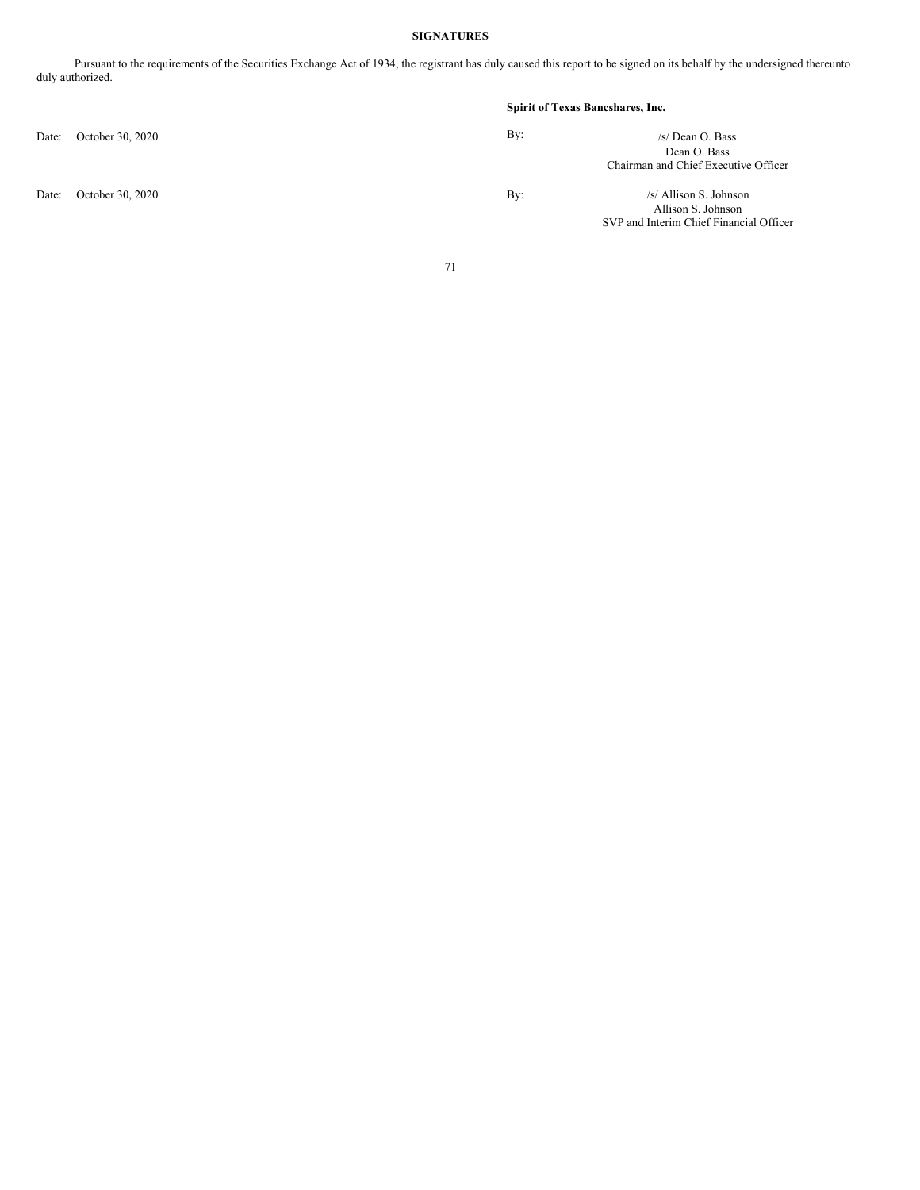## **SIGNATURES**

Pursuant to the requirements of the Securities Exchange Act of 1934, the registrant has duly caused this report to be signed on its behalf by the undersigned thereunto duly authorized.

Date: October 30, 2020

Date: October 30, 2020

# **Spirit of Texas Bancshares, Inc.**

| By: | /s/ Dean O. Bass                     |  |  |  |  |  |  |  |
|-----|--------------------------------------|--|--|--|--|--|--|--|
|     | Dean O. Bass                         |  |  |  |  |  |  |  |
|     | Chairman and Chief Executive Officer |  |  |  |  |  |  |  |
|     |                                      |  |  |  |  |  |  |  |
| By: | /s/ Allison S. Johnson               |  |  |  |  |  |  |  |

Allison S. Johnson SVP and Interim Chief Financial Officer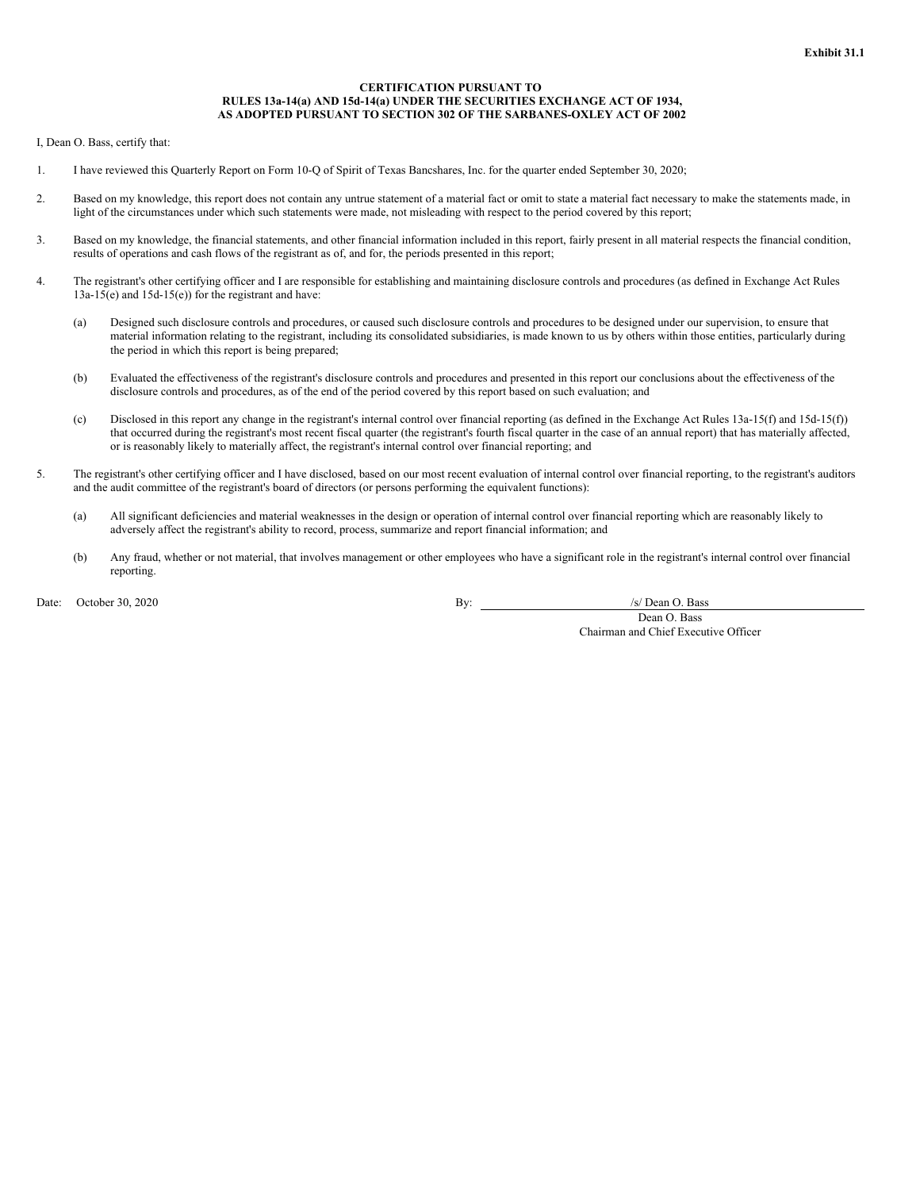### **CERTIFICATION PURSUANT TO RULES 13a-14(a) AND 15d-14(a) UNDER THE SECURITIES EXCHANGE ACT OF 1934, AS ADOPTED PURSUANT TO SECTION 302 OF THE SARBANES-OXLEY ACT OF 2002**

<span id="page-71-0"></span>I, Dean O. Bass, certify that:

- 1. I have reviewed this Quarterly Report on Form 10-Q of Spirit of Texas Bancshares, Inc. for the quarter ended September 30, 2020;
- 2. Based on my knowledge, this report does not contain any untrue statement of a material fact or omit to state a material fact necessary to make the statements made, in light of the circumstances under which such statements were made, not misleading with respect to the period covered by this report;
- 3. Based on my knowledge, the financial statements, and other financial information included in this report, fairly present in all material respects the financial condition, results of operations and cash flows of the registrant as of, and for, the periods presented in this report;
- 4. The registrant's other certifying officer and I are responsible for establishing and maintaining disclosure controls and procedures (as defined in Exchange Act Rules 13a-15(e) and 15d-15(e)) for the registrant and have:
	- (a) Designed such disclosure controls and procedures, or caused such disclosure controls and procedures to be designed under our supervision, to ensure that material information relating to the registrant, including its consolidated subsidiaries, is made known to us by others within those entities, particularly during the period in which this report is being prepared;
	- (b) Evaluated the effectiveness of the registrant's disclosure controls and procedures and presented in this report our conclusions about the effectiveness of the disclosure controls and procedures, as of the end of the period covered by this report based on such evaluation; and
	- (c) Disclosed in this report any change in the registrant's internal control over financial reporting (as defined in the Exchange Act Rules 13a-15(f) and 15d-15(f)) that occurred during the registrant's most recent fiscal quarter (the registrant's fourth fiscal quarter in the case of an annual report) that has materially affected, or is reasonably likely to materially affect, the registrant's internal control over financial reporting; and
- 5. The registrant's other certifying officer and I have disclosed, based on our most recent evaluation of internal control over financial reporting, to the registrant's auditors and the audit committee of the registrant's board of directors (or persons performing the equivalent functions):
	- (a) All significant deficiencies and material weaknesses in the design or operation of internal control over financial reporting which are reasonably likely to adversely affect the registrant's ability to record, process, summarize and report financial information; and
	- (b) Any fraud, whether or not material, that involves management or other employees who have a significant role in the registrant's internal control over financial reporting.

Date: October 30, 2020 **By:** /s/ Dean O. Bass

Dean O. Bass Chairman and Chief Executive Officer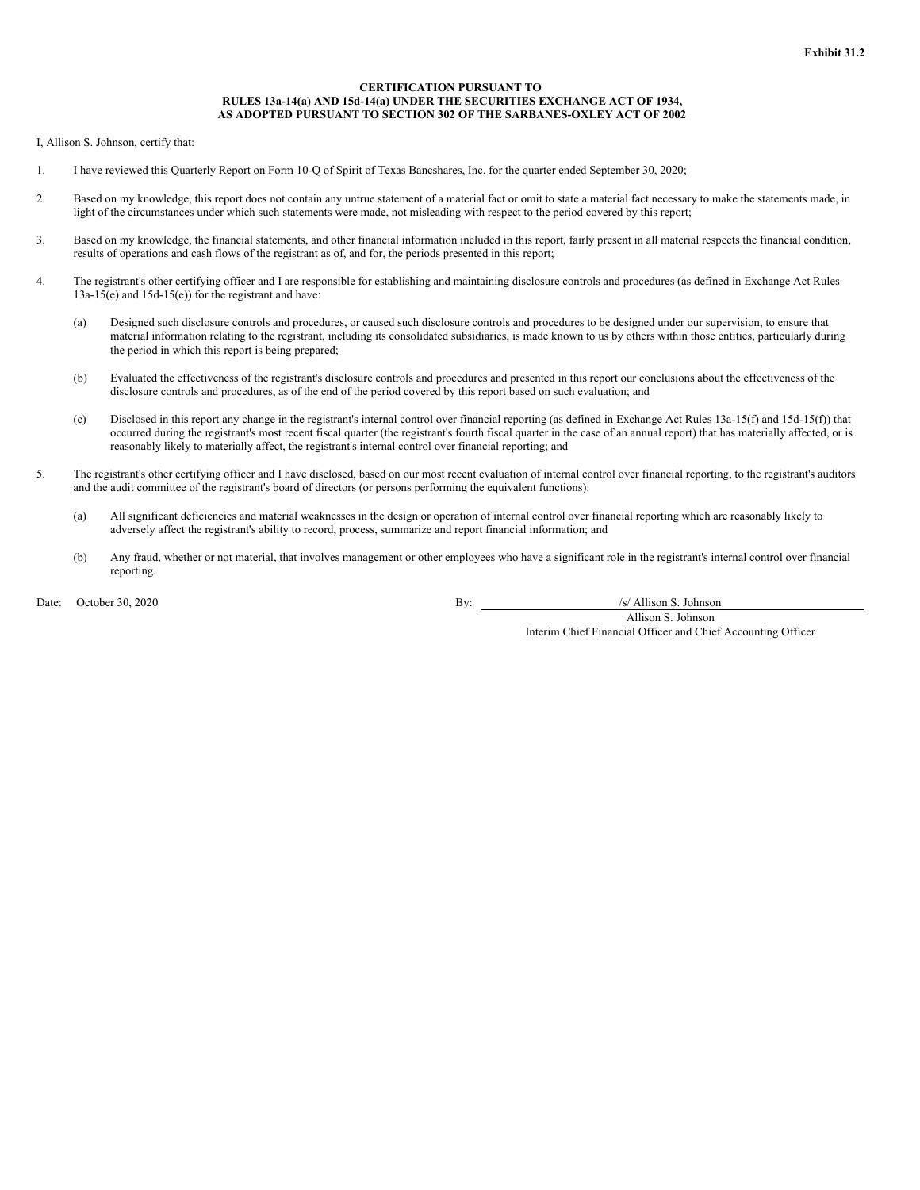## **CERTIFICATION PURSUANT TO RULES 13a-14(a) AND 15d-14(a) UNDER THE SECURITIES EXCHANGE ACT OF 1934, AS ADOPTED PURSUANT TO SECTION 302 OF THE SARBANES-OXLEY ACT OF 2002**

I, Allison S. Johnson, certify that:

- 1. I have reviewed this Quarterly Report on Form 10-Q of Spirit of Texas Bancshares, Inc. for the quarter ended September 30, 2020;
- 2. Based on my knowledge, this report does not contain any untrue statement of a material fact or omit to state a material fact necessary to make the statements made, in light of the circumstances under which such statements were made, not misleading with respect to the period covered by this report;
- 3. Based on my knowledge, the financial statements, and other financial information included in this report, fairly present in all material respects the financial condition, results of operations and cash flows of the registrant as of, and for, the periods presented in this report;
- 4. The registrant's other certifying officer and I are responsible for establishing and maintaining disclosure controls and procedures (as defined in Exchange Act Rules 13a-15(e) and 15d-15(e)) for the registrant and have:
	- (a) Designed such disclosure controls and procedures, or caused such disclosure controls and procedures to be designed under our supervision, to ensure that material information relating to the registrant, including its consolidated subsidiaries, is made known to us by others within those entities, particularly during the period in which this report is being prepared;
	- (b) Evaluated the effectiveness of the registrant's disclosure controls and procedures and presented in this report our conclusions about the effectiveness of the disclosure controls and procedures, as of the end of the period covered by this report based on such evaluation; and
	- (c) Disclosed in this report any change in the registrant's internal control over financial reporting (as defined in Exchange Act Rules 13a-15(f) and 15d-15(f)) that occurred during the registrant's most recent fiscal quarter (the registrant's fourth fiscal quarter in the case of an annual report) that has materially affected, or is reasonably likely to materially affect, the registrant's internal control over financial reporting; and
- 5. The registrant's other certifying officer and I have disclosed, based on our most recent evaluation of internal control over financial reporting, to the registrant's auditors and the audit committee of the registrant's board of directors (or persons performing the equivalent functions):
	- (a) All significant deficiencies and material weaknesses in the design or operation of internal control over financial reporting which are reasonably likely to adversely affect the registrant's ability to record, process, summarize and report financial information; and
	- (b) Any fraud, whether or not material, that involves management or other employees who have a significant role in the registrant's internal control over financial reporting.

Date: October 30, 2020 By: /s/ Allison S. Johnson

Allison S. Johnson Interim Chief Financial Officer and Chief Accounting Officer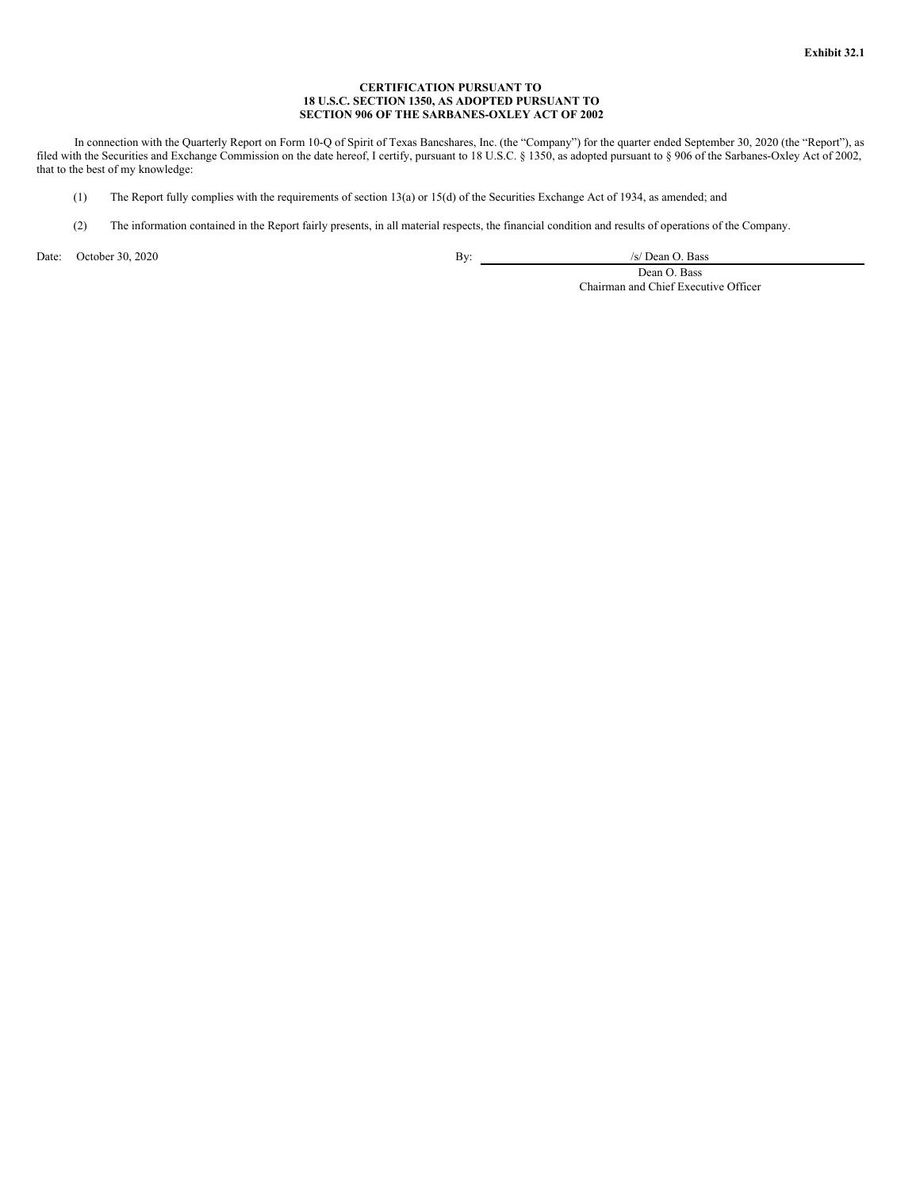## **CERTIFICATION PURSUANT TO 18 U.S.C. SECTION 1350, AS ADOPTED PURSUANT TO SECTION 906 OF THE SARBANES-OXLEY ACT OF 2002**

In connection with the Quarterly Report on Form 10-Q of Spirit of Texas Bancshares, Inc. (the "Company") for the quarter ended September 30, 2020 (the "Report"), as filed with the Securities and Exchange Commission on the date hereof, I certify, pursuant to 18 U.S.C. § 1350, as adopted pursuant to § 906 of the Sarbanes-Oxley Act of 2002, that to the best of my knowledge:

- (1) The Report fully complies with the requirements of section 13(a) or 15(d) of the Securities Exchange Act of 1934, as amended; and
- (2) The information contained in the Report fairly presents, in all material respects, the financial condition and results of operations of the Company.

Date: October 30, 2020 **By:** /s/ Dean O. Bass /s/ Dean O. Bass /s/ Dean O. Bass /s/ Dean O. Bass /s/ Dean O. Bass /s/ Dean O. Bass /s/ Dean O. Bass /s/ Dean O. Bass /s/ Dean O. Bass /s/ Dean O. Bass /s/ Dean O. Bass /s/ De

Dean O. Bass Chairman and Chief Executive Officer